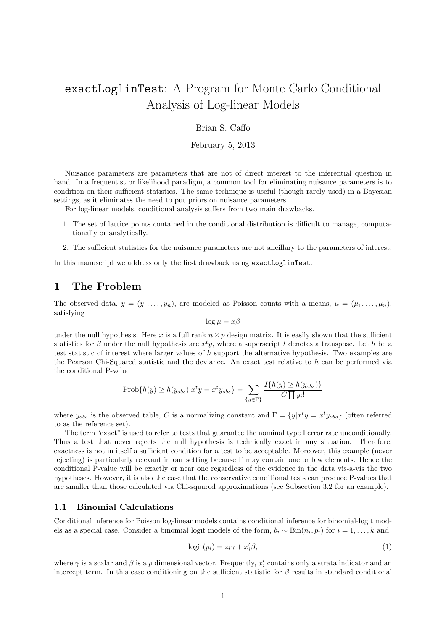# exactLoglinTest: A Program for Monte Carlo Conditional Analysis of Log-linear Models

### Brian S. Caffo

### February 5, 2013

Nuisance parameters are parameters that are not of direct interest to the inferential question in hand. In a frequentist or likelihood paradigm, a common tool for eliminating nuisance parameters is to condition on their sufficient statistics. The same technique is useful (though rarely used) in a Bayesian settings, as it eliminates the need to put priors on nuisance parameters.

For log-linear models, conditional analysis suffers from two main drawbacks.

- 1. The set of lattice points contained in the conditional distribution is difficult to manage, computationally or analytically.
- 2. The sufficient statistics for the nuisance parameters are not ancillary to the parameters of interest.

In this manuscript we address only the first drawback using exactLoglinTest.

### 1 The Problem

The observed data,  $y = (y_1, \ldots, y_n)$ , are modeled as Poisson counts with a means,  $\mu = (\mu_1, \ldots, \mu_n)$ , satisfying

$$
\log \mu = x\beta
$$

under the null hypothesis. Here x is a full rank  $n \times p$  design matrix. It is easily shown that the sufficient statistics for  $\beta$  under the null hypothesis are  $x^t y$ , where a superscript t denotes a transpose. Let h be a test statistic of interest where larger values of  $h$  support the alternative hypothesis. Two examples are the Pearson Chi-Squared statistic and the deviance. An exact test relative to  $h$  can be performed via the conditional P-value

$$
\text{Prob}\{h(y) \ge h(y_{obs})|x^t y = x^t y_{obs}\} = \sum_{\{y \in \Gamma\}} \frac{I\{h(y) \ge h(y_{obs})\}}{C \prod y_i!}
$$

where  $y_{obs}$  is the observed table, C is a normalizing constant and  $\Gamma = \{y | x^t y = x^t y_{obs}\}\$  (often referred to as the reference set).

The term "exact" is used to refer to tests that guarantee the nominal type I error rate unconditionally. Thus a test that never rejects the null hypothesis is technically exact in any situation. Therefore, exactness is not in itself a sufficient condition for a test to be acceptable. Moreover, this example (never rejecting) is particularly relevant in our setting because  $\Gamma$  may contain one or few elements. Hence the conditional P-value will be exactly or near one regardless of the evidence in the data vis-a-vis the two hypotheses. However, it is also the case that the conservative conditional tests can produce P-values that are smaller than those calculated via Chi-squared approximations (see Subsection 3.2 for an example).

### 1.1 Binomial Calculations

Conditional inference for Poisson log-linear models contains conditional inference for binomial-logit models as a special case. Consider a binomial logit models of the form,  $b_i \sim Bin(n_i, p_i)$  for  $i = 1, ..., k$  and

$$
logit(p_i) = z_i \gamma + x_i' \beta,
$$
\n(1)

where  $\gamma$  is a scalar and  $\beta$  is a p dimensional vector. Frequently,  $x_i'$  contains only a strata indicator and an intercept term. In this case conditioning on the sufficient statistic for  $\beta$  results in standard conditional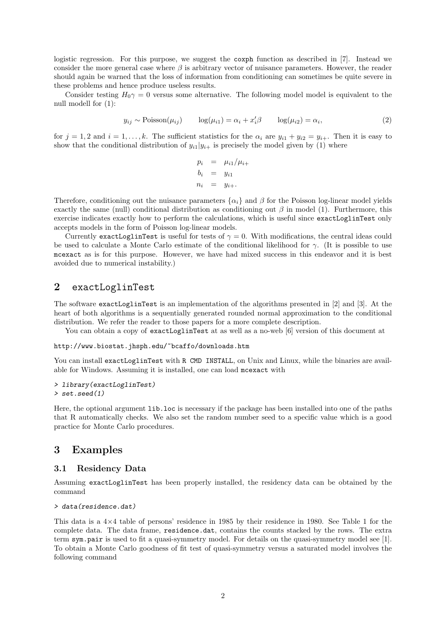logistic regression. For this purpose, we suggest the coxph function as described in [7]. Instead we consider the more general case where  $\beta$  is arbitrary vector of nuisance parameters. However, the reader should again be warned that the loss of information from conditioning can sometimes be quite severe in these problems and hence produce useless results.

Consider testing  $H_0\gamma = 0$  versus some alternative. The following model model is equivalent to the null modell for (1):

$$
y_{ij} \sim \text{Poisson}(\mu_{ij}) \qquad \log(\mu_{i1}) = \alpha_i + x_i'\beta \qquad \log(\mu_{i2}) = \alpha_i,\tag{2}
$$

for  $j = 1, 2$  and  $i = 1, ..., k$ . The sufficient statistics for the  $\alpha_i$  are  $y_{i1} + y_{i2} = y_{i+}$ . Then it is easy to show that the conditional distribution of  $y_{i1}|y_{i+}$  is precisely the model given by (1) where

$$
p_i = \mu_{i1}/\mu_{i+}
$$
  
\n
$$
b_i = y_{i1}
$$
  
\n
$$
n_i = y_{i+}
$$

Therefore, conditioning out the nuisance parameters  $\{\alpha_i\}$  and  $\beta$  for the Poisson log-linear model yields exactly the same (null) conditional distribution as conditioning out  $\beta$  in model (1). Furthermore, this exercise indicates exactly how to perform the calculations, which is useful since exactLoglinTest only accepts models in the form of Poisson log-linear models.

Currently exactLoglinTest is useful for tests of  $\gamma = 0$ . With modifications, the central ideas could be used to calculate a Monte Carlo estimate of the conditional likelihood for γ. (It is possible to use mcexact as is for this purpose. However, we have had mixed success in this endeavor and it is best avoided due to numerical instability.)

### 2 exactLoglinTest

The software exactLoglinTest is an implementation of the algorithms presented in [2] and [3]. At the heart of both algorithms is a sequentially generated rounded normal approximation to the conditional distribution. We refer the reader to those papers for a more complete description.

You can obtain a copy of exactLoglinTest at as well as a no-web [6] version of this document at

#### http://www.biostat.jhsph.edu/~bcaffo/downloads.htm

You can install exactLoglinTest with R CMD INSTALL, on Unix and Linux, while the binaries are available for Windows. Assuming it is installed, one can load mcexact with

```
> library(exactLoglinTest)
> set.seed(1)
```
Here, the optional argument lib.loc is necessary if the package has been installed into one of the paths that R automatically checks. We also set the random number seed to a specific value which is a good practice for Monte Carlo procedures.

### 3 Examples

#### 3.1 Residency Data

Assuming exactLoglinTest has been properly installed, the residency data can be obtained by the command

```
> data(residence.dat)
```
This data is a 4×4 table of persons' residence in 1985 by their residence in 1980. See Table 1 for the complete data. The data frame, residence.dat, contains the counts stacked by the rows. The extra term sym.pair is used to fit a quasi-symmetry model. For details on the quasi-symmetry model see [1]. To obtain a Monte Carlo goodness of fit test of quasi-symmetry versus a saturated model involves the following command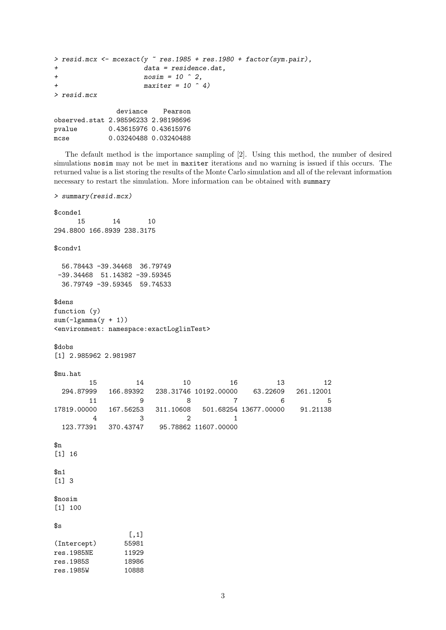```
> resid.mcx <- meexact(y res.1985 + res.1980 + factor(sym.pair),
+ data = residence.dat,
+ nosim = 10 \text{ }^{\circ} 2,+ maxiter = 10 \hat{ } 4)
> resid.mcx
             deviance Pearson
observed.stat 2.98596233 2.98198696
pvalue 0.43615976 0.43615976
mcse 0.03240488 0.03240488
```
The default method is the importance sampling of [2]. Using this method, the number of desired simulations nosim may not be met in maxiter iterations and no warning is issued if this occurs. The returned value is a list storing the results of the Monte Carlo simulation and all of the relevant information necessary to restart the simulation. More information can be obtained with summary

```
> summary(resid.mcx)
$conde1
    15 14 10
294.8800 166.8939 238.3175
$condv1
 56.78443 -39.34468 36.79749
-39.34468 51.14382 -39.59345
 36.79749 -39.59345 59.74533
$dens
function (y)
sum(-lgamma(y + 1))<environment: namespace:exactLoglinTest>
$dobs
[1] 2.985962 2.981987
$mu.hat
       15 14 10 16 13 12
 294.87999 166.89392 238.31746 10192.00000 63.22609 261.12001
       11 9 8 7 6 5
17819.00000 167.56253 311.10608 501.68254 13677.00000 91.21138
        4 3 2 1
 123.77391 370.43747 95.78862 11607.00000
$n
[1] 16
$n1
[1] 3
$nosim
[1] 100
s<sub>s</sub>[,1]
(Intercept) 55981
res.1985NE 11929
res.1985S 18986
res.1985W 10888
```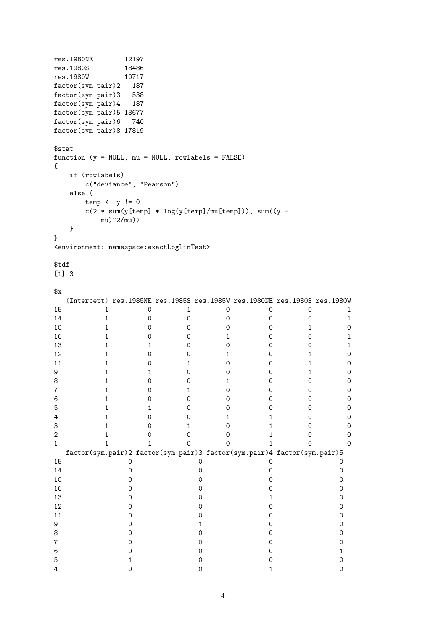```
res.1980NE 12197<br>res.1980S 18486
res.1980S 18486<br>res.1980W 10717
res.1980W
factor(sym.pair)2 187
factor(sym.pair)3 538
factor(sym.pair)4 187
factor(sym.pair)5 13677
factor(sym.pair)6 740
factor(sym.pair)8 17819
$stat
function (y = NULL, mu = NULL, rowlabels = FALSE)
{
 if (rowlabels)
   c("deviance", "Pearson")
 else {
   temp \leftarrow y := 0c(2 * sum(y[temp] * log(y[temp]/mu[temp])), sum((y -mu)^22/mu)}
}
<environment: namespace:exactLoglinTest>
$tdf
[1] 3
x(Intercept) res.1985NE res.1985S res.1985W res.1980NE res.1980S res.1980W
15 1 0 1 0 0 0 1
14 1 0 0 0 0 0 0 1
10 1 0 0 0 0 0 1 0
16 1 0 0 1 0 0 1
13 1 1 0 0 0 0 0 1
12 1 0 0 1 0 1 0
11 1 0 1 0 0 0 1 0
9 1 1 0 0 0 1 0
8 1 0 0 1 0 0 0
7 1 0 1 0 0 0 0
6 1 0 0 0 0 0 0
5 1 1 0 0 0 0 0
4 1 0 0 1 1 0 0
3 1 0 1 0 1 0 0
2 1 0 0 0 0 1 0 0
1 1 1 0 0 0 1 0 0
 factor(sym.pair)2 factor(sym.pair)3 factor(sym.pair)4 factor(sym.pair)5
15 0 0 0 0 0
14 0 0 0 0 0 0
10 0 0 0 0 0 0
16 0 0 0 0
13 0 0 0 1 0
12 0 0 0 0 0
11 0 0 0 0 0 0
9 0 1 0 0
8 0 0 0 0
7 0 0 0 0 0 0
6 0 0 0 0 1
5 1 0 0 0 0
4 0 0 0 1 0
```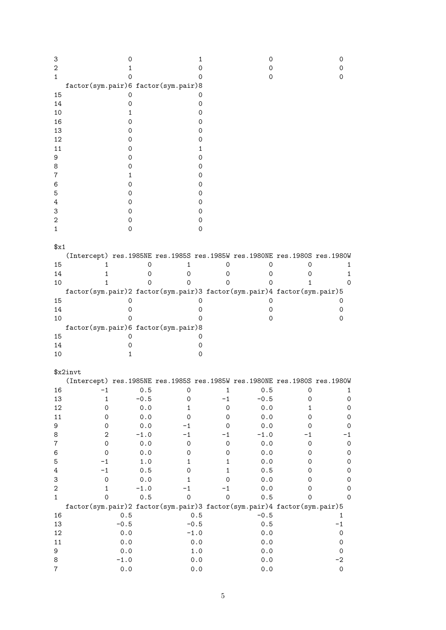| 3<br>2<br>1      |                                                                           | 0<br>1<br>0 |         |                     | 1<br>0<br>0         | 0<br>0<br>0 |                     | 0<br>0<br>0         |
|------------------|---------------------------------------------------------------------------|-------------|---------|---------------------|---------------------|-------------|---------------------|---------------------|
|                  | factor(sym.pair)6 factor(sym.pair)8                                       |             |         |                     |                     |             |                     |                     |
| 15               |                                                                           | 0           |         |                     | 0                   |             |                     |                     |
| 14               |                                                                           | 0           |         |                     | 0                   |             |                     |                     |
| 10               |                                                                           | 1           |         |                     | 0                   |             |                     |                     |
| 16               |                                                                           | 0           |         |                     | 0                   |             |                     |                     |
| 13               |                                                                           | 0           |         |                     | 0                   |             |                     |                     |
| 12               |                                                                           | 0           |         |                     | 0                   |             |                     |                     |
| 11               |                                                                           | 0           |         |                     | 1                   |             |                     |                     |
| 9                |                                                                           | 0           |         |                     | 0                   |             |                     |                     |
| 8                |                                                                           | 0           |         |                     | 0                   |             |                     |                     |
| 7                |                                                                           | 1           |         |                     | 0                   |             |                     |                     |
|                  |                                                                           |             |         |                     |                     |             |                     |                     |
| 6                |                                                                           | 0           |         |                     | 0                   |             |                     |                     |
| 5                |                                                                           | 0           |         |                     | 0                   |             |                     |                     |
| 4                |                                                                           | 0           |         |                     | 0                   |             |                     |                     |
| 3                |                                                                           | 0           |         |                     | 0                   |             |                     |                     |
| 2                |                                                                           | 0           |         |                     | 0                   |             |                     |                     |
| 1                |                                                                           | 0           |         |                     | 0                   |             |                     |                     |
|                  |                                                                           |             |         |                     |                     |             |                     |                     |
| $x_1$            |                                                                           |             |         |                     |                     |             |                     |                     |
|                  | (Intercept) res.1985NE res.1985S res.1985W res.1980NE res.1980S res.1980W |             |         |                     |                     |             |                     |                     |
| 15               | 1                                                                         |             | 0       | 1                   | 0                   | 0           | 0                   |                     |
|                  |                                                                           |             |         |                     |                     |             |                     | 1                   |
| 14               | 1                                                                         |             | 0       | 0                   | 0                   | 0           | 0                   | 1                   |
| 10               | 1                                                                         |             | 0       | Ω                   | 0                   | 0           | 1                   | 0                   |
|                  | factor(sym.pair)2 factor(sym.pair)3 factor(sym.pair)4 factor(sym.pair)5   |             |         |                     |                     |             |                     |                     |
| 15               |                                                                           | 0           |         |                     | 0                   | 0           |                     | 0                   |
| 14               |                                                                           | 0           |         |                     | 0                   | 0           |                     | 0                   |
| 10               |                                                                           | 0           |         |                     | 0                   | 0           |                     | 0                   |
|                  | factor(sym.pair)6 factor(sym.pair)8                                       |             |         |                     |                     |             |                     |                     |
| 15               |                                                                           | 0           |         |                     | 0                   |             |                     |                     |
| 14               |                                                                           | 0           |         |                     | 0                   |             |                     |                     |
| 10               |                                                                           | 1           |         |                     | 0                   |             |                     |                     |
|                  |                                                                           |             |         |                     |                     |             |                     |                     |
|                  | \$x2invt                                                                  |             |         |                     |                     |             |                     |                     |
|                  |                                                                           |             |         |                     |                     |             |                     |                     |
|                  | (Intercept) res.1985NE res.1985S res.1985W res.1980NE res.1980S res.1980W |             |         |                     |                     |             |                     |                     |
| 16               | $-1$                                                                      |             | 0.5     | $\mathsf{O}\xspace$ | $\mathbf 1$         | 0.5         | $\mathsf{O}\xspace$ | 1                   |
| 13               | $\mathbf 1$                                                               |             | $-0.5$  | 0                   | $-1$                | $-0.5$      | $\mathsf{O}\xspace$ | $\circ$             |
| 12               | $\mathsf{O}\xspace$                                                       |             | $0.0$   | $\mathbf 1$         | $\mathsf{O}\xspace$ | $0.0$       | $\mathbf 1$         | $\circ$             |
| $11\,$           | 0                                                                         |             | 0.0     | $\mathsf{O}\xspace$ | $\mathsf{O}\xspace$ | 0.0         | 0                   | $\circ$             |
| 9                | $\mathsf{O}\xspace$                                                       |             | $0.0$   | $-1$                | 0                   | 0.0         | 0                   | 0                   |
| 8                | $\boldsymbol{2}$                                                          |             | $-1.0$  | $-1$                | $-1$                | $-1.0$      | $-1$                | -1                  |
| $\boldsymbol{7}$ | $\mathsf{O}\xspace$                                                       |             | 0.0     | $\mathsf{O}\xspace$ | 0                   | $0.0$       | $\mathsf{O}\xspace$ | $\circ$             |
| 6                | $\mathsf{O}\xspace$                                                       |             | $0.0$   | 0                   | 0                   | 0.0         | 0                   | $\circ$             |
| $\mathbf 5$      | $-1$                                                                      |             | $1.0\,$ | 1                   | 1                   | $0.0$       | 0                   | $\circ$             |
| 4                | $-1$                                                                      |             | 0.5     | 0                   | 1                   | 0.5         | 0                   |                     |
|                  |                                                                           |             |         |                     |                     |             |                     | $\circ$             |
| 3                | $\mathsf{O}\xspace$                                                       |             | 0.0     | 1                   | 0                   | $0.0$       | 0                   | $\circ$             |
| $\sqrt{2}$       | $\mathbf 1$                                                               |             | $-1.0$  | $-1$                | -1                  | 0.0         | 0                   | 0                   |
| $\mathbf{1}$     | $\mathbf 0$                                                               |             | 0.5     | 0                   | $\mathsf O$         | 0.5         | $\mathsf{O}\xspace$ | $\mathbf 0$         |
|                  | factor(sym.pair)2 factor(sym.pair)3 factor(sym.pair)4 factor(sym.pair)5   |             |         |                     |                     |             |                     |                     |
| 16               |                                                                           | $0.5\,$     |         | $0.5\,$             |                     | $-0.5$      |                     | 1                   |
| 13               |                                                                           | $-0.5$      |         | $-0.5$              |                     | 0.5         |                     | $-1$                |
| 12               |                                                                           | 0.0         |         | $-1.0$              |                     | 0.0         |                     | $\mathsf{O}\xspace$ |
| $11\,$           |                                                                           | 0.0         |         | $0.0$               |                     | 0.0         |                     | $\mathsf{O}\xspace$ |
| 9                |                                                                           | 0.0         |         | $1.0\,$             |                     | 0.0         |                     | $\mathsf{O}\xspace$ |
| 8                |                                                                           | $-1.0$      |         | $0.0$               |                     | 0.0         |                     | $-2$                |
| $\overline{7}$   |                                                                           | 0.0         |         | 0.0                 |                     | 0.0         |                     | $\mathsf{O}\xspace$ |
|                  |                                                                           |             |         |                     |                     |             |                     |                     |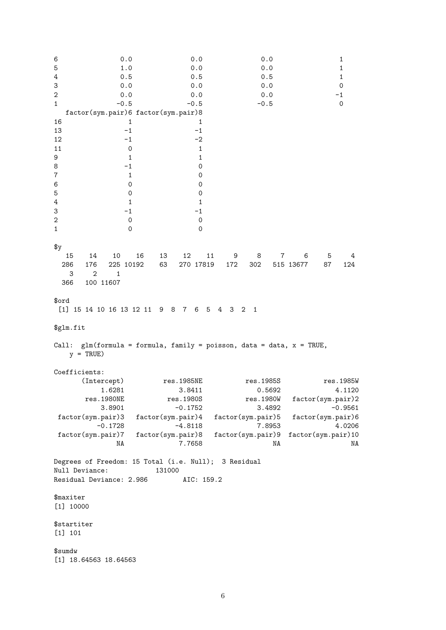6 0.0 0.0 0.0 1 5 1.0 0.0 0.0 1 4 0.5 0.5 0.5 1 3 0.0 0.0 0.0 0 2 0.0 0.0 0.0 0.0 -1 1  $-0.5$   $-0.5$   $-0.5$  0 factor(sym.pair)6 factor(sym.pair)8 16 1 1  $13 -1 -1$  $12 -1 -2$ 11 0 1 9 1 1 1 8 -1 0  $7$  1 0 6 0 0 5 0 0 4 1 1 1 3  $-1$   $-1$ 2 0 0 1 0 0  $\frac{4}{9}$ 15 14 10 16 13 12 11 9 8 7 6 5 4 286 176 225 10192 63 270 17819 172 302 515 13677 87 124 3 2 1 366 100 11607 \$ord [1] 15 14 10 16 13 12 11 9 8 7 6 5 4 3 2 1 \$glm.fit Call:  $glm(formula = formula, family = poisson, data = data, x = TRUE,$  $y = TRUE$ Coefficients: ercept) res.1985NE res.1985S res.1985W<br>1.6281 1.6281 3.8411 0.5692 4.1120 1.6281 3.8411 0.5692<br>res.1980NE res.1980S res.1980W res.1980S<br>
res.1980S<br>  $-0.1752$ <br>
res.1980W factor(sym.pair)2<br>  $-0.9561$  $-0.1752$  3.4892  $-0.9561$ factor(sym.pair)3 factor(sym.pair)4 factor(sym.pair)5 factor(sym.pair)6 -0.1728 -4.8118 7.8953 4.0206 factor(sym.pair)7 factor(sym.pair)8 factor(sym.pair)9 factor(sym.pair)10 NA 7.7658 NA NA NA Degrees of Freedom: 15 Total (i.e. Null); 3 Residual Null Deviance: 131000 Residual Deviance: 2.986 AIC: 159.2 \$maxiter [1] 10000 \$startiter [1] 101 \$sumdw [1] 18.64563 18.64563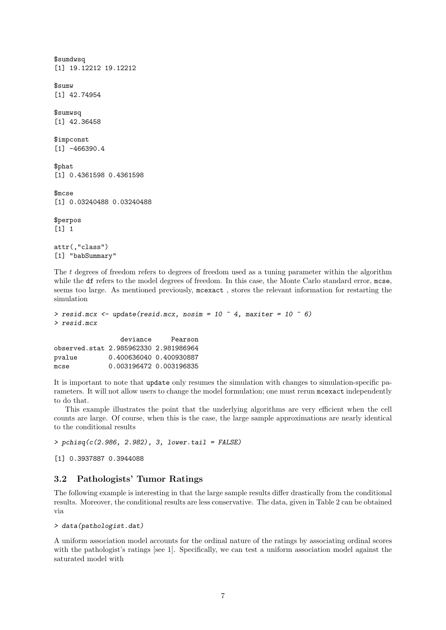```
$sumdwsq
[1] 19.12212 19.12212
$sumw
[1] 42.74954
$sumwsq
[1] 42.36458
$impconst
[1] -466390.4
$phat
[1] 0.4361598 0.4361598
$mcse
[1] 0.03240488 0.03240488
$perpos
[1] 1
attr(,"class")
[1] "babSummary"
```
The t degrees of freedom refers to degrees of freedom used as a tuning parameter within the algorithm while the df refers to the model degrees of freedom. In this case, the Monte Carlo standard error, mcse, seems too large. As mentioned previously, mcexact , stores the relevant information for restarting the simulation

```
> resid.mcx <- update(resid.mcx, nosim = 10 \degree 4, maxiter = 10 \degree 6)
> resid.mcx
                  deviance Pearson
```
observed.stat 2.985962330 2.981986964 pvalue 0.400636040 0.400930887 mcse 0.003196472 0.003196835

It is important to note that update only resumes the simulation with changes to simulation-specific parameters. It will not allow users to change the model formulation; one must rerun mcexact independently to do that.

This example illustrates the point that the underlying algorithms are very efficient when the cell counts are large. Of course, when this is the case, the large sample approximations are nearly identical to the conditional results

 $>$  pchisq(c(2.986, 2.982), 3, lower.tail = FALSE)

[1] 0.3937887 0.3944088

### 3.2 Pathologists' Tumor Ratings

The following example is interesting in that the large sample results differ drastically from the conditional results. Moreover, the conditional results are less conservative. The data, given in Table 2 can be obtained via

```
> data(pathologist.dat)
```
A uniform association model accounts for the ordinal nature of the ratings by associating ordinal scores with the pathologist's ratings [see 1]. Specifically, we can test a uniform association model against the saturated model with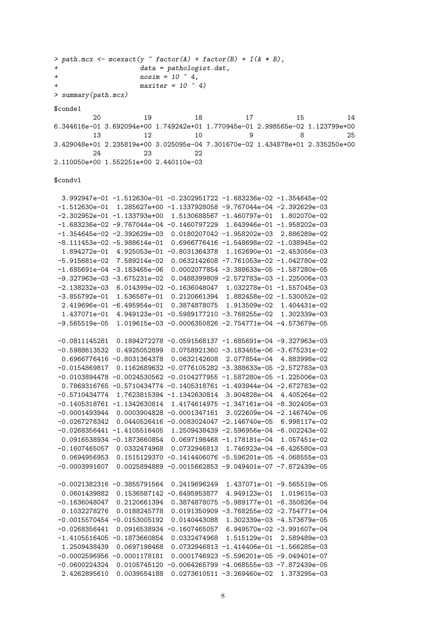```
> path.mcx \leq mcexact(y \in factor(A) + factor(B) + I(A * B),
+ data = pathologist.dat,
+ nosim = 10 \hat{a},
                    maxiter = 10 \quad 4)> summary(path.mcx)
$conde1
         20 19 18 17 15 14
6.344616e-01 3.692094e+00 1.749242e+01 1.770945e-01 2.998565e-02 1.123799e+00
         13 12 10 9 8 25
3.429048e+01 2.235819e+00 3.025095e-04 7.301670e-02 1.434878e+01 2.335250e+00
         24 23 22
2.110050e+00 1.552251e+00 2.440110e-03
$condv1
 3.992947e-01 -1.512630e-01 -0.2302951722 -1.683236e-02 -1.354645e-02
-1.512630e-01 1.285627e+00 -1.1337928058 -9.767044e-04 -2.392629e-03
-2.302952e-01 -1.133793e+00 1.5130688567 -1.460797e-01 1.802070e-02
-1.683236e-02 -9.767044e-04 -0.1460797229 1.643946e-01 -1.958202e-03
-1.354645e-02 -2.392629e-03 0.0180207042 -1.958202e-03 2.886289e-02
 -8.111453e-02 -5.988614e-01 0.6966776416 -1.548698e-02 -1.038945e-02
 1.894272e-01 4.925053e-01 -0.8031364378 1.162690e-01 -2.453056e-03
-5.915681e-02 7.589214e-02 0.0632142608 -7.761053e-02 -1.042780e-02
-1.685691e-04 -3.183465e-06 0.0002077854 -3.388633e-05 -1.587280e-05
-9.327963e-03 -3.675231e-02 0.0488399809 -2.572783e-03 -1.225006e-03
-2.138232e-03 6.014399e-02 -0.1636048047 1.032278e-01 -1.557045e-03
-3.855792e-01 1.536587e-01 0.2120661394 1.882458e-02 -1.530052e-02
 2.419696e-01 -6.495954e-01 0.3874878075 1.913509e-02 1.404431e-02
 1.437071e-01 4.949123e-01 -0.5989177210 -3.768255e-02 1.302339e-03
 -9.565519e-05 1.019615e-03 -0.0006350826 -2.754771e-04 -4.573679e-05
-0.0811145281 0.1894272278 -0.0591568137 -1.685691e-04 -9.327963e-03
-0.5988613532 0.4925052899 0.0758921360 -3.183465e-06 -3.675231e-02
 0.6966776416 -0.8031364378 0.0632142608 2.077854e-04 4.883998e-02
-0.0154869817 0.1162689632 -0.0776105282 -3.388633e-05 -2.572783e-03
-0.0103894478 -0.0024530562 -0.0104277955 -1.587280e-05 -1.225006e-03
 0.7869316765 -0.5710434774 -0.1405318761 -1.493944e-04 -2.672783e-02
-0.5710434774 1.7623815394 -1.1342630814 3.904828e-04 4.405264e-02
-0.1405318761 -1.1342630814 1.4174614975 -1.347161e-04 -8.302405e-03
-0.0001493944 0.0003904828 -0.0001347161 3.022609e-04 -2.146740e-05
-0.0267278342 0.0440526416 -0.0083024047 -2.146740e-05 6.998117e-02
-0.0268356441 -1.4105516405 1.2509438439 -2.596956e-04 -6.002243e-02
 0.0916538934 -0.1873660854 0.0697198468 -1.178181e-04 1.057451e-02
-0.1607465057 0.0332474968 0.0732946813 1.746923e-04 -6.426580e-03
 0.0694956953 0.1515129370 -0.1414406076 -5.596201e-05 -4.068555e-03
-0.0003991607 0.0025894889 -0.0015662853 -9.049401e-07 -7.872439e-05
-0.0021382316 -0.3855791564 0.2419696249 1.437071e-01 -9.565519e-05
 0.0601439882 0.1536587142 -0.6495953877 4.949123e-01 1.019615e-03
-0.1636048047 0.2120661394 0.3874878075 -5.989177e-01 -6.350826e-04
 0.1032278276 0.0188245778 0.0191350909 -3.768255e-02 -2.754771e-04
 -0.0015570454 -0.0153005192 0.0140443088 1.302339e-03 -4.573679e-05
 -0.0268356441 0.0916538934 -0.1607465057 6.949570e-02 -3.991607e-04
-1.4105516405 -0.1873660854 0.0332474968 1.515129e-01 2.589489e-03
 1.2509438439 0.0697198468 0.0732946813 -1.414406e-01 -1.566285e-03
-0.0002596956 -0.0001178181 0.0001746923 -5.596201e-05 -9.049401e-07
-0.0600224324 0.0105745120 -0.0064265799 -4.068555e-03 -7.872439e-05
 2.4262895610 0.0039554188 0.0273610511 -3.269460e-02 1.373295e-03
```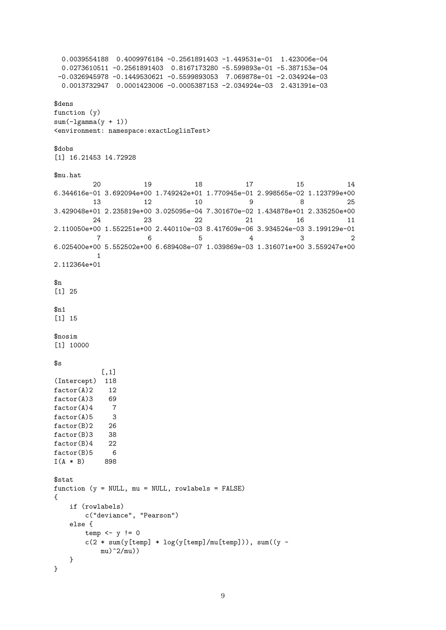```
0.0039554188 0.4009976184 -0.2561891403 -1.449531e-01 1.423006e-04
 0.0273610511 -0.2561891403 0.8167173280 -5.599893e-01 -5.387153e-04
-0.0326945978 -0.1449530621 -0.5599893053 7.069878e-01 -2.034924e-03
 0.0013732947 0.0001423006 -0.0005387153 -2.034924e-03 2.431391e-03
$dens
function (y)
sum(-lgamma(y + 1))<environment: namespace:exactLoglinTest>
$dobs
[1] 16.21453 14.72928
$mu.hat
        20 19 18 17 15 14
6.344616e-01 3.692094e+00 1.749242e+01 1.770945e-01 2.998565e-02 1.123799e+00
        13 12 10 9 8 25
3.429048e+01 2.235819e+00 3.025095e-04 7.301670e-02 1.434878e+01 2.335250e+00
        24 23 22 21 16 11
2.110050e+00 1.552251e+00 2.440110e-03 8.417609e-06 3.934524e-03 3.199129e-01
         7 6 5 4 3 2
6.025400e+00 5.552502e+00 6.689408e-07 1.039869e-03 1.316071e+00 3.559247e+00
         1
2.112364e+01
\mathfrak{B}_{n}[1] 25
$n1[1] 15
$nosim
[1] 10000
ss
          [,1]
(Intercept) 118
factor(A)2 12
factor(A)3 69<br>factor(A)4 7
factor(A)4factor(A)5 3
factor(B)2 26
factor(B)3 38
factor(B)4 22
factor(B)5 6
I(A * B) 898
$stat
function (y = NULL, mu = NULL, rowlabels = FALSE){
   if (rowlabels)
      c("deviance", "Pearson")
   else {
      temp \leftarrow y != 0c(2 * sum(y[temp] * log(y[temp]/mu[temp])), sum((y -mu)^22/mu)}
}
```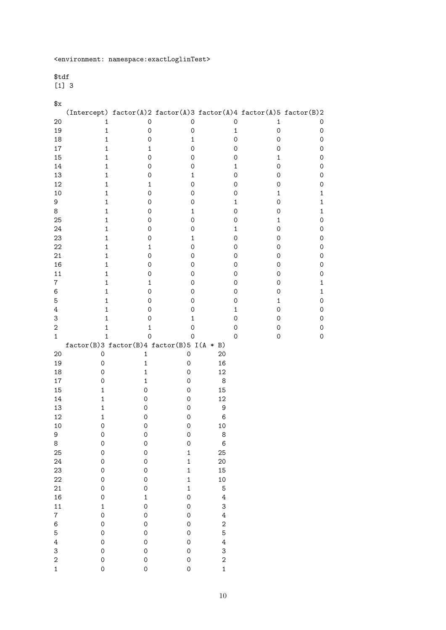### \$tdf

[1] 3

### $x$

|                  |                                             | $(Intercept) factor(A)2 factor(A)3 factor(A)4 factor(A)5 factor(B)2$ |                          |                         |                     |                     |
|------------------|---------------------------------------------|----------------------------------------------------------------------|--------------------------|-------------------------|---------------------|---------------------|
| 20               | 1                                           | $\mathsf{O}\xspace$                                                  | $\mathbf 0$              | $\mathsf{O}\xspace$     | $\mathbf 1$         | 0                   |
| 19               | $\mathbf 1$                                 | $\mathsf{O}\xspace$                                                  | $\mathsf{O}\xspace$      | $\mathbf 1$             | $\mathsf{O}\xspace$ | $\mathsf{O}\xspace$ |
| 18               | $\mathbf 1$                                 | $\mathsf{O}\xspace$                                                  | $\mathbf 1$              | $\mathsf{O}\xspace$     | $\mathsf{O}\xspace$ | $\mathsf{O}\xspace$ |
| $17\,$           | $\mathbf 1$                                 | $\mathbf{1}$                                                         | $\mathsf{O}\xspace$      | $\mathsf{O}\xspace$     | $\mathsf O$         | $\mathsf{O}\xspace$ |
| 15               | $\mathbf 1$                                 | 0                                                                    | 0                        | $\mathsf{O}\xspace$     | $\mathbf 1$         | $\mathsf{O}\xspace$ |
| 14               | $\mathbf 1$                                 | 0                                                                    | 0                        | $\mathbf 1$             | 0                   | $\mathsf{O}\xspace$ |
| 13               | $\mathbf 1$                                 | 0                                                                    | $\mathbf 1$              | $\mathsf{O}\xspace$     | 0                   | $\mathsf{O}\xspace$ |
| 12               | $\mathbf 1$                                 | 1                                                                    | $\mathsf{O}\xspace$      | $\mathsf{O}\xspace$     | $\mathsf O$         | $\mathsf{O}\xspace$ |
| 10               | $\mathbf 1$                                 | 0                                                                    | 0                        | $\mathsf{O}\xspace$     | $\mathbf{1}$        | $\mathbf 1$         |
| 9                | $\mathbf 1$                                 | 0                                                                    | 0                        | $\mathbf 1$             | 0                   | $\mathbf 1$         |
| 8                | $\mathbf 1$                                 | 0                                                                    | $\mathbf 1$              | $\mathsf{O}\xspace$     | $\mathsf{O}\xspace$ | $\mathbf 1$         |
| 25               | $\mathbf 1$                                 | 0                                                                    | $\mathsf{O}\xspace$      | $\mathsf{O}\xspace$     | $\mathbf{1}$        | 0                   |
| 24               | $\mathbf 1$                                 | 0                                                                    | 0                        | $\mathbf 1$             | 0                   | $\mathsf{O}\xspace$ |
| 23               | $\mathbf 1$                                 | 0                                                                    | $\mathbf 1$              | $\mathsf{O}\xspace$     | $\mathsf{O}\xspace$ | 0                   |
| 22               | $\mathbf 1$                                 | 1                                                                    | $\mathsf{O}\xspace$      | 0                       | $\mathsf{O}\xspace$ | 0                   |
| 21               | $\mathbf 1$                                 | 0                                                                    | 0                        | 0                       | 0                   | 0                   |
| 16               | $\mathbf 1$                                 | 0                                                                    | 0                        | 0                       | 0                   | 0                   |
| 11               | $\mathbf 1$                                 | 0                                                                    | 0                        | 0                       | 0                   | 0                   |
| $\,7$            | $\mathbf 1$                                 | 1                                                                    | 0                        | 0                       | 0                   | $\mathbf 1$         |
| 6                | $\mathbf 1$                                 | 0                                                                    | 0                        | 0                       | $\mathsf{O}\xspace$ | $\mathbf{1}$        |
| 5                | $\mathbf 1$                                 | 0                                                                    | 0                        | 0                       | $\mathbf 1$         | 0                   |
| $\,4$            | $\mathbf 1$                                 | 0                                                                    | 0                        | $\mathbf 1$             | 0                   | 0                   |
| 3                | $\mathbf 1$                                 | 0                                                                    | $\mathbf 1$              | $\mathsf O$             | $\mathsf O$         | 0                   |
| $\sqrt{2}$       | $\mathbf 1$                                 | 1                                                                    | 0                        | $\mathsf{O}\xspace$     | 0                   | 0                   |
| $\mathbf{1}$     | $\mathbf 1$                                 | 0                                                                    | 0                        | 0                       | 0                   | 0                   |
|                  | $factor(B)3 factor(B)4 factor(B)5 I(A * B)$ |                                                                      |                          |                         |                     |                     |
| 20               | $\mathsf{O}\xspace$                         | $\mathbf 1$                                                          | 0                        | 20                      |                     |                     |
| 19               | $\mathsf{O}\xspace$                         | $\mathbf 1$                                                          | $\mathsf{O}\xspace$      | 16                      |                     |                     |
| 18               | $\mathsf{O}\xspace$                         | $\mathbf 1$                                                          | $\mathsf{O}\xspace$      | 12                      |                     |                     |
| $17\,$           | $\mathsf{O}\xspace$                         | $\mathbf 1$                                                          | 0                        | 8                       |                     |                     |
| 15               | $\mathbf 1$                                 | $\mathsf{O}\xspace$                                                  | 0                        | 15                      |                     |                     |
| 14               | $\mathbf 1$                                 | $\mathsf{O}\xspace$                                                  | 0                        | 12                      |                     |                     |
| 13<br>12         | $\mathbf 1$<br>$\mathbf 1$                  | 0<br>0                                                               | 0<br>$\mathsf{O}\xspace$ | 9<br>6                  |                     |                     |
| 10               | $\mathsf O$                                 | 0                                                                    | 0                        | 10                      |                     |                     |
| 9                | $\mathbf 0$                                 | 0                                                                    | $\mathsf{O}\xspace$      | 8                       |                     |                     |
| 8                | 0                                           | 0                                                                    | $\mathsf{O}\xspace$      | 6                       |                     |                     |
| 25               | $\mathsf{O}\xspace$                         | $\mathsf{O}\xspace$                                                  | $\mathbf 1$              | 25                      |                     |                     |
| 24               | $\mathsf{O}\xspace$                         | $\mathsf{O}\xspace$                                                  | $\mathbf{1}$             | 20                      |                     |                     |
| 23               | $\mathsf{O}\xspace$                         | $\mathsf{O}\xspace$                                                  | $\mathbf{1}$             | 15                      |                     |                     |
| 22               | $\mathsf{O}\xspace$                         | $\mathsf{O}\xspace$                                                  | $\mathbf{1}$             | 10                      |                     |                     |
| 21               | $\mathsf{O}\xspace$                         | $\mathsf{O}\xspace$                                                  | $\mathbf{1}$             | 5                       |                     |                     |
| 16               | $\mathsf{O}\xspace$                         | $\mathbf 1$                                                          | $\mathbf 0$              | $\overline{\mathbf{4}}$ |                     |                     |
| 11               | $\mathbf 1$                                 | $\mathsf{O}\xspace$                                                  | $\mathsf{O}\xspace$      | 3                       |                     |                     |
| $\boldsymbol{7}$ | $\mathsf{O}\xspace$                         | $\mathsf{O}\xspace$                                                  | $\mathsf{O}\xspace$      | $\overline{4}$          |                     |                     |
| $\,6$            | $\mathsf{O}\xspace$                         | $\mathsf{O}\xspace$                                                  | $\mathsf{O}\xspace$      | $\overline{\mathbf{c}}$ |                     |                     |
| 5                | $\mathsf{O}\xspace$                         | $\mathsf{O}\xspace$                                                  | $\mathsf{O}\xspace$      | 5                       |                     |                     |
| $\ensuremath{4}$ | $\mathsf{O}\xspace$                         | $\mathsf{O}\xspace$                                                  | $\mathsf{O}\xspace$      | $\overline{4}$          |                     |                     |
| 3                | $\mathsf{O}\xspace$                         | $\mathsf{O}\xspace$                                                  | $\mathbf 0$              | 3                       |                     |                     |
| $\overline{c}$   | $\mathsf{O}\xspace$                         | $\mathsf{O}\xspace$                                                  | $\mathbf 0$              | $\overline{\mathbf{c}}$ |                     |                     |
| $\mathbf 1$      | $\mathsf{O}\xspace$                         | $\mathsf{O}\xspace$                                                  | $\mathsf O$              | $\mathbf{1}$            |                     |                     |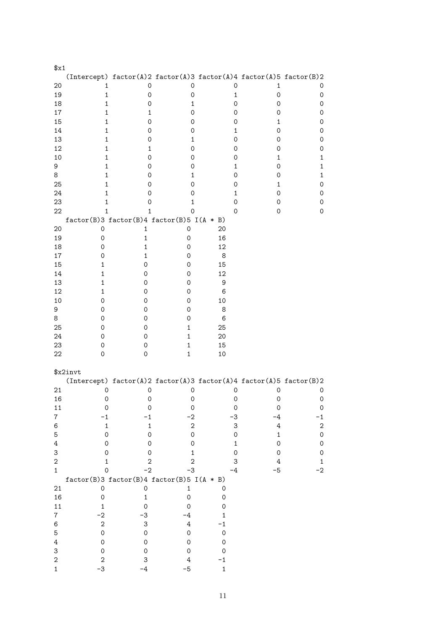| x1                     |                                                                         |                            |                            |                     |                     |                         |
|------------------------|-------------------------------------------------------------------------|----------------------------|----------------------------|---------------------|---------------------|-------------------------|
|                        | (Intercept) factor(A)2 factor(A)3 factor(A)4 factor(A)5 factor(B)2      |                            |                            |                     |                     |                         |
| 20                     | 1                                                                       | 0                          | 0                          | 0                   | 1                   | 0                       |
| 19                     | $\mathbf{1}$                                                            | 0                          | 0                          | $\mathbf{1}$        | 0                   | 0                       |
| 18                     | 1                                                                       | 0                          | 1                          | 0                   | 0                   | 0                       |
| 17                     | 1                                                                       | 1                          | 0                          | 0                   | 0                   | 0                       |
| 15                     | 1                                                                       | 0                          | 0                          | 0                   | 1                   | 0                       |
| 14                     | 1                                                                       | 0                          | 0                          | 1                   | 0                   | 0                       |
| 13<br>12               | 1                                                                       | 0                          | 1<br>0                     | 0                   | 0                   | 0                       |
| 10                     | 1<br>1                                                                  | 1<br>0                     | 0                          | 0<br>0              | 0<br>1              | 0<br>1                  |
| 9                      | 1                                                                       | 0                          | 0                          | 1                   | 0                   | 1                       |
| 8                      | 1                                                                       | 0                          | 1                          | 0                   | 0                   | 1                       |
| 25                     | 1                                                                       | 0                          | 0                          | 0                   | 1                   | 0                       |
| 24                     | 1                                                                       | 0                          | 0                          | 1                   | 0                   | 0                       |
| 23                     | 1                                                                       | 0                          | 1                          | 0                   | 0                   | 0                       |
| 22                     | 1                                                                       | 1                          | 0                          | 0                   | 0                   | 0                       |
|                        | $factor(B)3 factor(B)4 factor(B)5 I(A * B)$                             |                            |                            |                     |                     |                         |
| 20                     | 0                                                                       | 1                          | 0                          | 20                  |                     |                         |
| 19                     | 0                                                                       | 1                          | $\mathbf 0$                | 16                  |                     |                         |
| 18                     | 0                                                                       | 1                          | 0                          | 12                  |                     |                         |
| 17                     | 0                                                                       | 1                          | 0                          | 8                   |                     |                         |
| 15                     | 1                                                                       | 0                          | 0                          | 15                  |                     |                         |
| 14                     | 1                                                                       | 0                          | 0                          | 12                  |                     |                         |
| 13<br>12               | 1<br>1                                                                  | 0<br>0                     | 0<br>0                     | 9<br>6              |                     |                         |
| 10                     | 0                                                                       | 0                          | 0                          | 10                  |                     |                         |
| 9                      | 0                                                                       | 0                          | 0                          | 8                   |                     |                         |
| 8                      | 0                                                                       | 0                          | 0                          | 6                   |                     |                         |
| 25                     | 0                                                                       | 0                          | 1                          | 25                  |                     |                         |
| 24                     | 0                                                                       | 0                          | 1                          | 20                  |                     |                         |
| 23                     | 0                                                                       | 0                          | $\mathbf{1}$               | 15                  |                     |                         |
| 22                     | 0                                                                       | 0                          | 1                          | 10                  |                     |                         |
|                        |                                                                         |                            |                            |                     |                     |                         |
|                        | \$x2invt                                                                |                            |                            |                     |                     |                         |
| 21                     | (Intercept) factor(A)2 factor(A)3 factor(A)4 factor(A)5 factor(B)2<br>0 | 0                          | 0                          | 0                   | 0                   | 0                       |
| 16                     | 0                                                                       | 0                          | $\mathbf 0$                | $\mathbf 0$         | 0                   | 0                       |
| 11                     | 0                                                                       | 0                          | $\mathsf{O}\xspace$        | $\mathbf 0$         | $\mathsf{O}\xspace$ | $\mathsf{O}\xspace$     |
| $\boldsymbol{7}$       | $-1$                                                                    | $-1$                       | $-2$                       | $-3$                | $-4$                | $-1$                    |
| 6                      | $\mathbf 1$                                                             | 1                          | $\overline{\mathbf{c}}$    | 3                   | $\overline{4}$      | $\overline{\mathbf{c}}$ |
| 5                      | $\mathsf{O}\xspace$                                                     | 0                          | $\mathbf 0$                | $\mathbf 0$         | $\mathbf 1$         | $\mathsf{O}\xspace$     |
| $\,4$                  | $\mathsf{O}\xspace$                                                     | 0                          | 0                          | $\mathbf 1$         | $\mathbf 0$         | $\mathsf{O}\xspace$     |
| 3                      | 0                                                                       | 0                          | $\mathbf{1}$               | $\mathsf{O}\xspace$ | $\mathsf{O}\xspace$ | $\mathsf{O}\xspace$     |
| $\mathbf 2$            | $\mathbf 1$                                                             | 2                          | $\overline{2}$             | 3                   | $\bf 4$             | $\mathbf 1$             |
| $\mathbf{1}$           | 0                                                                       | $-2$                       | $-3$                       | $-4$                | $-5$                | $-2$                    |
|                        | $factor(B)3 factor(B)4 factor(B)5 I(A * B)$                             |                            |                            |                     |                     |                         |
| 21                     | $\mathsf O$                                                             | $\mathsf{O}\xspace$        | $\mathbf 1$                | 0                   |                     |                         |
| 16                     | $\mathbf 0$                                                             | $\mathbf 1$<br>$\mathbf 0$ | $\mathbf 0$<br>$\mathbf 0$ | $\mathsf{O}\xspace$ |                     |                         |
| 11<br>$\boldsymbol{7}$ | $\mathbf 1$<br>$-2$                                                     | -3                         | $-4$                       | 0<br>$\mathbf{1}$   |                     |                         |
| 6                      | $\boldsymbol{2}$                                                        | 3                          | $\ensuremath{4}$           | $-1$                |                     |                         |
| 5                      | $\mathsf{O}\xspace$                                                     | $\mathbf 0$                | $\mathsf{O}\xspace$        | $\mathbf 0$         |                     |                         |
| $\,4$                  | $\mathsf O$                                                             | $\mathsf{O}\xspace$        | $\mathsf{O}\xspace$        | 0                   |                     |                         |
| 3                      | $\mathsf{O}\xspace$                                                     | $\mathbf 0$                | $\mathsf{O}\xspace$        | 0                   |                     |                         |
| $\boldsymbol{2}$       | $\mathbf 2$                                                             | 3                          | $\ensuremath{4}$           | $-1$                |                     |                         |
| $\mathbf 1$            | -3                                                                      | $-4$                       | $-5$                       | $\mathbf 1$         |                     |                         |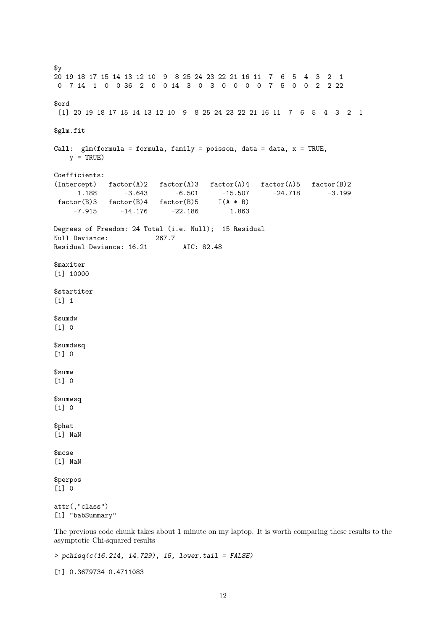$\frac{4}{9}$ 20 19 18 17 15 14 13 12 10 9 8 25 24 23 22 21 16 11 7 6 5 4 3 2 1 0 7 14 1 0 0 36 2 0 0 14 3 0 3 0 0 0 0 7 5 0 0 2 2 22 \$ord [1] 20 19 18 17 15 14 13 12 10 9 8 25 24 23 22 21 16 11 7 6 5 4 3 2 1 \$glm.fit Call:  $glm(formula = formula, family = poisson, data = data, x = TRUE,$  $y = TRUE$ Coefficients: (Intercept) factor(A)2 factor(A)3 factor(A)4 factor(A)5 factor(B)2 1.188 -3.643 -6.501 -15.507 -24.718 -3.199<br>or(B)3 factor(B)4 factor(B)5 I(A \* B)  $factor(B)3$   $factor(B)4$   $factor(B)5$   $I(A * B)$ <br>-7.915 -14.176 -22.186 1.863  $-14.176$ Degrees of Freedom: 24 Total (i.e. Null); 15 Residual Null Deviance: 267.7 Residual Deviance: 16.21 AIC: 82.48 \$maxiter [1] 10000 \$startiter [1] 1 \$sumdw [1] 0 \$sumdwsq [1] 0 \$sumw [1] 0 \$sumwsq  $[1] 0$ \$phat [1] NaN \$mcse [1] NaN \$perpos [1] 0 attr(,"class") [1] "babSummary"

The previous code chunk takes about 1 minute on my laptop. It is worth comparing these results to the asymptotic Chi-squared results

 $>$  pchisq(c(16.214, 14.729), 15, lower.tail = FALSE)

[1] 0.3679734 0.4711083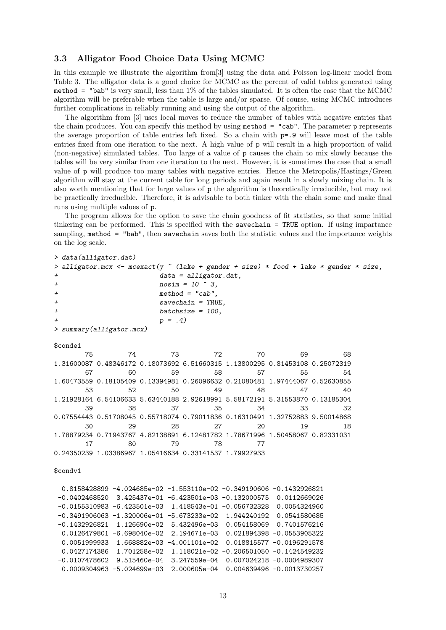### 3.3 Alligator Food Choice Data Using MCMC

In this example we illustrate the algorithm from[3] using the data and Poisson log-linear model from Table 3. The alligator data is a good choice for MCMC as the percent of valid tables generated using method = "bab" is very small, less than 1% of the tables simulated. It is often the case that the MCMC algorithm will be preferable when the table is large and/or sparse. Of course, using MCMC introduces further complications in reliably running and using the output of the algorithm.

The algorithm from [3] uses local moves to reduce the number of tables with negative entries that the chain produces. You can specify this method by using method = "cab". The parameter p represents the average proportion of table entries left fixed. So a chain with p=.9 will leave most of the table entries fixed from one iteration to the next. A high value of p will result in a high proportion of valid (non-negative) simulated tables. Too large of a value of p causes the chain to mix slowly because the tables will be very similar from one iteration to the next. However, it is sometimes the case that a small value of p will produce too many tables with negative entries. Hence the Metropolis/Hastings/Green algorithm will stay at the current table for long periods and again result in a slowly mixing chain. It is also worth mentioning that for large values of p the algorithm is theoretically irreducible, but may not be practically irreducible. Therefore, it is advisable to both tinker with the chain some and make final runs using multiple values of p.

The program allows for the option to save the chain goodness of fit statistics, so that some initial tinkering can be performed. This is specified with the savechain = TRUE option. If using impartance sampling, method = "bab", then savechain saves both the statistic values and the importance weights on the log scale.

```
> data(alligator.dat)
 alligator.mcx \leq mcexact(y \leq (lake + gender + size) * food + lake * gender * size,
+ data = alligator.dat,
+ nosim = 10 \hat{ } 3,
+ method = "cab",
                     savechain = TRUE.
+ batchsize = 100,
+p = .4)
> summary(alligator.mcx)
$conde1
      75 74 73 72 70 69 68
1.31600087 0.48346172 0.18073692 6.51660315 1.13800295 0.81453108 0.25072319
      67 60 59 58 57 55 54
1.60473559 0.18105409 0.13394981 0.26096632 0.21080481 1.97444067 0.52630855
      53 52 50 49 48 47 40
1.21928164 6.54106633 5.63440188 2.92618991 5.58172191 5.31553870 0.13185304
      39 38 37 35 34 33 32
0.07554443 0.51708045 0.55718074 0.79011836 0.16310491 1.32752883 9.50014868
      30 29 28 27 20 19 18
1.78879234 0.71943767 4.82138891 6.12481782 1.78671996 1.50458067 0.82331031
      17 80 79 78 77
0.24350239 1.03386967 1.05416634 0.33141537 1.79927933
$condv1
 0.8158428899 -4.024685e-02 -1.553110e-02 -0.349190606 -0.1432926821
-0.0402468520 3.425437e-01 -6.423501e-03 -0.132000575 0.0112669026
-0.0155310983 -6.423501e-03 1.418543e-01 -0.056732328 0.0054324960
-0.3491906063 -1.320006e-01 -5.673233e-02 1.944240192 0.0541580685
-0.1432926821 1.126690e-02 5.432496e-03 0.054158069 0.7401576216
 0.0126479801 -6.698040e-02 2.194671e-03 0.021894398 -0.0553905322
 0.0051999933 1.668882e-03 -4.001101e-02 0.018815577 -0.0196291578
 0.0427174386 1.701258e-02 1.118021e-02 -0.206501050 -0.1424549232
```
-0.0107478602 9.515460e-04 3.247559e-04 0.007024218 -0.0004989307 0.0009304963 -5.024699e-03 2.000605e-04 0.004639496 -0.0013730257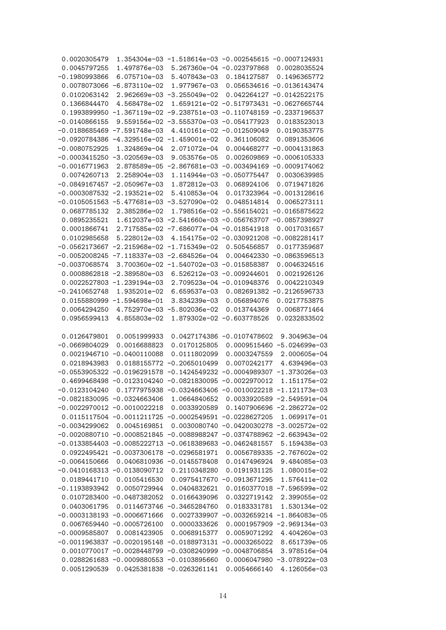| 0.0020305479                    |                                                             |                                         | 1.354304e-03 -1.518614e-03 -0.002545615 -0.0007124931                        |
|---------------------------------|-------------------------------------------------------------|-----------------------------------------|------------------------------------------------------------------------------|
| 0.0045797255                    | 1.497876e-03                                                | 5.267360e-04 -0.023797868               | 0.0028035524                                                                 |
| $-0.1980993866$                 | 6.075710e-03                                                | 5.407843e-03                            | 0.184127587<br>0.1496365772                                                  |
|                                 | 0.0078073066 -6.873110e-02                                  | 1.977967e-03                            | $-0.0136143474$<br>0.056534616                                               |
| 0.0102063142                    |                                                             | 2.962669e-03 -3.255049e-02              | 0.042264127 -0.0142522175                                                    |
| 0.1366844470                    | 4.568478e-02                                                | 1.659121e-02                            | $-0.517973431$<br>$-0.0627665744$                                            |
|                                 | $0.1993899950 -1.367119e-02$                                |                                         | $-9.238751e-03 -0.110748159 -0.2337196537$                                   |
| $-0.0140866155$                 |                                                             | 9.559156e-02 -3.555370e-03 -0.054177923 | 0.0183523013                                                                 |
| $-0.0188685469$                 | $-7.591748e-03$                                             | 4.410161e-02 -0.012509049               | 0.0190353775                                                                 |
| $-0.0920784386$                 |                                                             | $-4.329516e-02 -1.459001e-02$           | 0.361106082<br>0.0891353606                                                  |
| $-0.0080752925$                 | 1.324869e-04                                                | 2.071072e-04                            | 0.004468277 -0.0004131863                                                    |
|                                 | $-0.0003415250 -3.020569e-03$                               | 9.053576e-05                            | 0.002609869<br>$-0.0006105333$                                               |
| $-0.0016771963$                 | 2.878589e-05                                                | $-2.867681e-03$                         | $-0.003494169$<br>$-0.0009174062$                                            |
| 0.0074260713                    | 2.258904e-03                                                | 1.114944e-03                            | $-0.050775447$<br>0.0030639985                                               |
|                                 | $-0.0849167457 -2.050967e-03$                               | 1.872812e-03                            | 0.068924106<br>0.0719471826                                                  |
|                                 | $-0.0003087532 -2.193521e-02$                               | 5.410853e-04                            | 0.017323964<br>$-0.0013128616$                                               |
|                                 | $-0.0105051563 -5.477681e-03 -3.527090e-02$                 |                                         | 0.048514814<br>0.0065273111                                                  |
| 0.0687785132                    | 2.385286e-02                                                | 1.798516e-02                            | $-0.556154021$<br>$-0.0165875622$                                            |
| 0.0895235521                    |                                                             | 1.612037e-03 -2.541660e-03              | $-0.056763707 -0.0857398927$                                                 |
| 0.0001866741                    |                                                             | 2.717585e-02 -7.686077e-04 -0.018541918 | 0.0017031657                                                                 |
|                                 |                                                             |                                         | $-0.0082281417$                                                              |
| 0.0102985658<br>$-0.0562173667$ | 5.228012e-03                                                | 4.154175e-02 -0.030921208               |                                                                              |
|                                 |                                                             | $-2.215968e-02 -1.715349e-02$           | 0.505456857<br>0.0177359687                                                  |
|                                 | $-0.0052008245 -7.118337e-03 -2.684526e-04$                 |                                         | 0.004642330<br>$-0.0863596513$                                               |
| $-0.0037068574$                 |                                                             | 3.700360e-02 -1.540702e-03              | $-0.015858387$<br>0.0046324516                                               |
| 0.0008862818                    | $-2.389580e-03$                                             | 6.526212e-03                            | $-0.009244601$<br>0.0021926126                                               |
|                                 | 0.0022527803 -1.239194e-03                                  | 2.709523e-04 -0.010948376               | 0.0042210349                                                                 |
| $-0.2410652748$                 | 1.935201e-02                                                | 6.659537e-03                            | 0.082691382<br>$-0.2126596733$                                               |
|                                 | 0.0155880999 -1.594698e-01                                  | 3.834239e-03                            | 0.056894076<br>0.0217753875                                                  |
| 0.0064294250                    |                                                             | 4.752970e-03 -5.802036e-02              | 0.013744369<br>0.0068771464                                                  |
| 0.0956599413                    | 4.855803e-02                                                | 1.879302e-02 -0.603778526               | 0.0232833502                                                                 |
|                                 |                                                             |                                         |                                                                              |
| 0.0126479801                    | 0.0051999933                                                | 0.0427174386                            | $-0.0107478602$<br>9.304963e-04                                              |
| $-0.0669804029$                 | 0.0016688823                                                | 0.0170125805                            | 0.0009515460<br>$-5.024699e-03$                                              |
|                                 | 0.0021946710 -0.0400110088                                  | 0.0111802099                            | 2.000605e-04<br>0.0003247559                                                 |
| 0.0218943983                    |                                                             | 0.0188155772 -0.2065010499              | 4.639496e-03<br>0.0070242177                                                 |
|                                 | $-0.0553905322 -0.0196291578 -0.1424549232$                 |                                         | $-0.0004989307$<br>$-1.373026e-03$                                           |
|                                 | 0.4699468498 -0.0123104240 -0.0821830095 -0.0022970012      |                                         | 1.151175e-02                                                                 |
|                                 |                                                             |                                         | $-0.0123104240$ 0.1777975938 $-0.0324663406$ $-0.0010022218$ $-1.121173e-03$ |
|                                 | $-0.0821830095 -0.0324663406$                               |                                         | 1.0664840652  0.0033920589 -2.549591e-04                                     |
|                                 | $-0.0022970012 -0.0010022218$                               |                                         | 0.0033920589  0.1407906696 -2.286272e-02                                     |
|                                 |                                                             |                                         | $0.0115117504 -0.0011211725 -0.0002549591 -0.0228627205$ 1.069917e-01        |
|                                 | $-0.0034299062$ 0.0045169851                                |                                         | 0.0030080740 -0.0420030278 -3.002572e-02                                     |
|                                 |                                                             |                                         | $-0.0020880710 -0.0008521845 -0.0088988247 -0.0374788962 -2.663943e-02$      |
|                                 |                                                             |                                         | $-0.0133854403 -0.0085222713 -0.0618389683 -0.0462481557$<br>5.159438e-03    |
|                                 | $0.0922495421 - 0.0037306178 - 0.0296581971$                |                                         | 0.0056789335 -2.767602e-02                                                   |
| $-0.0064150666$                 |                                                             |                                         |                                                                              |
|                                 |                                                             | 0.0406810936 -0.0145578408              | 0.0147496924<br>9.484085e-03                                                 |
|                                 | $-0.0410168313 - 0.0138090712$                              | 0.2110348280                            | 0.0191931125<br>1.080015e-02                                                 |
|                                 | 0.0189441710 0.0105416530                                   |                                         | $0.0975417670 - 0.0913671295$<br>1.576411e-02                                |
| $-0.1193893942$                 | 0.0050729944                                                | 0.0404832621                            | 0.0160377018 -7.596599e-02                                                   |
|                                 | 0.0107283400 -0.0487382052                                  | 0.0166439096                            | 0.0322719142<br>2.399055e-02                                                 |
| 0.0403061795                    |                                                             | 0.0114673746 -0.3465284760              | 0.0183331781<br>1.530134e-02                                                 |
|                                 | $-0.0003138193 - 0.0006671666$                              |                                         | 0.0027339907 -0.0032659214 -1.864083e-05                                     |
|                                 | $0.0067659440 -0.0005726100$                                | 0.0000333626                            | 0.0001957909 -2.969134e-03                                                   |
| $-0.0009585807$                 | 0.0081423905                                                | 0.0068915377                            | 0.0059071292<br>4.404260e-03                                                 |
|                                 | $-0.0011963837 -0.0020195148 -0.0188973131 -0.0003265022$   |                                         | 8.651739e-05                                                                 |
|                                 | $0.0010770017 - 0.0028448799 - 0.0308240999 - 0.0048706854$ |                                         | 3.978516e-04                                                                 |
|                                 | $0.0288261683 - 0.0009880553 - 0.0103895660$                |                                         | 0.0006047980 -3.078922e-03                                                   |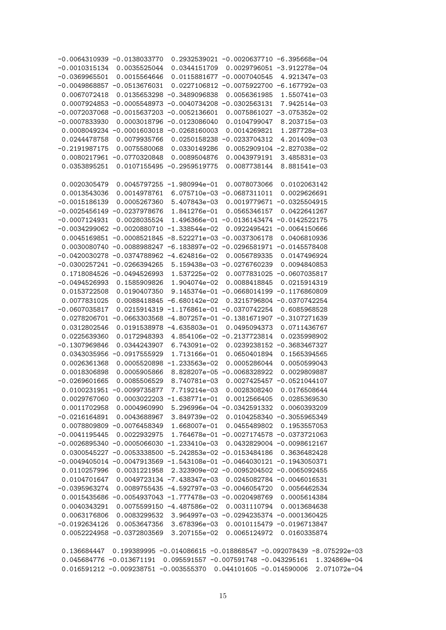| $-0.0064310939 - 0.0138033770$ |                                                 |                                 | 0.2932539021 -0.0020637710 -6.395668e-04                                       |                               |  |
|--------------------------------|-------------------------------------------------|---------------------------------|--------------------------------------------------------------------------------|-------------------------------|--|
| $-0.0010315134$ 0.0035525044   |                                                 | 0.0344151709                    |                                                                                | 0.0029796051 -3.912278e-04    |  |
| $-0.0369965501$                | 0.0015564646                                    |                                 | 0.0115881677 -0.0007040545                                                     | 4.921347e-03                  |  |
| $-0.0049868857 -0.0513676031$  |                                                 |                                 | $0.0227106812 -0.0075922700 -6.167792e-03$                                     |                               |  |
| 0.0067072418                   |                                                 | 0.0135653298 -0.3489096838      | 0.0056361985                                                                   | 1.550741e-03                  |  |
|                                |                                                 |                                 | $0.0007924853 - 0.0005548973 - 0.0040734208 - 0.0302563131$                    | 7.942514e-03                  |  |
|                                | $-0.0072037068 - 0.0015637203 - 0.0052136601$   |                                 |                                                                                | $0.0075861027 -3.075352e-02$  |  |
| $-0.0007833930$                |                                                 | 0.0003018796 -0.0123086040      | 0.0104799047                                                                   | 8.203715e-03                  |  |
|                                | $0.0008049234 -0.0001603018 -0.0268160003$      |                                 | 0.0014269821                                                                   | 1.287728e-03                  |  |
| 0.0244478758                   | 0.0079935766                                    |                                 | 0.0250158238 -0.0233704312                                                     | 4.201409e-03                  |  |
| $-0.2191987175$                | 0.0075580068                                    | 0.0330149286                    |                                                                                | 0.0052909104 -2.827038e-02    |  |
|                                | 0.0080217961 -0.0770320848                      | 0.0089504876                    | 0.0043979191                                                                   | 3.485831e-03                  |  |
| 0.0353895251                   |                                                 | 0.0107155495 -0.2959519775      | 0.0087738144                                                                   | 8.881541e-03                  |  |
|                                |                                                 |                                 |                                                                                |                               |  |
| 0.0020305479                   |                                                 | 0.0045797255 -1.980994e-01      | 0.0078073066                                                                   | 0.0102063142                  |  |
| 0.0013543036                   | 0.0014978761                                    |                                 | 6.075710e-03 -0.0687311011                                                     | 0.0029626691                  |  |
| $-0.0015186139$                | 0.0005267360                                    | 5.407843e-03                    |                                                                                | 0.0019779671 -0.0325504915    |  |
|                                | $-0.0025456149 - 0.0237978676$                  | 1.841276e-01                    | 0.0565346157                                                                   | 0.0422641267                  |  |
| $-0.0007124931$                | 0.0028035524                                    |                                 | 1.496366e-01 -0.0136143474 -0.0142522175                                       |                               |  |
|                                | $-0.0034299062 -0.0020880710 -1.338544e-02$     |                                 |                                                                                | $0.0922495421 - 0.0064150666$ |  |
|                                |                                                 |                                 | 0.0045169851 -0.0008521845 -8.522271e-03 -0.0037306178                         | 0.0406810936                  |  |
|                                |                                                 |                                 | $0.0030080740 -0.0088988247 -6.183897e-02 -0.0296581971 -0.0145578408$         |                               |  |
|                                | $-0.0420030278 - 0.0374788962 - 4.624816e - 02$ |                                 | 0.0056789335                                                                   | 0.0147496924                  |  |
|                                | $-0.0300257241 -0.0266394265$                   |                                 | 5.159438e-03 -0.0276760239                                                     | 0.0094840853                  |  |
|                                | 0.1718084526 -0.0494526993                      | 1.537225e-02                    |                                                                                | 0.0077831025 -0.0607035817    |  |
| $-0.0494526993$                | 0.1585909826                                    | 1.904074e-02                    | 0.0088418845                                                                   | 0.0215914319                  |  |
| 0.0153722508                   | 0.0190407350                                    |                                 | 9.145374e-01 -0.0668014199 -0.1176860809                                       |                               |  |
| 0.0077831025                   |                                                 | $0.0088418845 - 6.680142e - 02$ |                                                                                | 0.3215796804 -0.0370742254    |  |
| $-0.0607035817$                |                                                 |                                 | 0.0215914319 -1.176861e-01 -0.0370742254                                       | 0.6085968528                  |  |
| 0.0278206701                   |                                                 |                                 | $-0.0663303568 - 4.807257e - 01 - 0.1381671907 - 0.3107271639$                 |                               |  |
| 0.0312802546                   |                                                 | $0.0191538978 -4.635803e-01$    | 0.0495094373                                                                   | 0.0711436767                  |  |
| 0.0225639360                   | 0.0172948393                                    |                                 | 4.854106e-02 -0.2137723814                                                     | 0.0235998902                  |  |
| $-0.1307969846$                | 0.0344243907                                    | 6.743091e-02                    |                                                                                | 0.0239238152 -0.3683467327    |  |
|                                | 0.0343035956 -0.0917555929                      | 1.713166e-01                    | 0.0650401894                                                                   | 0.1565394565                  |  |
| 0.0026361368                   |                                                 | $0.0005520898 - 1.233563e - 02$ | 0.0005286044                                                                   | 0.0050599043                  |  |
| 0.0018306898                   | 0.0005905866                                    |                                 | 8.828207e-05 -0.0068328922                                                     | 0.0029809887                  |  |
| $-0.0269601665$                | 0.0085506529                                    | 8.740781e-03                    |                                                                                | 0.0027425457 -0.0521044107    |  |
|                                | 0.0100231951 -0.0099735877                      | 7.719214e-03                    |                                                                                | 0.0028308240  0.0176508644    |  |
|                                |                                                 |                                 | $0.0029767060$ $0.0003022203$ $-1.638771e-01$ $0.0012566405$ $0.0285369530$    |                               |  |
|                                |                                                 |                                 | 0.0011702958  0.0004960990  5.296996e-04 -0.0342591332  0.0060393209           |                               |  |
|                                |                                                 |                                 | $-0.0216164891$ 0.0043688967 3.849739e-02 0.0104258340 -0.3055965349           |                               |  |
|                                |                                                 |                                 | 0.0078809809 -0.0076458349 1.668007e-01 0.0455489802 0.1953557053              |                               |  |
|                                |                                                 |                                 | $-0.0041195445$ 0.0022932975 1.764678e-01 -0.0027174578 -0.0373721063          |                               |  |
|                                |                                                 |                                 | $-0.0026895340 -0.0005066030 -1.233410e-03$ 0.0432829004 -0.0098612167         |                               |  |
|                                |                                                 |                                 | $0.0300545227 - 0.0053338500 - 5.242853e - 02 - 0.0153484186 0.3636482428$     |                               |  |
|                                |                                                 |                                 | $-0.0049405014 -0.0047913569 -1.543108e-01 -0.0464030121 -0.1943050371$        |                               |  |
|                                |                                                 |                                 | $0.0110257996$ 0.0031221958 2.323909e-02 -0.0095204502 -0.0065092455           |                               |  |
|                                |                                                 |                                 | $0.0104701647$ 0.0049723134 -7.438347e-03 0.0245082784 -0.0046016531           |                               |  |
|                                |                                                 |                                 |                                                                                |                               |  |
|                                |                                                 |                                 | $-0.0395963274$ 0.0089755435 -4.592797e-03 -0.0046054720 0.0056462534          |                               |  |
|                                |                                                 |                                 | $0.0015435686 - 0.0054937043 - 1.777478e - 03 - 0.0020498769$ 0.0005614384     |                               |  |
|                                |                                                 |                                 | $0.0040343291$ 0.0075599150 -4.487586e-02 0.0031110794 0.0013684638            |                               |  |
|                                |                                                 |                                 | $0.0063176806$ 0.0083299532 3.964997e-03 -0.0294235374 -0.0001360425           |                               |  |
|                                |                                                 |                                 | $-0.0192634126$ 0.0053647356 3.678396e-03 0.0010115479 -0.0196713847           |                               |  |
|                                |                                                 |                                 | 0.0052224958 -0.0372803569 3.207155e-02 0.0065124972 0.0160335874              |                               |  |
|                                |                                                 |                                 |                                                                                |                               |  |
|                                |                                                 |                                 | $0.136684447$ 0.199389995 -0.014086615 -0.018868547 -0.092078439 -8.075292e-03 |                               |  |
|                                |                                                 |                                 | 0.045684776 -0.013671191 0.095591557 -0.007591748 -0.043295161 1.324869e-04    |                               |  |
|                                |                                                 |                                 | 0.016591212 -0.009238751 -0.003555370 0.044101605 -0.014590006 2.071072e-04    |                               |  |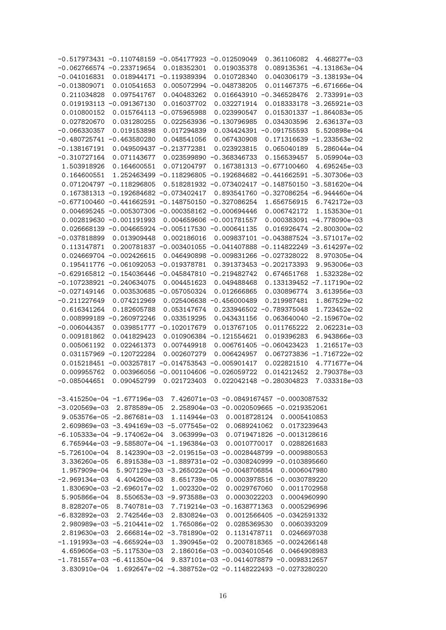|                | $-0.517973431 - 0.110748159 - 0.054177923 - 0.012509049$                |                                                    |                                          | 0.361106082                   | 4.468277e-03                           |
|----------------|-------------------------------------------------------------------------|----------------------------------------------------|------------------------------------------|-------------------------------|----------------------------------------|
|                | $-0.062766574 -0.233719654$                                             | 0.018352301                                        | 0.019035378                              |                               | 0.089135361 -4.131863e-04              |
| $-0.041016831$ |                                                                         | 0.018944171 -0.119389394                           | 0.010728340                              | 0.040306179                   | $-3.138193e-04$                        |
| $-0.013809071$ | 0.010541653                                                             |                                                    | 0.005072994 -0.048738205                 |                               | 0.011467375 -6.671666e-04              |
| 0.211034828    | 0.097541767                                                             | 0.040483262                                        |                                          | 0.016643910 -0.346528476      | 2.733991e-03                           |
|                | 0.019193113 -0.091367130                                                | 0.016037702                                        | 0.032271914                              | 0.018333178                   | $-3.265921e-03$                        |
| 0.010800152    |                                                                         | 0.015764113 -0.075965988                           | 0.023990547                              |                               | 0.015301337 -1.864083e-05              |
| 0.027820670    | 0.031280255                                                             |                                                    | 0.022563936 -0.130796985                 | 0.034303596                   | 2.636137e-03                           |
|                |                                                                         |                                                    |                                          |                               |                                        |
| $-0.066330357$ | 0.019153898                                                             | 0.017294839                                        |                                          | 0.034424391 -0.091755593      | 5.520898e-04                           |
| $-0.480725741$ | $-0.463580280$                                                          | 0.048541056                                        | 0.067430908                              | 0.171316639                   | $-1.233563e-02$                        |
| $-0.138167191$ |                                                                         | 0.049509437 -0.213772381                           | 0.023923815                              | 0.065040189                   | 5.286044e-04                           |
| $-0.310727164$ | 0.071143677                                                             |                                                    | 0.023599890 -0.368346733                 | 0.156539457                   | 5.059904e-03                           |
| 1.503918926    | 0.164600551                                                             | 0.071204797                                        |                                          | 0.167381313 -0.677100460      | 4.695245e-03                           |
| 0.164600551    |                                                                         | 1.252463499 -0.118296805 -0.192684682 -0.441662591 |                                          |                               | $-5.307306e-03$                        |
|                | 0.071204797 -0.118296805                                                |                                                    | $0.518281932 -0.073402417 -0.148750150$  |                               | $-3.581620e-04$                        |
|                | 0.167381313 -0.192684682 -0.073402417                                   |                                                    |                                          |                               | 0.893541760 -0.327086254 -6.944460e-04 |
|                | $-0.677100460 -0.441662591 -0.148750150 -0.327086254$                   |                                                    |                                          | 1.656756915                   | 6.742172e-03                           |
|                | 0.004695245 -0.005307306 -0.000358162 -0.000694446                      |                                                    |                                          | 0.006742172                   | 1.153530e-01                           |
|                | 0.002819630 -0.001191993                                                |                                                    | 0.004659606 -0.001781557                 |                               | 0.000383091 -4.778090e-03              |
|                | 0.026668139 -0.004665924 -0.005117530 -0.000641135                      |                                                    |                                          |                               | 0.016926474 -2.800300e-02              |
| $-0.037818899$ | 0.013909448                                                             | 0.002186016                                        |                                          |                               | 0.009837101 -0.043887524 -3.571017e-02 |
| 0.113147871    |                                                                         | 0.200781837 -0.003401055 -0.041407888              |                                          |                               | $-0.114822249 -3.614297e-02$           |
|                | 0.024669704 -0.002426615                                                |                                                    | 0.046490898 -0.009831266                 | $-0.027328022$                | 8.970305e-04                           |
|                | 0.195411776 -0.061092053                                                | $-0.019378781$                                     |                                          | 0.391373453 -0.202173393      | 9.953006e-03                           |
|                |                                                                         |                                                    |                                          |                               |                                        |
|                | $-0.629165812 -0.154036446 -0.045847810 -0.219482742$                   |                                                    |                                          | 0.674651768                   | 1.532328e-02                           |
|                | $-0.107238921 -0.240634075$                                             | 0.004451623                                        | 0.049488468                              | 0.133139452                   | $-7.117190e-02$                        |
| $-0.027149146$ |                                                                         | 0.003530685 -0.057050324                           | 0.012666865                              | 0.030896774                   | 3.613956e-03                           |
| $-0.211227649$ | 0.074212969                                                             |                                                    | 0.025406638 -0.456000489                 | 0.219987481                   | 1.867529e-02                           |
| 0.616341264    | 0.182605788                                                             | 0.053147674                                        | 0.233946502                              | $-0.789375048$                | 1.723452e-02                           |
|                | 0.008999189 -0.260972246                                                | 0.033519295                                        | 0.043431156                              | 0.063640040                   | $-2.159670e-02$                        |
| $-0.006044357$ |                                                                         | 0.039851777 -0.102017679                           | 0.013767105                              | 0.011765222                   | 2.062231e-03                           |
| 0.009181862    | 0.041829423                                                             |                                                    | 0.010906384 -0.121554621                 | 0.019396283                   | 6.943866e-03                           |
| 0.005061192    | 0.022461373                                                             | 0.007449918                                        | 0.006761405                              | $-0.060423423$                | 1.216517e-03                           |
| 0.031157969    | $-0.120722284$                                                          | 0.002607279                                        | 0.006424957                              | 0.067273836                   | $-1.716722e-02$                        |
|                | 0.015218451 -0.003257817 -0.014753543                                   |                                                    | $-0.005901417$                           | 0.022821510                   | 4.771677e-04                           |
| 0.009955762    |                                                                         | 0.003966056 -0.001104606 -0.026059722              |                                          | 0.014212452                   | 2.790378e-03                           |
| $-0.085044651$ | 0.090452799                                                             | 0.021723403                                        |                                          | 0.022042148 -0.280304823      | 7.033318e-03                           |
|                |                                                                         |                                                    |                                          |                               |                                        |
|                | -3.415250e-04 -1.677196e-03                                             |                                                    | 7.426071e-03 -0.0849167457 -0.0003087532 |                               |                                        |
|                | $-3.020569e-03$ 2.878589e-05                                            |                                                    | 2.258904e-03 -0.0020509665 -0.0219352061 |                               |                                        |
|                | $9.053576e-05 -2.867681e-03$                                            |                                                    | 1.114944e-03  0.0018728124  0.0005410853 |                               |                                        |
|                | 2.609869e-03 -3.494169e-03 -5.077545e-02 0.0689241062 0.0173239643      |                                                    |                                          |                               |                                        |
|                |                                                                         |                                                    |                                          |                               |                                        |
|                | $-6.105333e-04 -9.174062e-04$                                           | 3.063999e-03                                       |                                          | 0.0719471826 -0.0013128616    |                                        |
|                | 6.765944e-03 -9.585807e-04 -1.196384e-03                                |                                                    |                                          | 0.0010770017 0.0288261683     |                                        |
|                | $-5.726100e-04$ 8.142390e-03 -2.019515e-03 -0.0028448799 -0.0009880553  |                                                    |                                          |                               |                                        |
|                | $3.336260e-05$ 6.891538e-03 -1.889731e-02 -0.0308240999 -0.0103895660   |                                                    |                                          |                               |                                        |
|                | 1.957909e-04 5.907129e-03 -3.265022e-04 -0.0048706854                   |                                                    |                                          | 0.0006047980                  |                                        |
|                | $-2.969134e-03$ 4.404260e-03 8.651739e-05                               |                                                    |                                          | 0.0003978516 -0.0030789220    |                                        |
|                | 1.830690e-03 -2.696017e-02                                              | 1.002320e-02                                       | 0.0029767060                             | 0.0011702958                  |                                        |
|                | $5.905866e-04$ 8.550653e-03 -9.973588e-03                               |                                                    | 0.0003022203                             | 0.0004960990                  |                                        |
|                | 8.828207e-05 8.740781e-03                                               |                                                    | 7.719214e-03 -0.1638771363               | 0.0005296996                  |                                        |
| -6.832892e-03  | 2.742546e-03                                                            | 2.830824e-03                                       |                                          | $0.0012566405 - 0.0342591332$ |                                        |
|                | 2.980989e-03 -5.210441e-02                                              | 1.765086e-02                                       | 0.0285369530                             | 0.0060393209                  |                                        |
|                | 2.819630e-03 2.666814e-02 -3.781890e-02                                 |                                                    | 0.1131478711                             | 0.0246697038                  |                                        |
|                | $-1.191993e-03 -4.665924e-03$                                           | 1.390945e-02                                       |                                          | 0.2007818365 -0.0024266148    |                                        |
|                | 4.659606e-03 -5.117530e-03                                              |                                                    | 2.186016e-03 -0.0034010546               | 0.0464908983                  |                                        |
|                | $-1.781557$ e-03 -6.411350e-04 9.837101e-03 -0.0414078879 -0.0098312657 |                                                    |                                          |                               |                                        |
|                |                                                                         |                                                    |                                          |                               |                                        |
|                | 3.830910e-04  1.692647e-02  -4.388752e-02  -0.1148222493  -0.0273280220 |                                                    |                                          |                               |                                        |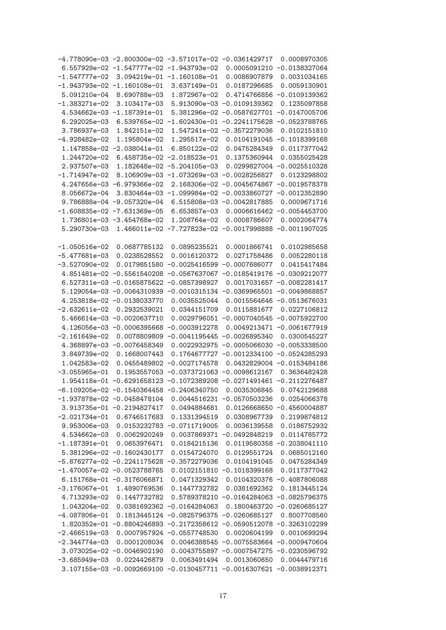|                 | -4.778090e-03 -2.800300e-02 -3.571017e-02 -0.0361429717               |                                                           |                 | 0.0008970305                                 |
|-----------------|-----------------------------------------------------------------------|-----------------------------------------------------------|-----------------|----------------------------------------------|
|                 | 6.557929e-02 -1.547777e-02 -1.943793e-02                              |                                                           |                 | 0.0005091210 -0.0138327064                   |
| $-1.547777e-02$ |                                                                       | 3.094219e-01 -1.160108e-01                                | 0.0086907879    | 0.0031034165                                 |
|                 | $-1.943793e-02 -1.160108e-01$                                         | 3.637149e-01                                              | 0.0187296685    | 0.0059130901                                 |
| 5.091210e-04    | 8.690788e-03                                                          | 1.872967e-02                                              |                 | 0.4714766856 -0.0109139362                   |
| $-1.383271e-02$ | 3.103417e-03                                                          | 5.913090e-03 -0.0109139362                                |                 | 0.1235097858                                 |
|                 | 4.534662e-03 -1.187391e-01                                            | 5.381296e-02 -0.0587627701                                |                 | $-0.0147005706$                              |
| 6.292025e-03    |                                                                       | 6.539765e-02 -1.602430e-01 -0.2241175628 -0.0523788765    |                 |                                              |
| 3.786937e-03    | 1.842151e-02                                                          | 1.547241e-02 -0.3572279036                                |                 | 0.0102151810                                 |
| $-4.928482e-02$ | 1.195804e-02                                                          | 1.295517e-02                                              |                 | 0.0104191045 -0.1018399168                   |
|                 | 1.147858e-02 -2.038041e-01                                            | 6.850122e-02                                              | 0.0475284349    | 0.0117377042                                 |
| 1.244720e-02    |                                                                       | 6.458735e-02 -2.018523e-01                                | 0.1375360944    | 0.0355025428                                 |
| 2.937507e-03    |                                                                       | 1.182648e-02 -5.204105e-03                                |                 | 0.0299827004 -0.0025510328                   |
| $-1.714947e-02$ |                                                                       | 8.106909e-03 -1.073269e-03 -0.0028256827                  |                 | 0.0123298802                                 |
|                 | 4.247656e-03 -6.979366e-02                                            | 2.168306e-02 -0.0045674867                                |                 | $-0.0019578378$                              |
| 8.056672e-04    |                                                                       | 3.830464e-03 -1.099984e-02 -0.0033860727                  |                 | $-0.0012352890$                              |
|                 | 9.786888e-04 -9.057320e-04                                            | 6.515808e-03 -0.0042817885                                |                 | 0.0009671716                                 |
|                 | $-1.608835e-02 -7.631369e-05$                                         | 6.653857e-03                                              |                 | 0.0006616462 -0.0054453700                   |
|                 | 1.736801e-03 -3.454768e-02                                            | 1.208764e-02                                              | 0.0008786607    | 0.0002064774                                 |
| 5.290730e-03    |                                                                       | 1.466011e-02 -7.727823e-02 -0.0017998888                  |                 | $-0.0011907025$                              |
|                 |                                                                       |                                                           |                 |                                              |
| $-1.050516e-02$ | 0.0687785132                                                          | 0.0895235521                                              | 0.0001866741    | 0.0102985658                                 |
| $-5.477681e-03$ | 0.0238528552                                                          | 0.0016120372                                              | 0.0271758486    | 0.0052280118                                 |
| $-3.527090e-02$ | 0.0179851580                                                          | $-0.0025416599$                                           | $-0.0007686077$ | 0.0415417484                                 |
|                 | 4.851481e-02 -0.5561540208                                            | $-0.0567637067$                                           |                 | $-0.0185419176 -0.0309212077$                |
|                 | 6.527311e-03 -0.0165875622 -0.0857398927                              |                                                           |                 | 0.0017031657 -0.0082281417                   |
|                 | 5.129054e-03 -0.0064310939 -0.0010315134                              |                                                           | $-0.0369965501$ | $-0.0049868857$                              |
|                 | 4.253818e-02 -0.0138033770                                            | 0.0035525044                                              |                 | 0.0015564646 -0.0513676031                   |
| $-2.632611e-02$ | 0.2932539021                                                          | 0.0344151709                                              | 0.0115881677    | 0.0227106812                                 |
|                 | 5.466614e-03 -0.0020637710                                            |                                                           |                 | 0.0029796051 -0.0007040545 -0.0075922700     |
|                 | 4.126056e-03 -0.0006395668                                            | $-0.0003912278$                                           |                 | 0.0049213471 -0.0061677919                   |
| $-2.161649e-02$ | 0.0078809809                                                          | $-0.0041195445 -0.0026895340$                             |                 | 0.0300545227                                 |
|                 | 4.368897e-03 -0.0076458349                                            | 0.0022932975 -0.0005066030                                |                 | $-0.0053338500$                              |
| 3.849739e-02    | 0.1668007443                                                          | 0.1764677727 -0.0012334100                                |                 | $-0.0524285293$                              |
| 1.042583e-02    |                                                                       | 0.0455489802 -0.0027174578                                |                 | 0.0432829004 -0.0153484186                   |
| $-3.055965e-01$ |                                                                       | 0.1953557053 -0.0373721063 -0.0098612167                  |                 | 0.3636482428                                 |
|                 | 1.954118e-01 -0.6291658123 -0.1072389208 -0.0271491461 -0.2112276487  |                                                           |                 |                                              |
|                 |                                                                       |                                                           |                 |                                              |
|                 | $-6.109205e-02 -0.1540364458 -0.2406340750 0.0035306845 0.0742129688$ |                                                           |                 |                                              |
|                 | $-1.937878e-02 -0.0458478104$                                         | 0.0044516231 -0.0570503236                                |                 | 0.0254066378                                 |
|                 | 3.913735e-01 -0.2194827417                                            | 0.0494884681                                              |                 | $0.0126668650 - 0.4560004887$                |
| $-2.021734e-01$ | 0.6746517683                                                          | 0.1331394519                                              | 0.0308967739    | 0.2199874812                                 |
| 9.953006e-03    |                                                                       | 0.0153232783 -0.0711719005                                | 0.0036139558    | 0.0186752932                                 |
| 4.534662e-03    | 0.0062920249                                                          | 0.0037869371                                              | $-0.0492848219$ | 0.0114785772                                 |
| $-1.187391e-01$ | 0.0653976471                                                          | 0.0184215136                                              |                 | $0.0119580358 - 0.2038041110$                |
|                 | 5.381296e-02 -0.1602430177                                            | 0.0154724070                                              | 0.0129551724    | 0.0685012160                                 |
|                 | $-5.876277e-02 -0.2241175628$                                         | $-0.3572279036$                                           | 0.0104191045    | 0.0475284349                                 |
|                 | $-1.470057e-02 -0.0523788765$                                         | 0.0102151810 -0.1018399168                                |                 | 0.0117377042                                 |
|                 | 6.151768e-01 -0.3176066871                                            | 0.0471329342                                              |                 | 0.0104320376 -0.4087806088                   |
| $-3.176067e-01$ | 1.4890769536                                                          | 0.1447732782                                              | 0.0381692362    | 0.1813445124                                 |
| 4.713293e-02    | 0.1447732782                                                          |                                                           |                 | 0.5789378210 -0.0164284063 -0.0825796375     |
| 1.043204e-02    |                                                                       | $0.0381692362 - 0.0164284063$                             |                 | 0.1800463720 -0.0260685127                   |
| $-4.087806e-01$ |                                                                       | $0.1813445124 - 0.0825796375 - 0.0260685127$              |                 | 0.8007708560                                 |
| 1.820352e-01    |                                                                       | $-0.8804246893 -0.2172358612 -0.0590512078 -0.3263102299$ |                 |                                              |
| $-2.466519e-03$ |                                                                       | 0.0007957924 -0.0557748530                                | 0.0020604199    | 0.0010699294                                 |
| $-2.344774e-03$ | 0.0001208034                                                          |                                                           |                 | $0.0046388545 - 0.0075583664 - 0.0009470604$ |
|                 | 3.073025e-02 -0.0046902190                                            |                                                           |                 | 0.0043755897 -0.0007547275 -0.0230596792     |
| $-3.685949e-03$ | 0.0224426879                                                          | 0.0063491494                                              | 0.0013060650    | 0.0044479716                                 |
|                 | 3.107155e-03 -0.0092669100 -0.0130457711 -0.0016307621 -0.0038912371  |                                                           |                 |                                              |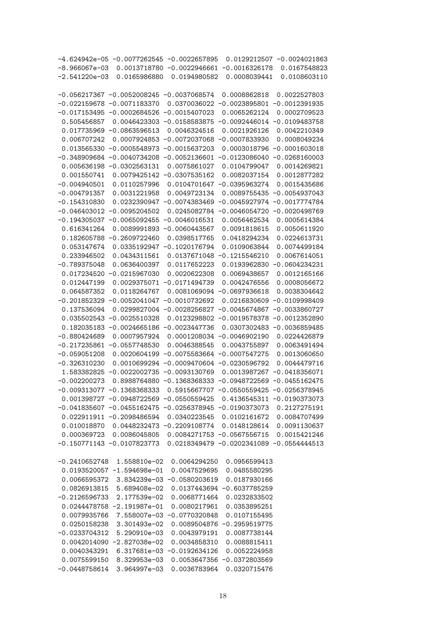| $-4.624942e-05 -0.0077262545 -0.0022657895$<br>0.0129212507<br>$-0.0024021863$          |
|-----------------------------------------------------------------------------------------|
| $-0.0016326178$<br>0.0167548823<br>$-8.966067e-03$<br>0.0013718780 -0.0022946661        |
| $-2.541220e-03$<br>0.0165986880<br>0.0194980582<br>0.0008039441<br>0.0108603110         |
|                                                                                         |
| $-0.056217367 -0.0052008245 -0.0037068574$<br>0.0008862818<br>0.0022527803              |
| $-0.022159678$<br>$-0.0071183370$<br>$-0.0023895801$<br>$-0.0012391935$<br>0.0370036022 |
| $-0.017153495$<br>$-0.0002684526$<br>$-0.0015407023$<br>0.0065262124<br>0.0002709523    |
| 0.505456857<br>0.0046423303 -0.0158583875<br>$-0.0092446014$<br>$-0.0109483758$         |
| 0.017735969<br>$-0.0863596513$<br>0.0046324516<br>0.0021926126<br>0.0042210349          |
| 0.006707242<br>0.0007924853 -0.0072037068<br>$-0.0007833930$<br>0.0008049234            |
| $-0.0005548973 - 0.0015637203$<br>0.013565330<br>0.0003018796<br>$-0.0001603018$        |
| $-0.0040734208 - 0.0052136601$<br>$-0.348909684$<br>$-0.0123086040$<br>$-0.0268160003$  |
| 0.005636198 -0.0302563131<br>0.0075861027<br>0.0104799047<br>0.0014269821               |
|                                                                                         |
| 0.001550741<br>0.0079425142 -0.0307535162<br>0.0082037154<br>0.0012877282               |
| $-0.004940501$<br>0.0110257996<br>0.0104701647 -0.0395963274<br>0.0015435686            |
| $-0.004791357$<br>0.0031221958<br>0.0049723134<br>0.0089755435<br>$-0.0054937043$       |
| $-0.154310830$<br>0.0232390947 -0.0074383469<br>$-0.0045927974$<br>$-0.0017774784$      |
| $-0.046403012$<br>$-0.0095204502$<br>0.0245082784<br>$-0.0046054720$<br>$-0.0020498769$ |
| $-0.194305037 -0.0065092455$<br>$-0.0046016531$<br>0.0056462534<br>0.0005614384         |
| 0.616341264<br>0.0089991893 -0.0060443567<br>0.0091818615<br>0.0050611920               |
| 0.182605788<br>$-0.2609722460$<br>0.0398517765<br>0.0418294234<br>0.0224613731          |
| 0.053147674<br>0.0074499184<br>0.0335192947 -0.1020176794<br>0.0109063844               |
| 0.233946502<br>0.0434311561<br>0.0137671048<br>$-0.1215546210$<br>0.0067614051          |
| $-0.789375048$<br>0.0636400397<br>0.0117652223<br>0.0193962830<br>$-0.0604234231$       |
| 0.017234520<br>$-0.0215967030$<br>0.0020622308<br>0.0069438657<br>0.0012165166          |
| 0.012447199<br>0.0029375071<br>$-0.0171494739$<br>0.0042476556<br>0.0008056672          |
| 0.064587352<br>0.0118264767<br>0.0081069094 -0.0697936618<br>0.0038304642               |
| $-0.201852329$<br>$-0.0052041047$<br>$-0.0010732692$<br>0.0216830609<br>$-0.0109998409$ |
| 0.137536094<br>0.0299827004 -0.0028256827<br>$-0.0045674867$<br>$-0.0033860727$         |
| 0.035502543<br>$-0.0025510328$<br>$-0.0019578378$<br>$-0.0012352890$<br>0.0123298802    |
| $-0.0024665186$<br>$-0.0023447736$<br>0.0307302483<br>$-0.0036859485$<br>0.182035183    |
| $-0.880424689$<br>0.0007957924<br>0.0001208034<br>$-0.0046902190$<br>0.0224426879       |
| $-0.217235861$<br>$-0.0557748530$<br>0.0046388545<br>0.0043755897<br>0.0063491494       |
| $-0.059051208$<br>0.0020604199<br>$-0.0075583664$<br>$-0.0007547275$<br>0.0013060650    |
| $-0.326310230$<br>0.0010699294 -0.0009470604 -0.0230596792<br>0.0044479716              |
| 1.583382825<br>$-0.0022002735$<br>$-0.0093130769$<br>0.0013987267<br>$-0.0418356071$    |
| 0.8988764880 -0.1368368333 -0.0948722569<br>$-0.002200273$<br>$-0.0455162475$           |
| $-0.009313077 -0.1368368333 0.5915667707 -0.0550559425 -0.0256378945$                   |
| 0.001398727 -0.0948722569 -0.0550559425 0.4136545311 -0.0190373073                      |
| $-0.041835607 -0.0455162475 -0.0256378945 -0.0190373073 0.2127275191$                   |
| 0.022911911 -0.2098486594 0.0340223545 0.0102161672 0.0084707499                        |
| 0.010018870  0.0448232473 -0.2209108774  0.0148128614  0.0091130637                     |
| 0.000369723  0.0086045805  0.0084271753  -0.0567556715  0.0015421246                    |
| $-0.150771143 - 0.0107823773 - 0.0218349479 - 0.0202341089 - 0.0554444513$              |
|                                                                                         |
| $-0.2410652748$ 1.558810e-02<br>0.0064294250 0.0956599413                               |
| $0.0193520057 - 1.594698e - 01$<br>0.0047529695 0.0485580295                            |
| 0.0066595372 3.834239e-03 -0.0580203619 0.0187930166                                    |
| 0.0826913815    5.689408e-02<br>0.0137443694 -0.6037785259                              |
| $-0.2126596733$<br>2.177539e-02<br>0.0068771464 0.0232833502                            |
|                                                                                         |
| $0.0244478758 - 2.191987e - 01$<br>0.0080217961  0.0353895251                           |
| 0.0079935766<br>7.558007e-03 -0.0770320848 0.0107155495                                 |
| $0.0250158238$ $3.301493e-02$<br>0.0089504876 -0.2959519775                             |
| $-0.0233704312$<br>5.290910e-03<br>0.0043979191 0.0087738144                            |
| $0.0042014090 -2.827038e-02$<br>0.0034858310  0.0088815411                              |
| 0.0040343291<br>6.317681e-03 -0.0192634126 0.0052224958                                 |
| 0.0075599150<br>8.329953e-03<br>0.0053647356 -0.0372803569                              |
| $-0.0448758614$ 3.964997e-03<br>0.0036783964<br>0.0320715476                            |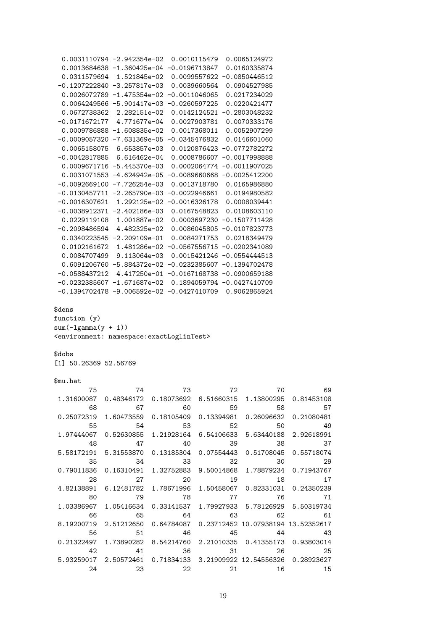```
0.0031110794 -2.942354e-02 0.0010115479 0.0065124972
 0.0013684638 -1.360425e-04 -0.0196713847 0.0160335874
 0.0311579694 1.521845e-02 0.0099557622 -0.0850446512
-0.1207222840 -3.257817e-03 0.0039660564 0.0904527985
 0.0026072789 -1.475354e-02 -0.0011046065 0.0217234029
 0.0064249566 -5.901417e-03 -0.0260597225 0.0220421477
 0.0672738362 2.282151e-02 0.0142124521 -0.2803048232
-0.0171672177 4.771677e-04 0.0027903781 0.0070333176
 0.0009786888 -1.608835e-02 0.0017368011 0.0052907299
-0.0009057320 -7.631369e-05 -0.0345476832 0.0146601060
 0.0065158075 6.653857e-03 0.0120876423 -0.0772782272
-0.0042817885 6.616462e-04 0.0008786607 -0.0017998888
 0.0009671716 -5.445370e-03 0.0002064774 -0.0011907025
 0.0031071553 -4.624942e-05 -0.0089660668 -0.0025412200
-0.0092669100 -7.726254e-03 0.0013718780 0.0165986880
-0.0130457711 -2.265790e-03 -0.0022946661 0.0194980582
-0.0016307621 1.292125e-02 -0.0016326178 0.0008039441
-0.0038912371 -2.402186e-03 0.0167548823 0.0108603110
 0.0229119108 1.001887e-02 0.0003697230 -0.1507711428
-0.2098486594 4.482325e-02 0.0086045805 -0.0107823773
 0.0340223545 -2.209109e-01 0.0084271753 0.0218349479
 0.0102161672 1.481286e-02 -0.0567556715 -0.0202341089
 0.0084707499 9.113064e-03 0.0015421246 -0.0554444513
 0.6091206760 -5.884372e-02 -0.0232385607 -0.1394702478
-0.0588437212 4.417250e-01 -0.0167168738 -0.0900659188
-0.0232385607 -1.671687e-02 0.1894059794 -0.0427410709
-0.1394702478 -9.006592e-02 -0.0427410709 0.9062865924
$dens
function (y)
sum(-lgamma(y + 1))<environment: namespace:exactLoglinTest>
$dobs
[1] 50.26369 52.56769
$mu.hat
       75 74 73 72 70 69
1.31600087 0.48346172 0.18073692 6.51660315 1.13800295 0.81453108
       68 67 60 59 58 57
0.25072319 1.60473559 0.18105409 0.13394981 0.26096632 0.21080481
       55 54 53 52 50 49
1.97444067 0.52630855 1.21928164 6.54106633 5.63440188 2.92618991
       48 47 40 39 38 37
5.58172191 5.31553870 0.13185304 0.07554443 0.51708045 0.55718074
       35 34 33 32 30 29
0.79011836 0.16310491 1.32752883 9.50014868 1.78879234 0.71943767
       28 27 20 19 18 17
4.82138891 6.12481782 1.78671996 1.50458067 0.82331031 0.24350239
       80 79 78 77 76 71
1.03386967 1.05416634 0.33141537 1.79927933 5.78126929 5.50319734
       66 65 64 63 62 61
8.19200719 2.51212650 0.64784087 0.23712452 10.07938194 13.52352617
       56 51 46 45 44 43
0.21322497 1.73890282 8.54214760 2.21010335 0.41355173 0.93803014
       42 41 36 31 26 25
5.93259017 2.50572461 0.71834133 3.21909922 12.54556326 0.28923627
       24 23 22 21 16 15
```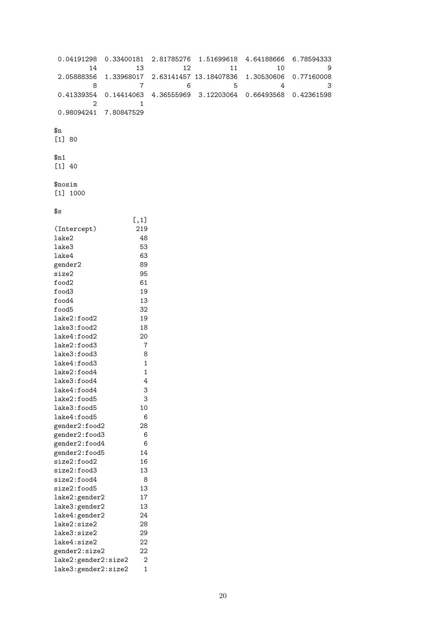```
0.04191298 0.33400181 2.81785276 1.51699618 4.64188666 6.78594333
      14 13 12 11 10 9
2.05888356 1.33968017 2.63141457 13.18407836 1.30530606 0.77160008
      8 7 6 5 4 3
0.41339354 0.14414063 4.36555969 3.12203064 0.66493568 0.42361598
       2 1
0.98094241 7.80847529
$n
[1] 80
$n1
[1] 40
$nosim
[1] 1000
$s\begin{bmatrix} 1,1 \\ 219 \end{bmatrix}(Intercept)
lake2 48
lake3 53
lake4 63
gender2 89
size2 95<br>food2 61
food2food3 19
food4 13
food5 32
lake2:food2 19
lake3:food2 18
lake4:food2 20
lake2:food3 7
lake3:food3 8
lake4:food3 1
lake2:food4 1<br>lake3:food4 4
lake3:food4 4<br>lake4:food4 3
lake4:food4 3
lake2:food5 3
lake3:food5 10
lake4:food5 6
gender2:food2 28
gender2:food3 6
gender2:food4 6
gender2:food5 14
size2:food2 16
size2:food3 13
size2:food4 8
size2:food5 13
lake2:gender2 17
lake3:gender2 13
lake4:gender2 24
lake2:size2 28
lake3:size2 29
lake4:size2 22<br>
gender2:size2 22
gender2:size2
lake2:gender2:size2 2
lake3:gender2:size2 1
```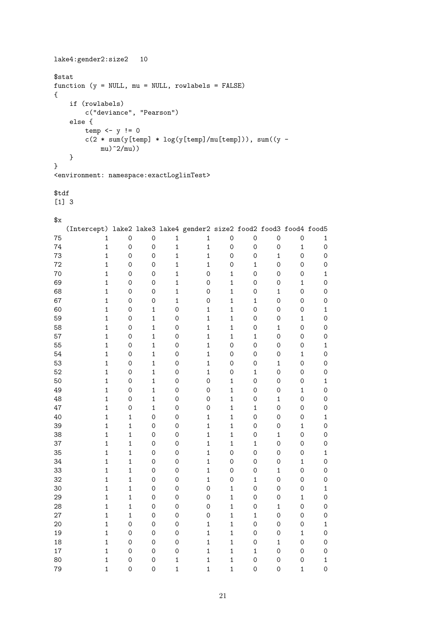```
lake4:gender2:size2 10
$stat
function (y = NULL, mu = NULL, rowlabels = FALSE){
 if (rowlabels)
   c("deviance", "Pearson")
 else {
   temp \leftarrow y := 0c(2 * sum(y[temp] * log(y[temp]/mu[temp])), sum((y -mu)^22/mu)}
}
<environment: namespace:exactLoglinTest>
$tdf
[1] 3
\mathbf{f}(Intercept) lake2 lake3 lake4 gender2 size2 food2 food3 food4 food5
75 1 0 0 1 1 0 0 0 0 1
74 1 0 0 1 1 0 0 0 1 0
73 1 0 0 1 1 0 0 1 0 0
72 1 0 0 1 1 0 1 0 0 0
70 1 0 0 1 0 1 0 0 0 1
69 1 0 0 1 0 1 0 0 1 0
68 1 0 0 1 0 1 0 1 0 0
67 1 0 0 1 0 1 1 0 0 0
60 1 0 1 0 1 1 0 0 0 1
59 1 0 1 0 1 1 0 0 1 0
58 1 0 1 0 1 1 0 1 0 0
57 1 0 1 0 1 1 1 0 0 0
55 1 0 1 0 1 0 0 0 0 1
54 1 0 1 0 1 0 0 0 1 0
53 1 0 1 0 1 0 0 1 0 0
52 1 0 1 0 1 0 1 0 0 0
50 1 0 1 0 0 1 0 0 0 1
49 1 0 1 0 0 1 0 0 1 0
48 1 0 1 0 0 1 0 1 0 0
47 1 0 1 0 0 1 1 0 0 0
40 1 1 0 0 1 1 0 0 0 1
39 1 1 0 0 1 1 0 0 1 0
38 1 1 0 0 1 1 0 1 0 0
37 1 1 0 0 1 1 1 0 0 0
35 1 1 0 0 1 0 0 0 0 1
34 1 1 0 0 1 0 0 0 1 0
33 1 1 0 0 1 0 0 1 0 0
32 1 1 0 0 1 0 1 0 0 0
30 1 1 0 0 0 1 0 0 0 1
29 1 1 0 0 0 1 0 0 1 0
28 1 1 0 0 0 1 0 1 0 0
27 1 1 0 0 0 1 1 0 0 0
20 1 0 0 0 1 1 0 0 0 1
19 1 0 0 0 1 1 0 0 1 0
18 1 0 0 0 0 1 1 0 1 0 0
17 1 0 0 0 1 1 1 0 0 0
80 1 0 0 1 1 1 0 0 0 1
79 1 0 0 1 1 1 0 0 1 0
```

```
21
```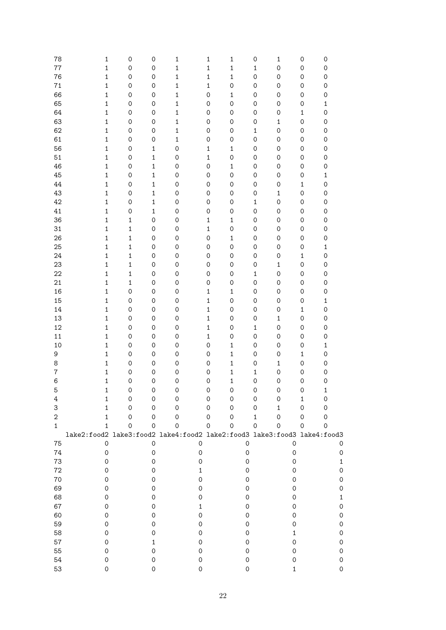| 78             | $\mathbf 1$                                                             | $\mathsf{O}\xspace$ | $\mathsf{O}\xspace$ | 1                   | 1                   | 1                   | 0            | $\mathbf{1}$        | 0                   | $\mathsf{O}\xspace$ |
|----------------|-------------------------------------------------------------------------|---------------------|---------------------|---------------------|---------------------|---------------------|--------------|---------------------|---------------------|---------------------|
| 77             | $\mathbf 1$                                                             | $\mathsf{O}\xspace$ | $\mathsf{O}\xspace$ | $\mathbf 1$         | $\mathbf{1}$        | $\mathbf{1}$        | $\mathbf 1$  | $\mathsf{O}\xspace$ | $\mathsf{O}\xspace$ | $\mathsf{O}\xspace$ |
| 76             | $\mathbf 1$                                                             | $\mathsf{O}\xspace$ | $\mathbf 0$         | $\mathbf 1$         | $\mathbf 1$         | $\mathbf 1$         | $\mathbf 0$  | 0                   | $\mathsf O$         | $\mathsf{O}\xspace$ |
| 71             | $\mathbf 1$                                                             | $\mathsf{O}\xspace$ | $\mathsf{O}\xspace$ | $\mathbf 1$         | $\mathbf{1}$        | 0                   | $\mathbf 0$  | 0                   | $\mathsf O$         | $\mathsf{O}\xspace$ |
| 66             | $\mathbf 1$                                                             | $\mathbf 0$         | $\mathbf 0$         | $\mathbf{1}$        | $\mathbf 0$         | $\mathbf 1$         | $\mathbf 0$  | 0                   | $\mathsf O$         | $\mathsf{O}\xspace$ |
| 65             | $\mathbf 1$                                                             | $\mathbf 0$         | $\mathbf 0$         | $\mathbf 1$         | $\mathbf 0$         | $\mathbf 0$         | $\mathbf 0$  | 0                   | $\mathsf O$         | $\mathbf{1}$        |
| 64             | $\mathbf 1$                                                             | $\mathbf 0$         | $\mathbf 0$         | $\mathbf 1$         | $\mathbf 0$         | $\mathbf 0$         | $\mathbf 0$  | 0                   | $\mathbf{1}$        | $\mathsf{O}\xspace$ |
| 63             | $\mathbf 1$                                                             | $\mathbf 0$         | $\mathbf 0$         | $\mathbf 1$         | $\mathbf 0$         | $\mathbf 0$         | $\mathbf 0$  | $\mathbf 1$         | $\mathsf O$         | $\mathsf{O}\xspace$ |
| 62             | $\mathbf 1$                                                             | $\mathbf 0$         | $\mathbf 0$         | $\mathbf 1$         | $\mathbf 0$         | 0                   | $\mathbf{1}$ | 0                   | $\mathsf O$         | $\mathsf{O}\xspace$ |
| 61             | $\mathbf 1$                                                             | $\mathbf 0$         | $\mathbf 0$         | $\mathbf{1}$        | $\mathbf 0$         | $\mathbf 0$         | $\mathbf 0$  | 0                   | $\mathsf O$         | $\mathsf{O}\xspace$ |
| 56             | $\mathbf 1$                                                             | $\mathbf 0$         | $\mathbf{1}$        | $\mathbf 0$         | $\mathbf{1}$        | $\mathbf 1$         | $\mathbf 0$  | 0                   | $\mathsf O$         | $\mathsf{O}\xspace$ |
| 51             | $\mathbf 1$                                                             | $\mathsf{O}\xspace$ | $\mathbf{1}$        | $\mathsf{O}\xspace$ | $\mathbf{1}$        | $\mathbf 0$         | $\mathbf 0$  | $\mathsf{O}\xspace$ | $\mathsf O$         | $\mathsf{O}\xspace$ |
| 46             | $\mathbf 1$                                                             | $\mathsf{O}\xspace$ | $\mathbf{1}$        | $\mathsf{O}\xspace$ | $\mathbf 0$         | $\mathbf 1$         | $\mathbf 0$  | $\mathsf{O}\xspace$ | 0                   | $\mathsf{O}\xspace$ |
|                |                                                                         |                     |                     |                     |                     | $\mathbf 0$         |              |                     |                     |                     |
| 45             | $\mathbf 1$                                                             | $\mathsf{O}\xspace$ | $\mathbf{1}$        | $\mathsf{O}\xspace$ | $\mathbf 0$         |                     | $\mathbf 0$  | $\mathsf{O}\xspace$ | $\mathsf{O}\xspace$ | $\mathbf 1$         |
| 44             | $\mathbf 1$                                                             | $\mathsf{O}\xspace$ | $\mathbf 1$         | $\mathsf{O}\xspace$ | $\mathbf 0$         | 0                   | $\mathbf 0$  | $\mathsf{O}\xspace$ | $\mathbf{1}$        | $\mathsf{O}\xspace$ |
| 43             | $\mathbf 1$                                                             | $\mathsf{O}\xspace$ | $\mathbf 1$         | $\mathsf{O}\xspace$ | $\mathbf 0$         | $\mathsf{O}\xspace$ | $\mathbf 0$  | $\mathbf 1$         | $\mathsf O$         | $\mathsf{O}\xspace$ |
| 42             | $\mathbf 1$                                                             | $\mathsf{O}\xspace$ | $\mathbf 1$         | $\mathsf{O}\xspace$ | $\mathbf 0$         | 0                   | $\mathbf 1$  | $\mathsf{O}\xspace$ | $\mathsf O$         | $\mathsf{O}\xspace$ |
| 41             | $\mathbf 1$                                                             | $\mathbf 0$         | $\mathbf 1$         | $\mathsf{O}\xspace$ | $\mathbf 0$         | 0                   | $\mathbf 0$  | $\mathsf{O}\xspace$ | 0                   | $\mathsf{O}\xspace$ |
| 36             | $\mathbf 1$                                                             | $\mathbf 1$         | $\mathsf{O}\xspace$ | $\mathsf{O}\xspace$ | $\mathbf 1$         | $\mathbf 1$         | $\mathbf 0$  | $\mathsf{O}\xspace$ | 0                   | $\mathsf{O}\xspace$ |
| 31             | $\mathbf 1$                                                             | $\mathbf 1$         | $\mathsf{O}\xspace$ | $\mathsf{O}\xspace$ | $\mathbf{1}$        | $\mathbf 0$         | $\mathbf 0$  | $\mathsf{O}\xspace$ | 0                   | $\mathsf{O}\xspace$ |
| 26             | $\mathbf 1$                                                             | $\mathbf 1$         | $\mathsf{O}\xspace$ | $\mathsf{O}\xspace$ | $\mathbf 0$         | $\mathbf 1$         | $\mathbf 0$  | $\mathsf{O}\xspace$ | 0                   | $\mathsf{O}\xspace$ |
| 25             | $\mathbf 1$                                                             | $\mathbf{1}$        | $\mathsf{O}\xspace$ | $\mathsf{O}\xspace$ | $\mathbf 0$         | $\mathbf 0$         | $\mathbf 0$  | $\mathsf{O}\xspace$ | 0                   | $\mathbf{1}$        |
| 24             | $\mathbf{1}$                                                            | $\mathbf{1}$        | $\mathsf{O}\xspace$ | $\mathsf{O}\xspace$ | $\mathsf{O}\xspace$ | $\mathsf{O}\xspace$ | $\mathbf 0$  | $\mathsf{O}\xspace$ | $\mathbf{1}$        | $\mathsf{O}\xspace$ |
| 23             | $\mathbf{1}$                                                            | $\mathbf{1}$        | $\mathsf{O}\xspace$ | $\mathsf{O}\xspace$ | $\mathsf{O}\xspace$ | $\mathsf{O}\xspace$ | $\mathbf 0$  | $\mathbf 1$         | $\mathsf O$         | $\mathsf{O}\xspace$ |
| 22             | $\mathbf{1}$                                                            | $\mathbf{1}$        | $\mathsf{O}\xspace$ | $\mathsf{O}\xspace$ | $\mathbf 0$         | $\mathsf{O}\xspace$ | $\mathbf{1}$ | $\mathsf{O}\xspace$ | $\mathsf O$         | $\mathsf{O}\xspace$ |
| 21             | $\mathbf{1}$                                                            | $\mathbf 1$         | $\mathsf{O}\xspace$ | $\mathsf{O}\xspace$ | $\mathbf 0$         | $\mathsf{O}\xspace$ | $\mathbf 0$  | $\mathsf{O}\xspace$ | 0                   | $\mathsf{O}\xspace$ |
| 16             | $\mathbf{1}$                                                            | $\mathbf 0$         | $\mathsf{O}\xspace$ | $\mathsf{O}\xspace$ | $\mathbf{1}$        | $\mathbf 1$         | $\mathbf 0$  | $\mathsf{O}\xspace$ | $\mathsf O$         | $\mathsf{O}\xspace$ |
| 15             | $\mathbf{1}$                                                            | $\mathsf{O}\xspace$ | $\mathsf{O}\xspace$ | $\mathsf{O}\xspace$ | $\mathbf{1}$        | $\mathbf 0$         | $\mathbf 0$  | $\mathsf{O}\xspace$ | 0                   | $\mathbf{1}$        |
| 14             | $\mathbf{1}$                                                            | $\mathsf{O}\xspace$ | $\mathsf{O}\xspace$ | $\mathsf{O}\xspace$ | $\mathbf{1}$        | 0                   | $\mathbf 0$  | $\mathsf{O}\xspace$ | $\mathbf{1}$        | $\mathsf{O}\xspace$ |
| 13             | $\mathbf{1}$                                                            | $\mathsf{O}\xspace$ | $\mathsf{O}\xspace$ | $\mathsf{O}\xspace$ | $\mathbf{1}$        | $\mathsf{O}\xspace$ | $\mathbf 0$  | $\mathbf 1$         | $\mathsf O$         | $\mathsf{O}\xspace$ |
| 12             | $\mathbf{1}$                                                            | $\mathsf{O}\xspace$ | $\mathsf{O}\xspace$ | $\mathsf{O}\xspace$ | $\mathbf{1}$        | $\mathsf{O}\xspace$ | $\mathbf 1$  | $\mathsf{O}\xspace$ | 0                   | $\mathsf{O}\xspace$ |
| 11             | $\mathbf 1$                                                             | $\mathsf{O}\xspace$ | $\mathsf{O}\xspace$ | $\mathsf{O}\xspace$ | $\mathbf{1}$        | $\mathsf{O}\xspace$ | $\mathbf 0$  | $\mathsf{O}\xspace$ | 0                   | $\mathsf{O}\xspace$ |
| 10             | $\mathbf 1$                                                             | $\mathsf{O}\xspace$ | $\mathsf{O}\xspace$ | $\mathsf{O}\xspace$ | $\mathbf 0$         | $\mathbf{1}$        | $\mathbf 0$  | $\mathsf{O}\xspace$ | $\mathsf O$         | $\mathbf 1$         |
| 9              | $\mathbf 1$                                                             | $\mathsf{O}\xspace$ | $\mathsf{O}\xspace$ | $\mathsf{O}\xspace$ | $\mathsf{O}\xspace$ | $\mathbf{1}$        | $\mathbf 0$  | $\mathsf{O}\xspace$ | $\mathbf{1}$        | $\mathsf{O}\xspace$ |
| 8              | $\mathbf 1$                                                             | $\mathsf{O}\xspace$ | $\mathsf{O}\xspace$ | $\mathsf{O}\xspace$ | $\mathsf{O}\xspace$ | $\mathbf{1}$        | $\mathbf 0$  | $\mathbf 1$         | $\mathsf O$         | $\mathsf{O}\xspace$ |
| $\overline{7}$ | $\mathbf{1}$                                                            | $\mathbf 0$         | $\mathsf{O}\xspace$ | $\mathbf 0$         | $\mathbf 0$         | $\mathbf{1}$        | $\mathbf 1$  | $\mathsf{O}\xspace$ | $\mathsf O$         | $\mathsf{O}\xspace$ |
| 6              | $\mathbf 1$                                                             | $\mathsf{O}\xspace$ | $\mathbf 0$         | $\mathsf{O}\xspace$ | $\mathsf{O}\xspace$ | $\mathbf{1}$        | $\mathbf 0$  | $\mathsf{O}\xspace$ | $\mathsf{O}\xspace$ | $\mathsf{O}\xspace$ |
| 5              | 1                                                                       | 0                   | 0                   | 0                   | 0                   | 0                   | 0            | 0                   | O                   | 1                   |
| 4              | 1                                                                       | 0                   | 0                   | 0                   | 0                   | 0                   | 0            | 0                   | 1                   | 0                   |
| 3              | $\mathbf{1}$                                                            | 0                   | 0                   | 0                   | 0                   | 0                   | 0            | 1                   | 0                   | 0                   |
| $\sqrt{2}$     | $\mathbf{1}$                                                            | 0                   | 0                   | 0                   | 0                   | 0                   | $\mathbf{1}$ | 0                   | 0                   | $\mathbf 0$         |
| $\mathbf{1}$   | $\mathbf{1}$                                                            | 0                   | $\mathbf 0$         | 0                   | 0                   | 0                   | $\Omega$     | $\mathbf 0$         | 0                   | $\mathbf 0$         |
|                | lake2:food2 lake3:food2 lake4:food2 lake2:food3 lake3:food3 lake4:food3 |                     |                     |                     |                     |                     |              |                     |                     |                     |
| 75             | $\mathsf{O}\xspace$                                                     |                     | $\mathbf 0$         |                     | $\mathsf O$         | $\mathsf{O}\xspace$ |              | $\mathbf 0$         |                     | 0                   |
| 74             | $\mathsf{O}\xspace$                                                     |                     | 0                   |                     | 0                   | 0                   |              | 0                   |                     | 0                   |
| 73             | $\mathsf{O}\xspace$                                                     |                     | 0                   |                     | $\mathsf{O}\xspace$ | 0                   |              | 0                   |                     |                     |
| 72             | 0                                                                       |                     | 0                   |                     | 1                   | 0                   |              | 0                   |                     |                     |
| 70             | 0                                                                       |                     | 0                   |                     | $\mathsf{O}\xspace$ | 0                   |              | 0                   |                     |                     |
| 69             | 0                                                                       |                     | 0                   |                     | 0                   | 0                   |              | 0                   |                     |                     |
|                |                                                                         |                     |                     |                     |                     |                     |              |                     |                     |                     |
| 68             | 0                                                                       |                     | 0                   |                     | 0                   | 0                   |              | $\mathsf{O}\xspace$ |                     |                     |
| 67             | 0                                                                       |                     | 0                   |                     | 1                   | 0                   |              | 0                   |                     | Ω                   |
| 60             | 0                                                                       |                     | 0                   |                     | 0                   | 0                   |              | 0                   |                     | Ω                   |
| 59             | 0                                                                       |                     | 0                   |                     | 0                   | 0                   |              | 0                   |                     | Ω                   |
| 58             | 0                                                                       |                     | 0                   |                     | 0                   | 0                   |              | 1                   |                     | 0                   |
| 57             | 0                                                                       |                     | 1                   |                     | 0                   | 0                   |              | $\mathsf{O}\xspace$ |                     | 0                   |
| 55             | 0                                                                       |                     | 0                   |                     | 0                   | 0                   |              | $\mathsf{O}\xspace$ |                     | 0                   |
| 54             | 0                                                                       |                     | 0                   |                     | 0                   | $\mathsf{O}\xspace$ |              | 0                   |                     |                     |
| 53             | 0                                                                       |                     | 0                   |                     | 0                   | 0                   |              | 1                   |                     | 0                   |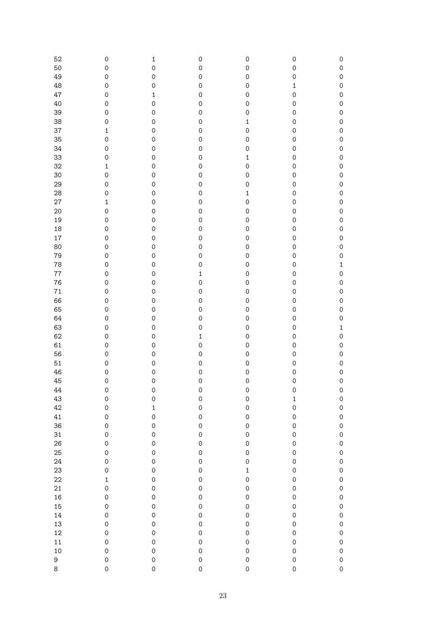| 52      | $\mbox{O}$          | $\mathbf 1$         | $\mathsf{O}\xspace$ | $\mathsf{O}\xspace$ | $\mathsf{O}\xspace$ | $\mathsf{O}\xspace$ |
|---------|---------------------|---------------------|---------------------|---------------------|---------------------|---------------------|
| 50      | $\mathsf{O}\xspace$ | $\mathsf{O}\xspace$ | $\mathsf{O}\xspace$ | $\mathsf O$         | $\mathsf{O}\xspace$ | $\mathsf{O}\xspace$ |
| 49      | $\mathsf{O}\xspace$ | $\mathsf{O}\xspace$ | $\mathsf{O}\xspace$ | $\mathsf O$         | $\mathsf{O}\xspace$ | $\mathsf{O}\xspace$ |
| 48      | $\mathsf{O}\xspace$ | $\mathsf{O}\xspace$ | $\mathsf{O}\xspace$ | $\mathsf{O}\xspace$ | $\mathbf 1$         | $\mathsf{O}\xspace$ |
|         |                     |                     |                     |                     |                     |                     |
| 47      | $\mathsf{O}\xspace$ | $\mathbf 1$         | $\mathsf{O}\xspace$ | $\mathsf{O}\xspace$ | $\mathsf{O}\xspace$ | $\mathsf{O}\xspace$ |
| 40      | $\mathsf{O}\xspace$ | $\mathsf{O}\xspace$ | $\mathsf{O}\xspace$ | $\mathsf{O}\xspace$ | $\mathsf{O}\xspace$ | $\mathsf{O}\xspace$ |
| 39      | $\mathsf{O}\xspace$ | $\mathsf{O}\xspace$ | $\mathsf{O}\xspace$ | $\mathsf{O}\xspace$ | $\mathsf O$         | $\mathsf{O}\xspace$ |
|         |                     |                     |                     |                     |                     |                     |
| 38      | $\mathsf{O}\xspace$ | $\mathsf{O}\xspace$ | $\mathsf{O}\xspace$ | $\mathbf 1$         | $\mathsf{O}\xspace$ | $\mathsf{O}\xspace$ |
| 37      | $\mathbf 1$         | $\mathsf{O}\xspace$ | $\mathsf{O}\xspace$ | $\mathsf{O}\xspace$ | $\mathsf{O}\xspace$ | $\mathsf{O}\xspace$ |
| 35      | $\mathsf{O}\xspace$ | $\mathsf{O}\xspace$ | $\mathsf{O}\xspace$ | $\mathsf{O}\xspace$ | $\mathsf{O}\xspace$ | $\mathsf{O}\xspace$ |
| 34      | $\mathsf{O}\xspace$ | $\mathsf{O}\xspace$ | $\mathsf{O}\xspace$ | $\mathsf{O}\xspace$ | $\mathsf{O}\xspace$ | $\mathsf{O}\xspace$ |
|         |                     |                     |                     |                     |                     |                     |
| 33      | $\mathsf{O}\xspace$ | $\mathsf{O}\xspace$ | $\mathbf 0$         | $\mathbf 1$         | $\mathsf{O}\xspace$ | $\mathsf{O}\xspace$ |
| 32      | $\mathbf 1$         | $\mathsf{O}\xspace$ | $\mathbf 0$         | $\mathbf 0$         | $\mathsf{O}\xspace$ | $\mathsf{O}\xspace$ |
| 30      | $\mathsf{O}\xspace$ | $\mathsf{O}\xspace$ | $\mathbf 0$         | $\mathbf 0$         | $\mathsf{O}\xspace$ | $\mathsf{O}\xspace$ |
|         | $\mathsf{O}\xspace$ | $\mathsf{O}\xspace$ | $\mathbf 0$         | $\mathbf 0$         | $\mathsf{O}\xspace$ | $\mathsf{O}\xspace$ |
| 29      |                     |                     |                     |                     |                     |                     |
| 28      | $\mathsf{O}\xspace$ | $\mathsf{O}\xspace$ | $\mathbf 0$         | $\mathbf 1$         | $\mathsf{O}\xspace$ | $\mathsf{O}\xspace$ |
| 27      | $\mathbf 1$         | $\mathsf{O}\xspace$ | $\mathbf 0$         | $\mathbf 0$         | $\mathsf{O}\xspace$ | $\mathsf{O}\xspace$ |
| 20      | $\mathsf{O}\xspace$ | $\mathsf{O}\xspace$ | $\mathbf 0$         | $\mathbf 0$         | $\mathsf{O}\xspace$ | $\mathsf{O}\xspace$ |
|         |                     |                     |                     |                     |                     |                     |
| 19      | $\mathsf{O}\xspace$ | $\mathsf{O}\xspace$ | $\mathbf 0$         | $\mathbf 0$         | $\mathsf{O}\xspace$ | $\mathsf{O}\xspace$ |
| 18      | $\mathsf{O}\xspace$ | $\mathsf{O}\xspace$ | $\mathbf 0$         | $\mathbf 0$         | $\mathsf{O}\xspace$ | $\mathsf{O}\xspace$ |
| 17      | $\mathsf{O}\xspace$ | $\mathsf{O}\xspace$ | $\mathbf 0$         | $\mathbf 0$         | $\mathsf{O}\xspace$ | $\mathsf{O}\xspace$ |
| 80      | $\mathsf{O}\xspace$ | $\mathsf{O}\xspace$ | $\mathsf{O}\xspace$ | $\mathbf 0$         | $\mathsf{O}\xspace$ | $\mathsf{O}\xspace$ |
|         |                     |                     |                     |                     |                     |                     |
| 79      | $\mathsf{O}\xspace$ | $\mathsf{O}\xspace$ | $\mathsf{O}\xspace$ | $\mathbf 0$         | $\mathsf{O}\xspace$ | $\mathsf{O}\xspace$ |
| 78      | $\mathsf{O}\xspace$ | $\mathsf{O}\xspace$ | $\mathsf{O}\xspace$ | $\mathbf 0$         | $\mathsf{O}\xspace$ | $\mathbf 1$         |
| $77 \,$ | $\mathsf{O}\xspace$ | $\mathsf{O}\xspace$ | $\mathbf{1}$        | $\mathbf 0$         | $\mathsf{O}\xspace$ | $\mathsf{O}\xspace$ |
|         | $\mathsf{O}\xspace$ | $\mathsf{O}\xspace$ | $\mathsf{O}\xspace$ | $\mathbf 0$         | $\mathsf{O}\xspace$ | $\mathsf{O}\xspace$ |
| 76      |                     |                     |                     |                     |                     |                     |
| $71\,$  | $\mathsf{O}\xspace$ | $\mathsf{O}\xspace$ | $\mathsf{O}\xspace$ | $\mathbf 0$         | $\mathsf{O}\xspace$ | $\mathsf{O}\xspace$ |
| 66      | $\mathsf{O}\xspace$ | $\mathsf{O}\xspace$ | $\mathsf{O}\xspace$ | $\mathbf 0$         | $\mathsf{O}\xspace$ | $\mathsf{O}\xspace$ |
| 65      | $\mathsf{O}\xspace$ | $\mathsf{O}\xspace$ | $\mathsf{O}\xspace$ | $\mathbf 0$         | $\mathsf{O}\xspace$ | $\mathsf{O}\xspace$ |
|         |                     |                     |                     |                     |                     |                     |
| 64      | $\mathsf{O}\xspace$ | $\mathsf{O}\xspace$ | $\mathsf{O}\xspace$ | $\mathbf 0$         | $\mathsf{O}\xspace$ | $\mathsf{O}\xspace$ |
| 63      | $\mathsf{O}\xspace$ | $\mathsf{O}\xspace$ | $\mathbf 0$         | $\mathbf 0$         | $\mathsf{O}\xspace$ | $\mathbf 1$         |
| 62      | $\mathsf{O}\xspace$ | $\mathsf{O}\xspace$ | $\mathbf{1}$        | $\mathbf 0$         | $\mathsf{O}\xspace$ | $\hbox{O}$          |
| 61      | $\mathsf{O}\xspace$ | $\mathsf{O}\xspace$ | $\mathbf 0$         | $\mathbf 0$         | $\mathsf{O}\xspace$ | $\hbox{O}$          |
|         |                     |                     |                     |                     |                     |                     |
| 56      | $\mathsf{O}\xspace$ | $\mathsf{O}\xspace$ | $\mathbf 0$         | $\mathbf 0$         | $\mathsf{O}\xspace$ | $\hbox{O}$          |
| 51      | $\mathsf{O}\xspace$ | $\mathsf{O}\xspace$ | $\mathbf 0$         | $\mathbf 0$         | $\mathsf{O}\xspace$ | $\hbox{O}$          |
| 46      | $\mathsf{O}\xspace$ | $\mathsf{O}\xspace$ | $\mathbf 0$         | $\mathbf 0$         | $\mathsf{O}\xspace$ | $\hbox{O}$          |
| 45      | $\mathsf{O}\xspace$ | $\mathsf{O}\xspace$ | $\mathbf 0$         | $\mathbf 0$         | $\mathsf{O}\xspace$ | $\hbox{O}$          |
|         |                     |                     |                     |                     |                     |                     |
| 44      | $\mathbf 0$         | $\mathbf 0$         | $\mathbf 0$         | $\mathbf 0$         | $\mathsf{O}\xspace$ | $\mathbf 0$         |
| 43      | $\mathbf 0$         | $\mathbf 0$         | $\mathbf 0$         | $\circ$             | $\mathbf 1$         | $\mathbf{O}$        |
| 42      | $\mathbf 0$         | $\mathbf 1$         | $\circ$             | $\circ$             | $\mathsf{O}$        | $\mathbf 0$         |
| 41      | $\mathbf 0$         | $\circ$             | $\mathbf{O}$        | $\mathbf{O}$        | $\mathsf{O}$        | $\mathbf{O}$        |
|         |                     |                     |                     |                     |                     |                     |
| 36      | $\mathbf 0$         | $\mathbf 0$         | $\mathbf{O}$        | $\mathbf{O}$        | $\mathsf{O}$        | $\mathbf{O}$        |
| 31      | $\mathbf 0$         | $\mathbf 0$         | $\circ$             | $\circ$             | $\mathsf{O}$        | $\mathbf{O}$        |
| 26      | $\mathbf 0$         | $\mathbf 0$         | $\circ$             | $\circ$             | $\mathsf{O}$        | $\mathbf{O}$        |
| 25      | $\circ$             | $\mathbf 0$         | $\circ$             | $\circ$             | $\mathsf{O}$        | $\mathbf{O}$        |
|         |                     |                     |                     |                     |                     |                     |
| 24      | $\circ$             | $\circ$             | $\circ$             | $\circ$             | $\mathsf{O}$        | $\circ$             |
| 23      | $\circ$             | $\circ$             | $\circ$             | $\mathbf{1}$        | $\mathsf{O}$        | $\circ$             |
| 22      | $\mathbf{1}$        | $\circ$             | $\circ$             | $\circ$             | $\mathsf{O}$        | $\circ$             |
| 21      | $\circ$             | $\circ$             | $\circ$             | $\circ$             | $\mathsf{O}$        |                     |
|         |                     |                     |                     |                     |                     | $\circ$             |
| 16      | $\circ$             | $\circ$             | $\circ$             | $\circ$             | $\mathsf{O}$        | $\circ$             |
| 15      | $\circ$             | $\circ$             | $\circ$             | $\circ$             | $\mathbf{O}$        | $\circ$             |
| 14      | $\mathbf 0$         | $\circ$             | $\circ$             | $\circ$             | $\mathbf{O}$        | $\circ$             |
| 13      | $\mathbf 0$         | $\circ$             | $\circ$             |                     |                     | $\circ$             |
|         |                     |                     |                     | $\circ$             | $\mathbf{O}$        |                     |
| 12      | $\mathbf 0$         | $\circ$             | $\mathbf{O}$        | $\circ$             | $\mathsf{O}$        | $\mathbf{O}$        |
| 11      | $\mathbf 0$         | $\circ$             | $\mathbf{O}$        | $\mathbf{O}$        | $\mathsf{O}$        | $\circ$             |
| 10      | $\mathbf 0$         | $\circ$             | $\mathbf{O}$        | $\mathbf{O}$        | $\mathsf{O}$        | $\mathbf{0}$        |
|         |                     |                     |                     |                     |                     |                     |
| 9       | $\mathbf{O}$        | $\mathbf{O}$        | $\circ$             | $\circ$             | $\mathsf{O}$        | $\mathbf 0$         |
| 8       | $\circ$             | $\circ$             | $\mathsf{O}$        | $\mathsf{O}$        | $\mathsf{O}$        | $\mathbf 0$         |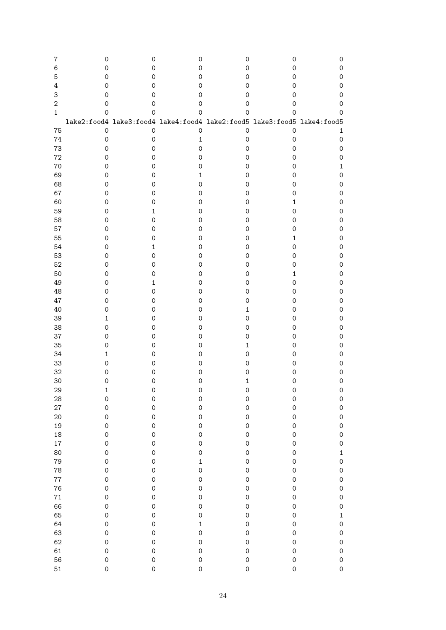| 7              | 0                   | 0                                                                       | 0                   | 0                   | 0            | 0                   |
|----------------|---------------------|-------------------------------------------------------------------------|---------------------|---------------------|--------------|---------------------|
| 6              | 0                   | 0                                                                       | 0                   | 0                   | 0            | 0                   |
| 5              | 0                   | 0                                                                       | 0                   | 0                   | 0            | $\mathsf{O}\xspace$ |
| 4              | 0                   | 0                                                                       | 0                   | 0                   | 0            | $\mathsf{O}\xspace$ |
|                |                     |                                                                         |                     |                     |              |                     |
| 3              | 0                   | 0                                                                       | 0                   | 0                   | 0            | $\mathsf{O}\xspace$ |
| $\overline{2}$ | 0                   | 0                                                                       | 0                   | 0                   | 0            | 0                   |
| $\mathbf{1}$   | 0                   | 0                                                                       | 0                   | 0                   | 0            | 0                   |
|                |                     | lake2:food4 lake3:food4 lake4:food4 lake2:food5 lake3:food5 lake4:food5 |                     |                     |              |                     |
| 75             | $\mathbf 0$         | $\mathbf 0$                                                             | $\mathbf 0$         | $\mathbf 0$         | $\mathbf 0$  | 1                   |
|                |                     |                                                                         |                     |                     |              |                     |
| 74             | $\mathsf{O}\xspace$ | $\mathsf{O}\xspace$                                                     | $\mathbf{1}$        | $\mathbf 0$         | 0            | 0                   |
| 73             | 0                   | 0                                                                       | $\mathsf O$         | $\mathsf{O}\xspace$ | 0            | $\mathsf{O}\xspace$ |
| 72             | 0                   | 0                                                                       | $\mathsf{O}\xspace$ | 0                   | 0            | $\mathsf{O}\xspace$ |
| 70             | 0                   | 0                                                                       | $\mathsf{O}\xspace$ | 0                   | 0            | 1                   |
| 69             | 0                   | 0                                                                       | 1                   | 0                   | 0            | $\mathsf{O}\xspace$ |
|                |                     |                                                                         |                     |                     |              |                     |
| 68             | 0                   | 0                                                                       | 0                   | 0                   | 0            | $\mathsf{O}\xspace$ |
| 67             | 0                   | 0                                                                       | $\mathsf{O}\xspace$ | 0                   | 0            | $\mathsf{O}\xspace$ |
| 60             | 0                   | 0                                                                       | $\mathsf{O}\xspace$ | 0                   | 1            | $\mathsf{O}\xspace$ |
| 59             | 0                   | 1                                                                       | $\mathsf{O}\xspace$ | 0                   | 0            | $\mathsf{O}\xspace$ |
| 58             | 0                   | 0                                                                       | $\mathsf{O}\xspace$ | 0                   | 0            | $\mathsf{O}\xspace$ |
| 57             | 0                   | 0                                                                       | $\mathsf{O}\xspace$ | 0                   | 0            | $\mathsf{O}\xspace$ |
|                |                     |                                                                         |                     |                     |              |                     |
| 55             | 0                   | 0                                                                       | $\mathsf{O}\xspace$ | 0                   | 1            | $\mathsf{O}\xspace$ |
| 54             | 0                   | 1                                                                       | 0                   | 0                   | 0            | $\mathsf{O}\xspace$ |
| 53             | 0                   | 0                                                                       | 0                   | 0                   | 0            | $\mathsf{O}\xspace$ |
| 52             | 0                   | 0                                                                       | 0                   | 0                   | 0            | $\mathsf{O}\xspace$ |
| 50             | 0                   | 0                                                                       | 0                   | 0                   | 1            | $\mathsf{O}\xspace$ |
|                |                     |                                                                         |                     |                     |              |                     |
| 49             | 0                   | 1                                                                       | 0                   | 0                   | 0            | $\mathsf{O}\xspace$ |
| 48             | 0                   | 0                                                                       | 0                   | 0                   | 0            | $\mathsf{O}\xspace$ |
| 47             | 0                   | 0                                                                       | 0                   | 0                   | 0            | $\mathsf{O}\xspace$ |
| 40             | 0                   | 0                                                                       | 0                   | 1                   | 0            | $\mathsf{O}\xspace$ |
| 39             | 1                   | 0                                                                       | 0                   | 0                   | 0            | $\mathsf{O}\xspace$ |
| 38             | 0                   | 0                                                                       | 0                   | 0                   | 0            | $\mathsf{O}\xspace$ |
|                |                     |                                                                         |                     |                     |              |                     |
| 37             | 0                   | 0                                                                       | 0                   | 0                   | 0            | $\mathsf{O}\xspace$ |
| 35             | 0                   | 0                                                                       | 0                   | 1                   | 0            | $\mathsf{O}\xspace$ |
| 34             | 1                   | 0                                                                       | 0                   | 0                   | 0            | $\mathsf{O}\xspace$ |
| 33             | 0                   | 0                                                                       | 0                   | 0                   | 0            | $\mathsf{O}\xspace$ |
| 32             | 0                   | 0                                                                       | 0                   | 0                   | 0            | $\mathsf{O}\xspace$ |
| 30             |                     |                                                                         |                     |                     |              |                     |
|                | 0                   | 0                                                                       | 0                   | 1                   | 0            | $\mathsf{O}\xspace$ |
| 29             | T                   | v                                                                       | v                   | v                   | V            | 0                   |
| 28             | $\mathbf 0$         | $\mathbf 0$                                                             | $\circ$             | $\circ$             | $\mathbf 0$  | $\circ$             |
| 27             | $\mathbf 0$         | $\mathbf 0$                                                             | $\circ$             | $\circ$             | $\mathbf 0$  | $\circ$             |
| 20             | $\mathbf 0$         | $\mathbf 0$                                                             | $\mathbf{O}$        | $\mathbf{O}$        | $\mathsf{O}$ | $\mathbf 0$         |
| 19             | $\mathbf 0$         | $\mathbf 0$                                                             | $\mathbf{O}$        | $\mathbf{O}$        | $\mathsf{O}$ | $\mathbf 0$         |
|                |                     |                                                                         |                     |                     |              |                     |
| 18             | $\mathbf 0$         | $\mathbf 0$                                                             | $\mathbf{O}$        | $\mathbf{O}$        | $\mathsf{O}$ | $\circ$             |
| 17             | $\mathbf 0$         | $\mathbf 0$                                                             | $\mathbf{O}$        | $\circ$             | $\mathsf{O}$ | $\circ$             |
| 80             | $\mathbf 0$         | $\circ$                                                                 | $\circ$             | $\circ$             | $\mathsf{O}$ | $\mathbf{1}$        |
| 79             | $\mathbf 0$         | $\circ$                                                                 | $\mathbf{1}$        | $\circ$             | $\circ$      | $\circ$             |
| 78             | $\mathbf 0$         | $\circ$                                                                 | $\mathbf 0$         | $\circ$             | $\mathsf{O}$ | $\circ$             |
| 77             | $\mathbf 0$         | $\circ$                                                                 | $\mathbf 0$         | $\circ$             | $\mathsf{O}$ | $\circ$             |
|                |                     |                                                                         |                     |                     |              |                     |
| 76             | $\mathbf 0$         | $\circ$                                                                 | $\mathbf 0$         | $\circ$             | $\mathsf{O}$ | $\circ$             |
| $71\,$         | $\circ$             | $\circ$                                                                 | $\circ$             | $\circ$             | $\mathsf{O}$ | $\circ$             |
| 66             | $\mathbf 0$         | $\circ$                                                                 | $\mathbf 0$         | $\mathbf 0$         | $\mathsf{O}$ | $\circ$             |
| 65             | $\mathbf 0$         | $\mathbf 0$                                                             | $\mathbf{O}$        | $\mathbf{O}$        | $\mathsf{O}$ | $\mathbf{1}$        |
| 64             | $\mathbf 0$         | $\mathbf 0$                                                             | $\mathbf{1}$        | $\mathbf{O}$        | $\mathsf{O}$ | $\circ$             |
|                |                     |                                                                         |                     |                     |              |                     |
| 63             | $\mathbf 0$         | $\mathbf 0$                                                             | $\circ$             | $\mathbf{O}$        | $\mathsf{O}$ | $\circ$             |
| 62             | $\mathbf 0$         | $\mathbf 0$                                                             | $\mathbf 0$         | $\mathbf 0$         | $\mathsf{O}$ | $\circ$             |
| 61             | $\mathbf 0$         | $\mathbf 0$                                                             | $\mathbf 0$         | $\mathbf 0$         | $\mathsf{O}$ | $\mathbf 0$         |
| 56             | $\mathbf 0$         | $\mathbf{O}$                                                            | $\circ$             | $\circ$             | $\mathsf{O}$ | $\mathbf 0$         |
| 51             | $\mathsf{O}$        | $\mathsf{O}$                                                            | $\circ$             | $\circ$             | $\mathsf{O}$ | $\mathbf 0$         |
|                |                     |                                                                         |                     |                     |              |                     |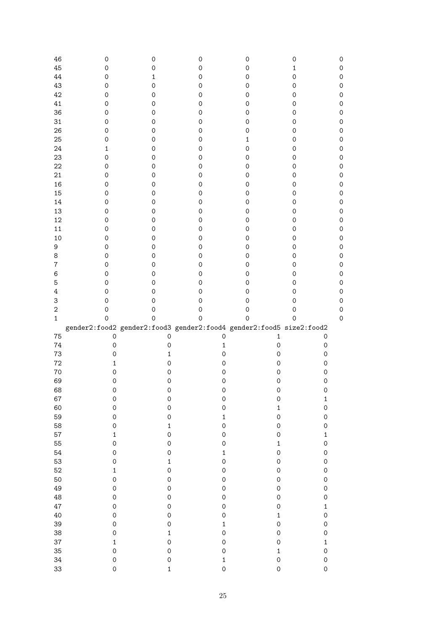| 46             | 0                                                                   | 0                           | 0                       | 0                          | 0                                          |   |
|----------------|---------------------------------------------------------------------|-----------------------------|-------------------------|----------------------------|--------------------------------------------|---|
| 45             | $\mathbf 0$                                                         | 0                           | $\mathsf{O}\xspace$     | $\mathbf 0$                | $\mathbf 1$                                |   |
| 44             | 0                                                                   | 1                           | 0                       | 0                          | $\mathsf O$                                |   |
| 43             | 0                                                                   | 0                           | 0                       | 0                          | 0                                          |   |
| 42             | 0                                                                   | 0                           | 0                       | 0                          | 0                                          |   |
| 41             | 0                                                                   | 0                           | 0                       | 0                          | 0                                          |   |
| 36             | 0                                                                   | 0                           | 0                       | $\mathbf 0$                | 0                                          |   |
| 31             | 0                                                                   | 0                           | 0                       | 0                          | 0                                          |   |
| 26             | 0                                                                   | 0                           | 0                       | 0                          | 0                                          |   |
| 25             | 0                                                                   | 0                           | 0                       | $\mathbf{1}$               | 0                                          |   |
| 24             |                                                                     |                             |                         |                            |                                            |   |
|                | 1                                                                   | 0                           | 0                       | $\mathsf{O}\xspace$        | 0                                          |   |
| 23             | $\mathsf{O}\xspace$                                                 | 0                           | 0                       | 0                          | 0                                          |   |
| 22             | $\mathsf{O}\xspace$                                                 | 0                           | 0                       | 0                          | 0                                          |   |
| 21             | $\mathsf{O}\xspace$                                                 | 0                           | $\mathsf{O}\xspace$     | 0                          | 0                                          |   |
| 16             | $\mathsf{O}\xspace$                                                 | 0                           | $\mathsf{O}\xspace$     | 0                          | 0                                          |   |
| 15             | $\mathsf{O}\xspace$                                                 | 0                           | $\mathsf{O}\xspace$     | $\mathbf 0$                | 0                                          |   |
| 14             | $\mathsf{O}\xspace$                                                 | 0                           | $\mathsf{O}\xspace$     | $\mathbf 0$                | 0                                          |   |
| 13             | $\mathsf{O}\xspace$                                                 | 0                           | $\mathsf{O}\xspace$     | $\mathbf 0$                | 0                                          |   |
| 12             | $\mathsf{O}\xspace$                                                 | 0                           | $\mathsf{O}\xspace$     | 0                          | 0                                          |   |
| 11             | $\mathsf{O}\xspace$                                                 | 0                           | $\mathsf{O}\xspace$     | 0                          | 0                                          |   |
| 10             | $\mathsf{O}\xspace$                                                 | 0                           | $\mathsf{O}\xspace$     | 0                          | 0                                          |   |
| 9              | $\mathsf{O}\xspace$                                                 | 0                           | $\mathsf{O}\xspace$     | $\mathsf{O}\xspace$        | 0                                          |   |
| 8              | $\mathsf{O}\xspace$                                                 | 0                           | 0                       | $\mathsf{O}\xspace$        | 0                                          |   |
| $\bf 7$        | $\mathsf{O}\xspace$                                                 | 0                           | 0                       | $\mathsf{O}\xspace$        | 0                                          |   |
| $\,6$          | $\mathsf{O}\xspace$                                                 | 0                           | 0                       | $\mathsf{O}\xspace$        | 0                                          |   |
| 5              | $\mathsf{O}\xspace$                                                 | 0                           | 0                       | 0                          | 0                                          |   |
| $\overline{4}$ | $\mathsf{O}\xspace$                                                 | 0                           | 0                       | 0                          | 0                                          |   |
| 3              | 0                                                                   | 0                           | 0                       | 0                          | 0                                          |   |
| $\sqrt{2}$     | 0                                                                   | 0                           | 0                       | $\mathbf 0$                | $\mathsf{O}$                               |   |
| $1\,$          | $\mathbf 0$                                                         | 0                           | $\mathsf{O}\xspace$     | $\mathbf 0$                | $\mathsf O$                                | 0 |
|                | gender2:food2 gender2:food3 gender2:food4 gender2:food5 size2:food2 |                             |                         |                            |                                            |   |
| 75             | $\mathbf 0$                                                         | $\mathsf{O}\xspace$         | $\mathsf O$             | 1                          | $\mathsf{O}\xspace$                        |   |
| 74             | $\mathsf O$                                                         | 0                           | $\mathbf{1}$            | $\mathbf 0$                | $\mathsf{O}\xspace$                        |   |
| 73             | $\mathsf{O}\xspace$                                                 | $\mathbf 1$                 | $\mathsf{O}\xspace$     | $\mathsf{O}\xspace$        | $\mathsf{O}\xspace$                        |   |
| 72             | $\mathbf 1$                                                         | $\mathsf{O}\xspace$         | $\mathsf O$             | $\mathsf{O}\xspace$        | $\mathsf{O}\xspace$                        |   |
| 70             | $\mathsf O$                                                         | 0                           | $\mathsf O$             | $\mathsf O$                | $\mathsf{O}\xspace$                        |   |
| 69             | $\mathsf O$                                                         |                             | $\mathsf O$             | $\mathsf{O}\xspace$        | $\mathsf{O}\xspace$                        |   |
| 68             |                                                                     | 0                           |                         |                            |                                            |   |
|                | O                                                                   | O                           | O                       | O                          | 0                                          |   |
| 67             | $\mathsf{O}\xspace$                                                 | $\mathbf 0$                 | $\mathbf 0$             | $\mathsf{O}\xspace$        | $\mathbf 1$                                |   |
| 60             | $\mathsf{O}\xspace$                                                 | $\mathbf 0$                 | $\mathbf 0$             | $\mathbf 1$                | $\mathsf{O}\xspace$                        |   |
| 59             | $\mathsf{O}\xspace$                                                 | $\mathbf 0$                 | $\mathbf{1}$            | $\mathsf{O}\xspace$        | $\mathsf{O}\xspace$                        |   |
| 58             | $\mathbf 0$                                                         | $\mathbf{1}$                | $\mathbf 0$             | $\mathsf{O}\xspace$        | $\mathsf{O}\xspace$                        |   |
| 57             | $\mathbf{1}$                                                        | $\mathbf 0$                 | $\mathbf 0$             | $\mathsf{O}\xspace$        | $\mathbf{1}$                               |   |
| 55             | $\mathbf 0$                                                         | $\mathbf 0$                 | $\mathbf 0$             | $\mathbf{1}$               | $\mathbf 0$                                |   |
| 54             | $\mathbf 0$                                                         | $\mathbf 0$                 | $\mathbf{1}$            | $\mathbf 0$                | $\mathsf{O}\xspace$                        |   |
| 53             | $\mathbf 0$                                                         | $\mathbf{1}$                | $\mathbf 0$             | $\mathsf{O}\xspace$        | $\mathsf{O}\xspace$                        |   |
| 52             | $\mathbf 1$                                                         | $\mathbf 0$                 | $\mathbf 0$             | $\mathsf{O}\xspace$        | $\mathsf{O}\xspace$                        |   |
| 50             | $\mathbf 0$                                                         | $\mathbf 0$                 | $\mathbf 0$             | $\mathsf{O}\xspace$        | $\mathbf 0$                                |   |
| 49             | $\mathbf 0$                                                         | $\mathbf 0$                 | $\mathbf 0$             | $\mathsf{O}\xspace$        | $\mathbf 0$                                |   |
| 48             | $\mathbf 0$                                                         | $\mathbf 0$                 | $\mathbf 0$             | $\mathbf 0$                | $\mathsf{O}\xspace$                        |   |
| 47             | $\mathbf 0$                                                         | $\mathbf 0$                 | $\mathbf 0$             | $\mathbf 0$                | $\mathbf{1}$                               |   |
| 40             |                                                                     | $\mathbf 0$                 | $\mathbf 0$             | $\mathbf{1}$               | $\mathsf{O}\xspace$                        |   |
|                | $\mathbf 0$                                                         |                             |                         |                            |                                            |   |
| 39             | $\mathbf 0$                                                         | $\mathbf 0$                 | $\mathbf{1}$            | $\mathbf 0$                | $\mathsf{O}\xspace$                        |   |
| 38             | $\mathbf 0$                                                         | $\mathbf{1}$                | $\mathbf 0$             | $\mathbf 0$                | $\mathsf{O}\xspace$                        |   |
|                | $\mathbf{1}$                                                        |                             |                         | $\mathbf 0$                | $\mathbf{1}$                               |   |
| 37             |                                                                     | $\mathbf 0$                 | $\mathbf 0$             |                            |                                            |   |
| 35             | $\mathbf 0$                                                         | $\mathbf 0$                 | $\mathbf 0$             | $\mathbf 1$                | $\mathbf 0$                                |   |
| 34<br>33       | $\mathbf 0$<br>$\mathbf 0$                                          | $\mathbf 0$<br>$\mathbf{1}$ | $\mathbf{1}$<br>$\circ$ | $\mathbf 0$<br>$\mathbf 0$ | $\mathsf{O}\xspace$<br>$\mathsf{O}\xspace$ |   |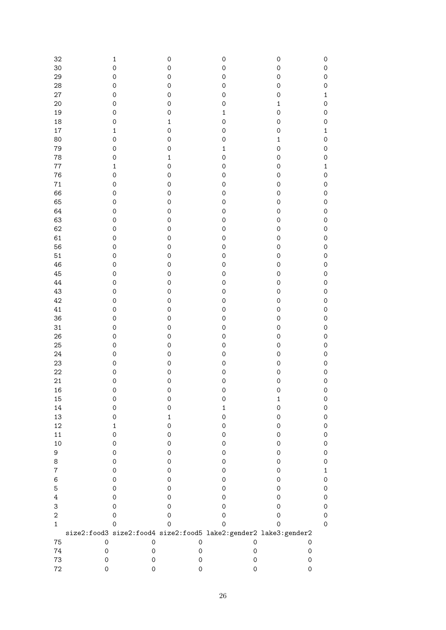| 32               |                     | $\mathbf 1$         | $\mathsf{O}\xspace$ | $\mathbf 0$         | $\mathbf 0$         | $\mathsf{O}\xspace$ |
|------------------|---------------------|---------------------|---------------------|---------------------|---------------------|---------------------|
| 30               |                     | $\mathbf 0$         | $\mathsf{O}\xspace$ | $\mathbf 0$         | $\mathsf{O}\xspace$ | $\mathsf{O}\xspace$ |
| 29               |                     | $\mathbf 0$         | $\mathsf{O}\xspace$ | $\mathbf 0$         | $\mathsf{O}\xspace$ | $\mathsf{O}\xspace$ |
| 28               |                     | $\mathbf 0$         | $\mathsf{O}\xspace$ | $\mathsf{O}\xspace$ | $\mathsf{O}\xspace$ | $\mathsf{O}\xspace$ |
|                  |                     |                     |                     |                     |                     |                     |
| 27               |                     | $\mathbf 0$         | $\mathsf{O}\xspace$ | $\mathbf 0$         | $\mathsf{O}\xspace$ | $\mathbf 1$         |
| 20               |                     | $\mathbf 0$         | $\mathsf{O}\xspace$ | $\mathbf 0$         | $\mathbf 1$         | $\mathsf{O}\xspace$ |
| 19               |                     | $\mathbf 0$         | $\mathsf{O}\xspace$ | $\mathbf{1}$        | $\mathsf{O}\xspace$ | $\mathsf{O}\xspace$ |
| 18               |                     | $\mathbf 0$         | $\mathbf{1}$        | $\mathbf 0$         | $\mathsf{O}\xspace$ | $\mathsf{O}\xspace$ |
| 17               |                     | $\mathbf 1$         | $\mathsf{O}\xspace$ | $\mathbf 0$         | $\mathsf{O}\xspace$ | $\mathbf 1$         |
| 80               |                     | $\mathbf 0$         | $\mathsf{O}\xspace$ | $\mathbf 0$         | $\mathbf 1$         | $\mathsf{O}\xspace$ |
| 79               |                     | $\mathbf 0$         | $\hbox{O}$          | $\mathbf{1}$        | $\mathsf{O}\xspace$ | $\mathsf{O}\xspace$ |
| 78               |                     | $\mathbf 0$         | $\mathbf{1}$        | $\mathbf 0$         | $\mathsf{O}\xspace$ | $\mathsf{O}\xspace$ |
| 77               |                     | $\mathbf 1$         | $\mathbf 0$         | $\mathbf 0$         | $\mathsf{O}\xspace$ | $\mathbf 1$         |
| 76               |                     | $\mathbf 0$         | $\mathsf{O}\xspace$ | $\mathbf 0$         | $\mathsf{O}\xspace$ | $\mathsf{O}\xspace$ |
| $71\,$           |                     | $\mathbf 0$         | $\mathsf{O}\xspace$ | $\mathbf 0$         | $\mathsf{O}\xspace$ | $\mathsf{O}\xspace$ |
| 66               |                     | $\mathbf 0$         | $\mathsf{O}\xspace$ | $\mathbf 0$         | $\mathsf{O}\xspace$ | $\mathsf{O}\xspace$ |
| 65               |                     | $\mathbf 0$         | $\mathsf{O}\xspace$ | $\mathbf 0$         | $\mathsf{O}\xspace$ | $\mathsf{O}\xspace$ |
|                  |                     |                     |                     |                     |                     |                     |
| 64               |                     | $\mathbf 0$         | $\mathsf{O}\xspace$ | $\mathbf 0$         | $\mathsf{O}\xspace$ | $\mathsf{O}\xspace$ |
| 63               |                     | $\mathbf 0$         | $\mathsf{O}\xspace$ | $\mathbf 0$         | $\mathsf{O}\xspace$ | $\mathsf{O}\xspace$ |
| 62               |                     | $\mathbf 0$         | $\mathsf{O}\xspace$ | $\mathbf 0$         | $\mathsf{O}\xspace$ | $\mathsf{O}\xspace$ |
| 61               |                     | $\mathbf 0$         | $\mathsf{O}\xspace$ | $\mathbf 0$         | $\mathsf{O}\xspace$ | $\mathsf{O}\xspace$ |
| 56               |                     | $\mathbf 0$         | $\mathsf{O}\xspace$ | $\mathbf 0$         | $\hbox{O}$          | $\mathsf{O}\xspace$ |
| 51               |                     | $\mathbf 0$         | $\mathsf{O}\xspace$ | $\mathbf 0$         | $\hbox{O}$          | $\mathsf{O}\xspace$ |
| 46               |                     | $\mathbf 0$         | $\mathsf{O}\xspace$ | $\mathbf 0$         | $\hbox{O}$          | $\mathsf{O}\xspace$ |
| 45               |                     | $\mathbf 0$         | $\mathsf{O}\xspace$ | $\mathbf 0$         | $\hbox{O}$          | $\mathsf{O}\xspace$ |
| 44               |                     | $\mathbf 0$         | $\mathsf{O}\xspace$ | $\mathbf 0$         | $\hbox{O}$          | $\mathsf{O}\xspace$ |
| 43               |                     | $\mathbf 0$         | $\mathsf{O}\xspace$ | $\mathbf 0$         | $\mathsf{O}\xspace$ | $\mathsf{O}\xspace$ |
| 42               |                     | $\mathbf 0$         | $\mathsf{O}\xspace$ | $\mathbf 0$         | $\mathbf 0$         | $\mathsf{O}\xspace$ |
| 41               |                     | $\mathbf 0$         | $\mathsf{O}\xspace$ | $\mathbf 0$         | $\mathbf 0$         | $\mathsf{O}\xspace$ |
| 36               |                     | $\mathbf 0$         | $\mathsf{O}\xspace$ | $\mathbf 0$         | $\mathbf 0$         | $\mathsf{O}\xspace$ |
| 31               |                     | $\mathbf 0$         | $\mathsf{O}\xspace$ | $\mathbf 0$         | $\mathbf 0$         |                     |
|                  |                     |                     |                     |                     |                     | $\mathsf{O}\xspace$ |
| 26               |                     | $\mathbf 0$         | $\mathbf 0$         | $\mathbf 0$         | $\mathbf 0$         | $\mathsf{O}\xspace$ |
| 25               |                     | $\mathbf 0$         | $\mathsf{O}\xspace$ | $\mathbf 0$         | $\mathbf 0$         | $\mathsf{O}\xspace$ |
| 24               |                     | $\mathbf 0$         | $\mathsf{O}\xspace$ | $\mathbf 0$         | $\mathbf 0$         | $\mathsf{O}\xspace$ |
| 23               |                     | $\mathbf 0$         | $\mathbf 0$         | $\mathbf 0$         | $\mathbf 0$         | $\mathsf{O}\xspace$ |
| 22               |                     | $\mathbf 0$         | $\mathsf{O}\xspace$ | $\mathbf 0$         | $\mathbf 0$         | $\mathsf{O}\xspace$ |
| 21               |                     | 0                   | $\mathbf 0$         | $\mathbf 0$         | $\mathbf 0$         | $\mathbf 0$         |
| 16               |                     | $\Omega$            | $\mathsf{O}\xspace$ | $\mathbf 0$         | $\Omega$            | $\mathbf 0$         |
| 15               |                     | 0                   | 0                   | 0                   | $\mathbf 1$         | $\mathsf{O}\xspace$ |
| 14               |                     | 0                   | 0                   | $\mathbf 1$         | $\mathsf{O}\xspace$ | 0                   |
| 13               |                     | 0                   | $\mathbf 1$         | 0                   | 0                   | 0                   |
| 12               |                     | 1                   | 0                   | 0                   | 0                   | 0                   |
| $11\,$           |                     | 0                   | 0                   | 0                   | 0                   | 0                   |
| 10               |                     | 0                   | 0                   | 0                   | 0                   | 0                   |
| 9                |                     | 0                   | 0                   | 0                   | 0                   | 0                   |
| 8                |                     | 0                   | $\mathsf{O}\xspace$ | 0                   | 0                   |                     |
|                  |                     |                     |                     |                     |                     | 0                   |
| 7                |                     | 0                   | $\mathsf{O}\xspace$ | 0                   | 0                   | $\mathbf 1$         |
| 6                |                     | 0                   | $\mathsf{O}\xspace$ | 0                   | 0                   | 0                   |
| 5                |                     | 0                   | $\mathsf{O}\xspace$ | 0                   | 0                   | 0                   |
| $\ensuremath{4}$ |                     | 0                   | $\mathsf{O}\xspace$ | 0                   | 0                   | 0                   |
| 3                |                     | 0                   | $\mathsf{O}\xspace$ | 0                   | 0                   | 0                   |
| $\sqrt{2}$       |                     | 0                   | $\mathsf{O}\xspace$ | 0                   | 0                   | 0                   |
| $\mathbf{1}$     |                     | 0                   | $\mathbf 0$         | $\mathbf 0$         | $\mathbf 0$         | $\mathsf{O}\xspace$ |
|                  |                     |                     |                     |                     |                     |                     |
| 75               | $\mathsf{O}\xspace$ | $\mathsf{O}\xspace$ | $\mathsf{O}\xspace$ | $\mathsf{O}\xspace$ |                     | $\mathsf{O}\xspace$ |
| 74               | $\mathsf{O}\xspace$ | $\mathsf{O}\xspace$ | $\mathsf{O}\xspace$ | 0                   |                     | $\mathsf{O}\xspace$ |
| 73               | 0                   | $\mathsf{O}\xspace$ | 0                   | 0                   |                     | $\mathsf{O}\xspace$ |
| 72               | 0                   | 0                   | 0                   | 0                   |                     | $\mathsf{O}\xspace$ |
|                  |                     |                     |                     |                     |                     |                     |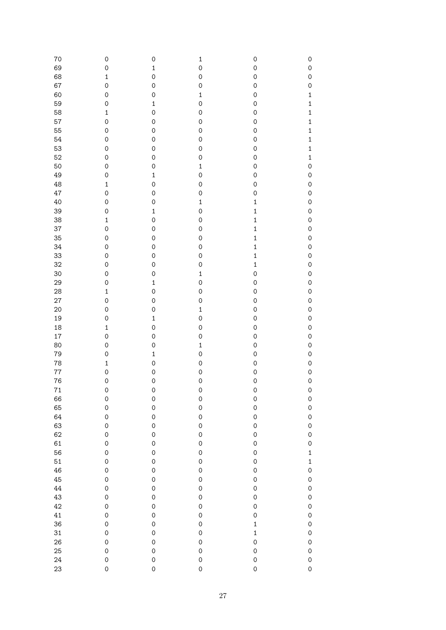| 70      | 0                   | $\mathbf 0$  | $\mathbf 1$         | $\mathsf{O}\xspace$ | $\mathsf{O}\xspace$ |
|---------|---------------------|--------------|---------------------|---------------------|---------------------|
| 69      | 0                   | $\mathbf 1$  | $\mathsf{O}\xspace$ | $\mathsf{O}\xspace$ | $\mathbf 0$         |
|         |                     |              |                     |                     |                     |
| 68      | $\mathbf 1$         | $\mathbf 0$  | $\mathsf{O}\xspace$ | $\mathsf{O}\xspace$ | $\mathbf 0$         |
| 67      | 0                   | $\mathbf 0$  | $\mathbf 0$         | $\mathsf{O}\xspace$ | $\mathbf 0$         |
| 60      | $\mathbf 0$         | $\mathbf 0$  | $\mathbf 1$         | $\mathsf{O}\xspace$ | $\mathbf{1}$        |
| 59      | $\mathbf 0$         | $\mathbf 1$  | $\mathbf 0$         | $\mathsf{O}\xspace$ | $\mathbf{1}$        |
| 58      | $\mathbf 1$         | $\mathbf 0$  | $\mathsf{O}\xspace$ | $\mathsf{O}\xspace$ | $\mathbf{1}$        |
| 57      | $\mathbf 0$         | $\mathbf 0$  | $\mathsf{O}\xspace$ | $\mathsf{O}\xspace$ | $\mathbf{1}$        |
| 55      | 0                   | $\mathbf 0$  | $\mathsf{O}\xspace$ | $\mathsf{O}\xspace$ | $\mathbf{1}$        |
| 54      | $\mathbf 0$         | $\mathbf 0$  | $\mathsf{O}\xspace$ | $\mathsf{O}\xspace$ | $\mathbf{1}$        |
| 53      | $\mathbf 0$         | $\mathbf 0$  | $\mathbf 0$         | $\mathsf{O}\xspace$ | $\mathbf{1}$        |
| 52      | $\mathsf{O}\xspace$ | $\mathbf 0$  | $\mathbf 0$         | $\mathsf{O}\xspace$ | $\mathbf{1}$        |
|         |                     |              |                     |                     |                     |
| 50      | 0                   | $\mathbf 0$  | $\mathbf 1$         | $\mathsf{O}\xspace$ | $\mathbf 0$         |
| 49      | $\mathbf 0$         | $\mathbf 1$  | $\mathbf 0$         | $\mathbf 0$         | $\circ$             |
| 48      | $\mathbf 1$         | $\mathbf 0$  | $\mathsf{O}\xspace$ | $\mathbf 0$         | $\circ$             |
| 47      | 0                   | $\mathbf 0$  | $\mathbf 0$         | $\mathbf 0$         | $\circ$             |
| 40      | $\mathsf{O}\xspace$ | $\mathbf 0$  | $\mathbf 1$         | $\mathbf{1}$        | $\circ$             |
| 39      | $\mathbf 0$         | $\mathbf 1$  | $\mathbf 0$         | $\mathbf{1}$        | $\circ$             |
| 38      | $\mathbf 1$         | $\mathbf 0$  | $\mathsf{O}\xspace$ | $\mathbf{1}$        | $\circ$             |
| 37      | $\mathsf{O}\xspace$ | $\mathbf 0$  | $\mathsf{O}\xspace$ | $\mathbf{1}$        | $\circ$             |
| 35      | $\mathsf{O}\xspace$ | $\mathbf 0$  | $\mathsf{O}\xspace$ | $\mathbf{1}$        | $\circ$             |
| 34      | 0                   | $\mathbf 0$  | $\mathsf{O}\xspace$ | $\mathbf{1}$        | $\circ$             |
|         |                     |              |                     |                     |                     |
| 33      | 0                   | $\mathbf 0$  | $\mathsf{O}\xspace$ | $\mathbf{1}$        | $\circ$             |
| 32      | 0                   | $\mathbf 0$  | $\mathbf 0$         | $\mathbf{1}$        | $\circ$             |
| 30      | 0                   | $\mathbf 0$  | $\mathbf{1}$        | $\mathbf 0$         | $\circ$             |
| 29      | 0                   | $\mathbf 1$  | $\mathbf 0$         | $\mathbf 0$         | $\mathbf 0$         |
| 28      | $\mathbf 1$         | $\mathbf 0$  | $\mathsf{O}\xspace$ | 0                   | $\mathbf 0$         |
| 27      | $\mathbf 0$         | $\mathbf 0$  | $\mathbf 0$         | 0                   | $\mathbf 0$         |
| 20      | 0                   | $\mathbf 0$  | $\mathbf 1$         | 0                   | $\mathbf 0$         |
| 19      | 0                   | $\mathbf 1$  | $\mathbf 0$         | 0                   | $\mathbf 0$         |
| 18      | $\mathbf{1}$        | $\mathbf 0$  | $\mathsf{O}\xspace$ | $\mathbf 0$         | $\mathbf 0$         |
| 17      | 0                   | $\mathbf 0$  | $\mathsf{O}\xspace$ | $\mathbf 0$         | $\mathbf 0$         |
| 80      | 0                   | $\mathbf 0$  | $\mathbf{1}$        | $\mathbf 0$         | $\mathbf 0$         |
|         | 0                   | $\mathbf{1}$ | $\mathsf{O}\xspace$ | $\mathbf 0$         | $\mathbf 0$         |
| 79      |                     |              |                     |                     |                     |
| 78      | $\mathbf{1}$        | $\mathbf 0$  | $\mathsf{O}\xspace$ | $\mathbf 0$         | $\mathbf 0$         |
| $77 \,$ | 0                   | $\mathbf 0$  | $\mathsf{O}\xspace$ | $\mathbf 0$         | $\mathbf 0$         |
| 76      | 0                   | $\mathbf 0$  | $\mathbf 0$         | $\mathbf 0$         | $\mathbf 0$         |
| $71$    | $\mathbf 0$         | $\mathbf 0$  | $\mathbf 0$         | $\mathsf{O}\xspace$ | $\circ$             |
| 66      | $\mathsf{O}\xspace$ | $\mathbf 0$  | $\mathsf{O}$        | $\mathbf 0$         | $\circ$             |
| 65      | $\mathsf{O}\xspace$ | $\mathbf 0$  | $\mathbf 0$         | $\mathbf 0$         | $\circ$             |
| 64      | $\mathsf{O}\xspace$ | $\mathbf 0$  | $\mathsf{O}$        | $\mathbf 0$         | $\circ$             |
| 63      | $\mathsf{O}\xspace$ | $\mathbf 0$  | $\mathsf{O}\xspace$ | $\mathsf{O}\xspace$ | $\circ$             |
| 62      | $\mathbf 0$         | $\mathbf 0$  | $\mathbf 0$         | $\mathsf{O}\xspace$ | $\circ$             |
| 61      | $\mathbf 0$         | $\mathbf 0$  | $\mathbf 0$         | $\mathsf{O}\xspace$ | $\circ$             |
| 56      | $\mathbf 0$         | $\mathbf 0$  | $\mathbf 0$         | $\mathsf{O}\xspace$ | $\mathbf{1}$        |
|         | $\mathbf 0$         |              |                     |                     | $\mathbf{1}$        |
| 51      |                     | $\mathbf 0$  | $\mathbf 0$         | $\mathsf{O}\xspace$ |                     |
| 46      | $\mathbf 0$         | $\mathbf 0$  | $\mathbf 0$         | $\mathsf{O}\xspace$ | $\circ$             |
| 45      | $\mathbf 0$         | $\mathbf 0$  | $\mathbf 0$         | $\mathsf{O}\xspace$ | $\circ$             |
| 44      | $\mathbf 0$         | $\mathbf 0$  | $\mathbf 0$         | $\mathsf{O}\xspace$ | $\circ$             |
| 43      | $\mathbf 0$         | $\mathbf 0$  | $\mathbf 0$         | $\mathbf 0$         | $\circ$             |
| 42      | $\mathbf 0$         | $\mathbf 0$  | $\mathbf 0$         | $\mathbf 0$         | $\circ$             |
| 41      | $\mathbf 0$         | $\mathbf 0$  | $\mathbf 0$         | $\mathbf 0$         | $\circ$             |
| 36      | $\mathbf 0$         | $\mathbf 0$  | $\mathbf 0$         | $\mathbf{1}$        | $\circ$             |
| 31      | $\mathbf 0$         | $\mathbf 0$  | $\mathbf 0$         | $\mathbf{1}$        | $\circ$             |
| 26      | $\mathbf 0$         | $\mathbf 0$  | $\mathbf 0$         | $\mathsf{O}$        | $\circ$             |
|         | $\mathbf 0$         | $\mathbf 0$  | $\mathbf 0$         | $\mathbf 0$         | $\circ$             |
| 25      |                     |              |                     |                     |                     |
| 24      | $\mathbf 0$         | $\circ$      | $\mathbf 0$         | $\mathbf 0$         | $\circ$             |
| 23      | $\mathbf 0$         | $\mathbf 0$  | $\mathsf{O}\xspace$ | $\mathbf 0$         | $\circ$             |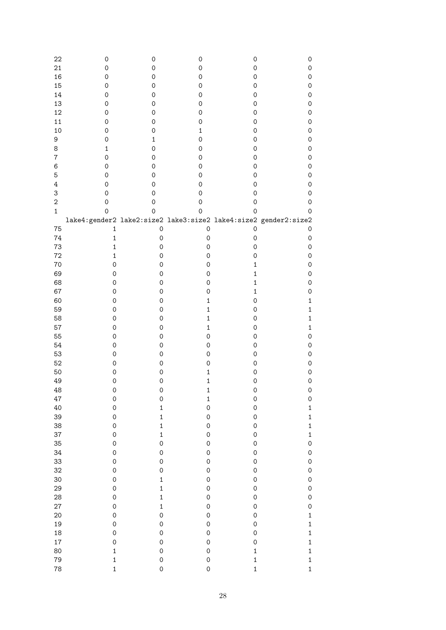| 22           | 0                   | 0                   | 0                   | 0                   | 0                                                               |
|--------------|---------------------|---------------------|---------------------|---------------------|-----------------------------------------------------------------|
| 21           | 0                   | $\mathsf{O}\xspace$ | 0                   | 0                   | $\mathsf{O}\xspace$                                             |
| 16           | 0                   | 0                   | 0                   | 0                   | 0                                                               |
| 15           | 0                   | 0                   | 0                   | 0                   |                                                                 |
|              |                     |                     |                     |                     | 0                                                               |
| 14           | 0                   | 0                   | 0                   | 0                   | 0                                                               |
| 13           | 0                   | 0                   | 0                   | 0                   | 0                                                               |
| 12           | 0                   | 0                   | 0                   | 0                   | 0                                                               |
| 11           | 0                   | 0                   | 0                   | 0                   | 0                                                               |
| 10           | $\mathsf{O}\xspace$ | 0                   | $\mathbf 1$         | 0                   | 0                                                               |
| 9            | $\mathsf O$         | $\mathbf{1}$        | 0                   | 0                   | 0                                                               |
| 8            | $\mathbf 1$         | 0                   | 0                   | 0                   | 0                                                               |
| 7            | $\mathsf O$         | 0                   | 0                   | 0                   | 0                                                               |
| 6            | $\mathsf O$         | 0                   | 0                   | 0                   | 0                                                               |
| 5            | $\mathsf{O}\xspace$ | 0                   | 0                   | 0                   | 0                                                               |
| 4            | $\mathsf{O}\xspace$ | 0                   | 0                   | 0                   | 0                                                               |
|              |                     |                     |                     |                     |                                                                 |
| 3            | $\mathsf{O}\xspace$ | 0                   | 0                   | 0                   | 0                                                               |
| $\sqrt{2}$   | $\mathsf{O}\xspace$ | 0                   | $\mathsf{O}\xspace$ | 0                   | 0                                                               |
| $\mathbf{1}$ | $\mathbf 0$         | $\mathbf 0$         | $\mathsf{O}\xspace$ | $\mathbf 0$         | 0                                                               |
|              |                     |                     |                     |                     | lake4:gender2 lake2:size2 lake3:size2 lake4:size2 gender2:size2 |
| 75           | $\mathbf{1}$        | $\mathsf{O}\xspace$ | $\mathsf O$         | 0                   | 0                                                               |
| 74           | $\mathbf{1}$        | $\mathsf{O}\xspace$ | 0                   | $\mathsf{O}\xspace$ | $\mathsf{O}\xspace$                                             |
| 73           | $\mathbf 1$         | $\mathsf{O}\xspace$ | 0                   | 0                   | $\mathsf{O}\xspace$                                             |
| 72           | $\mathbf 1$         | $\mathsf{O}\xspace$ | 0                   | 0                   | 0                                                               |
| 70           | $\mathsf{O}\xspace$ | $\mathsf{O}\xspace$ | 0                   | $\mathbf 1$         | 0                                                               |
| 69           | $\mathsf O$         | $\mathsf{O}\xspace$ | 0                   | $\mathbf{1}$        | 0                                                               |
| 68           | $\mathsf O$         | $\mathsf{O}\xspace$ | 0                   | $\mathbf{1}$        | 0                                                               |
| 67           | $\mathsf O$         | $\mathsf{O}\xspace$ | 0                   | $\mathbf{1}$        | 0                                                               |
|              |                     |                     |                     |                     |                                                                 |
| 60           | $\mathsf O$         | $\mathsf{O}\xspace$ | $\mathbf 1$         | 0                   | $\mathbf 1$                                                     |
| 59           | $\mathsf O$         | $\mathsf{O}\xspace$ | $\mathbf 1$         | 0                   | $\mathbf 1$                                                     |
| 58           | $\mathsf O$         | $\mathsf{O}\xspace$ | $\mathbf 1$         | 0                   | $\mathbf 1$                                                     |
| 57           | $\mathsf{O}\xspace$ | $\mathsf{O}\xspace$ | $\mathbf 1$         | 0                   | $\mathbf{1}$                                                    |
| 55           | $\mathsf{O}\xspace$ | $\mathsf{O}\xspace$ | 0                   | $\mathsf{O}\xspace$ | 0                                                               |
| 54           | $\mathsf{O}\xspace$ | $\mathsf{O}\xspace$ | 0                   | $\mathsf{O}\xspace$ | 0                                                               |
| 53           | $\mathsf{O}\xspace$ | $\mathsf{O}\xspace$ | 0                   | $\mathsf{O}\xspace$ | 0                                                               |
| 52           | $\mathsf{O}\xspace$ | $\mathsf{O}\xspace$ | 0                   | 0                   | 0                                                               |
| 50           | $\mathsf{O}\xspace$ | $\mathsf{O}\xspace$ | $\mathbf 1$         | 0                   | 0                                                               |
| 49           | $\mathsf{O}\xspace$ | $\mathsf{O}\xspace$ | $\mathbf 1$         | $\mathsf{O}\xspace$ | 0                                                               |
| 48           | $\mathsf{O}\xspace$ | 0                   | 1                   | $\mathbf 0$         | $\mathbf 0$                                                     |
| 47           | $\mathsf{O}\xspace$ | $\mathbf 0$         | $\mathbf 1$         | $\mathsf{O}\xspace$ | $\mathbf 0$                                                     |
| 40           | $\mathsf{O}\xspace$ | $\mathbf{1}$        | $\mathbf 0$         | $\mathsf{O}\xspace$ | $\mathbf{1}$                                                    |
| 39           | $\mathbf 0$         | $\mathbf{1}$        | $\mathbf 0$         | $\mathbf 0$         | $\mathbf{1}$                                                    |
| 38           | $\mathbf 0$         | $\mathbf{1}$        | $\mathbf 0$         | $\mathbf 0$         | $\mathbf{1}$                                                    |
| 37           | $\mathbf 0$         | $\mathbf{1}$        | $\mathbf 0$         | $\mathbf 0$         | $\mathbf{1}$                                                    |
|              | $\mathbf 0$         | $\mathbf 0$         | $\mathbf 0$         | $\mathbf 0$         | $\mathsf{O}\xspace$                                             |
| 35           |                     |                     |                     |                     |                                                                 |
| 34           | $\mathbf 0$         | $\mathsf{O}\xspace$ | $\mathbf 0$         | $\mathbf 0$         | $\mathsf{O}\xspace$                                             |
| 33           | $\mathbf 0$         | $\mathsf{O}\xspace$ | $\mathbf 0$         | $\mathbf 0$         | $\mathsf{O}\xspace$                                             |
| 32           | $\mathbf 0$         | $\mathbf 0$         | $\mathbf 0$         | $\mathbf 0$         | $\mathsf{O}\xspace$                                             |
| 30           | $\mathbf 0$         | $\mathbf{1}$        | $\mathbf 0$         | $\mathbf 0$         | $\mathsf{O}\xspace$                                             |
| 29           | $\mathbf 0$         | $\mathbf{1}$        | $\mathbf 0$         | $\mathbf 0$         | $\mathsf{O}\xspace$                                             |
| 28           | $\mathbf 0$         | $\mathbf{1}$        | $\mathbf 0$         | $\mathbf 0$         | $\mathsf{O}\xspace$                                             |
| 27           | $\mathbf 0$         | $\mathbf{1}$        | $\mathbf 0$         | $\mathbf 0$         | $\mathsf{O}\xspace$                                             |
| 20           | $\mathbf 0$         | $\mathsf{O}\xspace$ | $\mathbf 0$         | $\mathbf 0$         | $\mathbf{1}$                                                    |
| 19           | $\mathbf 0$         | $\mathsf{O}\xspace$ | $\mathbf 0$         | $\mathbf 0$         | $\mathbf{1}$                                                    |
| 18           | $\mathbf 0$         | $\mathsf{O}\xspace$ | $\mathbf 0$         | $\mathbf 0$         | $\mathbf{1}$                                                    |
| 17           | $\mathbf 0$         | $\mathsf{O}\xspace$ | $\mathbf 0$         | $\mathbf 0$         | $\mathbf{1}$                                                    |
| 80           | $\mathbf{1}$        | $\mathbf 0$         | $\mathbf 0$         | $\mathbf{1}$        | $\mathbf{1}$                                                    |
| 79           | $\mathbf{1}$        | $\mathbf 0$         | $\circ$             | $\mathbf{1}$        | $\mathbf{1}$                                                    |
|              |                     |                     |                     |                     |                                                                 |
| 78           | $\mathbf{1}$        | $\mathbf 0$         | $\mathbf 0$         | $\mathbf{1}$        | $\mathbf{1}$                                                    |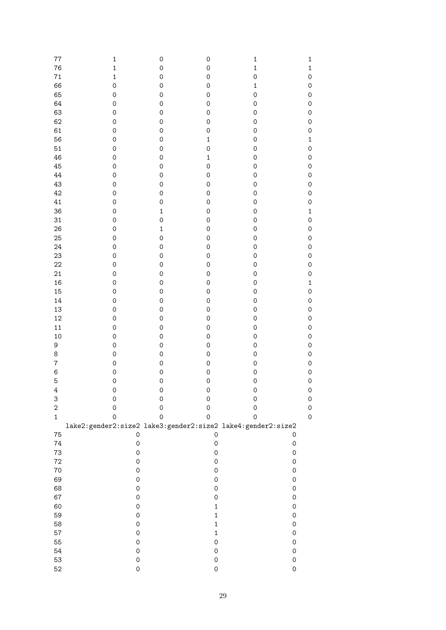| 77             | $\mathbf 1$         | $\mathsf{O}\xspace$ | $\mathsf{O}\xspace$ | $\mathbf 1$         | $\mathbf{1}$        |
|----------------|---------------------|---------------------|---------------------|---------------------|---------------------|
| 76             | $\mathbf{1}$        | $\mathsf{O}\xspace$ | $\mathsf{O}\xspace$ | $\mathbf{1}$        | $\mathbf 1$         |
| 71             | $\mathbf{1}$        | 0                   | $\mathbf 0$         | $\mathbf 0$         | $\mathsf{O}\xspace$ |
| 66             | $\mathbf 0$         | 0                   | $\mathbf 0$         | $\mathbf 1$         | $\mathsf{O}\xspace$ |
| 65             | $\mathsf{O}\xspace$ | 0                   | $\mathbf 0$         | $\mathbf 0$         | $\mathsf{O}\xspace$ |
|                |                     |                     |                     |                     |                     |
| 64             | $\mathsf{O}\xspace$ | 0                   | $\mathbf 0$         | 0                   | $\mathsf{O}\xspace$ |
| 63             | $\mathsf{O}\xspace$ | 0                   | $\mathbf 0$         | 0                   | $\mathsf{O}\xspace$ |
| 62             | $\mathsf{O}\xspace$ | 0                   | $\mathbf 0$         | $\mathbf 0$         | $\mathsf{O}\xspace$ |
| 61             | $\mathsf{O}\xspace$ | 0                   | $\mathbf 0$         | $\mathbf 0$         | $\mathsf{O}\xspace$ |
| 56             | $\mathsf{O}\xspace$ | 0                   | $\mathbf{1}$        | $\mathbf 0$         | $\mathbf 1$         |
| 51             | $\mathsf{O}\xspace$ | 0                   | $\mathbf 0$         | $\mathbf 0$         | $\mathsf{O}\xspace$ |
| 46             | $\mathbf 0$         | 0                   | $\mathbf{1}$        | $\mathbf 0$         | $\mathsf{O}\xspace$ |
| 45             | $\mathbf 0$         | 0                   | $\mathbf 0$         | $\mathbf 0$         | $\mathsf{O}\xspace$ |
| 44             | $\mathbf 0$         | 0                   | $\mathbf 0$         | $\mathbf 0$         | $\mathsf{O}\xspace$ |
| 43             | $\mathbf 0$         | 0                   | $\mathbf 0$         | $\mathbf 0$         | $\mathsf{O}\xspace$ |
| 42             | $\mathbf 0$         | 0                   | $\mathbf 0$         | $\mathbf 0$         | $\mathsf{O}\xspace$ |
| 41             | $\mathbf 0$         | 0                   | $\mathbf 0$         | $\mathbf 0$         | $\mathsf{O}\xspace$ |
| 36             | $\mathbf 0$         | $\mathbf 1$         | $\mathbf 0$         | $\mathbf 0$         | $\mathbf{1}$        |
| 31             | $\mathbf 0$         | $\mathbf 0$         | $\mathbf 0$         | $\mathbf 0$         | $\mathsf{O}\xspace$ |
| 26             | $\mathbf 0$         | $\mathbf 1$         | $\mathbf 0$         | $\mathbf 0$         | $\mathsf{O}\xspace$ |
|                | $\mathbf 0$         | $\mathbf 0$         | $\mathbf 0$         |                     |                     |
| 25             | $\mathbf 0$         |                     | $\mathbf 0$         | $\mathbf 0$         | $\mathsf{O}\xspace$ |
| 24             |                     | 0                   |                     | $\mathbf 0$         | $\mathsf{O}\xspace$ |
| 23             | $\mathbf 0$         | 0                   | $\mathbf 0$         | $\mathbf 0$         | $\mathsf{O}\xspace$ |
| 22             | $\mathbf 0$         | 0                   | $\mathbf 0$         | $\mathsf{O}\xspace$ | $\mathsf{O}\xspace$ |
| 21             | $\mathbf 0$         | 0                   | $\mathbf 0$         | $\mathsf{O}\xspace$ | $\mathsf{O}\xspace$ |
| 16             | $\mathbf 0$         | 0                   | $\mathbf 0$         | $\mathsf{O}\xspace$ | $\mathbf 1$         |
| 15             | $\mathbf 0$         | 0                   | $\mathbf 0$         | $\mathsf{O}\xspace$ | $\mathsf{O}\xspace$ |
| 14             | $\mathbf 0$         | 0                   | $\mathbf 0$         | $\mathsf{O}\xspace$ | $\mathsf{O}\xspace$ |
| 13             | $\mathbf 0$         | 0                   | $\mathbf 0$         | $\mathsf{O}\xspace$ | $\mathsf{O}\xspace$ |
| 12             | $\mathbf 0$         | 0                   | $\mathbf 0$         | $\mathsf{O}\xspace$ | $\mathsf{O}\xspace$ |
| 11             | $\mathbf 0$         | 0                   | $\mathbf 0$         | $\mathbf 0$         | $\mathsf{O}\xspace$ |
| 10             | $\mathbf 0$         | 0                   | $\mathbf 0$         | $\mathbf 0$         | $\mathsf{O}\xspace$ |
| 9              | $\mathbf 0$         | 0                   | $\mathbf 0$         | $\mathbf 0$         | $\mathsf{O}\xspace$ |
| 8              | $\mathbf 0$         | 0                   | $\mathbf 0$         | $\mathbf 0$         | $\mathsf{O}\xspace$ |
| $\overline{7}$ | $\mathbf 0$         | 0                   | $\mathbf 0$         | $\mathbf 0$         | $\mathsf{O}\xspace$ |
| $\,6$          | $\mathbf 0$         | 0                   | $\mathbf 0$         | $\mathbf 0$         | $\mathsf{O}\xspace$ |
| 5              | $\mathbf 0$         | $\mathbf 0$         | $\mathbf 0$         | $\mathbf 0$         | $\mathsf{O}\xspace$ |
|                | $\mathbf 0$         | $\mathbf 0$         | $\mathbf 0$         | $\mathbf 0$         | $\mathsf{O}$        |
| $\overline{4}$ |                     |                     |                     |                     |                     |
| 3              | $\mathbf 0$         | 0                   | $\mathbf 0$         | $\mathbf 0$         | $\mathsf{O}\xspace$ |
| $\sqrt{2}$     | $\mathsf{O}\xspace$ | $\mathsf{O}\xspace$ | 0                   | $\mathsf{O}\xspace$ | $\mathsf{O}\xspace$ |
| $\mathbf{1}$   | $\mathsf{O}\xspace$ | $\mathsf{O}\xspace$ | 0                   | $\mathbf 0$         | $\mathsf{O}\xspace$ |
|                |                     |                     |                     |                     |                     |
| 75             | $\mathsf{O}\xspace$ |                     | $\mathsf{O}\xspace$ |                     | $\mathsf{O}\xspace$ |
| 74             | $\mathsf{O}\xspace$ |                     | $\mathsf{O}\xspace$ |                     | $\mathsf{O}\xspace$ |
| 73             | $\mathsf{O}\xspace$ |                     | $\mathsf{O}\xspace$ |                     | $\mathsf{O}\xspace$ |
| 72             | $\mathsf{O}\xspace$ |                     | $\mathsf{O}\xspace$ |                     | $\mathsf{O}\xspace$ |
| 70             | $\mathsf{O}\xspace$ |                     | $\mathsf{O}\xspace$ |                     | $\mathsf{O}\xspace$ |
| 69             | $\mathsf{O}\xspace$ |                     | $\mathsf{O}\xspace$ |                     | $\mathsf{O}\xspace$ |
| 68             | $\mathsf{O}\xspace$ |                     | $\mathsf{O}\xspace$ |                     | $\mathsf{O}\xspace$ |
| 67             | $\mathsf{O}\xspace$ |                     | 0                   |                     | $\mathbf 0$         |
| 60             | $\mathsf{O}\xspace$ |                     | $\mathbf 1$         |                     | $\mathbf 0$         |
| 59             | $\mathsf{O}\xspace$ |                     | $\mathbf 1$         |                     | $\mathbf 0$         |
| 58             | $\mathsf{O}\xspace$ |                     | $\mathbf 1$         |                     | $\mathbf 0$         |
| 57             | $\mathsf{O}\xspace$ |                     | $\mathbf 1$         |                     | $\mathbf 0$         |
| 55             | $\mathsf{O}\xspace$ |                     | 0                   |                     | $\mathsf{O}\xspace$ |
| 54             | $\mathbf 0$         |                     | 0                   |                     | $\mathbf 0$         |
| 53             | $\mathsf{O}\xspace$ |                     | $\mathsf{O}\xspace$ |                     | $\mathsf{O}\xspace$ |
|                |                     |                     | $\mathsf{O}\xspace$ |                     | $\mathsf{O}\xspace$ |
| 52             | 0                   |                     |                     |                     |                     |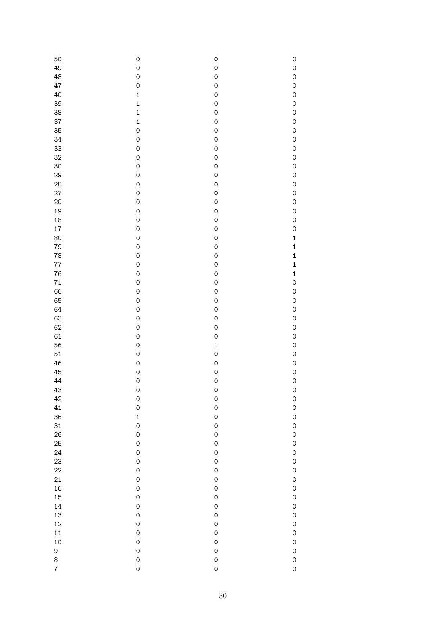| 50             | $\mathsf{O}\xspace$ | $\mathbf 0$         | $\mathbf 0$  |
|----------------|---------------------|---------------------|--------------|
| 49             | $\mathsf{O}\xspace$ | $\mathbf 0$         | $\mathbf 0$  |
| 48             | $\mathbf 0$         | $\mathbf 0$         | $\mathbf 0$  |
| 47             | $\mathsf{O}\xspace$ | $\mathbf 0$         | $\mathbf 0$  |
| 40             | $\mathbf 1$         | $\mathbf 0$         | $\mathbf 0$  |
| 39             | $\mathbf 1$         | $\mathbf 0$         | $\mathbf 0$  |
| 38             | $\mathbf 1$         | $\mathbf 0$         | $\mathbf 0$  |
| 37             | $\mathbf 1$         | $\mathbf 0$         | $\mathbf 0$  |
| 35             | $\mathbf 0$         | $\mathbf 0$         | $\mathbf 0$  |
| 34             | $\mathbf 0$         | $\mathbf 0$         | $\mathbf 0$  |
|                |                     |                     |              |
| 33             | $\mathbf 0$         | $\mathbf 0$         | $\mathbf 0$  |
| 32             | $\mathbf 0$         | $\mathbf 0$         | $\mathbf 0$  |
| 30             | $\mathbf 0$         | $\mathbf 0$         | $\mathbf 0$  |
| 29             | $\mathbf 0$         | $\mathbf 0$         | $\mathbf 0$  |
| 28             | $\mathbf 0$         | $\mathbf 0$         | $\mathbf 0$  |
| 27             | $\mathbf 0$         | $\mathbf 0$         | $\mathbf 0$  |
| 20             | $\mathbf 0$         | $\mathbf 0$         | $\mathbf 0$  |
| 19             | $\mathbf 0$         | $\mathbf 0$         | $\mathbf 0$  |
|                |                     |                     |              |
| 18             | $\mathbf 0$         | $\mathbf 0$         | $\mathbf 0$  |
| 17             | $\mathbf 0$         | $\mathbf 0$         | $\mathbf 0$  |
| 80             | $\mathbf 0$         | $\mathbf 0$         | $\mathbf{1}$ |
| 79             | $\mathbf 0$         | $\mathbf 0$         | $\mathbf{1}$ |
| 78             | $\mathbf 0$         | $\mathbf 0$         | $\mathbf{1}$ |
| 77             | $\mathbf 0$         | $\mathbf 0$         | $\mathbf{1}$ |
| 76             | $\mathbf 0$         | $\mathbf 0$         | $\mathbf{1}$ |
| 71             | $\mathbf 0$         | $\mathbf 0$         | $\circ$      |
| 66             | $\mathbf 0$         | $\mathbf 0$         | $\mathbf 0$  |
|                |                     |                     |              |
| 65             | $\mathbf 0$         | $\mathbf 0$         | $\mathbf 0$  |
| 64             | $\mathbf 0$         | $\mathbf 0$         | $\mathbf 0$  |
| 63             | $\mathbf 0$         | $\mathbf 0$         | $\mathbf 0$  |
| 62             | $\mathbf 0$         | $\mathbf 0$         | $\mathbf 0$  |
| 61             | $\mathbf 0$         | $\mathbf 0$         | $\mathbf 0$  |
| 56             | $\mathbf 0$         | $\mathbf 1$         | $\mathbf 0$  |
| 51             | $\mathbf 0$         | $\mathbf 0$         | $\mathbf 0$  |
| 46             | $\mathbf 0$         | $\mathbf 0$         | $\mathbf 0$  |
| 45             | $\mathbf 0$         | $\mathbf 0$         | $\circ$      |
|                |                     |                     |              |
| 44             | $\mathbf 0$         | $\mathbf 0$         | $\mathbf 0$  |
| 43             | $\mathbf 0$         | $\mathbf 0$         | $\mathbf 0$  |
| 42             | $\mathbf 0$         | $\circ$             | $\circ$      |
| 41             | $\mathbf 0$         | $\mathbf 0$         | $\mathbf{O}$ |
| 36             | $\mathbf{1}$        | $\mathbf 0$         | $\mathsf{O}$ |
| 31             | $\mathbf 0$         | $\mathbf 0$         | $\mathsf{O}$ |
| 26             | $\mathsf{O}\xspace$ | $\mathbf 0$         | $\mathsf{O}$ |
| 25             | $\mathsf{O}\xspace$ | $\mathbf 0$         | $\mathsf{O}$ |
| 24             | $\mathsf{O}\xspace$ | $\mathbf 0$         | $\mathsf{O}$ |
| 23             | $\mathsf{O}\xspace$ | $\mathbf 0$         |              |
|                |                     |                     | $\mathsf{O}$ |
| 22             | $\mathsf{O}\xspace$ | $\mathbf 0$         | $\circ$      |
| 21             | $\mathsf{O}\xspace$ | $\mathbf 0$         | $\circ$      |
| 16             | $\mathsf{O}\xspace$ | $\mathbf 0$         | $\circ$      |
| 15             | $\mathsf{O}\xspace$ | $\mathsf{O}\xspace$ | $\mathsf{O}$ |
| 14             | $\mathsf{O}\xspace$ | $\mathsf{O}\xspace$ | $\mathsf{O}$ |
| 13             | $\mathsf{O}\xspace$ | $\mathsf{O}\xspace$ | $\mathsf{O}$ |
| 12             | $\mathsf{O}\xspace$ | $\mathsf{O}\xspace$ | $\mathsf{O}$ |
| 11             | $\mathsf{O}\xspace$ | $\mathsf{O}\xspace$ | $\mathsf{O}$ |
| 10             | $\mathsf{O}\xspace$ | $\mathsf{O}\xspace$ | $\mathsf{O}$ |
|                |                     |                     |              |
| 9              | $\mathsf{O}\xspace$ | $\mathbf 0$         | $\mathsf{O}$ |
| 8              | $\mathbf 0$         | $\mathbf 0$         | $\mathsf{O}$ |
| $\overline{7}$ | $\mathbf 0$         | $\mathbf 0$         | $\mathsf{O}$ |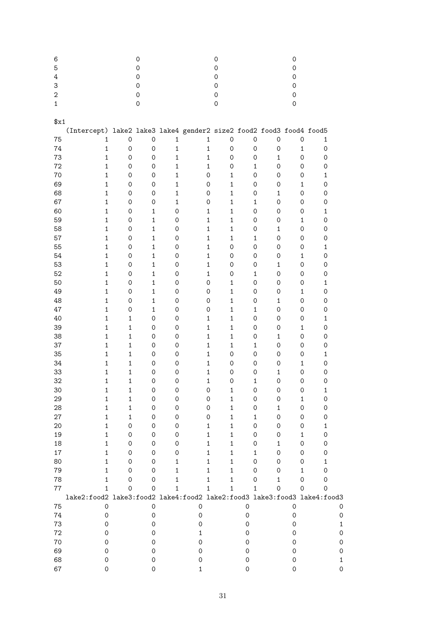| 6                |                                                                         |                     | 0                   |                     |                     |                     | 0                   |                     |              |                     | $\mathbf 0$         |                     |                     |   |
|------------------|-------------------------------------------------------------------------|---------------------|---------------------|---------------------|---------------------|---------------------|---------------------|---------------------|--------------|---------------------|---------------------|---------------------|---------------------|---|
| 5                |                                                                         |                     | $\mathsf O$         |                     |                     |                     | 0                   |                     |              |                     | $\mathbf 0$         |                     |                     |   |
| 4                |                                                                         |                     | 0                   |                     |                     |                     | 0                   |                     |              |                     | $\mathsf{O}\xspace$ |                     |                     |   |
|                  |                                                                         |                     |                     |                     |                     |                     |                     |                     |              |                     |                     |                     |                     |   |
| 3                |                                                                         |                     | 0                   |                     |                     |                     | 0                   |                     |              |                     | $\mathbf 0$         |                     |                     |   |
| $\boldsymbol{2}$ |                                                                         |                     | $\mathsf{O}\xspace$ |                     |                     |                     | 0                   |                     |              |                     | $\mathbf 0$         |                     |                     |   |
| $\mathbf{1}$     |                                                                         |                     | $\mathsf O$         |                     |                     |                     | $\mathbf 0$         |                     |              |                     | $\mathbf 0$         |                     |                     |   |
|                  |                                                                         |                     |                     |                     |                     |                     |                     |                     |              |                     |                     |                     |                     |   |
| x1               |                                                                         |                     |                     |                     |                     |                     |                     |                     |              |                     |                     |                     |                     |   |
|                  |                                                                         |                     |                     |                     |                     |                     |                     |                     |              |                     |                     |                     |                     |   |
|                  | (Intercept) lake2 lake3 lake4 gender2 size2 food2 food3 food4 food5     |                     |                     |                     |                     |                     |                     |                     |              |                     |                     |                     |                     |   |
| 75               | 1                                                                       | $\mathbf 0$         | $\mathsf{O}\xspace$ | 1                   |                     | $\mathbf 1$         | $\mathsf O$         |                     | 0            | $\mathsf{O}\xspace$ |                     | $\mathsf{O}\xspace$ | $\mathbf 1$         |   |
| 74               | 1                                                                       | $\mathsf O$         | $\mathsf O$         | 1                   |                     | 1                   | $\mathsf{O}\xspace$ |                     | 0            | $\mathsf{O}\xspace$ |                     | $\mathbf 1$         | 0                   |   |
| 73               | $\mathbf 1$                                                             | $\mathsf{O}\xspace$ | 0                   | 1                   |                     | $\mathbf 1$         | $\mathsf{O}\xspace$ |                     | 0            | $\mathbf{1}$        |                     | 0                   | 0                   |   |
|                  |                                                                         |                     |                     |                     |                     |                     |                     |                     |              |                     |                     | 0                   |                     |   |
| 72               | $\mathbf{1}$                                                            | 0                   | 0                   | $\mathbf{1}$        |                     | $\mathbf 1$         | $\mathsf{O}\xspace$ |                     | 1            | $\mathsf{O}\xspace$ |                     |                     | 0                   |   |
| 70               | $\mathbf{1}$                                                            | 0                   | 0                   | $\mathbf{1}$        |                     | $\mathsf{O}\xspace$ | $\mathbf{1}$        |                     | 0            | $\mathsf{O}\xspace$ |                     | 0                   | $\mathbf{1}$        |   |
| 69               | $\mathbf{1}$                                                            | 0                   | 0                   | $\mathbf{1}$        |                     | 0                   | $\mathbf{1}$        |                     | 0            | 0                   |                     | 1                   | 0                   |   |
| 68               | $\mathbf{1}$                                                            | 0                   | 0                   | $\mathbf{1}$        |                     | $\mathsf{O}\xspace$ | $\mathbf{1}$        |                     | 0            | $\mathbf{1}$        |                     | 0                   | 0                   |   |
| 67               | $\mathbf{1}$                                                            | 0                   | 0                   | $\mathbf{1}$        |                     | 0                   | $\mathbf{1}$        |                     | $\mathbf{1}$ | $\mathsf{O}\xspace$ |                     | 0                   | 0                   |   |
|                  | $\mathbf{1}$                                                            | 0                   |                     | $\mathsf{O}\xspace$ |                     | $\mathbf{1}$        | $\mathbf{1}$        |                     | 0            | $\mathsf{O}\xspace$ |                     | 0                   | $\mathbf{1}$        |   |
| 60               |                                                                         |                     | 1                   |                     |                     |                     |                     |                     |              |                     |                     |                     |                     |   |
| 59               | $\mathbf{1}$                                                            | 0                   | 1                   | 0                   |                     | $\mathbf{1}$        | $\mathbf{1}$        |                     | 0            | 0                   |                     | 1                   | 0                   |   |
| 58               | $\mathbf{1}$                                                            | 0                   | 1                   | 0                   |                     | $\mathbf{1}$        | $\mathbf{1}$        |                     | 0            | $\mathbf{1}$        |                     | 0                   | 0                   |   |
| 57               | $\mathbf{1}$                                                            | 0                   | 1                   | 0                   |                     | $\mathbf{1}$        | $\mathbf{1}$        |                     | $\mathbf{1}$ | $\mathsf{O}\xspace$ |                     | 0                   | 0                   |   |
| 55               | $\mathbf{1}$                                                            | 0                   | $\mathbf{1}$        | 0                   |                     | $\mathbf 1$         | 0                   |                     | 0            | $\mathsf{O}\xspace$ |                     | 0                   | $\mathbf{1}$        |   |
|                  | $\mathbf{1}$                                                            | 0                   | $\mathbf{1}$        | 0                   |                     | $\mathbf 1$         | 0                   |                     | 0            | 0                   |                     | $\mathbf{1}$        | 0                   |   |
| 54               |                                                                         |                     |                     |                     |                     |                     |                     |                     |              |                     |                     |                     |                     |   |
| 53               | $\mathbf{1}$                                                            | 0                   | $\mathbf{1}$        | 0                   |                     | $\mathbf 1$         | $\mathsf{O}\xspace$ |                     | 0            | $\mathbf{1}$        |                     | 0                   | 0                   |   |
| 52               | $\mathbf{1}$                                                            | 0                   | $\mathbf{1}$        | 0                   |                     | $\mathbf 1$         | $\mathsf{O}\xspace$ |                     | $\mathbf{1}$ | $\mathsf{O}\xspace$ |                     | 0                   | 0                   |   |
| 50               | $\mathbf{1}$                                                            | 0                   | $\mathbf{1}$        | 0                   |                     | 0                   | $\mathbf 1$         |                     | 0            | $\mathsf{O}\xspace$ |                     | 0                   | $\mathbf{1}$        |   |
| 49               | $\mathbf{1}$                                                            | 0                   | $\mathbf{1}$        | 0                   |                     | 0                   | $\mathbf{1}$        |                     | 0            | 0                   |                     | $\mathbf{1}$        | 0                   |   |
|                  | $\mathbf{1}$                                                            | 0                   | $\mathbf{1}$        | 0                   |                     | 0                   | $\mathbf{1}$        |                     | 0            | $\mathbf{1}$        |                     | 0                   | 0                   |   |
| 48               |                                                                         |                     |                     |                     |                     |                     |                     |                     |              |                     |                     |                     |                     |   |
| 47               | $\mathbf{1}$                                                            | 0                   | $\mathbf{1}$        | 0                   |                     | 0                   | $\mathbf{1}$        |                     | $\mathbf{1}$ | $\mathsf{O}\xspace$ |                     | 0                   | 0                   |   |
| 40               | $\mathbf{1}$                                                            | $\mathbf{1}$        | 0                   | 0                   |                     | $\mathbf{1}$        | $\mathbf{1}$        |                     | 0            | $\mathsf{O}\xspace$ |                     | 0                   | $\mathbf{1}$        |   |
| 39               | $\mathbf{1}$                                                            | $\mathbf{1}$        | 0                   | 0                   |                     | $\mathbf 1$         | $\mathbf{1}$        |                     | 0            | $\mathsf{O}\xspace$ |                     | $\mathbf 1$         | 0                   |   |
| 38               | $\mathbf{1}$                                                            | $\mathbf{1}$        | 0                   | 0                   |                     | $\mathbf 1$         | $\mathbf 1$         |                     | 0            | $\mathbf{1}$        |                     | 0                   | 0                   |   |
| 37               | $\mathbf{1}$                                                            | $\mathbf{1}$        | 0                   | 0                   |                     | $\mathbf 1$         | $\mathbf 1$         |                     | $\mathbf{1}$ | 0                   |                     | 0                   | 0                   |   |
|                  |                                                                         |                     |                     |                     |                     |                     |                     |                     |              |                     |                     |                     |                     |   |
| 35               | $\mathbf{1}$                                                            | $\mathbf{1}$        | 0                   | 0                   |                     | $\mathbf 1$         | 0                   |                     | 0            | $\mathsf{O}\xspace$ |                     | 0                   | $\mathbf{1}$        |   |
| 34               | $\mathbf{1}$                                                            | $\mathbf{1}$        | 0                   | 0                   |                     | $\mathbf 1$         | 0                   |                     | 0            | $\mathsf{O}\xspace$ |                     | 1                   | 0                   |   |
| 33               | $\mathbf{1}$                                                            | $\mathbf{1}$        | 0                   | 0                   |                     | $\mathbf 1$         | 0                   |                     | 0            | $\mathbf{1}$        |                     | 0                   | 0                   |   |
| 32               | $\mathbf{1}$                                                            | 1                   | 0                   | 0                   |                     | 1                   | 0                   |                     | $\mathbf 1$  | 0                   |                     | $\mathsf{O}\xspace$ | $\mathsf{O}\xspace$ |   |
| 30               | 1                                                                       | $\mathbf 1$         | $\mathbf 0$         | 0                   |                     | $\mathbf 0$         | 1                   |                     | 0            | 0                   |                     | $\mathsf{O}\xspace$ | 1                   |   |
| 29               | $\mathbf 1$                                                             | $\mathbf 1$         | 0                   | 0                   |                     | 0                   | $\mathbf 1$         |                     | 0            | 0                   |                     | 1                   | 0                   |   |
|                  |                                                                         |                     |                     |                     |                     |                     |                     |                     |              |                     |                     |                     |                     |   |
| 28               | $\mathbf 1$                                                             | $\mathbf 1$         | 0                   | 0                   |                     | 0                   | $\mathbf 1$         |                     | 0            | $\mathbf{1}$        |                     | $\mathsf{O}\xspace$ | 0                   |   |
| $27\,$           | $\mathbf 1$                                                             | $\mathbf 1$         | 0                   | 0                   |                     | 0                   | $\mathbf 1$         |                     | 1            | 0                   |                     | 0                   | 0                   |   |
| 20               | $\mathbf 1$                                                             | $\mathsf{O}\xspace$ | 0                   | 0                   |                     | 1                   | $\mathbf 1$         |                     | 0            | 0                   |                     | 0                   | 1                   |   |
| 19               | $\mathbf 1$                                                             | $\mathsf{O}\xspace$ | 0                   | 0                   |                     | 1                   | $\mathbf 1$         |                     | 0            | 0                   |                     | 1                   | 0                   |   |
| 18               | $\mathbf 1$                                                             | 0                   | 0                   | 0                   |                     | 1                   | $\mathbf 1$         |                     | 0            | 1                   |                     | 0                   | 0                   |   |
| $17\,$           | $\mathbf 1$                                                             |                     |                     |                     |                     |                     |                     |                     | $\mathbf{1}$ | 0                   |                     | 0                   | 0                   |   |
|                  |                                                                         | 0                   | 0                   | 0                   |                     | 1                   | 1                   |                     |              |                     |                     |                     |                     |   |
| 80               | $\mathbf 1$                                                             | 0                   | 0                   | 1                   |                     | 1                   | 1                   |                     | 0            | 0                   |                     | 0                   | 1                   |   |
| 79               | $\mathbf 1$                                                             | $\mathbf 0$         | 0                   | 1                   |                     | 1                   | $\mathbf 1$         |                     | 0            | 0                   |                     | 1                   | 0                   |   |
| 78               | $\mathbf 1$                                                             | 0                   | 0                   | 1                   |                     | 1                   | 1                   |                     | 0            | 1                   |                     | $\mathsf{O}\xspace$ | 0                   |   |
| $77 \,$          | $\mathbf{1}$                                                            | 0                   | 0                   | $\mathbf 1$         |                     | 1                   | $\mathbf{1}$        |                     | $\mathbf{1}$ | $\mathbf 0$         |                     | $\mathsf{O}\xspace$ | 0                   |   |
|                  | lake2:food2 lake3:food2 lake4:food2 lake2:food3 lake3:food3 lake4:food3 |                     |                     |                     |                     |                     |                     |                     |              |                     |                     |                     |                     |   |
|                  |                                                                         |                     |                     |                     |                     |                     |                     |                     |              |                     |                     |                     |                     |   |
| 75               | $\mathsf O$                                                             |                     | 0                   |                     | $\mathsf{O}\xspace$ |                     |                     | $\mathsf{O}\xspace$ |              |                     | 0                   |                     |                     | 0 |
| 74               | 0                                                                       |                     | 0                   |                     | 0                   |                     |                     | 0                   |              |                     | 0                   |                     |                     | 0 |
| 73               | 0                                                                       |                     | 0                   |                     | 0                   |                     |                     | 0                   |              |                     | 0                   |                     |                     | 1 |
| 72               | 0                                                                       |                     | 0                   |                     | 1                   |                     |                     | 0                   |              |                     | 0                   |                     |                     | 0 |
| 70               | 0                                                                       |                     | 0                   |                     | 0                   |                     |                     | 0                   |              |                     | 0                   |                     |                     | Ω |
|                  |                                                                         |                     |                     |                     |                     |                     |                     |                     |              |                     |                     |                     |                     |   |
| 69               | 0                                                                       |                     | 0                   |                     | 0                   |                     |                     | 0                   |              |                     | 0                   |                     |                     | 0 |
| 68               | 0                                                                       |                     | 0                   |                     | 0                   |                     |                     | 0                   |              |                     | 0                   |                     |                     | 1 |
| 67               | 0                                                                       |                     | 0                   |                     | 1                   |                     |                     | 0                   |              |                     | 0                   |                     |                     | 0 |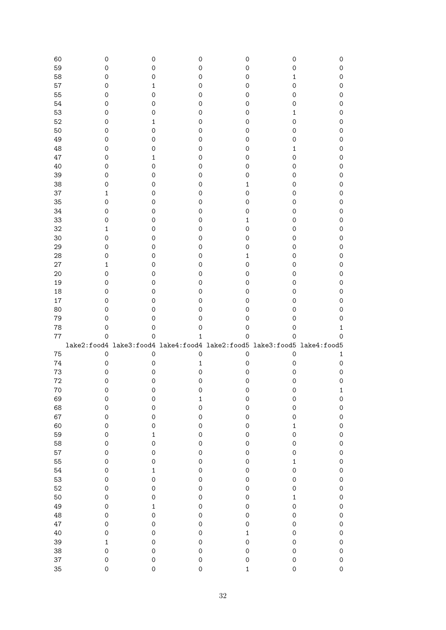| 60       | 0                          | 0                                                                                              | 0                        | 0                       | 0                            | 0                          |
|----------|----------------------------|------------------------------------------------------------------------------------------------|--------------------------|-------------------------|------------------------------|----------------------------|
| 59       | 0                          | 0                                                                                              | 0                        | 0                       | 0                            | $\mathbf 0$                |
| 58       | 0                          | 0                                                                                              | 0                        | 0                       | 1                            | $\mathbf 0$                |
| 57       | 0                          | 1                                                                                              | 0                        | 0                       | 0                            | $\mathsf{O}\xspace$        |
| 55       | 0                          | 0                                                                                              | 0                        | 0                       | 0                            | $\mathsf{O}\xspace$        |
| 54       | 0                          | 0                                                                                              | 0                        | 0                       | 0                            | $\mathsf{O}\xspace$        |
| 53       | 0                          | 0                                                                                              | 0                        | 0                       | 1                            | $\mathsf{O}\xspace$        |
| 52       | 0                          | 1                                                                                              | 0                        | 0                       | 0                            | $\mathsf{O}\xspace$        |
| 50       | 0                          | 0                                                                                              | 0                        | 0                       | 0                            | $\mathsf{O}\xspace$        |
| 49       | 0                          | 0                                                                                              | 0                        | 0                       | 0                            | $\mathsf{O}\xspace$        |
| 48       | 0                          | 0                                                                                              | 0                        | 0                       | 1                            | $\mathsf{O}\xspace$        |
| 47       | 0                          | 1                                                                                              | 0                        | 0                       | 0                            | $\mathsf{O}\xspace$        |
| 40       | 0                          | 0                                                                                              | 0                        | 0                       | 0                            | $\mathsf{O}\xspace$        |
| 39       | 0                          | 0                                                                                              | 0                        | 0                       | 0                            | $\mathsf{O}\xspace$        |
| 38       | 0                          | 0                                                                                              | 0                        | $\mathbf{1}$            | 0                            | $\mathsf{O}\xspace$        |
| 37       | 1                          | 0                                                                                              | 0                        | 0                       | 0                            | $\mathsf{O}\xspace$        |
| 35       | 0                          | 0                                                                                              | 0                        | 0                       | 0                            | $\mathsf{O}\xspace$        |
| 34       | 0                          | 0                                                                                              | 0                        | 0                       | 0                            | $\mathsf{O}\xspace$        |
| 33       | 0                          | 0                                                                                              | 0                        | $\mathbf{1}$            | 0                            | $\mathsf{O}\xspace$        |
| 32       | 1                          | 0                                                                                              | 0                        | 0                       | 0                            | $\mathsf{O}\xspace$        |
| 30       | 0                          | 0                                                                                              | 0                        | 0                       | 0                            | $\mathsf{O}\xspace$        |
| 29       | $\mathsf{O}\xspace$        | 0                                                                                              | 0                        | 0                       | 0                            | $\mathsf{O}\xspace$        |
| 28       | 0                          | 0                                                                                              | 0                        | $\mathbf{1}$            | 0                            | $\mathsf{O}\xspace$        |
| 27       | 1                          | 0                                                                                              | 0                        | 0                       | 0                            | $\mathsf{O}\xspace$        |
| 20       | $\mathsf{O}\xspace$        | 0                                                                                              | 0                        | 0                       | 0                            | $\mathsf{O}\xspace$        |
| 19       | 0                          | 0                                                                                              | 0                        | 0                       | 0                            | $\mathsf{O}\xspace$        |
| 18       | 0                          | 0                                                                                              | 0                        | 0                       | 0                            | $\mathsf{O}\xspace$        |
| $17\,$   | 0                          | 0                                                                                              | 0                        | 0                       | 0                            | $\mathsf{O}\xspace$        |
|          |                            | 0                                                                                              | 0                        | 0                       | 0                            | $\mathsf{O}\xspace$        |
|          |                            |                                                                                                |                          |                         |                              |                            |
| 80       | 0                          |                                                                                                |                          |                         |                              |                            |
| 79       | 0<br>0                     | 0                                                                                              | 0<br>0                   | 0<br>0                  | 0<br>0                       | 0<br>1                     |
| 78       | $\mathbf 0$                | $\mathsf{O}\xspace$<br>$\mathbf 0$                                                             | $\mathbf{1}$             |                         | $\mathbf 0$                  | 0                          |
| $77\,$   |                            |                                                                                                |                          | $\mathsf{O}\xspace$     |                              |                            |
|          |                            | lake2:food4 lake3:food4 lake4:food4 lake2:food5 lake3:food5 lake4:food5<br>$\mathsf{O}\xspace$ | $\mathbf 0$              |                         |                              | $\mathbf{1}$               |
| 75       | $\mathsf O$                | 0                                                                                              | 1                        | $\mathsf{O}\xspace$     | $\mathsf{O}\xspace$<br>0     | $\mathbf 0$                |
| 74       | 0                          | 0                                                                                              |                          | 0                       | 0                            | $\mathbf 0$                |
| 73       | 0<br>0                     | 0                                                                                              | $\mathsf{O}\xspace$<br>0 | 0                       | 0                            | 0                          |
| 72       |                            |                                                                                                |                          | 0                       |                              |                            |
| 70       | 0                          | 0                                                                                              | O                        | 0                       | O                            | ı                          |
| 69       | $\mathsf{O}\xspace$        | $\mathbf 0$                                                                                    | $\mathbf 1$              | $\mathbf 0$             | $\mathsf{O}\xspace$          | $\mathbf 0$                |
| 68       | $\mathsf{O}\xspace$        | $\mathsf{O}\xspace$                                                                            | $\mathbf 0$              | $\mathbf 0$             | $\mathsf{O}\xspace$          | $\mathbf 0$                |
| 67       | $\mathsf{O}\xspace$        | $\mathbf 0$                                                                                    | $\mathbf 0$              | $\mathbf 0$             | $\mathsf{O}$                 | $\mathsf{O}\xspace$        |
| 60       | $\mathsf{O}\xspace$        | $\mathbf 0$                                                                                    | $\mathbf 0$              | $\mathbf 0$             | $\mathbf 1$                  | $\mathbf 0$                |
| 59       | $\mathsf{O}\xspace$        | $\mathbf 1$                                                                                    | $\mathbf 0$              | $\mathbf 0$             | $\mathbf 0$                  | $\mathbf 0$                |
| 58       | $\mathbf 0$                | $\mathbf 0$                                                                                    | $\mathbf 0$              | $\mathbf 0$             | $\mathsf{O}$                 | $\mathbf 0$                |
| 57       | $\mathbf 0$                | $\mathbf 0$                                                                                    | $\mathbf 0$              | $\mathbf 0$             | $\mathbf 0$                  | $\mathbf 0$                |
| 55       | $\mathbf 0$                | $\mathbf 0$                                                                                    | $\mathbf 0$              | $\mathbf 0$             | $\mathbf 1$                  | $\mathbf 0$                |
| 54       | $\mathbf 0$                | $\mathbf 1$                                                                                    | $\mathbf 0$              | $\mathbf 0$             | $\mathsf{O}$                 | $\mathbf 0$                |
| 53       | $\mathbf 0$                | $\mathbf 0$                                                                                    | $\mathbf 0$              | $\mathbf 0$             | $\mathbf 0$                  | $\mathbf 0$                |
| 52       | $\mathbf 0$                | $\mathbf 0$                                                                                    | $\mathbf 0$              | $\mathbf 0$             | $\mathbf 0$                  | $\mathbf 0$                |
| 50       | $\mathbf 0$                | $\mathbf 0$                                                                                    | $\mathbf 0$              | $\mathbf{O}$            | $\mathbf 1$                  | $\mathbf 0$                |
| 49       | $\mathbf 0$                | $\mathbf 1$                                                                                    | $\mathbf 0$              | $\circ$                 | $\mathbf{O}$                 | $\mathbf{0}$               |
| 48       | $\mathbf 0$                | $\mathbf 0$                                                                                    | $\mathbf 0$              | $\circ$                 | $\circ$                      | $\mathbf{0}$               |
| 47       | $\mathbf 0$                | $\mathbf 0$                                                                                    | $\mathbf 0$              | $\mathbf 0$             | $\mathsf{O}$                 | $\mathbf{0}$               |
| 40       | $\mathbf 0$                | $\mathbf 0$                                                                                    | $\mathbf 0$              | $\mathbf 1$             | $\mathsf{O}$                 | $\mathbf 0$                |
| 39       | $\mathbf{1}$               | $\mathbf 0$                                                                                    | $\mathbf 0$              | $\mathbf 0$             | $\mathsf{O}$                 | $\mathbf 0$                |
| 38       | $\mathsf{O}\xspace$        | $\mathbf 0$                                                                                    | $\mathbf 0$              | $\mathbf 0$             | $\mathsf{O}\xspace$          | $\mathbf 0$                |
| 37<br>35 | $\mathbf 0$<br>$\mathbf 0$ | $\mathbf 0$<br>$\mathbf 0$                                                                     | $\circ$<br>$\mathbf 0$   | $\circ$<br>$\mathbf{1}$ | $\mathsf{O}$<br>$\mathsf{O}$ | $\mathbf 0$<br>$\mathbf 0$ |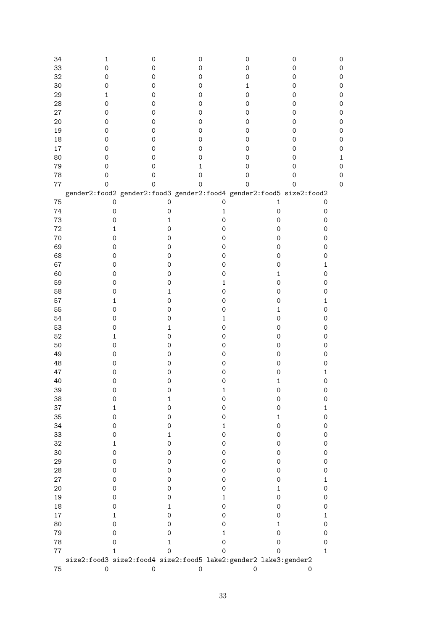| 34<br>33<br>32 | 1<br>$\mathsf{O}\xspace$<br>$\mathsf{O}\xspace$ | 0<br>0<br>0                                                         | 0<br>0<br>0         | 0<br>$\mathbf 0$<br>$\mathbf 0$ | 0<br>0<br>$\mathsf{O}\xspace$<br>0 |
|----------------|-------------------------------------------------|---------------------------------------------------------------------|---------------------|---------------------------------|------------------------------------|
| 30             | 0                                               | 0                                                                   | 0                   | $\mathbf{1}$                    | 0                                  |
| 29             | 1                                               | 0                                                                   | 0                   | $\mathbf 0$                     | 0                                  |
| 28             | $\mathsf{O}\xspace$                             | 0                                                                   | 0                   | $\mathbf 0$                     | 0                                  |
| 27             | 0                                               | 0                                                                   | 0                   | $\mathbf 0$                     | 0                                  |
| 20             | 0                                               | 0                                                                   | 0                   | $\mathbf 0$                     | 0                                  |
| 19             | 0                                               | 0                                                                   | 0                   | $\mathbf 0$                     | 0                                  |
| 18             | 0                                               | 0                                                                   | 0                   | $\mathbf 0$                     | 0                                  |
| $17\,$         | 0                                               | 0                                                                   | 0                   | 0                               | 0                                  |
| 80             | $\mathbf 0$                                     | 0                                                                   | $\mathsf{O}\xspace$ | 0                               | 0                                  |
| 79             | $\mathbf 0$                                     | 0                                                                   | $\mathbf{1}$        | 0                               | 0<br>Ω                             |
| 78             | $\mathsf{O}\xspace$                             | 0                                                                   | $\mathsf{O}\xspace$ | $\mathbf 0$                     | 0<br>0                             |
| 77             | $\mathbf 0$                                     | $\mathbf 0$                                                         | $\mathsf{O}\xspace$ | $\mathbf 0$                     | $\mathbf 0$<br>0                   |
|                |                                                 | gender2:food2 gender2:food3 gender2:food4 gender2:food5 size2:food2 |                     |                                 |                                    |
| 75             | 0                                               | 0                                                                   | 0                   | $\mathbf 1$                     | $\mathsf{O}\xspace$                |
| 74             | $\mathbf 0$                                     | 0                                                                   | $\mathbf{1}$        | $\mathsf{O}\xspace$             | $\mathsf{O}\xspace$                |
| 73             | $\mathsf{O}\xspace$                             | $\mathbf{1}$                                                        | $\mathsf{O}\xspace$ | $\mathsf{O}\xspace$             | $\mathsf{O}\xspace$                |
| 72             | 1                                               | $\mathsf{O}\xspace$                                                 | $\mathsf{O}\xspace$ | $\mathsf{O}\xspace$             | $\mathsf{O}\xspace$                |
| 70             | $\mathsf{O}\xspace$                             | $\mathsf{O}\xspace$                                                 | $\mathsf{O}\xspace$ | $\mathsf{O}\xspace$             | $\mathsf{O}\xspace$                |
| 69             | $\mathsf{O}\xspace$                             | $\mathsf{O}\xspace$                                                 | $\mathsf{O}\xspace$ | $\mathsf{O}\xspace$             | $\mathsf{O}\xspace$                |
| 68             | $\mathsf{O}\xspace$                             | $\mathsf{O}\xspace$                                                 | $\mathsf{O}\xspace$ | $\mathsf{O}\xspace$             | $\mathsf{O}\xspace$                |
| 67             | $\mathsf{O}\xspace$                             | $\mathsf{O}\xspace$                                                 | $\mathsf{O}\xspace$ | $\mathsf{O}\xspace$             | $\mathbf 1$                        |
| 60             | $\mathsf O$                                     | $\mathsf O$                                                         | $\mathsf{O}\xspace$ | $\mathbf 1$                     | $\mathsf{O}\xspace$                |
| 59             | $\mathsf O$                                     | $\mathsf{O}\xspace$                                                 | $\mathbf{1}$        | $\mathsf{O}\xspace$             | $\mathsf{O}\xspace$                |
| 58             | $\mathsf{O}\xspace$                             | $\mathbf 1$                                                         | $\mathsf{O}\xspace$ | $\mathsf{O}\xspace$             | $\mathsf{O}\xspace$                |
| 57             | 1                                               | $\mathsf O$                                                         | $\mathsf{O}\xspace$ | $\mathsf{O}\xspace$             | $\mathbf 1$                        |
| 55             | $\mathsf{O}\xspace$                             | $\mathsf{O}\xspace$                                                 | $\mathsf{O}\xspace$ | $\mathbf 1$                     | $\mathsf{O}\xspace$                |
| 54             | $\mathsf O$                                     | $\mathsf{O}\xspace$                                                 | $\mathbf{1}$        | $\mathsf{O}\xspace$             | $\mathsf{O}\xspace$                |
| 53             | $\mathsf{O}\xspace$                             | $\mathbf{1}$                                                        | $\mathsf{O}\xspace$ | $\mathsf{O}\xspace$             | $\mathsf{O}\xspace$                |
| 52             | 1                                               | $\mathsf O$                                                         | $\mathsf O$         | $\mathsf{O}\xspace$             | $\mathsf{O}\xspace$                |
| 50             | $\mathsf{O}\xspace$                             | $\mathsf O$                                                         | $\mathsf O$         | $\mathsf{O}\xspace$             | $\mathsf{O}\xspace$                |
| 49             | $\mathsf{O}\xspace$                             | $\mathsf O$                                                         | $\mathsf O$         | $\mathsf{O}\xspace$             | $\mathsf{O}\xspace$                |
| 48             | $\mathsf{O}\xspace$                             | $\mathsf{O}\xspace$                                                 | $\mathsf O$         | $\mathsf{O}\xspace$             | $\mathsf{O}\xspace$                |
| 47             | $\mathsf O$                                     | $\mathsf O$                                                         | $\mathsf O$         | $\mathsf O$                     | $\mathbf 1$                        |
| 40             | $\mathsf{O}\xspace$                             | $\mathsf O$                                                         | $\mathsf O$         | $\mathbf 1$                     | $\mathsf{O}\xspace$                |
| 39             | 0                                               | O                                                                   | 1                   | Ő                               | 0                                  |
| 38             | $\mathsf{O}\xspace$                             | $\mathbf 1$                                                         | 0                   | $\mathsf O$                     | $\mathsf{O}\xspace$                |
| 37             | 1                                               | $\mathsf{O}\xspace$                                                 | $\mathsf{O}\xspace$ | $\mathsf{O}\xspace$             | $\mathbf 1$                        |
| 35             | 0                                               | 0                                                                   | 0                   | $\mathbf{1}$                    | $\mathsf{O}\xspace$                |
| 34             | 0                                               | 0                                                                   | 1                   | $\mathsf{O}\xspace$             | $\mathsf{O}\xspace$                |
| 33             | 0                                               | $\mathbf 1$                                                         | 0                   | 0                               | $\mathsf{O}\xspace$                |
| 32             | 1                                               | 0                                                                   | 0                   | 0                               | $\mathsf{O}\xspace$                |
| 30             | 0                                               | 0                                                                   | 0                   | 0                               | $\mathsf{O}\xspace$                |
| 29             | 0                                               | 0                                                                   | 0                   | 0                               | $\mathsf{O}\xspace$                |
| 28             | 0                                               | 0                                                                   | 0                   | 0                               | $\mathsf{O}\xspace$                |
| 27             | 0                                               | 0                                                                   | 0                   | 0                               | $\mathbf{1}$                       |
| 20             | 0                                               | 0                                                                   | 0                   | 1                               | $\mathsf{O}\xspace$                |
| 19             | 0                                               | 0                                                                   | $\mathbf{1}$        | $\mathsf{O}\xspace$             | $\mathsf{O}\xspace$                |
| 18             | 0                                               | $\mathbf{1}$                                                        | $\mathsf{O}\xspace$ | 0                               | $\mathsf{O}\xspace$                |
| 17             | 1                                               | 0                                                                   | 0                   | 0                               | $\mathbf 1$                        |
| 80             | 0                                               | 0                                                                   | 0                   | 1                               | $\mathsf{O}\xspace$                |
| 79             | 0                                               | 0                                                                   | $\mathbf{1}$        | 0                               | $\mathsf{O}\xspace$                |
| 78             | 0                                               | 1                                                                   | 0                   | 0                               | $\mathsf{O}\xspace$                |
| $77 \,$        | 1                                               | $\mathsf{O}$                                                        | $\mathsf{O}\xspace$ | $\mathbf 0$                     | $\mathbf{1}$                       |
|                |                                                 | size2:food3 size2:food4 size2:food5 lake2:gender2 lake3:gender2     |                     |                                 |                                    |
| 75             | $\mbox{O}$                                      | $\mathsf{O}\xspace$                                                 | $\mathsf{O}\xspace$ | $\mathsf{O}\xspace$             | $\mathsf O$                        |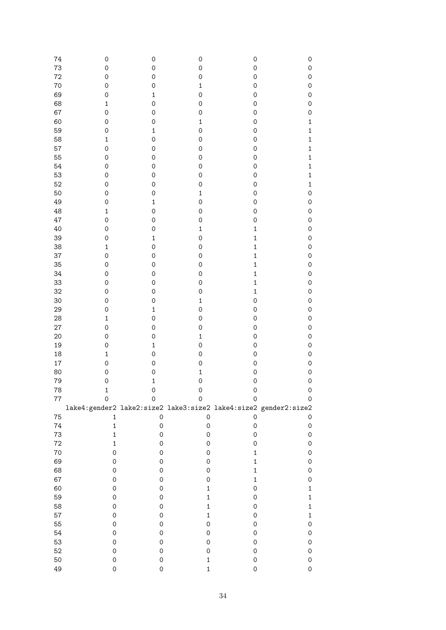| 74     | 0                                                               | $\mathsf{O}\xspace$ | $\mathsf{O}\xspace$ | $\mathsf{O}\xspace$ | $\mathsf{O}\xspace$ |
|--------|-----------------------------------------------------------------|---------------------|---------------------|---------------------|---------------------|
| 73     | 0                                                               | $\mathsf{O}\xspace$ | $\mathsf{O}\xspace$ | $\mathsf{O}\xspace$ | $\mathbf 0$         |
| 72     | 0                                                               | $\mathsf{O}\xspace$ | $\mathbf 0$         | $\mathsf{O}\xspace$ | $\mathsf{O}\xspace$ |
| 70     | 0                                                               | $\mathsf O$         | $\mathbf 1$         | $\mathsf{O}\xspace$ | $\mathsf{O}\xspace$ |
| 69     | 0                                                               | $\mathbf 1$         | $\mathbf 0$         | $\mathsf{O}\xspace$ | $\mathsf{O}\xspace$ |
| 68     | $\mathbf 1$                                                     | $\mathsf{O}\xspace$ | $\mathbf 0$         | $\mathsf{O}\xspace$ | $\mathbf 0$         |
| 67     | $\mathbf 0$                                                     | $\mathsf{O}\xspace$ | $\mathbf 0$         | $\mathsf{O}\xspace$ | $\mathbf 0$         |
| 60     | $\mathbf 0$                                                     | $\mathbf 0$         | $\mathbf 1$         | $\mathsf{O}\xspace$ | $\mathbf 1$         |
| 59     | 0                                                               | $\mathbf 1$         | $\mathbf 0$         | $\mathsf{O}\xspace$ | $\mathbf{1}$        |
| 58     | $\mathbf 1$                                                     | $\mathsf{O}\xspace$ | $\mathbf 0$         | $\mathsf{O}\xspace$ | $\mathbf{1}$        |
| 57     | $\mathbf 0$                                                     | $\mathsf{O}\xspace$ | $\mathbf 0$         | $\mathsf{O}\xspace$ | $\mathbf{1}$        |
| 55     | $\mathbf 0$                                                     | $\mathsf{O}\xspace$ | $\mathsf{O}\xspace$ | $\mathsf{O}\xspace$ | $\mathbf{1}$        |
| 54     | $\mathbf 0$                                                     | $\mathsf{O}\xspace$ | $\mathbf 0$         | $\mathsf{O}\xspace$ | $\mathbf 1$         |
| 53     | $\mathbf 0$                                                     | $\mathsf{O}\xspace$ | $\mathbf 0$         | $\mathsf{O}\xspace$ | $\mathbf 1$         |
| 52     | $\mathbf 0$                                                     | $\mathsf{O}\xspace$ | $\mathbf 0$         | $\mathsf{O}\xspace$ | $\mathbf 1$         |
| 50     | $\mathbf 0$                                                     | $\mathsf{O}\xspace$ | $\mathbf{1}$        | $\mathsf{O}\xspace$ | $\mathsf{O}\xspace$ |
| 49     | $\mathbf 0$                                                     | $\mathbf 1$         | $\mathbf 0$         | $\mathsf{O}\xspace$ | $\mathbf 0$         |
| 48     | $\mathbf 1$                                                     | $\mathsf{O}\xspace$ | $\mathsf{O}\xspace$ | $\mathsf{O}\xspace$ | $\mathsf{O}\xspace$ |
| 47     | $\mathbf 0$                                                     | $\mathsf{O}\xspace$ | $\mathbf 0$         | $\mathsf{O}\xspace$ | $\mathsf{O}\xspace$ |
| 40     | $\mathbf 0$                                                     | $\mathsf{O}\xspace$ | $\mathbf{1}$        | $\mathbf 1$         | $\mathsf{O}\xspace$ |
| 39     | $\mathbf 0$                                                     | $\mathbf 1$         | $\mathbf 0$         | $\mathbf{1}$        | $\mathsf{O}\xspace$ |
| 38     | $\mathbf 1$                                                     | $\mathbf 0$         | $\mathsf{O}\xspace$ | $\mathbf{1}$        | $\mathsf{O}\xspace$ |
| 37     | $\mathbf 0$                                                     | $\mathbf 0$         | $\mathsf{O}\xspace$ | $\mathbf{1}$        | $\mathsf{O}\xspace$ |
| 35     | $\mathbf 0$                                                     | $\mathbf 0$         | $\mathsf{O}\xspace$ | $\mathbf{1}$        | $\mathsf{O}\xspace$ |
| 34     | $\mathbf 0$                                                     | $\mathbf 0$         | $\mathsf{O}\xspace$ | $\mathbf{1}$        | $\mathsf{O}\xspace$ |
| 33     | $\mathbf 0$                                                     | $\mathbf 0$         | $\mathbf 0$         | $\mathbf{1}$        | $\mathsf{O}\xspace$ |
| 32     | $\mathbf 0$                                                     | $\mathbf 0$         | $\mathbf 0$         | $\mathbf{1}$        | $\mathsf{O}\xspace$ |
| 30     | $\mathbf 0$                                                     | $\mathbf 0$         | $\mathbf{1}$        | $\mathsf{O}\xspace$ | $\mathsf{O}\xspace$ |
| 29     | $\mathbf 0$                                                     | $\mathbf 1$         | $\mathbf 0$         | $\mathsf{O}\xspace$ | $\mathsf{O}\xspace$ |
| 28     | $\mathbf 1$                                                     | $\mathbf 0$         | $\mathbf 0$         | $\mathsf{O}\xspace$ | $\mathsf{O}\xspace$ |
| 27     | $\mathbf 0$                                                     | $\mathsf{O}\xspace$ | $\mathbf 0$         | $\mathsf{O}\xspace$ | $\mathsf{O}\xspace$ |
| 20     | $\mathbf 0$                                                     | $\mathsf{O}\xspace$ | $\mathbf{1}$        | $\mathsf{O}\xspace$ | $\mathsf{O}\xspace$ |
| 19     | $\mathbf 0$                                                     | $\mathbf{1}$        | $\mathbf 0$         | $\mathsf{O}\xspace$ | $\mathsf{O}\xspace$ |
| 18     | $\mathbf 1$                                                     | $\mathsf{O}\xspace$ | $\mathbf 0$         | $\mathsf{O}\xspace$ | $\mathsf{O}\xspace$ |
| 17     | $\mathbf 0$                                                     | $\mathsf{O}\xspace$ | $\mathbf 0$         | $\mathsf{O}\xspace$ | $\mathsf{O}\xspace$ |
| 80     | $\mathbf 0$                                                     | $\mathbf 0$         | $\mathbf{1}$        | $\mathbf 0$         | $\mathsf{O}\xspace$ |
| 79     | $\mathbf 0$                                                     | $\mathbf{1}$        | $\mathbf 0$         | $\mathbf 0$         | $\mathsf{O}\xspace$ |
| 78     | $\mathbf{1}$                                                    | $\Omega$            | $\mathbf 0$         | 0                   | $\overline{O}$      |
| $77\,$ | 0                                                               | 0                   | 0                   | 0                   | 0                   |
|        | lake4:gender2 lake2:size2 lake3:size2 lake4:size2 gender2:size2 |                     |                     |                     |                     |
| 75     | $\mathbf 1$                                                     | $\mathsf{O}\xspace$ | $\mathsf{O}\xspace$ | 0                   | $\mathsf{O}\xspace$ |
| 74     | $\mathbf 1$                                                     | $\mathsf{O}\xspace$ | 0                   | $\mathsf{O}\xspace$ | $\mathsf{O}\xspace$ |
| 73     | $\mathbf 1$                                                     | $\mathsf{O}\xspace$ | 0                   | $\mathsf{O}\xspace$ | $\mathsf{O}\xspace$ |
| $72\,$ | $\mathbf 1$                                                     | $\mathsf{O}\xspace$ | 0                   | $\mathsf{O}\xspace$ | 0                   |
| $70\,$ | $\mathsf{O}\xspace$                                             | 0                   | 0                   | $\mathbf 1$         | 0                   |
| 69     | $\mathsf{O}\xspace$                                             | 0                   | 0                   | $\mathbf 1$         | $\mathsf{O}\xspace$ |
| 68     | $\mathsf{O}\xspace$                                             | 0                   | 0                   | $\mathbf 1$         | $\mathsf{O}\xspace$ |
| 67     | $\mathsf{O}\xspace$                                             | 0                   | 0                   | $\mathbf 1$         | 0                   |
| 60     | $\mathsf{O}\xspace$                                             | 0                   | $\mathbf 1$         | $\mathsf{O}\xspace$ | $\mathbf 1$         |
| 59     | $\mathsf{O}\xspace$                                             | 0                   | $\mathbf 1$         | $\mathsf{O}\xspace$ | $\mathbf 1$         |
| 58     | $\mathsf{O}\xspace$                                             | 0                   | $\mathbf 1$         | $\mathsf{O}\xspace$ | $\mathbf 1$         |
| 57     | $\mathsf{O}\xspace$                                             | 0                   | $\mathbf 1$         | $\mathsf{O}\xspace$ | $\mathbf 1$         |
| 55     | $\mathsf{O}\xspace$                                             |                     | 0                   | $\mathsf{O}\xspace$ | 0                   |
| 54     | $\mathsf{O}\xspace$                                             | 0                   |                     |                     |                     |
|        |                                                                 | 0                   | 0                   | $\mathsf{O}\xspace$ | $\mathsf{O}\xspace$ |
| 53     | $\mathsf{O}\xspace$                                             | 0                   | 0                   | $\mathsf{O}\xspace$ | 0                   |
| 52     | $\mathsf{O}\xspace$                                             | 0                   | 0                   | $\mathsf{O}\xspace$ | $\mathsf{O}\xspace$ |
| 50     | $\mathsf{O}\xspace$                                             | 0                   | $\mathbf 1$         | $\mathsf{O}\xspace$ | 0                   |
| 49     | $\mathsf{O}\xspace$                                             | $\mathsf{O}\xspace$ | $\mathbf 1$         | $\mathsf{O}\xspace$ | $\mathsf{O}\xspace$ |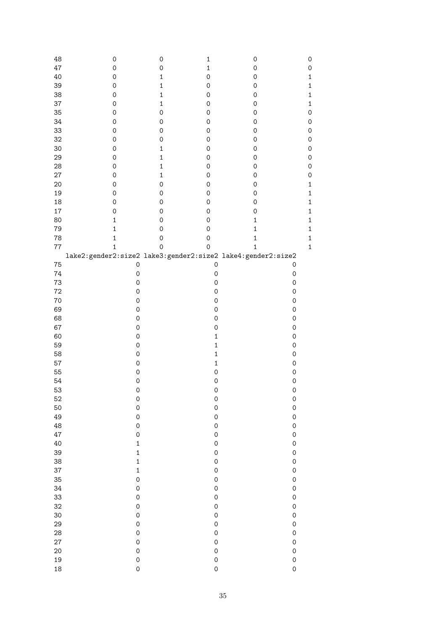| 48       | $\mathsf O$                        | $\mathsf{O}\xspace$ | $\mathbf 1$                | 0                   | 0                          |
|----------|------------------------------------|---------------------|----------------------------|---------------------|----------------------------|
| 47       | $\mathsf{O}\xspace$                | $\mathsf{O}\xspace$ | $\mathbf 1$                | $\mathsf{O}\xspace$ | 0                          |
| 40       | $\mathsf{O}\xspace$                | $\mathbf 1$         | $\mathsf{O}\xspace$        | $\mathsf{O}\xspace$ | $\mathbf{1}$               |
| 39       | $\mathsf{O}\xspace$                | $\mathbf 1$         | $\mathsf{O}\xspace$        | $\mathsf{O}\xspace$ | $\mathbf{1}$               |
|          |                                    |                     |                            |                     |                            |
| 38       | $\mathsf{O}\xspace$                | $\mathbf 1$         | $\mathsf{O}\xspace$        | $\mathsf{O}\xspace$ | $\mathbf{1}$               |
| 37       | $\mathsf{O}\xspace$                | $\mathbf 1$         | $\mathsf{O}\xspace$        | $\mathsf{O}\xspace$ | $\mathbf{1}$               |
| 35       | $\mathsf{O}\xspace$                | $\mathsf{O}\xspace$ | $\mathsf{O}\xspace$        | $\mathsf{O}\xspace$ | $\mathbf 0$                |
| 34       | $\mathsf{O}\xspace$                | $\mathsf{O}\xspace$ | $\mathsf{O}\xspace$        | $\mathsf{O}\xspace$ | $\mathbf 0$                |
| 33       | $\mathsf{O}\xspace$                | $\mathsf{O}\xspace$ | $\mathsf{O}\xspace$        | $\mathsf{O}\xspace$ | $\mathbf 0$                |
| 32       | $\mathsf{O}\xspace$                | $\mathsf{O}\xspace$ | $\mathsf{O}\xspace$        | $\mathsf{O}\xspace$ | $\mathbf 0$                |
| 30       | $\mathsf{O}\xspace$                | 1                   | 0                          | $\mathsf{O}\xspace$ | $\mathbf 0$                |
| 29       | $\mathsf{O}\xspace$                | $\mathbf 1$         | $\mathsf{O}\xspace$        | 0                   | $\mathbf 0$                |
|          |                                    |                     |                            |                     |                            |
| 28       | $\mathsf{O}\xspace$                | $\mathbf 1$         | $\mathsf{O}\xspace$        | 0                   | $\mathbf 0$                |
| $27\,$   | $\mathsf{O}\xspace$                | $\mathbf 1$         | $\mathsf{O}\xspace$        | 0                   | $\mathbf 0$                |
| 20       | $\mathsf{O}\xspace$                | $\mathsf{O}\xspace$ | $\mathsf{O}\xspace$        | 0                   | $\mathbf{1}$               |
| 19       | $\mathsf O$                        | 0                   | $\mathsf{O}\xspace$        | 0                   | $\mathbf{1}$               |
| 18       | $\mathsf O$                        | 0                   | 0                          | 0                   | $\mathbf{1}$               |
| $17\,$   | $\mathsf O$                        | 0                   | 0                          | 0                   | $\mathbf{1}$               |
| 80       | $\mathbf 1$                        | 0                   | 0                          | 1                   | $\mathbf{1}$               |
| 79       | $\mathbf{1}$                       | $\mathsf{O}\xspace$ | 0                          | 1                   | $\mathbf{1}$               |
| 78       | $\mathbf 1$                        | $\mathsf{O}\xspace$ | 0                          | $\mathbf 1$         | $\mathbf{1}$               |
| $77\,$   | $\mathbf{1}$                       | $\mathsf{O}\xspace$ | $\mathbf 0$                | $\mathbf 1$         | $\mathbf{1}$               |
|          |                                    |                     |                            |                     |                            |
|          |                                    |                     |                            |                     |                            |
| 75       | $\mathsf{O}\xspace$                |                     | $\mathsf{O}\xspace$        |                     | $\mathsf{O}\xspace$        |
| 74       | $\mathsf{O}\xspace$                |                     | $\mathsf{O}\xspace$        |                     | $\mathsf{O}\xspace$        |
| 73       | $\mathsf{O}\xspace$                |                     | $\mathsf{O}\xspace$        |                     | 0                          |
| 72       | 0                                  |                     | $\mathsf{O}\xspace$        |                     | $\mathsf{O}\xspace$        |
| 70       | 0                                  |                     | $\mathsf{O}\xspace$        |                     | $\mathsf{O}\xspace$        |
| 69       | 0                                  |                     | $\mathsf{O}\xspace$        |                     | $\mathsf{O}\xspace$        |
| 68       | 0                                  |                     | $\mathsf{O}\xspace$        |                     | $\mathsf{O}\xspace$        |
| 67       | 0                                  |                     | $\mathsf O$                |                     | 0                          |
| 60       | 0                                  |                     | $\mathbf 1$                |                     | 0                          |
| 59       | 0                                  |                     | $\mathbf 1$                |                     | 0                          |
|          |                                    |                     |                            |                     |                            |
| 58       | 0                                  |                     | $\mathbf 1$                |                     | 0                          |
| 57       | $\mathsf{O}\xspace$                |                     | $\mathbf 1$                |                     | 0                          |
| 55       | $\mathsf{O}\xspace$                |                     | 0                          |                     | 0                          |
| 54       | $\mathsf{O}\xspace$                |                     | 0                          |                     | $\mathbf 0$                |
| 53       | 0                                  |                     | 0                          |                     | 0                          |
| 52       | $\mathsf{O}\xspace$                |                     | $\mathbf 0$                |                     | $\mathbf 0$                |
| 50       | $\mathsf{O}\xspace$                |                     | $\mathbf 0$                |                     | $\mathbf 0$                |
| 49       | $\mathsf{O}\xspace$                |                     | $\mathbf 0$                |                     | $\mathbf 0$                |
| 48       | $\mathsf{O}\xspace$                |                     | $\mathbf 0$                |                     | $\mathbf 0$                |
| 47       | $\mathbf 0$                        |                     | $\mathsf{O}\xspace$        |                     | $\mathbf 0$                |
| 40       | $\mathbf 1$                        |                     | $\mathsf{O}\xspace$        |                     | $\mathbf 0$                |
|          |                                    |                     |                            |                     |                            |
| 39       | $\mathbf 1$                        |                     | $\mathsf{O}\xspace$        |                     | $\mathbf 0$                |
| 38       | $\mathbf 1$                        |                     | $\mathsf{O}\xspace$        |                     | $\mathbf 0$                |
| 37       | $\mathbf{1}$                       |                     | $\mathsf{O}\xspace$        |                     | $\mathbf 0$                |
| 35       | $\mathbf 0$                        |                     | $\mathsf{O}\xspace$        |                     | $\mathbf 0$                |
| 34       | $\mathsf{O}\xspace$                |                     | $\mathsf{O}\xspace$        |                     | $\mathbf 0$                |
| 33       | $\mathbf 0$                        |                     | $\mathbf 0$                |                     | $\mathbf 0$                |
| 32       | $\mathsf{O}\xspace$                |                     | $\mathbf 0$                |                     | $\mathbf 0$                |
| 30       | $\mathsf{O}\xspace$                |                     | $\mathbf 0$                |                     | $\mathbf 0$                |
| 29       | $\mathsf{O}\xspace$                |                     | $\mathbf 0$                |                     | $\mathbf 0$                |
| 28       | $\mathsf{O}\xspace$                |                     | $\mathbf 0$                |                     | $\mathbf 0$                |
| 27       |                                    |                     |                            |                     | $\mathbf 0$                |
|          |                                    |                     |                            |                     |                            |
|          | $\mathbf 0$                        |                     | $\mathbf 0$                |                     |                            |
| 20       | $\mathsf{O}\xspace$                |                     | $\mathbf 0$                |                     | $\mathbf 0$                |
| 19<br>18 | $\mathsf{O}\xspace$<br>$\mathbf 0$ |                     | $\mathbf 0$<br>$\mathbf 0$ |                     | $\mathbf 0$<br>$\mathbf 0$ |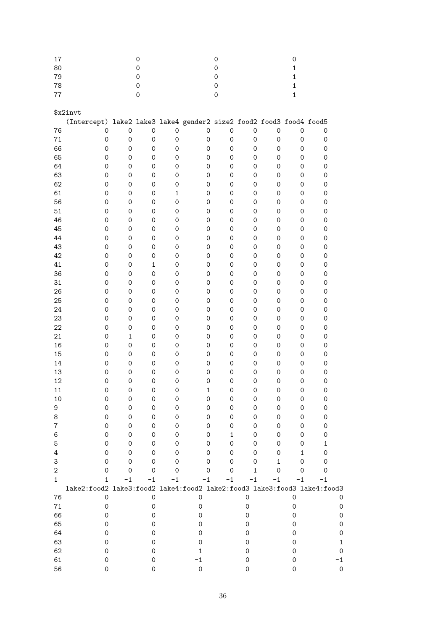| $17\,$           |                                                                         |                     | 0                   |                     |                                                         |                     | 0                   |             |                     | 0                   |                     |
|------------------|-------------------------------------------------------------------------|---------------------|---------------------|---------------------|---------------------------------------------------------|---------------------|---------------------|-------------|---------------------|---------------------|---------------------|
| 80               |                                                                         |                     | $\mathsf{O}\xspace$ |                     |                                                         |                     | $\mathsf{O}\xspace$ |             |                     | $\mathbf 1$         |                     |
| 79               |                                                                         |                     | $\mathsf O$         |                     |                                                         |                     | $\mathsf{O}\xspace$ |             |                     | $\mathbf{1}$        |                     |
| 78               |                                                                         |                     | $\mathsf{O}\xspace$ |                     |                                                         |                     | 0                   |             |                     | $\mathbf{1}$        |                     |
| 77               |                                                                         |                     | $\mathsf O$         |                     |                                                         |                     | 0                   |             |                     | $\mathbf{1}$        |                     |
|                  |                                                                         |                     |                     |                     |                                                         |                     |                     |             |                     |                     |                     |
|                  | \$x2invt                                                                |                     |                     |                     |                                                         |                     |                     |             |                     |                     |                     |
|                  |                                                                         |                     |                     |                     |                                                         |                     |                     |             |                     |                     |                     |
|                  | (Intercept)                                                             |                     |                     |                     | lake2 lake3 lake4 gender2 size2 food2 food3 food4 food5 |                     |                     |             |                     |                     |                     |
| 76               | $\mathsf{O}\xspace$                                                     | $\mathsf{O}\xspace$ | $\mathsf{O}\xspace$ | $\mathsf O$         |                                                         | $\mathsf{O}\xspace$ | 0                   | $\mathbf 0$ | $\mathbf 0$         | $\mathsf O$         | 0                   |
| $71\,$           | $\mathsf{O}\xspace$                                                     | $\mathsf{O}\xspace$ | $\mathsf{O}\xspace$ | $\mathsf{O}\xspace$ |                                                         | $\mathsf{O}\xspace$ | $\mathsf O$         | 0           | $\mathsf O$         | $\mathsf{O}\xspace$ | 0                   |
| 66               | $\mathsf{O}\xspace$                                                     | $\mathsf{O}\xspace$ | $\mathsf{O}\xspace$ | 0                   |                                                         | $\mathsf{O}\xspace$ | 0                   | 0           | $\mathsf{O}\xspace$ | 0                   | 0                   |
| 65               | 0                                                                       | $\mathsf{O}\xspace$ | $\mathsf{O}\xspace$ | 0                   |                                                         | $\mathsf{O}\xspace$ | $\mathsf{O}\xspace$ | 0           | $\mathsf{O}\xspace$ | 0                   | 0                   |
| 64               | 0                                                                       | $\mathsf O$         | $\mathsf{O}\xspace$ | $\mathsf{O}\xspace$ |                                                         | $\mathsf{O}\xspace$ | $\mathsf{O}\xspace$ | 0           | $\mathsf O$         | 0                   | 0                   |
| 63               | 0                                                                       | $\mathsf O$         | $\mathsf{O}\xspace$ | $\mathsf{O}\xspace$ |                                                         | 0                   | $\mathsf O$         | 0           | $\mathsf O$         | 0                   | 0                   |
| 62               | 0                                                                       | $\mathsf O$         | $\mathsf{O}\xspace$ | $\mathsf{O}\xspace$ |                                                         | $\mathsf{O}\xspace$ | $\mathsf O$         | 0           | $\mathsf O$         | 0                   | 0                   |
| 61               | $\mathsf{O}\xspace$                                                     | $\mathsf O$         | $\mathsf{O}\xspace$ | $\mathbf 1$         |                                                         | 0                   | $\mathsf O$         | 0           | $\mathsf O$         | 0                   | 0                   |
| 56               | $\mathsf{O}\xspace$                                                     | $\mathsf O$         | $\mathsf{O}\xspace$ | $\mathsf{O}\xspace$ |                                                         | $\mathsf{O}\xspace$ | $\mathsf O$         | 0           | $\mathsf{O}\xspace$ | 0                   | 0                   |
| 51               | $\mathsf{O}\xspace$                                                     | $\mathsf{O}\xspace$ | $\mathsf{O}\xspace$ | $\mathsf{O}\xspace$ |                                                         | $\mathsf{O}\xspace$ | $\mathsf{O}\xspace$ | 0           | $\mathsf{O}\xspace$ | 0                   | 0                   |
| 46               | $\mathsf{O}\xspace$                                                     | $\mathsf{O}\xspace$ | $\mathsf{O}\xspace$ | $\mathsf{O}\xspace$ |                                                         | $\mathsf{O}\xspace$ | $\mathsf{O}\xspace$ | 0           | $\mathsf{O}\xspace$ | 0                   | 0                   |
| 45               | $\mathsf{O}\xspace$                                                     | $\mathsf{O}\xspace$ | $\mathsf{O}\xspace$ | $\mathsf{O}\xspace$ |                                                         | $\mathsf{O}\xspace$ | $\mathsf{O}\xspace$ | 0           | $\mathsf{O}\xspace$ | 0                   | 0                   |
|                  |                                                                         |                     |                     |                     |                                                         |                     |                     |             |                     |                     |                     |
| 44               | $\mathsf{O}\xspace$                                                     | $\mathsf{O}\xspace$ | $\mathsf{O}\xspace$ | $\mathsf{O}\xspace$ |                                                         | $\mathsf{O}\xspace$ | $\mathsf{O}\xspace$ | 0           | $\mathsf{O}\xspace$ | 0                   | 0                   |
| 43               | $\mathsf{O}\xspace$                                                     | $\mathsf{O}\xspace$ | $\mathsf O$         | $\mathsf{O}\xspace$ |                                                         | $\mathsf{O}\xspace$ | $\mathsf{O}\xspace$ | 0           | $\mathsf{O}\xspace$ | 0                   | 0                   |
| 42               | $\mathsf{O}\xspace$                                                     | $\mathsf{O}\xspace$ | $\mathsf O$         | $\mathsf{O}\xspace$ |                                                         | $\mathsf{O}\xspace$ | $\mathsf{O}\xspace$ | 0           | $\mathsf{O}\xspace$ | 0                   | 0                   |
| 41               | $\mathsf{O}\xspace$                                                     | $\mathsf{O}\xspace$ | $\mathbf 1$         | $\mathsf{O}\xspace$ |                                                         | $\mathsf{O}\xspace$ | $\mathsf{O}\xspace$ | 0           | $\mathsf{O}\xspace$ | 0                   | 0                   |
| 36               | $\mathsf{O}\xspace$                                                     | $\mathsf O$         | $\mathsf{O}\xspace$ | $\mathsf{O}\xspace$ |                                                         | $\mathsf{O}\xspace$ | $\mathsf O$         | 0           | $\mathsf O$         | 0                   | 0                   |
| 31               | $\mathsf{O}\xspace$                                                     | $\mathsf O$         | $\mathsf O$         | $\mathsf{O}\xspace$ |                                                         | $\mathsf{O}\xspace$ | $\mathsf O$         | 0           | $\mathsf O$         | 0                   | 0                   |
| 26               | $\mathsf{O}\xspace$                                                     | $\mathsf O$         | $\mathsf O$         | $\mathsf{O}\xspace$ |                                                         | $\mathsf{O}\xspace$ | $\mathsf O$         | 0           | $\mathsf O$         | 0                   | 0                   |
| 25               | $\mathsf{O}\xspace$                                                     | $\mathsf O$         | $\mathsf O$         | $\mathsf{O}\xspace$ |                                                         | $\mathsf{O}\xspace$ | $\mathsf{O}\xspace$ | 0           | $\mathsf{O}\xspace$ | 0                   | 0                   |
| 24               | $\mathsf{O}\xspace$                                                     | $\mathsf{O}\xspace$ | $\mathsf O$         | $\mathsf{O}\xspace$ |                                                         | $\mathsf{O}\xspace$ | $\mathsf{O}\xspace$ | 0           | $\mathsf{O}\xspace$ | 0                   | 0                   |
| 23               | $\mathsf{O}\xspace$                                                     | $\mathsf{O}\xspace$ | $\mathsf O$         | $\mathsf{O}\xspace$ |                                                         | $\mathsf{O}\xspace$ | $\mathsf{O}\xspace$ | 0           | $\mathsf{O}\xspace$ | 0                   | 0                   |
| 22               | $\mathsf{O}\xspace$                                                     | $\mathsf{O}\xspace$ | 0                   | $\mathsf{O}\xspace$ |                                                         | $\mathsf{O}\xspace$ | $\mathsf{O}\xspace$ | 0           | $\mathsf{O}\xspace$ | 0                   | 0                   |
| 21               | $\mathsf{O}\xspace$                                                     | $\mathbf 1$         | 0                   | $\mathsf{O}\xspace$ |                                                         | $\mathsf{O}\xspace$ | $\mathsf{O}\xspace$ | 0           | $\mathsf{O}\xspace$ | 0                   | 0                   |
| 16               | $\mathsf{O}\xspace$                                                     | $\mathsf{O}\xspace$ | 0                   | $\mathsf{O}\xspace$ |                                                         | $\mathsf{O}\xspace$ | $\mathsf{O}\xspace$ | 0           | $\mathsf{O}\xspace$ | 0                   | 0                   |
| 15               | $\mathsf{O}\xspace$                                                     | $\mathsf{O}\xspace$ | 0                   | $\mathsf{O}\xspace$ |                                                         | $\mathsf{O}\xspace$ | $\mathsf{O}\xspace$ | 0           | $\mathsf{O}\xspace$ | 0                   | 0                   |
|                  |                                                                         |                     |                     |                     |                                                         |                     |                     |             |                     |                     |                     |
| 14               | $\mathsf{O}\xspace$                                                     | $\mathsf{O}\xspace$ | 0                   | $\mathsf{O}\xspace$ |                                                         | $\mathsf{O}\xspace$ | $\mathsf{O}\xspace$ | 0           | 0                   | 0                   | 0                   |
| 13               | $\mathsf O$                                                             | $\mathsf{O}\xspace$ | 0                   | $\mathsf{O}\xspace$ |                                                         | $\mathsf O$         | $\mathsf{O}\xspace$ | 0           | 0                   | $\mathsf{O}\xspace$ | $\mathsf{O}\xspace$ |
| 12               | 0                                                                       | $\mathsf{O}\xspace$ | 0                   | $\mathsf{O}\xspace$ |                                                         | 0                   | 0                   | 0           | 0                   | $\mathsf{O}\xspace$ | 0                   |
| 11               | 0                                                                       | 0                   | 0                   | 0                   |                                                         |                     | $\Omega$            | ∩           | 0                   | 0                   | 0                   |
| 10               | $\mathbf 0$                                                             | $\mathsf{O}\xspace$ | 0                   | 0                   |                                                         | 0                   | 0                   | 0           | 0                   | 0                   | 0                   |
| 9                | $\mathsf O$                                                             | 0                   | 0                   | 0                   |                                                         | 0                   | 0                   | 0           | 0                   | 0                   | 0                   |
| 8                | 0                                                                       | 0                   | 0                   | 0                   |                                                         | 0                   | 0                   | 0           | 0                   | 0                   | 0                   |
| 7                | 0                                                                       | 0                   | 0                   | 0                   |                                                         | 0                   | 0                   | 0           | 0                   | 0                   | 0                   |
| 6                | 0                                                                       | 0                   | 0                   | 0                   |                                                         | 0                   | 1                   | 0           | 0                   | 0                   | 0                   |
| 5                | 0                                                                       | 0                   | 0                   | 0                   |                                                         | 0                   | 0                   | 0           | 0                   | 0                   | 1                   |
| 4                | 0                                                                       | 0                   | 0                   | 0                   |                                                         | 0                   | 0                   | 0           | 0                   | 1                   | 0                   |
| 3                | 0                                                                       | 0                   | 0                   | 0                   |                                                         | 0                   | 0                   | 0           | 1                   | 0                   | 0                   |
| $\boldsymbol{2}$ | 0                                                                       | $\mathbf 0$         | 0                   | 0                   |                                                         | $\Omega$            | 0                   | 1           | $\mathbf 0$         | $\mathbf 0$         | $\mathbf 0$         |
| $\mathbf{1}$     | $\mathbf{1}$                                                            | $-1$                | $-1$                | $-1$                |                                                         | $-1$                | $-1$                | $-1$        | $-1$                | $-1$                | $-1$                |
|                  | lake2:food2 lake3:food2 lake4:food2 lake2:food3 lake3:food3 lake4:food3 |                     |                     |                     |                                                         |                     |                     |             |                     |                     |                     |
|                  |                                                                         |                     |                     |                     |                                                         |                     |                     |             |                     |                     |                     |
| 76               | $\mathsf{O}\xspace$                                                     |                     | $\mathsf O$         |                     | 0                                                       |                     |                     | $\mathsf O$ |                     | $\mathsf{O}\xspace$ | 0                   |
| $71\,$           | 0                                                                       |                     | 0                   |                     | 0                                                       |                     |                     | 0           |                     | 0                   |                     |
| 66               | 0                                                                       |                     | 0                   |                     | 0                                                       |                     |                     | 0           |                     | $\mathbf 0$         |                     |
| 65               | 0                                                                       |                     | 0                   |                     | 0                                                       |                     |                     | 0           |                     | 0                   |                     |
| 64               | 0                                                                       |                     | 0                   |                     | 0                                                       |                     |                     | 0           |                     | 0                   |                     |
| 63               | 0                                                                       |                     | 0                   |                     | 0                                                       |                     |                     | 0           |                     | 0                   |                     |
| 62               | 0                                                                       |                     | 0                   |                     | 1                                                       |                     |                     | 0           |                     | 0                   |                     |
| 61               | 0                                                                       |                     | 0                   |                     | $-1$                                                    |                     |                     | 0           |                     | 0                   |                     |
| 56               | 0                                                                       |                     | 0                   |                     | $\mathsf O$                                             |                     |                     | 0           |                     | $\mathbf 0$         | Ω                   |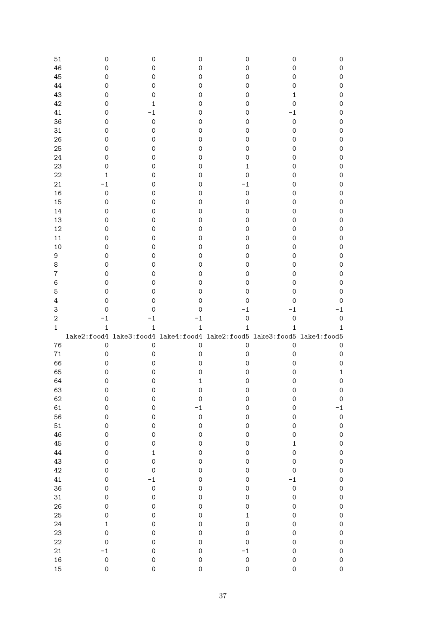| 51               | 0                   | 0                                                                       | 0                           | 0                   | 0                                  | 0                                  |
|------------------|---------------------|-------------------------------------------------------------------------|-----------------------------|---------------------|------------------------------------|------------------------------------|
| 46               | 0                   | 0                                                                       | 0                           | 0                   | 0                                  | 0                                  |
| 45               | 0                   | 0                                                                       | 0                           | 0                   | 0                                  | $\mathsf{O}\xspace$                |
| 44               | 0                   | 0                                                                       | 0                           | 0                   | $\mathbf 0$                        | $\mathsf{O}\xspace$                |
| 43               | 0                   | 0                                                                       | 0                           | 0                   | 1                                  | $\mathsf{O}\xspace$                |
| 42               | 0                   | 1                                                                       | 0                           | 0                   | $\mathsf{O}\xspace$                | $\mathsf{O}\xspace$                |
| 41               | 0                   | $-1$                                                                    | 0                           | 0                   | $-1$                               | $\mathsf{O}\xspace$                |
| 36               | 0                   | $\mathsf O$                                                             | 0                           | 0                   | $\mathsf{O}\xspace$                | $\mathsf{O}\xspace$                |
| 31               | 0                   | 0                                                                       | 0                           | 0                   | 0                                  | $\mathsf{O}\xspace$                |
| 26               | 0                   | 0                                                                       | 0                           | 0                   | 0                                  | $\mathsf{O}\xspace$                |
| 25               | 0                   | 0                                                                       | 0                           | 0                   | 0                                  | $\mathsf{O}\xspace$                |
| 24               | 0                   | 0                                                                       | 0                           | 0                   | 0                                  | $\mathsf{O}\xspace$                |
| 23               | 0                   | 0                                                                       | 0                           | 1                   | 0                                  | $\mathsf{O}\xspace$                |
| 22               | 1                   | 0                                                                       | 0                           | 0                   | 0                                  | $\mathsf{O}\xspace$                |
| 21               | $-1$                | 0                                                                       | 0                           | $-1$                | 0                                  | $\mathsf{O}\xspace$                |
| 16               | $\mathsf{O}\xspace$ | 0                                                                       | 0                           | $\mathsf{O}\xspace$ | 0                                  | $\mathsf{O}\xspace$                |
| 15               | $\mathsf{O}\xspace$ | 0                                                                       | 0                           | $\mathsf{O}\xspace$ | 0                                  | $\mathsf{O}\xspace$                |
| 14               | $\mathsf{O}\xspace$ | 0                                                                       | 0                           | 0                   | 0                                  | $\mathsf{O}\xspace$                |
|                  |                     |                                                                         |                             |                     |                                    |                                    |
| 13               | $\mathsf{O}\xspace$ | 0                                                                       | 0                           | 0                   | 0                                  | $\mathsf{O}\xspace$                |
| 12               | $\mathsf{O}\xspace$ | 0                                                                       | 0                           | 0                   | 0                                  | $\mathsf{O}\xspace$                |
| 11               | $\mathsf{O}\xspace$ | 0                                                                       | 0                           | 0                   | 0                                  | $\mathsf{O}\xspace$                |
| 10               | 0                   | 0                                                                       | 0                           | 0                   | 0                                  | $\mathsf{O}\xspace$                |
| 9                | 0                   | 0                                                                       | $\mathsf{O}\xspace$         | 0                   | $\mathsf{O}\xspace$                | $\mathsf{O}\xspace$                |
| 8                | 0                   | 0                                                                       | 0                           | 0                   | $\mathsf{O}\xspace$                | $\mathsf{O}\xspace$                |
| $\boldsymbol{7}$ | 0                   | 0                                                                       | 0                           | 0                   | $\mathsf{O}\xspace$                | $\mathsf{O}\xspace$                |
| 6                | 0                   | 0                                                                       | 0                           | 0                   | 0                                  | $\mathsf{O}\xspace$                |
| 5                | 0                   | 0                                                                       | 0                           | 0                   | $\mathbf 0$                        | $\mathsf{O}\xspace$                |
| $\ensuremath{4}$ | 0                   | 0                                                                       | 0                           | 0                   | $\mathbf 0$                        | 0                                  |
| 3                | 0                   | 0                                                                       | 0                           | $-1$                | $-1$                               | $-1$                               |
|                  |                     |                                                                         |                             |                     |                                    |                                    |
| $\sqrt{2}$       | $-1$                | $-1$                                                                    | $^{-1}$                     | $\mathsf{O}\xspace$ | $\mathsf{O}\xspace$                | $\mathsf{O}\xspace$                |
| $\mathbf{1}$     | $\mathbf{1}$        | $\mathbf 1$                                                             | $\mathbf{1}$                | $\mathbf{1}$        | $\mathbf 1$                        | $\mathbf{1}$                       |
|                  |                     | lake2:food4 lake3:food4 lake4:food4 lake2:food5 lake3:food5 lake4:food5 |                             |                     |                                    |                                    |
| 76               | $\mathsf{O}\xspace$ | $\mathsf O$                                                             | $\mathsf{O}\xspace$         | $\mathsf{O}\xspace$ | $\mathsf{O}\xspace$                | 0                                  |
| $71\,$           | $\mathsf O$         | 0                                                                       | 0                           | 0                   | $\mathbf 0$                        | 0                                  |
| 66               | 0                   | 0                                                                       | 0                           | 0                   | $\mathbf 0$                        | 0                                  |
| 65               | 0                   | 0                                                                       | 0                           | 0                   | 0                                  | $\mathbf{1}$                       |
| 64               | 0                   | 0                                                                       | 1                           | 0                   | 0                                  | $\mathsf{O}\xspace$                |
| 63               | 0                   | 0                                                                       | 0                           | 0                   | $\mathbf 0$                        | $\pmb{\mathsf{O}}$                 |
| 62               | $\mathbf 0$         | $\mathbf 0$                                                             | $\mathbf 0$                 | $\mathbf 0$         | $\mathsf{O}\xspace$                | $\mathsf{O}\xspace$                |
| 61               | $\mathbf 0$         | $\circ$                                                                 | $-1$                        | $\circ$             | $\mathsf{O}\xspace$                | $-1$                               |
| 56               | $\mathbf 0$         | $\circ$                                                                 | $\circ$                     | $\mathbf 0$         | $\mathbf 0$                        | $\mathbf 0$                        |
| 51               | $\mathbf 0$         | $\mathbf 0$                                                             | $\circ$                     | $\circ$             | $\mathbf 0$                        | $\mathsf{O}\xspace$                |
| 46               | $\mathbf 0$         | $\mathbf 0$                                                             | $\circ$                     | $\circ$             | $\mathbf 0$                        | $\mathbf 0$                        |
| 45               | $\mathbf 0$         | $\mathbf 0$                                                             | $\circ$                     | $\circ$             | $\mathbf{1}$                       | $\mathbf 0$                        |
| 44               | $\mathbf 0$         | $\mathbf 1$                                                             | $\circ$                     | $\circ$             | $\mathbf 0$                        | $\mathbf 0$                        |
| 43               | $\mathbf 0$         | $\circ$                                                                 | $\circ$                     | $\circ$             | $\circ$                            | $\mathbf 0$                        |
| 42               | $\mathbf 0$         | $\circ$                                                                 | $\circ$                     | $\circ$             | $\mathbf 0$                        | $\mathbf 0$                        |
| 41               | $\mathbf 0$         |                                                                         | $\circ$                     | $\circ$             | $-1$                               | $\mathbf 0$                        |
| 36               | $\mathbf 0$         |                                                                         | $\circ$                     | $\circ$             | $\circ$                            | $\mathbf 0$                        |
| 31               | $\circ$             | $\frac{-1}{0}$<br>$\circ$                                               | $\circ$                     | $\circ$             | $\mathbf{O}$                       | $\mathbf 0$                        |
| 26               | $\circ$             | $\circ$                                                                 | $\mathbf{O}$                | $\mathbf{O}$        | $\mathbf 0$                        | $\mathbf 0$                        |
| 25               | $\circ$             | $\circ$                                                                 | $\mathbf{O}$                | $\mathbf{1}$        | $\mathbf 0$                        | $\mathbf 0$                        |
| 24               | $\mathbf{1}$        | $\circ$                                                                 | $\mathbf{O}$                | $\circ$             | $\mathbf 0$                        | $\mathbf 0$                        |
| 23               | $\circ$             | $\circ$                                                                 | $\circ$                     | $\mathbf{O}$        | $\mathbf 0$                        | $\mathbf 0$                        |
| 22               | $\mathbf 0$         | $\circ$                                                                 | $\circ$                     | $\mathbf 0$         | $\mathbf 0$                        | $\mathbf 0$                        |
| 21               | $-1$                | $\circ$                                                                 | $\circ$                     | $-1$                | $\mathbf 0$                        | $\mathbf 0$                        |
| 16<br>15         | $\circ$<br>$\circ$  | $\circ$<br>$\mathbf 0$                                                  | $\mathbf{O}$<br>$\mathbf 0$ | $\circ$<br>$\circ$  | $\mathbf 0$<br>$\mathsf{O}\xspace$ | $\mathbf 0$<br>$\mathsf{O}\xspace$ |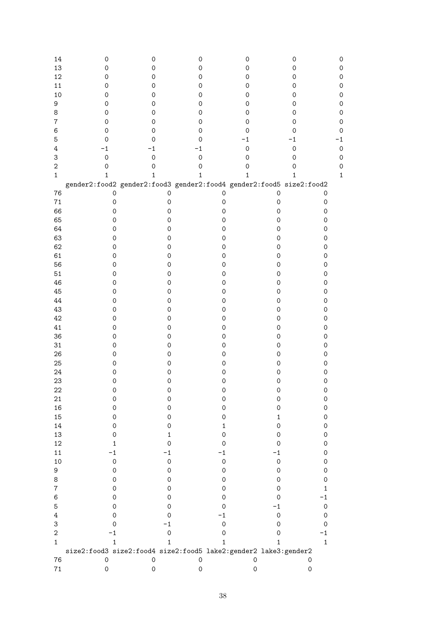| 14<br>13<br>12<br>11<br>10<br>9<br>8<br>$\overline{7}$ | 0<br>$\mathsf{O}\xspace$<br>$\mathsf{O}\xspace$<br>0<br>0<br>0<br>0<br>0 | 0<br>0<br>0<br>0<br>0<br>0<br>0<br>0                                | 0<br>$\mathsf{O}\xspace$<br>0<br>0<br>0<br>0<br>0<br>0 | 0<br>$\mathsf{O}\xspace$<br>$\mathbf 0$<br>$\mathbf 0$<br>0<br>0<br>0<br>0 | 0<br>$\mathsf{O}\xspace$<br>0<br>0<br>0<br>0<br>0<br>0 | 0<br>ი |
|--------------------------------------------------------|--------------------------------------------------------------------------|---------------------------------------------------------------------|--------------------------------------------------------|----------------------------------------------------------------------------|--------------------------------------------------------|--------|
| $\,6$                                                  | 0                                                                        | 0                                                                   | 0                                                      | 0                                                                          | 0                                                      |        |
| 5                                                      | 0                                                                        | 0                                                                   | 0                                                      | $-1$                                                                       | $-1$                                                   |        |
| $\overline{4}$                                         | $-1$                                                                     | $-1$                                                                | -1                                                     | $\mathsf{O}\xspace$                                                        | $\mathbf 0$                                            | 0      |
| 3                                                      | $\mathbf 0$                                                              | $\overline{0}$                                                      | $\mathbf 0$                                            | $\mathbf 0$                                                                | $\mathsf O$                                            | 0      |
| $\overline{2}$                                         | 0                                                                        | 0                                                                   | $\mathsf{O}\xspace$                                    | $\mathsf{O}\xspace$                                                        | $\mathbf 0$                                            | 0      |
| $\mathbf{1}$                                           | 1                                                                        | 1                                                                   | $\mathbf 1$                                            | 1                                                                          | 1                                                      | 1      |
|                                                        |                                                                          | gender2:food2 gender2:food3 gender2:food4 gender2:food5 size2:food2 |                                                        |                                                                            |                                                        |        |
| 76                                                     | $\mathsf{O}\xspace$                                                      | 0                                                                   | 0                                                      | $\mathsf{O}\xspace$                                                        | $\mathsf{O}\xspace$                                    |        |
| $71\,$                                                 | $\mathsf{O}\xspace$                                                      | $\mathsf O$                                                         | $\mathsf O$                                            | $\mathsf{O}\xspace$                                                        | $\mathsf{O}\xspace$                                    |        |
| 66                                                     | $\mathsf{O}\xspace$                                                      | $\mathsf{O}\xspace$                                                 | $\mathsf{O}\xspace$                                    | $\mathsf{O}\xspace$                                                        | $\mathsf{O}\xspace$                                    |        |
| 65                                                     | $\mathsf{O}\xspace$                                                      | $\mathsf{O}\xspace$                                                 | $\mathsf{O}\xspace$                                    | $\mathsf{O}\xspace$                                                        | $\mathsf{O}\xspace$                                    |        |
| 64                                                     | $\mathsf{O}\xspace$                                                      | 0                                                                   | $\mathsf{O}\xspace$                                    | $\mathsf{O}\xspace$                                                        | $\mathsf{O}\xspace$                                    |        |
| 63                                                     | $\mathsf O$                                                              | 0                                                                   | $\mathsf{O}\xspace$                                    | $\mathsf{O}\xspace$                                                        | $\mathsf{O}\xspace$                                    |        |
| 62                                                     | $\mathsf O$                                                              | $\mathsf{O}\xspace$                                                 | $\mathsf{O}\xspace$                                    | $\mathsf{O}\xspace$                                                        | $\mathsf{O}\xspace$                                    |        |
| 61                                                     | $\mathsf{O}\xspace$                                                      | $\mathsf{O}\xspace$                                                 | $\mathsf{O}\xspace$                                    | $\mathsf{O}\xspace$                                                        | $\mathsf{O}\xspace$                                    |        |
| 56                                                     | $\mathsf{O}\xspace$                                                      | $\mathsf{O}\xspace$                                                 | $\mathsf{O}\xspace$                                    | $\mathsf{O}\xspace$                                                        | $\mathsf{O}\xspace$                                    |        |
| 51                                                     | $\mathsf{O}\xspace$                                                      | $\mathsf{O}\xspace$                                                 | $\mathsf{O}\xspace$                                    | $\mathsf{O}\xspace$                                                        | $\mathsf{O}\xspace$                                    |        |
| 46                                                     | $\mathsf{O}\xspace$                                                      | $\mathsf{O}\xspace$                                                 | $\mathsf{O}\xspace$                                    | $\mathsf{O}\xspace$                                                        | $\mathsf{O}\xspace$                                    |        |
| 45                                                     | $\mathsf{O}\xspace$                                                      | $\mathsf{O}\xspace$                                                 | $\mathsf O$                                            | $\mathsf O$                                                                | $\mathsf{O}\xspace$                                    |        |
| 44                                                     | $\mathsf O$                                                              | $\mathsf O$                                                         | $\mathsf O$                                            | $\mathsf O$                                                                | $\mathsf{O}\xspace$                                    |        |
| 43                                                     | $\mathsf O$                                                              | $\mathsf O$                                                         | $\mathsf O$                                            | $\mathsf O$                                                                | $\mathsf{O}\xspace$                                    |        |
| 42<br>41                                               | $\mathsf O$                                                              | $\mathsf O$                                                         | $\mathsf O$                                            | $\mathsf O$                                                                | $\mathsf{O}\xspace$                                    |        |
| 36                                                     | $\mathsf{O}\xspace$<br>$\mathsf{O}\xspace$                               | $\mathsf O$<br>$\mathsf O$                                          | $\mathsf{O}\xspace$<br>$\mathsf{O}\xspace$             | $\mathsf{O}\xspace$<br>$\mathsf{O}\xspace$                                 | $\mathsf{O}\xspace$<br>$\mathsf{O}\xspace$             |        |
| 31                                                     | $\mathsf{O}\xspace$                                                      | $\mathsf O$                                                         | $\mathsf{O}\xspace$                                    | $\mathsf{O}\xspace$                                                        | $\mathsf{O}\xspace$                                    |        |
| 26                                                     | $\mathsf{O}\xspace$                                                      | $\mathsf O$                                                         | $\mathsf{O}\xspace$                                    | $\mathsf{O}\xspace$                                                        | $\mathsf{O}\xspace$                                    |        |
| 25                                                     | $\mathsf{O}\xspace$                                                      | $\mathsf{O}\xspace$                                                 | $\mathsf{O}\xspace$                                    | $\mathsf O$                                                                | $\mathsf{O}\xspace$                                    |        |
| 24                                                     | $\mathsf O$                                                              | $\mathsf O$                                                         | $\mathsf{O}\xspace$                                    | $\mathsf{O}\xspace$                                                        | $\mathsf O$                                            |        |
| 23                                                     | $\mathsf O$                                                              | $\mathsf O$                                                         | $\mathsf{O}\xspace$                                    | $\mathsf{O}\xspace$                                                        | $\mathsf{O}\xspace$                                    |        |
| 22                                                     | Ô                                                                        | Ô                                                                   | O                                                      | O                                                                          | 0                                                      |        |
| 21                                                     | 0                                                                        | 0                                                                   | 0                                                      | $\mathsf{O}\xspace$                                                        | $\mathsf{O}\xspace$                                    |        |
| 16                                                     | 0                                                                        | 0                                                                   | $\mathsf{O}\xspace$                                    | 0                                                                          | $\mathsf{O}\xspace$                                    |        |
| 15                                                     | 0                                                                        | 0                                                                   | 0                                                      | $\mathbf{1}$                                                               | $\mathsf{O}\xspace$                                    |        |
| 14                                                     | 0                                                                        | 0                                                                   | 1                                                      | 0                                                                          | $\mathsf{O}\xspace$                                    |        |
| 13                                                     | 0                                                                        | $\mathbf{1}$                                                        | 0                                                      | 0                                                                          | $\mathsf{O}\xspace$                                    |        |
| 12                                                     | 1                                                                        | 0                                                                   | 0                                                      | 0                                                                          | $\mathsf{O}\xspace$                                    |        |
| 11                                                     | $-1$                                                                     | -1                                                                  | -1                                                     | -1                                                                         | $\mathsf{O}\xspace$                                    |        |
| 10                                                     | $\mathsf{O}\xspace$                                                      | $\mathsf{O}\xspace$                                                 | $\mathsf{O}\xspace$                                    | $\mathsf{O}\xspace$                                                        | $\mathsf{O}\xspace$                                    |        |
| 9                                                      | $\mathbf 0$                                                              | 0                                                                   | 0                                                      | $\mathbf 0$                                                                | $\mathsf{O}\xspace$                                    |        |
| 8                                                      | 0                                                                        | 0                                                                   | 0                                                      | 0                                                                          | $\mathbf 0$                                            |        |
| $\bf 7$                                                | 0                                                                        | 0                                                                   | 0                                                      | 0                                                                          | 1                                                      |        |
| 6                                                      | 0                                                                        | 0                                                                   | 0                                                      | 0                                                                          | $-1$                                                   |        |
| 5                                                      | 0                                                                        | 0                                                                   | 0                                                      | $-1$                                                                       | $\mathsf{O}\xspace$                                    |        |
| 4                                                      | 0                                                                        | 0                                                                   | $-1$                                                   | $\mathsf{O}\xspace$                                                        | $\mathsf{O}\xspace$                                    |        |
| 3<br>$\overline{2}$                                    | 0<br>$-1$                                                                | $-1$                                                                | $\mathsf{O}\xspace$                                    | 0                                                                          | $\mathsf{O}\xspace$<br>$-1$                            |        |
| $\mathbf{1}$                                           | 1                                                                        | 0<br>$\mathbf{1}$                                                   | 0<br>$\mathbf{1}$                                      | 0<br>$\mathbf{1}$                                                          | $\mathbf{1}$                                           |        |
|                                                        |                                                                          | size2:food3 size2:food4 size2:food5 lake2:gender2 lake3:gender2     |                                                        |                                                                            |                                                        |        |
| 76                                                     | 0                                                                        | $\mathsf{O}\xspace$                                                 | $\mathsf{O}\xspace$                                    | $\mathsf{O}\xspace$                                                        | 0                                                      |        |
| $71\,$                                                 | 0                                                                        | 0                                                                   | $\mathsf{O}\xspace$                                    | $\mathsf{O}\xspace$                                                        | 0                                                      |        |
|                                                        |                                                                          |                                                                     |                                                        |                                                                            |                                                        |        |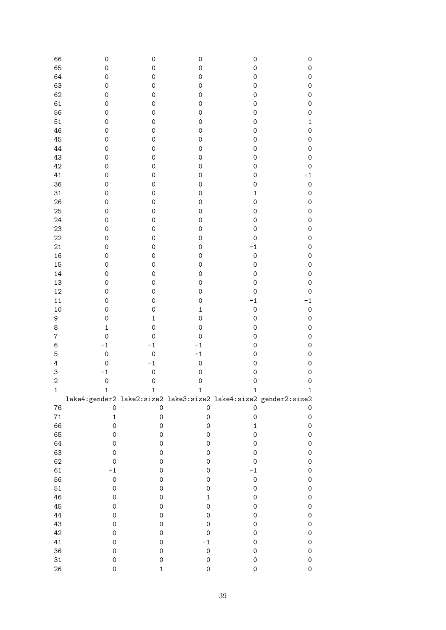| 66                      | 0                                                               | $\mathsf{O}\xspace$ | $\mathsf{O}\xspace$ | $\mathsf{O}\xspace$ | $\mathsf{O}\xspace$ |
|-------------------------|-----------------------------------------------------------------|---------------------|---------------------|---------------------|---------------------|
| 65                      | $\mathsf{O}\xspace$                                             | $\mathbf 0$         | $\mathbf 0$         | $\mathbf 0$         | $\mathsf{O}\xspace$ |
| 64                      | $\mathsf{O}\xspace$                                             | $\mathbf 0$         | $\mathbf 0$         | $\mathsf{O}\xspace$ | $\mathsf{O}\xspace$ |
| 63                      | 0                                                               | $\mathsf{O}\xspace$ | $\mathbf 0$         | $\mathsf{O}\xspace$ | $\mathbf 0$         |
| 62                      | 0                                                               | $\mathsf{O}\xspace$ | $\mathbf 0$         | $\mathsf{O}\xspace$ | $\mathbf 0$         |
| 61                      | 0                                                               | $\mathbf 0$         | $\mathbf 0$         | $\mathsf{O}\xspace$ | $\mathbf 0$         |
| 56                      | 0                                                               | $\mathbf 0$         | $\mathbf 0$         | $\mathsf{O}\xspace$ | $\mathsf{O}\xspace$ |
| 51                      | 0                                                               | $\mathbf 0$         | $\mathbf 0$         | $\mathsf{O}\xspace$ | $\mathbf{1}$        |
| 46                      | 0                                                               | $\mathbf 0$         | $\mathbf 0$         | $\mathsf{O}\xspace$ | $\mathbf 0$         |
| 45                      | 0                                                               | $\mathbf 0$         | $\mathbf 0$         | $\mathsf{O}\xspace$ | $\mathbf 0$         |
|                         |                                                                 |                     |                     |                     |                     |
| 44                      | 0                                                               | $\mathbf 0$         | $\mathbf 0$         | $\mathsf{O}\xspace$ | $\mathbf 0$         |
| 43                      | $\mathsf{O}\xspace$                                             | $\mathbf 0$         | $\mathbf 0$         | $\mathsf{O}\xspace$ | $\mathbf 0$         |
| 42                      | $\mathsf{O}\xspace$                                             | $\mathbf 0$         | $\mathbf 0$         | $\mathsf{O}\xspace$ | $\mathbf 0$         |
| 41                      | $\mathsf{O}\xspace$                                             | $\mathbf 0$         | $\mathbf 0$         | $\mathsf{O}\xspace$ | $-1$                |
| 36                      | $\mathsf{O}\xspace$                                             | $\mathbf 0$         | $\mathbf 0$         | $\mathsf{O}\xspace$ | $\circ$             |
| 31                      | $\mathsf{O}\xspace$                                             | $\mathbf 0$         | $\mathbf 0$         | $\mathbf 1$         | $\mathbf 0$         |
| 26                      | $\mathsf{O}\xspace$                                             | $\mathbf 0$         | $\mathbf 0$         | $\mathsf{O}\xspace$ | $\mathbf 0$         |
| 25                      | $\mathsf{O}\xspace$                                             | $\mathbf 0$         | $\mathbf 0$         | $\mathsf{O}\xspace$ | $\mathbf 0$         |
| 24                      | $\mathsf{O}\xspace$                                             | $\mathbf 0$         | $\mathbf 0$         | $\mathsf{O}\xspace$ | $\mathbf 0$         |
| 23                      | $\mathsf{O}\xspace$                                             | $\mathbf 0$         | $\mathbf 0$         | $\mathsf{O}\xspace$ | $\mathbf 0$         |
| 22                      | $\mathsf{O}\xspace$                                             | $\mathbf 0$         | $\mathbf 0$         | $\mathsf{O}\xspace$ | $\mathbf 0$         |
| 21                      | 0                                                               | $\mathbf 0$         | $\mathbf 0$         | $-1$                | $\mathbf 0$         |
| 16                      | 0                                                               | $\mathbf 0$         | $\mathbf 0$         | $\mathbf 0$         | $\mathbf 0$         |
| 15                      | 0                                                               | $\mathbf 0$         | $\mathbf 0$         | $\mathsf{O}\xspace$ | $\mathbf 0$         |
| 14                      | 0                                                               | $\mathbf 0$         | $\mathbf 0$         | $\mathsf{O}\xspace$ | $\mathbf 0$         |
| 13                      | 0                                                               | $\mathbf 0$         | $\mathbf 0$         | $\mathsf{O}\xspace$ | $\mathbf 0$         |
| 12                      | 0                                                               | $\mathsf{O}\xspace$ | $\mathbf 0$         | $\mathbf 0$         | $\mathbf 0$         |
| 11                      | 0                                                               | $\mathsf{O}\xspace$ | $\mathbf 0$         | $-1$                | $-1$                |
| 10                      | 0                                                               | $\mathsf{O}\xspace$ | $\mathbf{1}$        | $\mathbf 0$         | $\circ$             |
| 9                       | 0                                                               | $\mathbf 1$         | $\mathbf 0$         | $\mathsf{O}\xspace$ | $\mathbf 0$         |
| $\,8\,$                 | $\mathbf 1$                                                     | $\mathbf 0$         | $\mathbf 0$         | $\mathsf{O}\xspace$ | $\mathsf{O}\xspace$ |
| $\overline{\mathbf{7}}$ | $\mathbf 0$                                                     | $\mathbf 0$         | $\mathbf 0$         | $\mathsf{O}\xspace$ | $\mathsf{O}\xspace$ |
| $\,6$                   | $-1$                                                            | $-1$                | $-1$                | $\mathsf{O}\xspace$ | $\mathsf{O}\xspace$ |
|                         | $\mathbf 0$                                                     | $\circ$             | $-1$                | $\mathsf{O}\xspace$ | $\mathsf{O}\xspace$ |
| $\mathbf 5$             |                                                                 |                     | $\circ$             |                     |                     |
| $\ensuremath{4}$        | $\mathbf 0$                                                     | $-1$                |                     | $\mathsf{O}\xspace$ | $\mathbf 0$         |
| 3                       | $-1$                                                            | $\circ$             | $\mathbf 0$         | $\mathsf{O}\xspace$ | $\mathbf 0$         |
| $\boldsymbol{2}$        | $\mathbf 0$                                                     | $\mathbf 0$         | $\mathbf 0$         | $\mathsf{O}\xspace$ | $\mathsf{O}\xspace$ |
| $\mathbf 1$             | $\mathbf{1}$                                                    | $\mathbf 1$         | $\mathbf{1}$        | $\mathbf{1}$        |                     |
|                         | lake4:gender2 lake2:size2 lake3:size2 lake4:size2 gender2:size2 |                     |                     |                     |                     |
| 76                      | $\mathsf{O}\xspace$                                             | $\mathsf{O}\xspace$ | $\mathsf{O}\xspace$ | $\mathsf{O}\xspace$ | $\mathsf{O}\xspace$ |
| $71\,$                  | $\mathbf 1$                                                     | $\mathsf{O}\xspace$ | 0                   | $\mathsf{O}\xspace$ | $\mathsf{O}\xspace$ |
| 66                      | $\mathsf{O}\xspace$                                             | $\mathsf{O}\xspace$ | 0                   | $\mathbf 1$         | $\mathsf{O}\xspace$ |
| 65                      | $\mathsf{O}\xspace$                                             | $\mathsf{O}\xspace$ | 0                   | $\mathsf{O}\xspace$ | $\mathsf{O}\xspace$ |
| 64                      | $\mathsf{O}\xspace$                                             | $\mathsf{O}\xspace$ | 0                   | $\mathsf{O}\xspace$ | $\mathsf{O}\xspace$ |
| 63                      | $\mathsf{O}\xspace$                                             | $\mathsf{O}\xspace$ | 0                   | $\mathsf{O}\xspace$ | $\mathsf{O}\xspace$ |
| 62                      | $\mathsf{O}\xspace$                                             | $\mathsf{O}\xspace$ | 0                   | $\mathsf{O}\xspace$ | $\mathsf{O}\xspace$ |
| 61                      | $-1$                                                            | $\mathsf{O}\xspace$ | 0                   | $-1$                | $\mathsf{O}\xspace$ |
| 56                      | $\hbox{O}$                                                      | $\mathsf{O}\xspace$ | 0                   | $\mathsf{O}\xspace$ | $\mathsf{O}\xspace$ |
| 51                      | $\mathsf{O}\xspace$                                             | $\mathsf{O}\xspace$ | 0                   | $\mathsf{O}\xspace$ | $\mathsf{O}\xspace$ |
| 46                      | $\mathsf{O}\xspace$                                             | 0                   | $\mathbf 1$         | $\mathsf{O}\xspace$ | $\mathsf{O}\xspace$ |
| 45                      | $\mathsf{O}\xspace$                                             | 0                   | $\mathbf 0$         | $\mathsf{O}\xspace$ | $\mathsf{O}\xspace$ |
| 44                      | $\mathsf{O}\xspace$                                             | 0                   | 0                   | $\mathsf{O}\xspace$ | $\mathsf{O}\xspace$ |
| 43                      | $\mathsf{O}\xspace$                                             | 0                   | 0                   | $\mathsf{O}\xspace$ | $\mathsf{O}\xspace$ |
| 42                      | $\mathsf{O}\xspace$                                             | 0                   | 0                   | $\mathsf{O}\xspace$ | $\mathsf{O}\xspace$ |
| $41\,$                  | $\mathsf{O}\xspace$                                             | 0                   | $-1$                | $\mathsf{O}\xspace$ | $\mathsf{O}\xspace$ |
| 36                      | $\mathsf{O}\xspace$                                             | 0                   | $\mathsf{O}\xspace$ | $\mathsf{O}\xspace$ | $\mathsf{O}\xspace$ |
| $31\,$                  | $\mathsf{O}\xspace$                                             | 0                   | $\mathsf{O}\xspace$ | $\mathsf{O}\xspace$ | $\mathsf{O}\xspace$ |
| 26                      | $\mathsf{O}\xspace$                                             | $\mathbf 1$         | 0                   | $\mathsf{O}\xspace$ | $\mathsf{O}\xspace$ |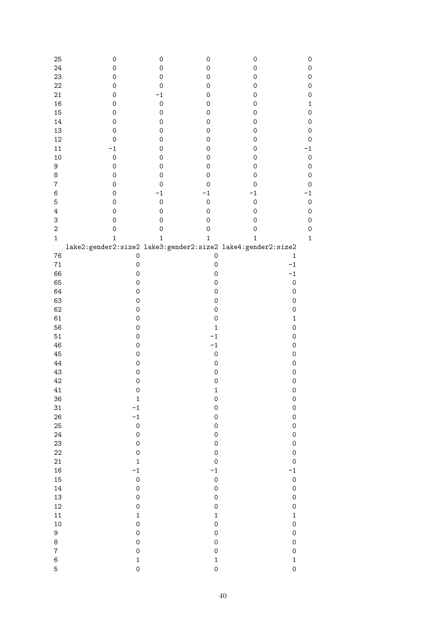| 25                        | $\mathsf{O}\xspace$ | $\mathsf{O}\xspace$ | $\mathsf{O}\xspace$ | $\mathsf{O}\xspace$ | 0            |
|---------------------------|---------------------|---------------------|---------------------|---------------------|--------------|
| 24                        | $\mathsf{O}\xspace$ | $\mathsf{O}\xspace$ | $\mathsf{O}\xspace$ | $\mathsf{O}\xspace$ | 0            |
| 23                        | $\mathsf O$         | $\mathsf{O}\xspace$ | 0                   | $\mathsf{O}\xspace$ | $\mathbf 0$  |
|                           |                     |                     |                     |                     |              |
| 22                        | $\mathsf O$         | $\mathsf{O}\xspace$ | 0                   | $\mathsf{O}\xspace$ | $\mathbf 0$  |
| 21                        | $\mathsf O$         | $-1$                | 0                   | $\mathsf{O}\xspace$ | $\mathbf 0$  |
| 16                        | $\mathsf O$         | $\mathsf{O}\xspace$ | 0                   | $\mathsf{O}\xspace$ | $\mathbf{1}$ |
| 15                        | $\mathsf O$         | $\mathsf{O}\xspace$ | 0                   | $\mathsf{O}\xspace$ | $\mathbf{O}$ |
| 14                        | $\mathsf O$         | $\mathsf{O}\xspace$ | 0                   | $\mathsf{O}\xspace$ | $\mathbf 0$  |
| 13                        | $\mathsf{O}\xspace$ | $\mathsf{O}\xspace$ | 0                   | $\mathsf{O}\xspace$ | $\mathbf{O}$ |
| 12                        | $\mathbf 0$         | $\mathsf{O}\xspace$ | 0                   | 0                   | $\mathbf 0$  |
| $11\,$                    | $-1$                | $\mathsf{O}\xspace$ | 0                   | 0                   | $-1$         |
|                           |                     |                     |                     |                     |              |
| 10                        | $\mathbf 0$         | $\mathsf{O}\xspace$ | 0                   | $\mathsf{O}\xspace$ | $\circ$      |
| 9                         | $\mathsf{O}\xspace$ | $\mathsf{O}\xspace$ | 0                   | $\mathsf{O}\xspace$ | $\mathbf{O}$ |
| $\,8\,$                   | $\mathsf{O}\xspace$ | $\mathsf{O}\xspace$ | 0                   | 0                   | $\mathbf{O}$ |
| $\boldsymbol{7}$          | $\mathsf{O}\xspace$ | $\mathsf{O}\xspace$ | 0                   | 0                   | $\circ$      |
| 6                         | $\mathsf{O}\xspace$ | $-1$                | $-1$                | $-1$                | $-1$         |
| $\mathbf 5$               | $\mathsf{O}\xspace$ | $\mathsf{O}\xspace$ | $\mathbf 0$         | $\mathbf 0$         | $\circ$      |
| $\ensuremath{4}$          | $\mathsf{O}\xspace$ | $\mathsf{O}\xspace$ | $\mathsf{O}\xspace$ | 0                   | $\mathbf{O}$ |
| $\ensuremath{\mathsf{3}}$ | $\mathsf{O}\xspace$ | $\mathsf{O}\xspace$ | 0                   | 0                   | $\mathbf 0$  |
| $\sqrt{2}$                | $\mathbf 0$         | $\mathsf{O}\xspace$ | $\mathbf 0$         | 0                   | $\mathbf 0$  |
| $1\,$                     | $\mathbf{1}$        | $\mathbf 1$         | $\mathbf 1$         | $\mathbf{1}$        | $\mathbf{1}$ |
|                           |                     |                     |                     |                     |              |
| 76                        |                     |                     | $\mathsf{O}\xspace$ | $\mathbf 1$         |              |
|                           | $\mathsf{O}\xspace$ |                     |                     |                     |              |
| $71\,$                    | $\mathsf{O}\xspace$ |                     | $\mathsf{O}\xspace$ | $-1$                |              |
| 66                        | $\mathsf{O}\xspace$ |                     | $\mathsf{O}\xspace$ | $-1$                |              |
| 65                        | $\mathsf{O}\xspace$ |                     | $\mathsf{O}\xspace$ | $\mathsf{O}\xspace$ |              |
| 64                        | $\mathsf{O}\xspace$ |                     | $\mathsf{O}\xspace$ | $\mathsf{O}\xspace$ |              |
| 63                        | $\mathsf{O}\xspace$ |                     | $\mathsf{O}\xspace$ | $\mathsf{O}\xspace$ |              |
| 62                        | 0                   |                     | $\mathsf O$         | $\mathsf{O}\xspace$ |              |
| 61                        | 0                   |                     | $\mathsf O$         | $\mathbf 1$         |              |
| 56                        | 0                   |                     | $\mathbf 1$         | $\mathbf 0$         |              |
| 51                        | 0                   |                     | $-1$                | $\mathsf{O}\xspace$ |              |
| 46                        | 0                   |                     | $-1$                | $\mathsf{O}\xspace$ |              |
|                           |                     |                     |                     |                     |              |
| 45                        | 0                   |                     | $\mathsf{O}\xspace$ | $\mathsf{O}\xspace$ |              |
| 44                        | 0                   |                     | $\mathsf{O}\xspace$ | $\mathsf{O}\xspace$ |              |
| 43                        | $\mathsf{O}\xspace$ |                     | $\mathsf{O}\xspace$ | $\mathbf 0$         |              |
| 42                        | $\mathsf{O}\xspace$ |                     | $\mathsf{O}\xspace$ | $\mathbf 0$         |              |
| 41                        | $\mathbf 0$         |                     | $\mathbf 1$         | $\mathsf{O}$        |              |
| 36                        | $\mathbf{1}$        |                     | $\mathsf{O}\xspace$ | $\mathsf{O}$        |              |
| 31                        | $-1$                |                     | $\mathsf{O}\xspace$ | $\mathsf{O}$        |              |
| 26                        | $-1$                |                     | $\mathsf{O}\xspace$ | $\mathbf 0$         |              |
| 25                        | $\mathsf{O}\xspace$ |                     | $\mathsf{O}\xspace$ | $\mathbf 0$         |              |
| 24                        | $\mathsf{O}\xspace$ |                     | $\mathsf{O}\xspace$ | $\mathbf 0$         |              |
| 23                        | $\mathsf{O}\xspace$ |                     | $\mathsf{O}\xspace$ | $\mathbf 0$         |              |
|                           |                     |                     |                     |                     |              |
| 22                        | $\mathsf{O}\xspace$ |                     | $\mathbf 0$         | $\mathbf 0$         |              |
| 21                        | $\mathbf{1}$        |                     | $\mathbf 0$         | $\mathbf 0$         |              |
| 16                        | $-1$                |                     | $-1$                | $-1$                |              |
| 15                        | $\mathsf{O}\xspace$ |                     | $\mathbf 0$         | $\mathsf{O}$        |              |
| 14                        | $\mathsf{O}\xspace$ |                     | $\mathsf{O}\xspace$ | $\mathbf 0$         |              |
| 13                        | $\mathsf{O}\xspace$ |                     | $\mathsf{O}\xspace$ | $\mathbf 0$         |              |
| 12                        | $\mathsf{O}\xspace$ |                     | $\mathbf 0$         | $\mathbf 0$         |              |
| 11                        | $\mathbf 1$         |                     | $\mathbf 1$         | $\mathbf 1$         |              |
| 10                        | $\mathbf 0$         |                     | $\mathsf{O}\xspace$ | $\mathbf 0$         |              |
| 9                         | $\mathbf 0$         |                     | $\mathsf{O}\xspace$ | $\mathbf 0$         |              |
| 8                         | $\mathbf 0$         |                     | $\mathsf{O}\xspace$ | $\mathbf 0$         |              |
| $\overline{\mathbf{7}}$   | $\mathbf 0$         |                     | $\mathbf 0$         | $\circ$             |              |
|                           |                     |                     |                     |                     |              |
| $\,6$                     | $\mathbf{1}$        |                     | $\mathbf 1$         | $\mathbf{1}$        |              |
| 5                         | $\overline{O}$      |                     | $\mathbf 0$         | $\mathbf 0$         |              |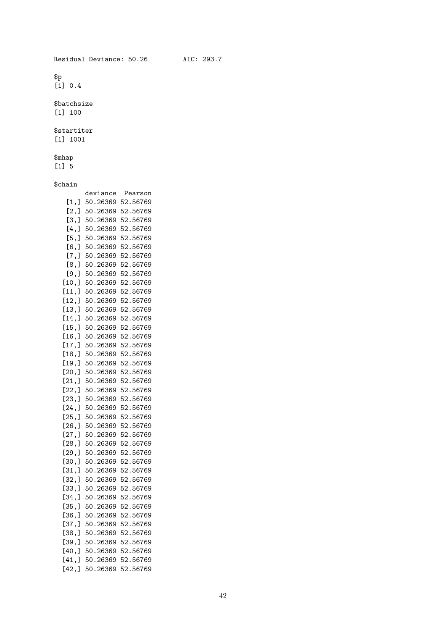$$p$$  $[1] 0.4$ 

\$batchsize [1] 100

\$startiter [1] 1001

\$mhap [1] 5

### \$chain

| hain     |          |          |
|----------|----------|----------|
|          | deviance | Pearson  |
| [1,]     | 50.26369 | 52.56769 |
| [2,]     | 50.26369 | 52.56769 |
| [3,]     | 50.26369 | 52.56769 |
| [4,]     | 50.26369 | 52.56769 |
| [5,]     | 50.26369 | 52.56769 |
| $[6,$ ]  | 50.26369 | 52.56769 |
| $[7,$ ]  | 50.26369 | 52.56769 |
| [8,]     | 50.26369 | 52.56769 |
| $[9,$ ]  | 50.26369 | 52.56769 |
| [10,]    | 50.26369 | 52.56769 |
| [11,]    | 50.26369 | 52.56769 |
| [12,]    | 50.26369 | 52.56769 |
| [13,]    | 50.26369 | 52.56769 |
| [14,]    | 50.26369 | 52.56769 |
| [15,]    | 50.26369 | 52.56769 |
| [16,]    | 50.26369 | 52.56769 |
| [17,]    | 50.26369 | 52.56769 |
| [18,]    | 50.26369 | 52.56769 |
| [19,]    | 50.26369 | 52.56769 |
| [20,]    | 50.26369 | 52.56769 |
| [21,]    | 50.26369 | 52.56769 |
| [22,]    | 50.26369 | 52.56769 |
| [23,]    | 50.26369 | 52.56769 |
| [24,]    | 50.26369 | 52.56769 |
| [25,]    | 50.26369 | 52.56769 |
| [26, ]   | 50.26369 | 52.56769 |
| [27,]    | 50.26369 | 52.56769 |
| [28,]    | 50.26369 | 52.56769 |
| [29,]    | 50.26369 | 52.56769 |
| [30,]    | 50.26369 | 52.56769 |
| [31,]    | 50.26369 | 52.56769 |
| [32,]    | 50.26369 | 52.56769 |
| [33,]    | 50.26369 | 52.56769 |
| [34,]    | 50.26369 | 52.56769 |
| [35,]    | 50.26369 | 52.56769 |
| [36, ]   | 50.26369 | 52.56769 |
| [37,     | 50.26369 | 52.56769 |
| [38,     | 50.26369 | 52.56769 |
| [39,     | 50.26369 | 52.56769 |
| $[40,$ ] | 50.26369 | 52.56769 |
| [41, ]   | 50.26369 | 52.56769 |
| [42,]    | 50.26369 | 52.56769 |
|          |          |          |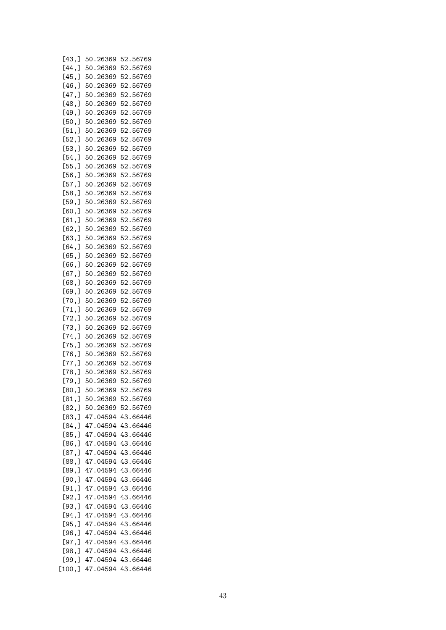| [43,]  | 50.26369 | 52.56769 |
|--------|----------|----------|
| [44, ] | 50.26369 | 52.56769 |
| [45,]  | 50.26369 | 52.56769 |
| [46,]  | 50.26369 | 52.56769 |
| [47, ] | 50.26369 | 52.56769 |
|        |          |          |
| [48, ] | 50.26369 | 52.56769 |
| [49,]  | 50.26369 | 52.56769 |
| [50,]  | 50.26369 | 52.56769 |
| [51,]  | 50.26369 | 52.56769 |
| [52,]  | 50.26369 | 52.56769 |
| [53,]  | 50.26369 | 52.56769 |
| [54,]  | 50.26369 | 52.56769 |
| [55,]  | 50.26369 | 52.56769 |
| [56,]  | 50.26369 | 52.56769 |
|        |          |          |
| [57,]  | 50.26369 | 52.56769 |
| [58,]  | 50.26369 | 52.56769 |
| [59,]  | 50.26369 | 52.56769 |
| [60,]  | 50.26369 | 52.56769 |
| [61, ] | 50.26369 | 52.56769 |
| [62,]  | 50.26369 | 52.56769 |
| [63,]  | 50.26369 | 52.56769 |
|        | 50.26369 | 52.56769 |
| [64, ] |          |          |
| [65, ] | 50.26369 | 52.56769 |
| [66, ] | 50.26369 | 52.56769 |
| [67, ] | 50.26369 | 52.56769 |
| [68,   | 50.26369 | 52.56769 |
| [69,]  | 50.26369 | 52.56769 |
| [70, ] | 50.26369 | 52.56769 |
| [71,]  | 50.26369 | 52.56769 |
|        | 50.26369 |          |
| [72,]  |          | 52.56769 |
| [73,]  | 50.26369 | 52.56769 |
| [74,   | 50.26369 | 52.56769 |
| [75,]  | 50.26369 | 52.56769 |
| [76, ] | 50.26369 | 52.56769 |
| [77,]  | 50.26369 | 52.56769 |
| [78, ] | 50.26369 | 52.56769 |
| [79,   | 50.26369 | 52.56769 |
|        |          | 52.56769 |
| [80,]  | 50.26369 |          |
| [81, ] | 50.26369 | 52.56769 |
| [82,]  | 50.26369 | 52.56769 |
| [83,]  | 47.04594 | 43.66446 |
| [84,   | 47.04594 | 43.66446 |
| [85,]  | 47.04594 | 43.66446 |
| [86, ] | 47.04594 | 43.66446 |
| [87,]  | 47.04594 | 43.66446 |
| [88, ] | 47.04594 | 43.66446 |
| [89,]  | 47.04594 | 43.66446 |
|        |          |          |
| [90,   | 47.04594 | 43.66446 |
| [91, ] | 47.04594 | 43.66446 |
| [92,]  | 47.04594 | 43.66446 |
| [93,]  | 47.04594 | 43.66446 |
| [94,   | 47.04594 | 43.66446 |
| [95,   | 47.04594 | 43.66446 |
| [96,]  | 47.04594 | 43.66446 |
| [97, ] | 47.04594 | 43.66446 |
|        |          |          |
| [98,]  | 47.04594 | 43.66446 |
| [99,]  | 47.04594 | 43.66446 |
| [100,  | 47.04594 | 43.66446 |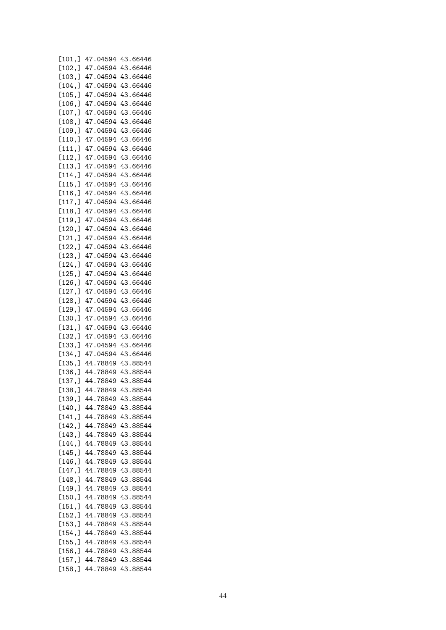| [101, ] | 47.04594 43.66446 |          |
|---------|-------------------|----------|
| [102, ] | 47.04594          | 43.66446 |
| [103, ] | 47.04594          | 43.66446 |
| [104, ] | 47.04594          | 43.66446 |
| [105, ] | 47.04594          | 43.66446 |
| [106, ] | 47.04594          | 43.66446 |
| [107, ] | 47.04594          | 43.66446 |
|         |                   |          |
| [108, ] | 47.04594          | 43.66446 |
| [109, ] | 47.04594          | 43.66446 |
| [110, ] | 47.04594          | 43.66446 |
| [111, ] | 47.04594          | 43.66446 |
| [112, ] | 47.04594          | 43.66446 |
| [113, ] | 47.04594          | 43.66446 |
| [114, ] | 47.04594          | 43.66446 |
| [115, ] | 47.04594          | 43.66446 |
| [116, ] | 47.04594          | 43.66446 |
| [117,]  | 47.04594          | 43.66446 |
| [118, ] | 47.04594          | 43.66446 |
| [119, ] | 47.04594          | 43.66446 |
| [120,   | 47.04594          | 43.66446 |
| [121, ] | 47.04594          | 43.66446 |
| [122, ] | 47.04594          | 43.66446 |
| [123, ] | 47.04594          | 43.66446 |
|         | 47.04594          | 43.66446 |
| [124, ] |                   |          |
| [125, ] | 47.04594          | 43.66446 |
| [126, ] | 47.04594          | 43.66446 |
| [127, ] | 47.04594          | 43.66446 |
| [128, ] | 47.04594          | 43.66446 |
| [129, ] | 47.04594          | 43.66446 |
| [130, ] | 47.04594          | 43.66446 |
| [131, ] | 47.04594          | 43.66446 |
| [132, ] | 47.04594          | 43.66446 |
| [133, ] | 47.04594          | 43.66446 |
| [134, ] | 47.04594          | 43.66446 |
| [135, ] | 44.78849          | 43.88544 |
| [136, ] | 44.78849          | 43.88544 |
| [137,]  | 44.78849          | 43.88544 |
| [138, ] | 44.78849          | 43.88544 |
| [139, ] | 44.78849          | 43.88544 |
| [140,   | 44.78849          | 43.88544 |
|         | 44.78849          | 43.88544 |
| [141, ] | 44.78849          |          |
| [142,]  |                   | 43.88544 |
| [143, ] | 44.78849          | 43.88544 |
| [144,]  | 44.78849          | 43.88544 |
| [145, ] | 44.78849          | 43.88544 |
| [146, ] | 44.78849          | 43.88544 |
| [147, ] | 44.78849          | 43.88544 |
| [148, ] | 44.78849          | 43.88544 |
| [149, ] | 44.78849          | 43.88544 |
| [150, ] | 44.78849          | 43.88544 |
| [151,]  | 44.78849          | 43.88544 |
| [152, ] | 44.78849          | 43.88544 |
| [153, ] | 44.78849          | 43.88544 |
| [154, ] | 44.78849          | 43.88544 |
| [155,]  | 44.78849          | 43.88544 |
| [156, ] | 44.78849          | 43.88544 |
| [157,]  | 44.78849          | 43.88544 |
| [158, ] | 44.78849          | 43.88544 |
|         |                   |          |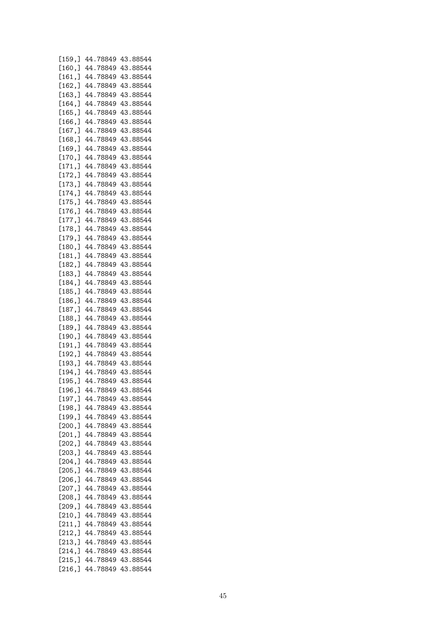| [159, ] | 44.78849 | 43.88544 |
|---------|----------|----------|
| [160, ] | 44.78849 | 43.88544 |
| [161, ] | 44.78849 | 43.88544 |
| [162, ] | 44.78849 | 43.88544 |
| [163, ] | 44.78849 | 43.88544 |
| [164, ] | 44.78849 | 43.88544 |
| [165, ] | 44.78849 | 43.88544 |
| [166, ] | 44.78849 | 43.88544 |
|         |          |          |
| [167, ] | 44.78849 | 43.88544 |
| [168, ] | 44.78849 | 43.88544 |
| [169, ] | 44.78849 | 43.88544 |
| [170, ] | 44.78849 | 43.88544 |
| [171,   | 44.78849 | 43.88544 |
| [172, ] | 44.78849 | 43.88544 |
| [173, ] | 44.78849 | 43.88544 |
| [174, ] | 44.78849 | 43.88544 |
| [175, ] | 44.78849 | 43.88544 |
| [176, ] | 44.78849 | 43.88544 |
| [177,]  | 44.78849 | 43.88544 |
| [178,]  | 44.78849 | 43.88544 |
| [179, ] | 44.78849 | 43.88544 |
| [180, ] | 44.78849 | 43.88544 |
| [181,]  | 44.78849 | 43.88544 |
| [182,]  | 44.78849 | 43.88544 |
| [183,]  | 44.78849 | 43.88544 |
| [184,]  | 44.78849 | 43.88544 |
|         |          |          |
| [185,]  | 44.78849 | 43.88544 |
| [186,]  | 44.78849 | 43.88544 |
| [187, ] | 44.78849 | 43.88544 |
| [188,]  | 44.78849 | 43.88544 |
| [189,]  | 44.78849 | 43.88544 |
| [190,]  | 44.78849 | 43.88544 |
| [191, ] | 44.78849 | 43.88544 |
| [192,]  | 44.78849 | 43.88544 |
| [193,]  | 44.78849 | 43.88544 |
| [194, ] | 44.78849 | 43.88544 |
| [195, ] | 44.78849 | 43.88544 |
| [196,]  | 44.78849 | 43.88544 |
| [197, ] | 44.78849 | 43.88544 |
| [198,]  | 44.78849 | 43.88544 |
| [199,]  | 44.78849 | 43.88544 |
| [200,]  | 44.78849 | 43.88544 |
| [201, ] | 44.78849 | 43.88544 |
| [202,]  | 44.78849 | 43.88544 |
| [203, ] | 44.78849 | 43.88544 |
| [204, ] | 44.78849 | 43.88544 |
| [205, ] | 44.78849 | 43.88544 |
| [206,]  | 44.78849 | 43.88544 |
| [207, ] | 44.78849 | 43.88544 |
|         |          |          |
| [208, ] | 44.78849 | 43.88544 |
| [209,]  | 44.78849 | 43.88544 |
| [210,]  | 44.78849 | 43.88544 |
| [211,]  | 44.78849 | 43.88544 |
| [212,]  | 44.78849 | 43.88544 |
| [213, ] | 44.78849 | 43.88544 |
| [214,]  | 44.78849 | 43.88544 |
| [215, ] | 44.78849 | 43.88544 |
| [216, ] | 44.78849 | 43.88544 |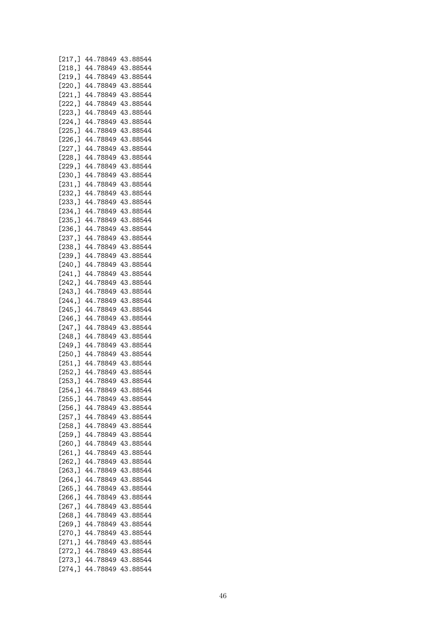| [217, ] | 44.78849 | 43.88544 |
|---------|----------|----------|
| [218, ] | 44.78849 | 43.88544 |
|         | 44.78849 | 43.88544 |
| [219, ] |          |          |
| [220, ] | 44.78849 | 43.88544 |
| [221, ] | 44.78849 | 43.88544 |
| [222, ] | 44.78849 | 43.88544 |
| [223, ] | 44.78849 | 43.88544 |
| [224, ] | 44.78849 | 43.88544 |
|         |          |          |
| [225, ] | 44.78849 | 43.88544 |
| [226, ] | 44.78849 | 43.88544 |
| [227, ] | 44.78849 | 43.88544 |
| [228, ] | 44.78849 | 43.88544 |
| [229, ] | 44.78849 | 43.88544 |
| [230, ] | 44.78849 | 43.88544 |
|         |          |          |
| [231, ] | 44.78849 | 43.88544 |
| [232, ] | 44.78849 | 43.88544 |
| [233, ] | 44.78849 | 43.88544 |
| [234, ] | 44.78849 | 43.88544 |
| [235, ] | 44.78849 | 43.88544 |
|         |          |          |
| [236, ] | 44.78849 | 43.88544 |
| [237,]  | 44.78849 | 43.88544 |
| [238, ] | 44.78849 | 43.88544 |
| [239, ] | 44.78849 | 43.88544 |
| [240, ] | 44.78849 | 43.88544 |
| [241, ] | 44.78849 | 43.88544 |
| [242, ] | 44.78849 | 43.88544 |
| [243, ] | 44.78849 | 43.88544 |
|         |          |          |
| [244, ] | 44.78849 | 43.88544 |
| [245,]  | 44.78849 | 43.88544 |
| [246, ] | 44.78849 | 43.88544 |
| [247,]  | 44.78849 | 43.88544 |
| [248, ] | 44.78849 | 43.88544 |
| [249,]  | 44.78849 | 43.88544 |
| [250, ] | 44.78849 | 43.88544 |
| [251, ] | 44.78849 | 43.88544 |
|         |          |          |
| [252, ] | 44.78849 | 43.88544 |
| [253, ] | 44.78849 | 43.88544 |
| [254, ] | 44.78849 | 43.88544 |
| [255, ] | 44.78849 | 43.88544 |
| [256, ] | 44.78849 | 43.88544 |
| [257, ] | 44.78849 | 43.88544 |
| [258,]  | 44.78849 | 43.88544 |
| [259, ] |          |          |
|         | 44.78849 | 43.88544 |
| [260,]  | 44.78849 | 43.88544 |
| [261, ] | 44.78849 | 43.88544 |
| [262,]  | 44.78849 | 43.88544 |
| [263,]  | 44.78849 | 43.88544 |
| [264, ] | 44.78849 | 43.88544 |
| [265, ] | 44.78849 | 43.88544 |
| [266,]  | 44.78849 | 43.88544 |
|         |          |          |
| [267, ] | 44.78849 | 43.88544 |
| [268,]  | 44.78849 | 43.88544 |
| [269,]  | 44.78849 | 43.88544 |
| [270,]  | 44.78849 | 43.88544 |
| [271,]  | 44.78849 | 43.88544 |
| [272,]  | 44.78849 | 43.88544 |
| [273,]  | 44.78849 | 43.88544 |
| [274,]  | 44.78849 | 43.88544 |
|         |          |          |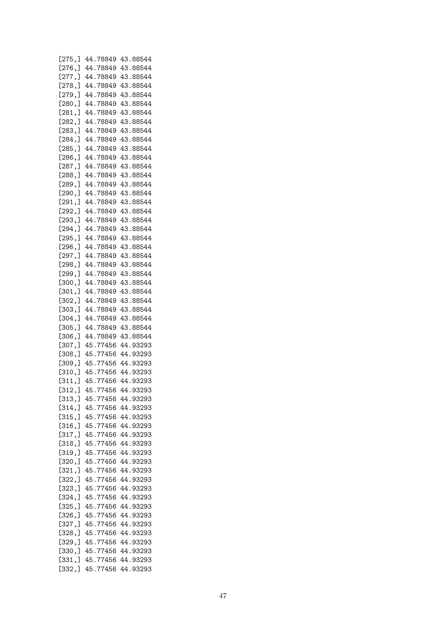| [275,]  | 44.78849 | 43.88544 |
|---------|----------|----------|
| [276, ] | 44.78849 | 43.88544 |
| [277,]  | 44.78849 | 43.88544 |
| [278, ] | 44.78849 | 43.88544 |
| [279, ] | 44.78849 | 43.88544 |
| [280, ] | 44.78849 | 43.88544 |
|         | 44.78849 | 43.88544 |
| [281, ] |          |          |
| [282, ] | 44.78849 | 43.88544 |
| [283, ] | 44.78849 | 43.88544 |
| [284, ] | 44.78849 | 43.88544 |
| [285, ] | 44.78849 | 43.88544 |
| [286, ] | 44.78849 | 43.88544 |
| [287, ] | 44.78849 | 43.88544 |
| [288, ] | 44.78849 | 43.88544 |
| [289, ] | 44.78849 | 43.88544 |
| [290, ] | 44.78849 | 43.88544 |
| [291, ] | 44.78849 | 43.88544 |
| [292, ] | 44.78849 | 43.88544 |
| [293, ] | 44.78849 | 43.88544 |
| [294, ] | 44.78849 | 43.88544 |
| [295, ] | 44.78849 | 43.88544 |
| [296, ] | 44.78849 | 43.88544 |
| [297, ] | 44.78849 | 43.88544 |
|         |          |          |
| [298, ] | 44.78849 | 43.88544 |
| [299,]  | 44.78849 | 43.88544 |
| [300, ] | 44.78849 | 43.88544 |
| [301, ] | 44.78849 | 43.88544 |
| [302, ] | 44.78849 | 43.88544 |
| [303, ] | 44.78849 | 43.88544 |
| [304, ] | 44.78849 | 43.88544 |
| [305, ] | 44.78849 | 43.88544 |
| [306,]  | 44.78849 | 43.88544 |
| [307,]  | 45.77456 | 44.93293 |
| [308, ] | 45.77456 | 44.93293 |
| [309, ] | 45.77456 | 44.93293 |
| [310, ] | 45.77456 | 44.93293 |
| [311, ] | 45.77456 | 44.93293 |
| [312,]  | 45.77456 | 44.93293 |
| [313, ] | 45.77456 | 44.93293 |
| [314, ] | 45.77456 | 44.93293 |
| [315, ] | 45.77456 | 44.93293 |
| [316, ] | 45.77456 | 44.93293 |
|         |          |          |
| [317, ] | 45.77456 | 44.93293 |
| [318,]  | 45.77456 | 44.93293 |
| [319, ] | 45.77456 | 44.93293 |
| [320, ] | 45.77456 | 44.93293 |
| [321,]  | 45.77456 | 44.93293 |
| [322, ] | 45.77456 | 44.93293 |
| [323,]  | 45.77456 | 44.93293 |
| [324,]  | 45.77456 | 44.93293 |
| [325, ] | 45.77456 | 44.93293 |
| [326, ] | 45.77456 | 44.93293 |
| [327, ] | 45.77456 | 44.93293 |
| [328,]  | 45.77456 | 44.93293 |
| [329,]  | 45.77456 | 44.93293 |
| [330,]  | 45.77456 | 44.93293 |
| [331,]  | 45.77456 | 44.93293 |
| [332,]  | 45.77456 | 44.93293 |
|         |          |          |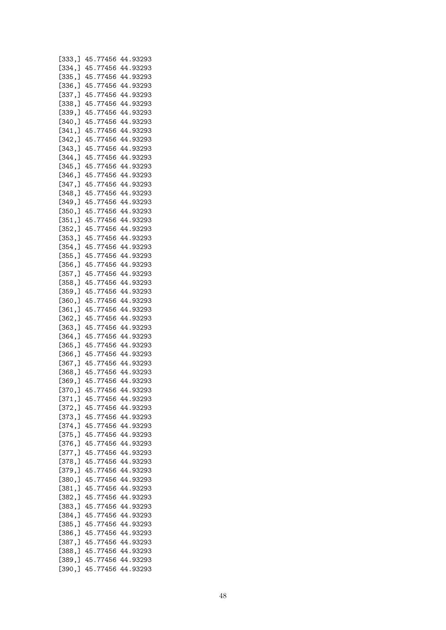| [333, ] | 45.77456 | 44.93293 |
|---------|----------|----------|
| [334, ] | 45.77456 | 44.93293 |
| [335, ] | 45.77456 | 44.93293 |
| [336, ] | 45.77456 | 44.93293 |
|         |          |          |
| [337, ] | 45.77456 | 44.93293 |
| [338, ] | 45.77456 | 44.93293 |
| [339, ] | 45.77456 | 44.93293 |
| [340, ] | 45.77456 | 44.93293 |
| [341, ] | 45.77456 | 44.93293 |
| [342, ] | 45.77456 | 44.93293 |
| [343, ] | 45.77456 | 44.93293 |
| [344, ] | 45.77456 | 44.93293 |
|         |          |          |
| [345, ] | 45.77456 | 44.93293 |
| [346, ] | 45.77456 | 44.93293 |
| [347, ] | 45.77456 | 44.93293 |
| [348, ] | 45.77456 | 44.93293 |
| [349, ] | 45.77456 | 44.93293 |
| [350, ] | 45.77456 | 44.93293 |
| [351, ] | 45.77456 | 44.93293 |
| [352, ] | 45.77456 | 44.93293 |
|         | 45.77456 |          |
| [353, ] |          | 44.93293 |
| [354,]  | 45.77456 | 44.93293 |
| [355, ] | 45.77456 | 44.93293 |
| [356, ] | 45.77456 | 44.93293 |
| [357, ] | 45.77456 | 44.93293 |
| [358, ] | 45.77456 | 44.93293 |
| [359,]  | 45.77456 | 44.93293 |
| [360, ] | 45.77456 | 44.93293 |
| [361, ] | 45.77456 | 44.93293 |
|         |          |          |
| [362, ] | 45.77456 | 44.93293 |
| [363, ] | 45.77456 | 44.93293 |
| [364,]  | 45.77456 | 44.93293 |
| [365, ] | 45.77456 | 44.93293 |
| [366, ] | 45.77456 | 44.93293 |
| [367, ] | 45.77456 | 44.93293 |
| [368, ] | 45.77456 | 44.93293 |
| [369, ] | 45.77456 | 44.93293 |
| [370,]  | 45.77456 | 44.93293 |
|         |          |          |
| [371, ] | 45.77456 | 44.93293 |
| [372, ] | 45.77456 | 44.93293 |
| [373,]  | 45.77456 | 44.93293 |
| [374, ] | 45.77456 | 44.93293 |
| [375,]  | 45.77456 | 44.93293 |
| [376,]  | 45.77456 | 44.93293 |
| [377, ] | 45.77456 | 44.93293 |
| [378, ] | 45.77456 | 44.93293 |
| [379,   | 45.77456 | 44.93293 |
|         | 45.77456 | 44.93293 |
| [380,]  |          |          |
| [381,]  | 45.77456 | 44.93293 |
| [382,]  | 45.77456 | 44.93293 |
| [383,]  | 45.77456 | 44.93293 |
| [384, ] | 45.77456 | 44.93293 |
| [385, ] | 45.77456 | 44.93293 |
| [386,]  | 45.77456 | 44.93293 |
| [387,]  | 45.77456 | 44.93293 |
| [388, ] | 45.77456 | 44.93293 |
| [389,]  | 45.77456 | 44.93293 |
|         |          |          |
| [390,]  | 45.77456 | 44.93293 |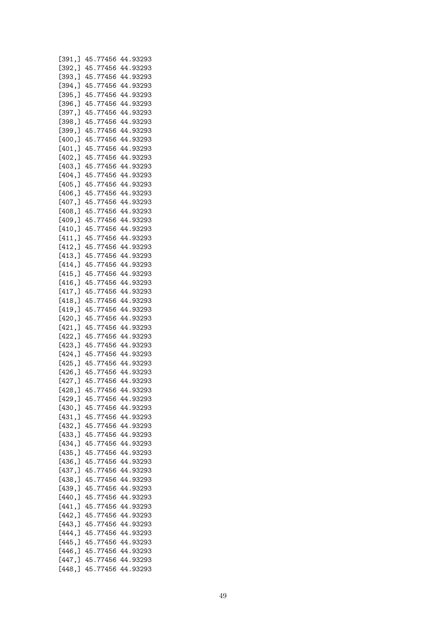| [391, ] | 45.77456 | 44.93293 |
|---------|----------|----------|
| [392, ] | 45.77456 | 44.93293 |
| [393, ] | 45.77456 | 44.93293 |
| [394, ] | 45.77456 | 44.93293 |
|         |          |          |
| [395, ] | 45.77456 | 44.93293 |
| [396, ] | 45.77456 | 44.93293 |
| [397, ] | 45.77456 | 44.93293 |
| [398, ] | 45.77456 | 44.93293 |
| [399,]  | 45.77456 | 44.93293 |
| [400,   | 45.77456 | 44.93293 |
| [401, ] | 45.77456 | 44.93293 |
| [402, ] | 45.77456 | 44.93293 |
|         |          |          |
| [403, ] | 45.77456 | 44.93293 |
| [404, ] | 45.77456 | 44.93293 |
| [405, ] | 45.77456 | 44.93293 |
| [406, ] | 45.77456 | 44.93293 |
| [407, ] | 45.77456 | 44.93293 |
| [408, ] | 45.77456 | 44.93293 |
| [409, ] | 45.77456 | 44.93293 |
| [410,   | 45.77456 | 44.93293 |
|         |          |          |
| [411, ] | 45.77456 | 44.93293 |
| [412, ] | 45.77456 | 44.93293 |
| [413, ] | 45.77456 | 44.93293 |
| [414, ] | 45.77456 | 44.93293 |
| [415, ] | 45.77456 | 44.93293 |
| [416, ] | 45.77456 | 44.93293 |
| [417, ] | 45.77456 | 44.93293 |
| [418, ] | 45.77456 | 44.93293 |
| [419, ] | 45.77456 | 44.93293 |
|         |          |          |
| [420,]  | 45.77456 | 44.93293 |
| [421, ] | 45.77456 | 44.93293 |
| [422,]  | 45.77456 | 44.93293 |
| [423,]  | 45.77456 | 44.93293 |
| [424, ] | 45.77456 | 44.93293 |
| [425, ] | 45.77456 | 44.93293 |
| [426,]  | 45.77456 | 44.93293 |
| [427,]  | 45.77456 | 44.93293 |
| [428,]  | 45.77456 | 44.93293 |
|         |          | 44.93293 |
| [429,]  | 45.77456 |          |
| [430,   | 45.77456 | 44.93293 |
| [431,]  | 45.77456 | 44.93293 |
| [432,]  | 45.77456 | 44.93293 |
| [433, ] | 45.77456 | 44.93293 |
| [434, ] | 45.77456 | 44.93293 |
| [435, ] | 45.77456 | 44.93293 |
| [436,]  | 45.77456 | 44.93293 |
| [437,]  | 45.77456 | 44.93293 |
| [438, ] | 45.77456 | 44.93293 |
| [439, ] | 45.77456 |          |
|         |          | 44.93293 |
| [440,]  | 45.77456 | 44.93293 |
| [441,]  | 45.77456 | 44.93293 |
| [442, ] | 45.77456 | 44.93293 |
| [443, ] | 45.77456 | 44.93293 |
| [444, ] | 45.77456 | 44.93293 |
| [445, ] | 45.77456 | 44.93293 |
| [446,]  | 45.77456 | 44.93293 |
| [447, ] | 45.77456 | 44.93293 |
| [448,]  | 45.77456 | 44.93293 |
|         |          |          |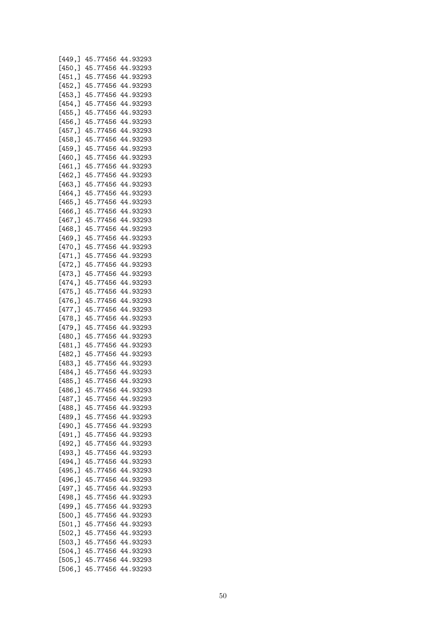| [449,]  | 45.77456 | 44.93293 |
|---------|----------|----------|
| [450, ] | 45.77456 | 44.93293 |
|         |          |          |
| [451,]  | 45.77456 | 44.93293 |
| [452, ] | 45.77456 | 44.93293 |
| [453, ] | 45.77456 | 44.93293 |
|         | 45.77456 | 44.93293 |
| [454,]  |          |          |
| [455,]  | 45.77456 | 44.93293 |
| [456, ] | 45.77456 | 44.93293 |
| [457, ] | 45.77456 | 44.93293 |
|         | 45.77456 | 44.93293 |
| [458, ] |          |          |
| [459, ] | 45.77456 | 44.93293 |
| [460,]  | 45.77456 | 44.93293 |
| [461,]  | 45.77456 | 44.93293 |
|         | 45.77456 | 44.93293 |
| [462, ] |          |          |
| [463, ] | 45.77456 | 44.93293 |
| [464, ] | 45.77456 | 44.93293 |
| [465, ] | 45.77456 | 44.93293 |
| [466,]  | 45.77456 | 44.93293 |
|         |          |          |
| [467, ] | 45.77456 | 44.93293 |
| [468, ] | 45.77456 | 44.93293 |
| [469, ] | 45.77456 | 44.93293 |
| [470,]  | 45.77456 | 44.93293 |
|         |          |          |
| [471,]  | 45.77456 | 44.93293 |
| [472,]  | 45.77456 | 44.93293 |
| [473,]  | 45.77456 | 44.93293 |
| [474,]  | 45.77456 | 44.93293 |
|         |          |          |
| [475,]  | 45.77456 | 44.93293 |
| [476,]  | 45.77456 | 44.93293 |
| [477,]  | 45.77456 | 44.93293 |
| [478,]  | 45.77456 | 44.93293 |
| [479,]  | 45.77456 | 44.93293 |
|         |          |          |
| [480,]  | 45.77456 | 44.93293 |
| [481,]  | 45.77456 | 44.93293 |
| [482,]  | 45.77456 | 44.93293 |
| [483,]  | 45.77456 | 44.93293 |
|         | 45.77456 | 44.93293 |
| [484,]  |          |          |
| [485, ] | 45.77456 | 44.93293 |
| [486,]  | 45.77456 | 44.93293 |
| [487, ] | 45.77456 | 44.93293 |
| [488, ] | 45.77456 | 44.93293 |
|         |          |          |
| [489,]  | 45.77456 | 44.93293 |
| [490,]  | 45.77456 | 44.93293 |
| [491, ] | 45.77456 | 44.93293 |
| [492, ] | 45.77456 | 44.93293 |
| [493,]  |          | 44.93293 |
|         | 45.77456 |          |
| [494,]  | 45.77456 | 44.93293 |
| [495, ] | 45.77456 | 44.93293 |
| [496, ] | 45.77456 | 44.93293 |
| [497,]  | 45.77456 | 44.93293 |
|         |          |          |
| [498,]  | 45.77456 | 44.93293 |
| [499,]  | 45.77456 | 44.93293 |
| [500,]  | 45.77456 | 44.93293 |
| [501, ] | 45.77456 | 44.93293 |
|         |          |          |
| [502,]  | 45.77456 | 44.93293 |
| [503, ] | 45.77456 | 44.93293 |
| [504, ] | 45.77456 | 44.93293 |
| [505, ] | 45.77456 | 44.93293 |
| [506,]  | 45.77456 | 44.93293 |
|         |          |          |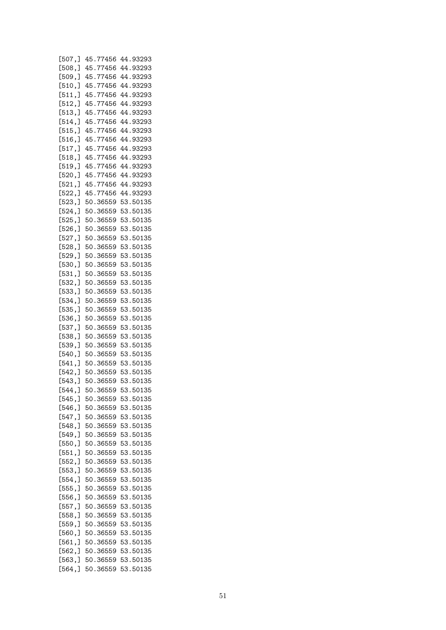| [507,]  | 45.77456 | 44.93293 |
|---------|----------|----------|
| [508, ] | 45.77456 | 44.93293 |
| [509,]  | 45.77456 | 44.93293 |
|         | 45.77456 |          |
| [510, ] |          | 44.93293 |
| [511, ] | 45.77456 | 44.93293 |
| [512, ] | 45.77456 | 44.93293 |
| [513, ] | 45.77456 | 44.93293 |
| [514, ] | 45.77456 | 44.93293 |
| [515,]  | 45.77456 | 44.93293 |
| [516, ] | 45.77456 | 44.93293 |
|         | 45.77456 | 44.93293 |
| [517, ] |          |          |
| [518, ] | 45.77456 | 44.93293 |
| [519, ] | 45.77456 | 44.93293 |
| [520, ] | 45.77456 | 44.93293 |
| [521,]  | 45.77456 | 44.93293 |
| [522, ] | 45.77456 | 44.93293 |
| [523, ] | 50.36559 | 53.50135 |
| [524, ] | 50.36559 | 53.50135 |
|         |          |          |
| [525, ] | 50.36559 | 53.50135 |
| [526, ] | 50.36559 | 53.50135 |
| [527, ] | 50.36559 | 53.50135 |
| [528, ] | 50.36559 | 53.50135 |
| [529, ] | 50.36559 | 53.50135 |
| [530, ] | 50.36559 | 53.50135 |
| [531, ] | 50.36559 | 53.50135 |
|         |          |          |
| [532,]  | 50.36559 | 53.50135 |
| [533,]  | 50.36559 | 53.50135 |
| [534,]  | 50.36559 | 53.50135 |
| [535,]  | 50.36559 | 53.50135 |
| [536, ] | 50.36559 | 53.50135 |
| [537,]  | 50.36559 | 53.50135 |
|         | 50.36559 | 53.50135 |
| [538,]  |          |          |
| [539,]  | 50.36559 | 53.50135 |
| [540,]  | 50.36559 | 53.50135 |
| [541, ] | 50.36559 | 53.50135 |
| [542, ] | 50.36559 | 53.50135 |
| [543, ] | 50.36559 | 53.50135 |
| [544,]  | 50.36559 | 53.50135 |
| [545,]  | 50.36559 | 53.50135 |
|         |          |          |
| [546, ] | 50.36559 | 53.50135 |
| [547,]  | 50.36559 | 53.50135 |
| [548, ] | 50.36559 | 53.50135 |
| [549,]  | 50.36559 | 53.50135 |
| [550, ] | 50.36559 | 53.50135 |
| [551, ] | 50.36559 | 53.50135 |
| [552,]  | 50.36559 | 53.50135 |
|         |          |          |
| [553,]  | 50.36559 | 53.50135 |
| [554, ] | 50.36559 | 53.50135 |
| [555, ] | 50.36559 | 53.50135 |
| [556, ] | 50.36559 | 53.50135 |
| [557,]  | 50.36559 | 53.50135 |
| [558, ] | 50.36559 | 53.50135 |
| [559,]  | 50.36559 | 53.50135 |
|         |          |          |
| [560,]  | 50.36559 | 53.50135 |
| [561, ] | 50.36559 | 53.50135 |
| [562, ] | 50.36559 | 53.50135 |
| [563, ] | 50.36559 | 53.50135 |
| [564, ] | 50.36559 | 53.50135 |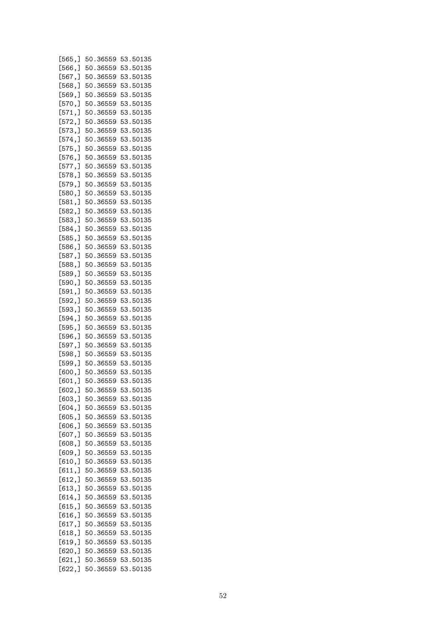| [565,]  | 50.36559 | 53.50135 |
|---------|----------|----------|
| [566, ] | 50.36559 | 53.50135 |
|         |          |          |
| [567, ] | 50.36559 | 53.50135 |
| [568, ] | 50.36559 | 53.50135 |
|         |          | 53.50135 |
| [569, ] | 50.36559 |          |
| [570,]  | 50.36559 | 53.50135 |
| [571, ] | 50.36559 | 53.50135 |
|         |          |          |
| [572, ] | 50.36559 | 53.50135 |
| [573, ] | 50.36559 | 53.50135 |
| [574, ] | 50.36559 | 53.50135 |
|         |          |          |
| [575,]  | 50.36559 | 53.50135 |
| [576, ] | 50.36559 | 53.50135 |
|         |          |          |
| [577,]  | 50.36559 | 53.50135 |
| [578,]  | 50.36559 | 53.50135 |
| [579, ] | 50.36559 | 53.50135 |
|         |          |          |
| [580,]  | 50.36559 | 53.50135 |
| [581, ] | 50.36559 | 53.50135 |
| [582, ] | 50.36559 | 53.50135 |
|         |          |          |
| [583, ] | 50.36559 | 53.50135 |
| [584, ] | 50.36559 | 53.50135 |
|         |          | 53.50135 |
| [585, ] | 50.36559 |          |
| [586, ] | 50.36559 | 53.50135 |
| [587,]  | 50.36559 | 53.50135 |
|         | 50.36559 | 53.50135 |
| [588,]  |          |          |
| [589, ] | 50.36559 | 53.50135 |
| [590,]  | 50.36559 | 53.50135 |
| [591, ] | 50.36559 | 53.50135 |
|         |          |          |
| [592, ] | 50.36559 | 53.50135 |
| [593, ] | 50.36559 | 53.50135 |
| [594, ] | 50.36559 | 53.50135 |
|         |          |          |
| [595, ] | 50.36559 | 53.50135 |
| [596, ] | 50.36559 | 53.50135 |
| [597,]  | 50.36559 | 53.50135 |
| [598, ] | 50.36559 | 53.50135 |
|         |          |          |
| [599, ] | 50.36559 | 53.50135 |
| [600,   | 50.36559 | 53.50135 |
| [601, ] | 50.36559 | 53.50135 |
|         |          |          |
| [602, ] | 50.36559 | 53.50135 |
| [603, ] | 50.36559 | 53.50135 |
| [604, ] | 50.36559 | 53.50135 |
|         |          |          |
| [605, ] | 50.36559 | 53.50135 |
| [606, ] | 50.36559 | 53.50135 |
| [607, ] | 50.36559 | 53.50135 |
|         |          |          |
| [608, ] | 50.36559 | 53.50135 |
| [609, ] | 50.36559 | 53.50135 |
| [610,]  | 50.36559 | 53.50135 |
|         |          |          |
| [611, ] | 50.36559 | 53.50135 |
| [612, ] | 50.36559 | 53.50135 |
| [613, ] | 50.36559 | 53.50135 |
|         |          |          |
| [614, ] | 50.36559 | 53.50135 |
| [615, ] | 50.36559 | 53.50135 |
| [616, ] | 50.36559 | 53.50135 |
|         |          |          |
| [617, ] | 50.36559 | 53.50135 |
| [618, ] | 50.36559 | 53.50135 |
| [619, ] | 50.36559 | 53.50135 |
|         |          |          |
| [620, ] | 50.36559 | 53.50135 |
| [621, ] | 50.36559 | 53.50135 |
| [622, ] | 50.36559 | 53.50135 |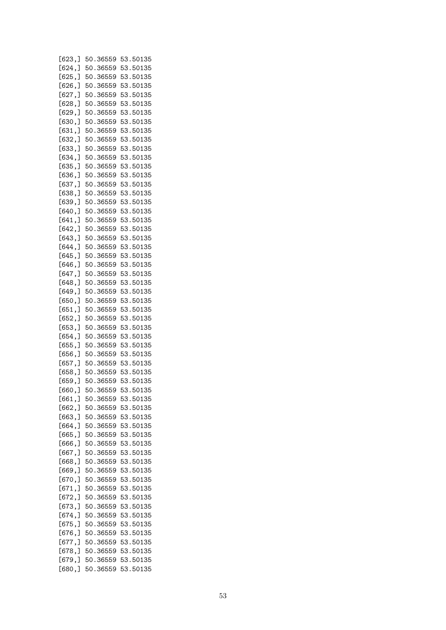| [623,]  | 50.36559 | 53.50135 |
|---------|----------|----------|
| [624, ] | 50.36559 | 53.50135 |
|         |          |          |
| [625, ] | 50.36559 | 53.50135 |
| [626, ] | 50.36559 | 53.50135 |
| [627, ] | 50.36559 | 53.50135 |
| [628, ] | 50.36559 | 53.50135 |
| [629, ] | 50.36559 | 53.50135 |
|         |          |          |
| [630, ] | 50.36559 | 53.50135 |
| [631, ] | 50.36559 | 53.50135 |
| [632, ] | 50.36559 | 53.50135 |
| [633, ] | 50.36559 | 53.50135 |
| [634, ] | 50.36559 | 53.50135 |
| [635, ] | 50.36559 | 53.50135 |
| [636, ] |          | 53.50135 |
|         | 50.36559 |          |
| [637,]  | 50.36559 | 53.50135 |
| [638, ] | 50.36559 | 53.50135 |
| [639, ] | 50.36559 | 53.50135 |
| [640,   | 50.36559 | 53.50135 |
| [641, ] | 50.36559 | 53.50135 |
| [642, ] | 50.36559 | 53.50135 |
|         |          |          |
| [643, ] | 50.36559 | 53.50135 |
| [644, ] | 50.36559 | 53.50135 |
| [645, ] | 50.36559 | 53.50135 |
| [646,]  | 50.36559 | 53.50135 |
| [647, ] | 50.36559 | 53.50135 |
| [648, ] | 50.36559 | 53.50135 |
| [649,]  | 50.36559 | 53.50135 |
| [650, ] | 50.36559 | 53.50135 |
|         |          |          |
| [651, ] | 50.36559 | 53.50135 |
| [652,]  | 50.36559 | 53.50135 |
| [653, ] | 50.36559 | 53.50135 |
| [654, ] | 50.36559 | 53.50135 |
| [655, ] | 50.36559 | 53.50135 |
| [656, ] | 50.36559 | 53.50135 |
| [657, ] | 50.36559 | 53.50135 |
| [658, ] | 50.36559 | 53.50135 |
|         |          |          |
| [659, ] | 50.36559 | 53.50135 |
| [660,]  | 50.36559 | 53.50135 |
| [661, ] | 50.36559 | 53.50135 |
| [662, ] | 50.36559 | 53.50135 |
| [663,]  | 50.36559 | 53.50135 |
| [664,]  | 50.36559 | 53.50135 |
| [665, ] | 50.36559 | 53.50135 |
|         |          |          |
| [666,]  | 50.36559 | 53.50135 |
| [667, ] | 50.36559 | 53.50135 |
| [668, ] | 50.36559 | 53.50135 |
| [669, ] | 50.36559 | 53.50135 |
| [670,]  | 50.36559 | 53.50135 |
| [671, ] | 50.36559 | 53.50135 |
| [672,]  | 50.36559 | 53.50135 |
| [673,]  | 50.36559 |          |
|         |          | 53.50135 |
| [674, ] | 50.36559 | 53.50135 |
| [675, ] | 50.36559 | 53.50135 |
| [676,]  | 50.36559 | 53.50135 |
| [677,]  | 50.36559 | 53.50135 |
| [678,]  | 50.36559 | 53.50135 |
| [679,]  | 50.36559 | 53.50135 |
| [680,]  | 50.36559 | 53.50135 |
|         |          |          |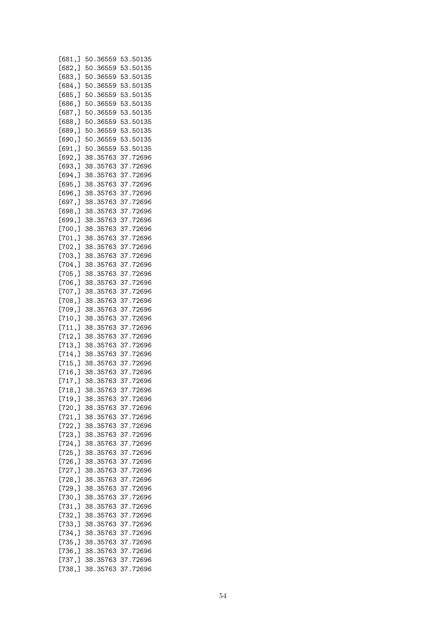| [681.]  | 50.36559 | 53.50135 |
|---------|----------|----------|
| [682, ] | 50.36559 | 53.50135 |
| [683,]  | 50.36559 | 53.50135 |
|         | 50.36559 | 53.50135 |
| [684,]  |          |          |
| [685,]  | 50.36559 | 53.50135 |
| [686, ] | 50.36559 | 53.50135 |
| [687, ] | 50.36559 | 53.50135 |
| [688, ] | 50.36559 | 53.50135 |
|         |          |          |
| [689, ] | 50.36559 | 53.50135 |
| [690, ] | 50.36559 | 53.50135 |
| [691, ] | 50.36559 | 53.50135 |
| [692,]  | 38.35763 | 37.72696 |
| [693,]  | 38.35763 | 37.72696 |
|         |          |          |
| [694,]  | 38.35763 | 37.72696 |
| [695,]  | 38.35763 | 37.72696 |
| [696,]  | 38.35763 | 37.72696 |
| [697,]  | 38.35763 | 37.72696 |
| [698,]  | 38.35763 | 37.72696 |
|         |          |          |
| [699,]  | 38.35763 | 37.72696 |
| [700,]  | 38.35763 | 37.72696 |
| [701, ] | 38.35763 | 37.72696 |
| [702, ] | 38.35763 | 37.72696 |
| [703,]  | 38.35763 | 37.72696 |
| [704, ] | 38.35763 |          |
|         |          | 37.72696 |
| [705,]  | 38.35763 | 37.72696 |
| [706,]  | 38.35763 | 37.72696 |
| [707,]  | 38.35763 | 37.72696 |
| [708,]  | 38.35763 | 37.72696 |
| [709,]  | 38.35763 | 37.72696 |
|         | 38.35763 |          |
| [710,]  |          | 37.72696 |
| [711,]  | 38.35763 | 37.72696 |
| [712, ] | 38.35763 | 37.72696 |
| [713, ] | 38.35763 | 37.72696 |
| [714, ] | 38.35763 | 37.72696 |
| [715, ] | 38.35763 | 37.72696 |
|         |          |          |
| [716,]  | 38.35763 | 37.72696 |
| [717,]  | 38.35763 | 37.72696 |
| [718,]  | 38.35763 | 37.72696 |
| [719,   | 38.35763 | 37.72696 |
| [720,   | 38.35763 | 37.72696 |
| [721, ] | 38.35763 | 37.72696 |
| [722, ] | 38.35763 | 37.72696 |
|         |          |          |
| [723, ] | 38.35763 | 37.72696 |
| [724, ] | 38.35763 | 37.72696 |
| [725,]  | 38.35763 | 37.72696 |
| [726, ] | 38.35763 | 37.72696 |
| [727,]  | 38.35763 | 37.72696 |
|         |          |          |
| [728,]  | 38.35763 | 37.72696 |
| [729,   | 38.35763 | 37.72696 |
| [730,   | 38.35763 | 37.72696 |
| [731,]  | 38.35763 | 37.72696 |
| [732,]  | 38.35763 | 37.72696 |
| [733,]  | 38.35763 | 37.72696 |
|         |          |          |
| [734,]  | 38.35763 | 37.72696 |
| [735,]  | 38.35763 | 37.72696 |
| [736, ] | 38.35763 | 37.72696 |
| [737,]  | 38.35763 | 37.72696 |
| [738, ] | 38.35763 | 37.72696 |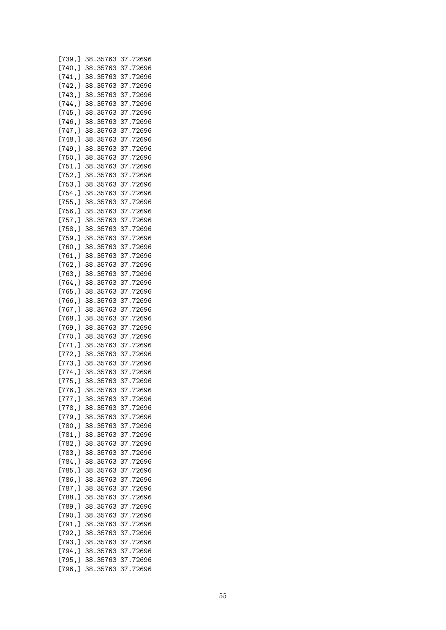| [739, ] | 38.35763 | 37.72696 |
|---------|----------|----------|
|         |          | 37.72696 |
| [740,]  | 38.35763 |          |
| [741, ] | 38.35763 | 37.72696 |
| [742, ] | 38.35763 | 37.72696 |
| [743, ] | 38.35763 | 37.72696 |
|         |          |          |
| [744, ] | 38.35763 | 37.72696 |
| [745, ] | 38.35763 | 37.72696 |
| [746, ] | 38.35763 | 37.72696 |
|         |          |          |
| [747,]  | 38.35763 | 37.72696 |
| [748, ] | 38.35763 | 37.72696 |
| [749,   | 38.35763 | 37.72696 |
|         |          |          |
| [750, ] | 38.35763 | 37.72696 |
| [751, ] | 38.35763 | 37.72696 |
| [752, ] | 38.35763 | 37.72696 |
|         |          | 37.72696 |
| [753, ] | 38.35763 |          |
| [754, ] | 38.35763 | 37.72696 |
| [755, ] | 38.35763 | 37.72696 |
| [756, ] | 38.35763 | 37.72696 |
|         |          |          |
| [757,]  | 38.35763 | 37.72696 |
| [758, ] | 38.35763 | 37.72696 |
| [759, ] | 38.35763 | 37.72696 |
|         |          |          |
| [760,   | 38.35763 | 37.72696 |
| [761, ] | 38.35763 | 37.72696 |
| [762, ] | 38.35763 | 37.72696 |
|         |          |          |
| [763, ] | 38.35763 | 37.72696 |
| [764, ] | 38.35763 | 37.72696 |
| [765, ] | 38.35763 | 37.72696 |
|         |          |          |
| [766, ] | 38.35763 | 37.72696 |
| [767, ] | 38.35763 | 37.72696 |
| [768, ] | 38.35763 | 37.72696 |
| [769,]  | 38.35763 | 37.72696 |
|         |          |          |
| [770,]  | 38.35763 | 37.72696 |
| [771,]  | 38.35763 | 37.72696 |
| [772,]  | 38.35763 | 37.72696 |
|         |          |          |
| [773, ] | 38.35763 | 37.72696 |
| [774, ] | 38.35763 | 37.72696 |
| [775,]  | 38.35763 | 37.72696 |
|         |          |          |
| [776,]  | 38.35763 | 37.72696 |
| [777,]  | 38.35763 | 37.72696 |
| [778, ] | 38.35763 | 37.72696 |
| [779,   | 38.35763 | 37.72696 |
|         |          |          |
| [780, ] | 38.35763 | 37.72696 |
| [781,]  | 38.35763 | 37.72696 |
| [782, ] | 38.35763 | 37.72696 |
|         |          |          |
| [783, ] | 38.35763 | 37.72696 |
| [784, ] | 38.35763 | 37.72696 |
| [785, ] | 38.35763 | 37.72696 |
| [786, ] | 38.35763 | 37.72696 |
|         |          |          |
| [787,]  | 38.35763 | 37.72696 |
| [788, ] | 38.35763 | 37.72696 |
| [789,]  | 38.35763 | 37.72696 |
|         |          |          |
| [790,]  | 38.35763 | 37.72696 |
| [791,]  | 38.35763 | 37.72696 |
| [792, ] | 38.35763 | 37.72696 |
|         |          |          |
| [793, ] | 38.35763 | 37.72696 |
| [794, ] | 38.35763 | 37.72696 |
| [795, ] | 38.35763 | 37.72696 |
| [796,]  | 38.35763 | 37.72696 |
|         |          |          |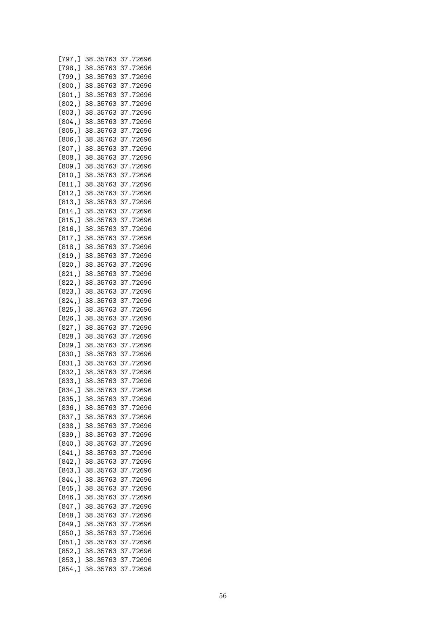| [797,]  | 38.35763 | 37.72696 |
|---------|----------|----------|
| [798,]  | 38.35763 | 37.72696 |
| [799,   | 38.35763 | 37.72696 |
| [800, ] | 38.35763 | 37.72696 |
|         | 38.35763 | 37.72696 |
| [801, ] |          |          |
| [802, ] | 38.35763 | 37.72696 |
| [803, ] | 38.35763 | 37.72696 |
| [804, ] | 38.35763 | 37.72696 |
| [805, ] | 38.35763 | 37.72696 |
| [806, ] | 38.35763 | 37.72696 |
| [807, ] | 38.35763 | 37.72696 |
| [808, ] | 38.35763 | 37.72696 |
| [809,]  | 38.35763 | 37.72696 |
| [810, ] | 38.35763 | 37.72696 |
| [811, ] | 38.35763 | 37.72696 |
| [812, ] | 38.35763 | 37.72696 |
| [813, ] | 38.35763 | 37.72696 |
| [814, ] | 38.35763 | 37.72696 |
|         |          |          |
| [815, ] | 38.35763 | 37.72696 |
| [816, ] | 38.35763 | 37.72696 |
| [817, ] | 38.35763 | 37.72696 |
| [818, ] | 38.35763 | 37.72696 |
| [819,]  | 38.35763 | 37.72696 |
| [820,]  | 38.35763 | 37.72696 |
| [821, ] | 38.35763 | 37.72696 |
| [822, ] | 38.35763 | 37.72696 |
| [823, ] | 38.35763 | 37.72696 |
| [824, ] | 38.35763 | 37.72696 |
| [825, ] | 38.35763 | 37.72696 |
| [826,]  | 38.35763 | 37.72696 |
|         | 38.35763 | 37.72696 |
| [827, ] | 38.35763 | 37.72696 |
| [828, ] |          |          |
| [829, ] | 38.35763 | 37.72696 |
| [830, ] | 38.35763 | 37.72696 |
| [831, ] | 38.35763 | 37.72696 |
| [832, ] | 38.35763 | 37.72696 |
| [833, ] | 38.35763 | 37.72696 |
| [834,]  | 38.35763 | 37.72696 |
| [835, ] | 38.35763 | 37.72696 |
| [836, ] | 38.35763 | 37.72696 |
| [837,]  | 38.35763 | 37.72696 |
| [838,]  | 38.35763 | 37.72696 |
| [839, ] | 38.35763 | 37.72696 |
| [840,   | 38.35763 | 37.72696 |
| [841, ] | 38.35763 | 37.72696 |
|         |          |          |
| [842, ] | 38.35763 | 37.72696 |
| [843, ] | 38.35763 | 37.72696 |
| [844, ] | 38.35763 | 37.72696 |
| [845, ] | 38.35763 | 37.72696 |
| [846, ] | 38.35763 | 37.72696 |
| [847,]  | 38.35763 | 37.72696 |
| [848,]  | 38.35763 | 37.72696 |
| [849,]  | 38.35763 | 37.72696 |
| [850, ] | 38.35763 | 37.72696 |
| [851,]  | 38.35763 | 37.72696 |
| [852,]  | 38.35763 | 37.72696 |
| [853, ] | 38.35763 | 37.72696 |
| [854, ] | 38.35763 | 37.72696 |
|         |          |          |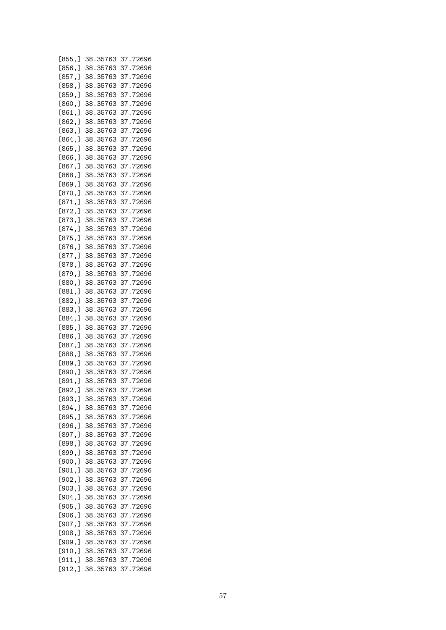| [855, ] | 38.35763 | 37.72696 |
|---------|----------|----------|
| [856, ] | 38.35763 | 37.72696 |
| [857, ] | 38.35763 | 37.72696 |
| [858, ] | 38.35763 | 37.72696 |
| [859, ] | 38.35763 | 37.72696 |
|         | 38.35763 | 37.72696 |
| [860, ] |          |          |
| [861, ] | 38.35763 | 37.72696 |
| [862, ] | 38.35763 | 37.72696 |
| [863, ] | 38.35763 | 37.72696 |
| [864, ] | 38.35763 | 37.72696 |
| [865, ] | 38.35763 | 37.72696 |
| [866, ] | 38.35763 | 37.72696 |
| [867, ] | 38.35763 | 37.72696 |
| [868, ] | 38.35763 | 37.72696 |
| [869, ] | 38.35763 | 37.72696 |
| [870, ] | 38.35763 | 37.72696 |
| [871, ] | 38.35763 | 37.72696 |
| [872,]  | 38.35763 | 37.72696 |
| [873, ] | 38.35763 | 37.72696 |
| [874, ] | 38.35763 | 37.72696 |
|         | 38.35763 | 37.72696 |
| [875,]  |          |          |
| [876, ] | 38.35763 | 37.72696 |
| [877,]  | 38.35763 | 37.72696 |
| [878, ] | 38.35763 | 37.72696 |
| [879,]  | 38.35763 | 37.72696 |
| [880,]  | 38.35763 | 37.72696 |
| [881, ] | 38.35763 | 37.72696 |
| [882, ] | 38.35763 | 37.72696 |
| [883, ] | 38.35763 | 37.72696 |
| [884, ] | 38.35763 | 37.72696 |
| [885, ] | 38.35763 | 37.72696 |
| [886,]  | 38.35763 | 37.72696 |
| [887, ] | 38.35763 | 37.72696 |
| [888, ] | 38.35763 | 37.72696 |
| [889, ] | 38.35763 | 37.72696 |
| [890, ] | 38.35763 | 37.72696 |
|         | 38.35763 |          |
| [891, ] |          | 37.72696 |
| [892,]  | 38.35763 | 37.72696 |
| [893, ] | 38.35763 | 37.72696 |
| [894, ] | 38.35763 | 37.72696 |
| [895,]  | 38.35763 | 37.72696 |
| [896, ] | 38.35763 | 37.72696 |
| [897, ] | 38.35763 | 37.72696 |
| [898, ] | 38.35763 | 37.72696 |
| [899, ] | 38.35763 | 37.72696 |
| [900,]  | 38.35763 | 37.72696 |
| [901, ] | 38.35763 | 37.72696 |
| [902, ] | 38.35763 | 37.72696 |
| [903, ] | 38.35763 | 37.72696 |
| [904,]  | 38.35763 | 37.72696 |
| [905,]  | 38.35763 | 37.72696 |
| [906,]  | 38.35763 | 37.72696 |
| [907, ] |          |          |
|         | 38.35763 | 37.72696 |
| [908,]  | 38.35763 | 37.72696 |
| [909, ] | 38.35763 | 37.72696 |
| [910,]  | 38.35763 | 37.72696 |
| [911,]  | 38.35763 | 37.72696 |
| [912, ] | 38.35763 | 37.72696 |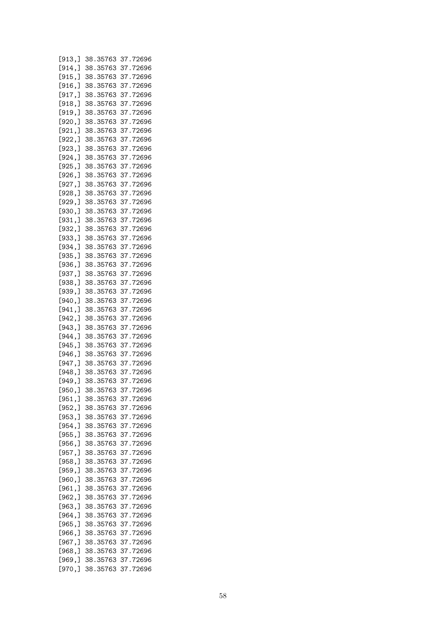| [913, ] | 38.35763 | 37.72696 |
|---------|----------|----------|
| [914, ] | 38.35763 | 37.72696 |
| [915, ] | 38.35763 | 37.72696 |
| [916, ] | 38.35763 | 37.72696 |
|         |          |          |
| [917, ] | 38.35763 | 37.72696 |
| [918, ] | 38.35763 | 37.72696 |
| [919, ] | 38.35763 | 37.72696 |
| [920, ] | 38.35763 | 37.72696 |
| [921, ] | 38.35763 | 37.72696 |
| [922, ] | 38.35763 | 37.72696 |
| [923, ] | 38.35763 | 37.72696 |
| [924,]  | 38.35763 | 37.72696 |
|         |          | 37.72696 |
| [925, ] | 38.35763 |          |
| [926, ] | 38.35763 | 37.72696 |
| [927, ] | 38.35763 | 37.72696 |
| [928, ] | 38.35763 | 37.72696 |
| [929, ] | 38.35763 | 37.72696 |
| [930, ] | 38.35763 | 37.72696 |
| [931, ] | 38.35763 | 37.72696 |
| [932, ] | 38.35763 | 37.72696 |
| [933, ] | 38.35763 | 37.72696 |
|         |          | 37.72696 |
| [934, ] | 38.35763 |          |
| [935, ] | 38.35763 | 37.72696 |
| [936, ] | 38.35763 | 37.72696 |
| [937,]  | 38.35763 | 37.72696 |
| [938,]  | 38.35763 | 37.72696 |
| [939,]  | 38.35763 | 37.72696 |
| [940,]  | 38.35763 | 37.72696 |
| [941, ] | 38.35763 | 37.72696 |
| [942,]  | 38.35763 | 37.72696 |
| [943,]  | 38.35763 | 37.72696 |
| [944,]  | 38.35763 | 37.72696 |
|         | 38.35763 | 37.72696 |
| [945, ] |          |          |
| [946, ] | 38.35763 | 37.72696 |
| [947,]  | 38.35763 | 37.72696 |
| [948, ] | 38.35763 | 37.72696 |
| [949,   | 38.35763 | 37.72696 |
| [950,]  | 38.35763 | 37.72696 |
| [951, ] | 38.35763 | 37.72696 |
| [952,]  | 38.35763 | 37.72696 |
| [953,]  | 38.35763 | 37.72696 |
| [954, ] | 38.35763 | 37.72696 |
| [955, ] | 38.35763 | 37.72696 |
|         |          |          |
| [956,]  | 38.35763 | 37.72696 |
| [957, ] | 38.35763 | 37.72696 |
| [958, ] | 38.35763 | 37.72696 |
| [959, ] | 38.35763 | 37.72696 |
| [960,]  | 38.35763 | 37.72696 |
| [961, ] | 38.35763 | 37.72696 |
| [962,]  | 38.35763 | 37.72696 |
| [963,]  | 38.35763 | 37.72696 |
| [964, ] | 38.35763 | 37.72696 |
| [965,]  | 38.35763 | 37.72696 |
|         |          |          |
| [966,]  | 38.35763 | 37.72696 |
| [967, ] | 38.35763 | 37.72696 |
| [968,]  | 38.35763 | 37.72696 |
| [969, ] | 38.35763 | 37.72696 |
| [970,]  | 38.35763 | 37.72696 |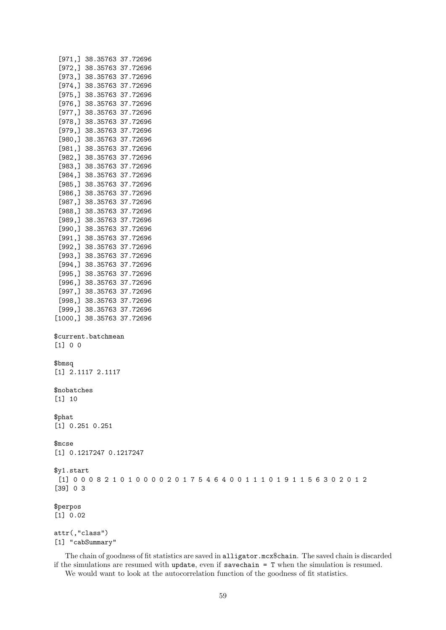|             | $[972,]$ 38.35763 37.72696                                                        |  |  |  |  |  |  |  |  |  |  |  |  |  |
|-------------|-----------------------------------------------------------------------------------|--|--|--|--|--|--|--|--|--|--|--|--|--|
|             | $[973,]$ 38.35763 37.72696                                                        |  |  |  |  |  |  |  |  |  |  |  |  |  |
|             | $[974,]$ 38.35763 37.72696                                                        |  |  |  |  |  |  |  |  |  |  |  |  |  |
|             | $[975,]$ 38.35763 37.72696                                                        |  |  |  |  |  |  |  |  |  |  |  |  |  |
|             | $[976,]$ 38.35763 37.72696                                                        |  |  |  |  |  |  |  |  |  |  |  |  |  |
|             | $[977,]$ 38.35763 37.72696                                                        |  |  |  |  |  |  |  |  |  |  |  |  |  |
|             | $[978,]$ 38.35763 37.72696                                                        |  |  |  |  |  |  |  |  |  |  |  |  |  |
|             | $[979,]$ 38.35763 37.72696                                                        |  |  |  |  |  |  |  |  |  |  |  |  |  |
|             | $[980,]$ 38.35763 37.72696                                                        |  |  |  |  |  |  |  |  |  |  |  |  |  |
|             | [981,] 38.35763 37.72696                                                          |  |  |  |  |  |  |  |  |  |  |  |  |  |
|             | $[982,]$ 38.35763 37.72696                                                        |  |  |  |  |  |  |  |  |  |  |  |  |  |
|             | $[983,]$ 38.35763 37.72696                                                        |  |  |  |  |  |  |  |  |  |  |  |  |  |
|             | $[984,]$ 38.35763 37.72696                                                        |  |  |  |  |  |  |  |  |  |  |  |  |  |
|             | $[985,]$ 38.35763 37.72696                                                        |  |  |  |  |  |  |  |  |  |  |  |  |  |
|             | $[986,]$ 38.35763 37.72696                                                        |  |  |  |  |  |  |  |  |  |  |  |  |  |
|             | $[987,]$ 38.35763 37.72696                                                        |  |  |  |  |  |  |  |  |  |  |  |  |  |
|             | $[988,]$ 38.35763 37.72696                                                        |  |  |  |  |  |  |  |  |  |  |  |  |  |
|             | $[989,]$ 38.35763 37.72696                                                        |  |  |  |  |  |  |  |  |  |  |  |  |  |
|             | $[990,]$ 38.35763 37.72696                                                        |  |  |  |  |  |  |  |  |  |  |  |  |  |
|             | $[991,]$ 38.35763 37.72696                                                        |  |  |  |  |  |  |  |  |  |  |  |  |  |
|             | $[992,]$ 38.35763 37.72696                                                        |  |  |  |  |  |  |  |  |  |  |  |  |  |
|             | $[993,]$ 38.35763 37.72696                                                        |  |  |  |  |  |  |  |  |  |  |  |  |  |
|             | $[994,]$ 38.35763 37.72696                                                        |  |  |  |  |  |  |  |  |  |  |  |  |  |
|             | $[995,]$ 38.35763 37.72696                                                        |  |  |  |  |  |  |  |  |  |  |  |  |  |
|             | $[996,]$ 38.35763 37.72696                                                        |  |  |  |  |  |  |  |  |  |  |  |  |  |
|             | $[997,]$ 38.35763 37.72696                                                        |  |  |  |  |  |  |  |  |  |  |  |  |  |
|             | $[998,]$ 38.35763 37.72696                                                        |  |  |  |  |  |  |  |  |  |  |  |  |  |
|             | [999,] 38.35763 37.72696                                                          |  |  |  |  |  |  |  |  |  |  |  |  |  |
|             | $[1000,]$ 38.35763 37.72696                                                       |  |  |  |  |  |  |  |  |  |  |  |  |  |
|             |                                                                                   |  |  |  |  |  |  |  |  |  |  |  |  |  |
|             | \$current.batchmean                                                               |  |  |  |  |  |  |  |  |  |  |  |  |  |
| $[1] 0 0$   |                                                                                   |  |  |  |  |  |  |  |  |  |  |  |  |  |
|             |                                                                                   |  |  |  |  |  |  |  |  |  |  |  |  |  |
| \$bmsq      |                                                                                   |  |  |  |  |  |  |  |  |  |  |  |  |  |
|             | $[1]$ 2.1117 2.1117                                                               |  |  |  |  |  |  |  |  |  |  |  |  |  |
|             |                                                                                   |  |  |  |  |  |  |  |  |  |  |  |  |  |
| \$nobatches |                                                                                   |  |  |  |  |  |  |  |  |  |  |  |  |  |
| $[1] 10$    |                                                                                   |  |  |  |  |  |  |  |  |  |  |  |  |  |
|             |                                                                                   |  |  |  |  |  |  |  |  |  |  |  |  |  |
| \$phat      |                                                                                   |  |  |  |  |  |  |  |  |  |  |  |  |  |
|             | $[1]$ 0.251 0.251                                                                 |  |  |  |  |  |  |  |  |  |  |  |  |  |
|             |                                                                                   |  |  |  |  |  |  |  |  |  |  |  |  |  |
| $m$ cse     |                                                                                   |  |  |  |  |  |  |  |  |  |  |  |  |  |
|             | [1] 0.1217247 0.1217247                                                           |  |  |  |  |  |  |  |  |  |  |  |  |  |
|             |                                                                                   |  |  |  |  |  |  |  |  |  |  |  |  |  |
|             |                                                                                   |  |  |  |  |  |  |  |  |  |  |  |  |  |
| \$y1.start  | $[1] 0 0 0 8 2 1 0 1 0 0 0 0 2 0 1 7 5 4 6 4 0 0 1 1 1 0 1 9 1 1 5 6 3 0 2 0 1 2$ |  |  |  |  |  |  |  |  |  |  |  |  |  |
|             |                                                                                   |  |  |  |  |  |  |  |  |  |  |  |  |  |
| [39] 0 3    |                                                                                   |  |  |  |  |  |  |  |  |  |  |  |  |  |
| \$perpos    |                                                                                   |  |  |  |  |  |  |  |  |  |  |  |  |  |
| [1] 0.02    |                                                                                   |  |  |  |  |  |  |  |  |  |  |  |  |  |
|             |                                                                                   |  |  |  |  |  |  |  |  |  |  |  |  |  |
|             |                                                                                   |  |  |  |  |  |  |  |  |  |  |  |  |  |

attr(,"class") [1] "cabSummary"

[971,] 38.35763 37.72696

The chain of goodness of fit statistics are saved in alligator.mcx\$chain. The saved chain is discarded if the simulations are resumed with update, even if savechain = T when the simulation is resumed. We would want to look at the autocorrelation function of the goodness of fit statistics.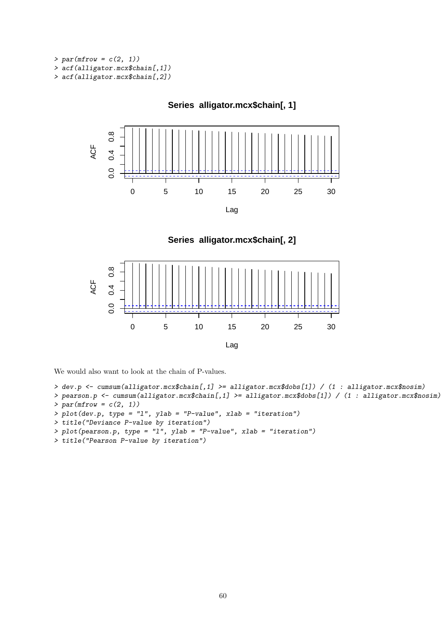$> par(mfrow = c(2, 1))$ > acf(alligator.mcx\$chain[,1]) > acf(alligator.mcx\$chain[,2])



**Series alligator.mcx\$chain[, 2]**

**Series alligator.mcx\$chain[, 1]**



We would also want to look at the chain of P-values.

```
> dev.p <- cumsum(alligator.mcx$chain[,1] >= alligator.mcx$dobs[1]) / (1 : alligator.mcx$nosim)
```

```
> pearson.p <- cumsum(alligator.mcx$chain[,1] >= alligator.mcx$dobs[1]) / (1 : alligator.mcx$nosim)
> par(mfrow = c(2, 1))
```

```
> plot(dev.p, type = "l", ylab = "P-value", xlab = "iteration")
```

```
> title("Deviance P-value by iteration")
```

```
> plot(pearson.p, type = "l", ylab = "P-value", xlab = "iteration")
```

```
> title("Pearson P-value by iteration")
```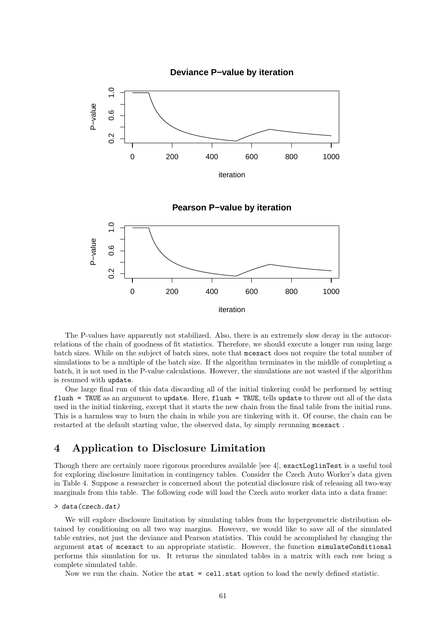

The P-values have apparently not stabilized. Also, there is an extremely slow decay in the autocorrelations of the chain of goodness of fit statistics. Therefore, we should execute a longer run using large batch sizes. While on the subject of batch sizes, note that mcexact does not require the total number of simulations to be a multiple of the batch size. If the algorithm terminates in the middle of completing a batch, it is not used in the P-value calculations. However, the simulations are not wasted if the algorithm is resumed with update.

One large final run of this data discarding all of the initial tinkering could be performed by setting flush = TRUE as an argument to update. Here, flush = TRUE, tells update to throw out all of the data used in the initial tinkering, except that it starts the new chain from the final table from the initial runs. This is a harmless way to burn the chain in while you are tinkering with it. Of course, the chain can be restarted at the default starting value, the observed data, by simply rerunning mcexact .

### 4 Application to Disclosure Limitation

Though there are certainly more rigorous procedures available [see 4], exactLoglinTest is a useful tool for exploring disclosure limitation in contingency tables. Consider the Czech Auto Worker's data given in Table 4. Suppose a researcher is concerned about the potential disclosure risk of releasing all two-way marginals from this table. The following code will load the Czech auto worker data into a data frame:

#### > data(czech.dat)

We will explore disclosure limitation by simulating tables from the hypergeometric distribution obtained by conditioning on all two way margins. However, we would like to save all of the simulated table entries, not just the deviance and Pearson statistics. This could be accomplished by changing the argument stat of mcexact to an appropriate statistic. However, the function simulateConditional performs this simulation for us. It returns the simulated tables in a matrix with each row being a complete simulated table.

Now we run the chain. Notice the stat = cell.stat option to load the newly defined statistic.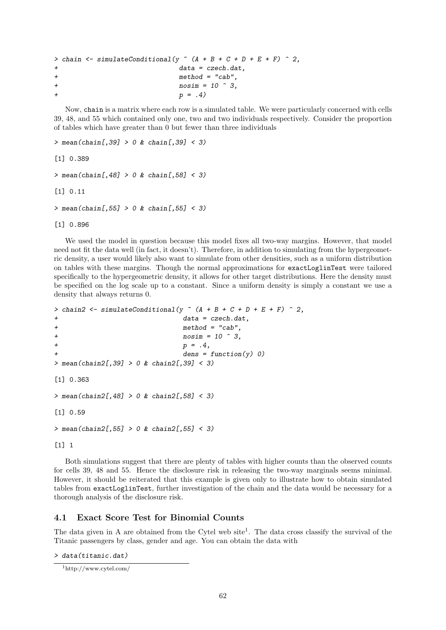```
> chain <- simulateConditional(y \tilde{a} (A + B + C + D + E + F) \tilde{c} 2,
+ data = czech.dat,
+ method = "cab",
+ nosim = 10 \hat{ } 3,
                      p = .4)
```
Now, chain is a matrix where each row is a simulated table. We were particularly concerned with cells 39, 48, and 55 which contained only one, two and two individuals respectively. Consider the proportion of tables which have greater than 0 but fewer than three individuals

```
> mean(chain[,39] > 0 & chain[,39] < 3)
[1] 0.389
> mean(chain[,48] > 0 & chain[,58] < 3)
[1] 0.11
> mean(chain[,55] > 0 & chain[,55] < 3)
[1] 0.896
```
We used the model in question because this model fixes all two-way margins. However, that model need not fit the data well (in fact, it doesn't). Therefore, in addition to simulating from the hypergeometric density, a user would likely also want to simulate from other densities, such as a uniform distribution on tables with these margins. Though the normal approximations for exactLoglinTest were tailored specifically to the hypergeometric density, it allows for other target distributions. Here the density must be specified on the log scale up to a constant. Since a uniform density is simply a constant we use a density that always returns 0.

```
> chain2 <- simulateConditional(y \tilde{a} (A + B + C + D + E + F) \tilde{c} 2,
+ data = czech.dat,
+ method = "cab",
+ nosim = 10 \hat{ } 3,
+ p = .4,
                         dens = function(y) 0)> mean(chain2[,39] > 0 & chain2[,39] < 3)
[1] 0.363
> mean(chain2[,48] > 0 & chain2[,58] < 3)
[1] 0.59
> mean(chain2[,55] > 0 & chain2[,55] < 3)
[1] 1
```
Both simulations suggest that there are plenty of tables with higher counts than the observed counts for cells 39, 48 and 55. Hence the disclosure risk in releasing the two-way marginals seems minimal. However, it should be reiterated that this example is given only to illustrate how to obtain simulated tables from exactLoglinTest, further investigation of the chain and the data would be necessary for a thorough analysis of the disclosure risk.

### 4.1 Exact Score Test for Binomial Counts

The data given in A are obtained from the Cytel web site<sup>1</sup>. The data cross classify the survival of the Titanic passengers by class, gender and age. You can obtain the data with

> data(titanic.dat)

<sup>1</sup>http://www.cytel.com/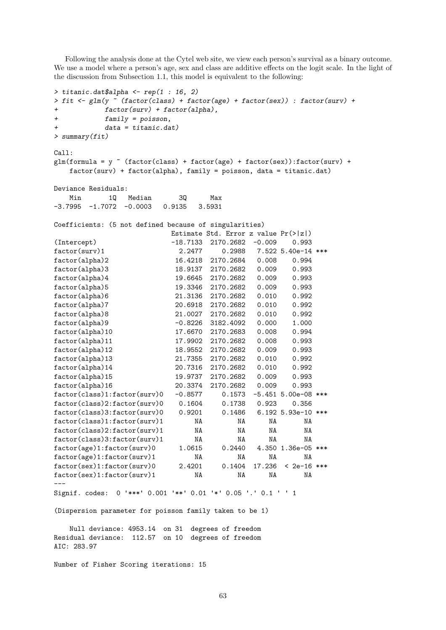Following the analysis done at the Cytel web site, we view each person's survival as a binary outcome. We use a model where a person's age, sex and class are additive effects on the logit scale. In the light of the discussion from Subsection 1.1, this model is equivalent to the following:

```
> titanic.dat$alpha \leq rep(1 : 16, 2)
> fit <- glm(y ~ (factor(class) + factor(age) + factor(sex)) : factor(surv) +
+ factor(surv) + factor(alpha),
+ family = poisson,
          data = titanic.dat)> summary(fit)
Call:
glm(formula = y \tilde{ } (factor(class) + factor(age) + factor(sex)):factor(surv) +
   factor(surv) + factor(alpha), family = poisson, data = titanic.dat)
Deviance Residuals:
   Min 1Q Median 3Q Max<br>1995 -1.7072 -0.0003 0.9135 3.5931
-3.7995 -1.7072 -0.0003 0.9135 3.5931
Coefficients: (5 not defined because of singularities)
                       Estimate Std. Error z value Pr(>|z|)
(Intercept) -18.7133 2170.2682 -0.009 0.993
factor(surv)1 2.2477 0.2988 7.522 5.40e-14 ***
factor(alpha)2 16.4218 2170.2684 0.008 0.994
factor(alpha)3 18.9137 2170.2682 0.009 0.993
factor(alpha)4 19.6645 2170.2682 0.009 0.993
factor(alpha)5 19.3346 2170.2682 0.009 0.993
factor(alpha)6 21.3136 2170.2682 0.010 0.992
factor(alpha)7 20.6918 2170.2682 0.010 0.992
factor(alpha)8 21.0027 2170.2682 0.010 0.992
factor(alpha)9 -0.8226 3182.4092 0.000 1.000
factor(alpha)10 17.6670 2170.2683 0.008 0.994
factor(alpha)11 17.9902 2170.2682 0.008 0.993
factor(alpha)12 18.9552 2170.2682 0.009 0.993
factor(alpha)13 21.7355 2170.2682 0.010 0.992
factor(alpha)14 20.7316 2170.2682 0.010 0.992
factor(alpha)15 19.9737 2170.2682 0.009 0.993
factor(alpha)16 20.3374 2170.2682 0.009 0.993
factor(class)1:factor(surv)0 -0.8577 0.1573 -5.451 5.00e-08 ***
factor(class)2:factor(surv)0 0.1604 0.1738 0.923 0.356
factor(class)3:factor(surv)0 0.9201 0.1486 6.192 5.93e-10 ***
factor(class)1:factor(surv)1 NA NA NA NA
factor(class)2:factor(surv)1 NA NA NA NA
factor(class)3:factor(surv)1 NA NA NA NA
factor(age)1:factor(surv)0 1.0615 0.2440 4.350 1.36e-05 ***
factor(age)1:factor(surv)1 NA NA NA NA
factor(sex)1:factor(surv)0 2.4201 0.1404 17.236 < 2e-16 ***
factor(sex)1:factor(surv)1 NA NA NA NA
---
Signif. codes: 0 '***' 0.001 '**' 0.01 '*' 0.05 '.' 0.1 ' ' 1
(Dispersion parameter for poisson family taken to be 1)
   Null deviance: 4953.14 on 31 degrees of freedom
Residual deviance: 112.57 on 10 degrees of freedom
AIC: 283.97
```
Number of Fisher Scoring iterations: 15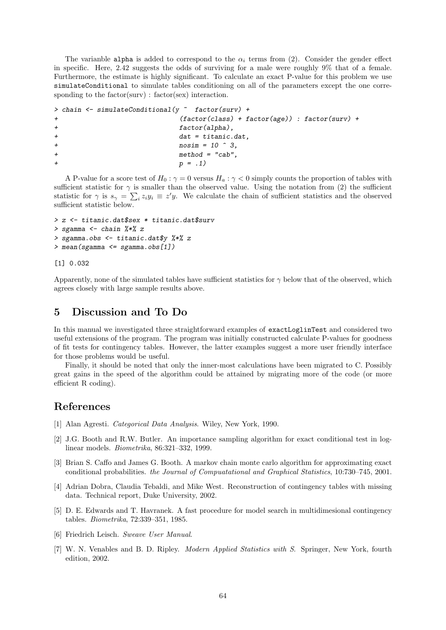The varianble alpha is added to correspond to the  $\alpha_i$  terms from (2). Consider the gender effect in specific. Here, 2.42 suggests the odds of surviving for a male were roughly 9% that of a female. Furthermore, the estimate is highly significant. To calculate an exact P-value for this problem we use simulateConditional to simulate tables conditioning on all of the parameters except the one corresponding to the factor(surv) : factor(sex) interaction.

```
> chain <- simulateConditional(y ~ factor(surv) +
+ (factor(class) + factor(age)) : factor(surv) +
+ factor(alpha),
+ dat = titanic.dat,
+ nosim = 10 \hat{ } 3,
+ method = "cab",
                  p = .1)
```
A P-value for a score test of  $H_0$ :  $\gamma = 0$  versus  $H_a$ :  $\gamma < 0$  simply counts the proportion of tables with sufficient statistic for  $\gamma$  is smaller than the observed value. Using the notation from (2) the sufficient statistic for  $\gamma$  is  $s_{\gamma} = \sum_i z_i y_i \equiv z' y$ . We calculate the chain of sufficient statistics and the observed sufficient statistic below.

```
> z <- titanic.dat$sex * titanic.dat$surv
> sgamma <- chain \frac{9}{8} \frac{2}{8} z
> sgamma.obs <- titanic.dat$y %*% z
> mean(sgamma <= sgamma.obs[1])
```
[1] 0.032

Apparently, none of the simulated tables have sufficient statistics for  $\gamma$  below that of the observed, which agrees closely with large sample results above.

### 5 Discussion and To Do

In this manual we investigated three straightforward examples of exactLoglinTest and considered two useful extensions of the program. The program was initially constructed calculate P-values for goodness of fit tests for contingency tables. However, the latter examples suggest a more user friendly interface for those problems would be useful.

Finally, it should be noted that only the inner-most calculations have been migrated to C. Possibly great gains in the speed of the algorithm could be attained by migrating more of the code (or more efficient R coding).

### References

- [1] Alan Agresti. Categorical Data Analysis. Wiley, New York, 1990.
- [2] J.G. Booth and R.W. Butler. An importance sampling algorithm for exact conditional test in loglinear models. Biometrika, 86:321–332, 1999.
- [3] Brian S. Caffo and James G. Booth. A markov chain monte carlo algorithm for approximating exact conditional probabilities. the Journal of Compuatational and Graphical Statistics, 10:730–745, 2001.
- [4] Adrian Dobra, Claudia Tebaldi, and Mike West. Reconstruction of contingency tables with missing data. Technical report, Duke University, 2002.
- [5] D. E. Edwards and T. Havranek. A fast procedure for model search in multidimesional contingency tables. Biometrika, 72:339–351, 1985.
- [6] Friedrich Leisch. Sweave User Manual.
- [7] W. N. Venables and B. D. Ripley. Modern Applied Statistics with S. Springer, New York, fourth edition, 2002.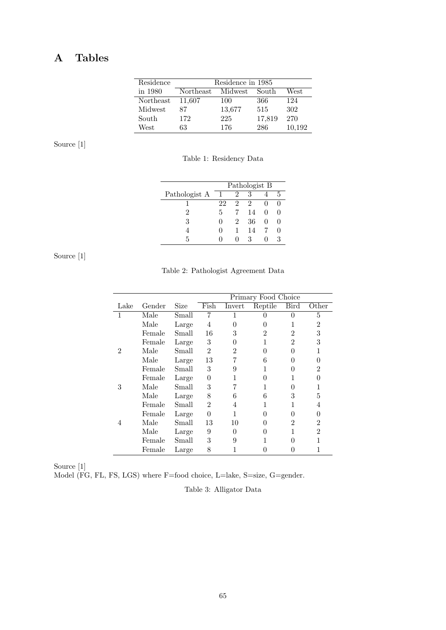## A Tables

| Residence | Residence in 1985 |         |        |        |  |  |  |  |  |  |
|-----------|-------------------|---------|--------|--------|--|--|--|--|--|--|
| in 1980   | Northeast         | Midwest | South  | West   |  |  |  |  |  |  |
| Northeast | 11,607            | 100     | 366    | 124    |  |  |  |  |  |  |
| Midwest   | 87                | 13,677  | 515    | 302    |  |  |  |  |  |  |
| South     | 172               | 225     | 17,819 | 270    |  |  |  |  |  |  |
| West      | 63                | 176     | 286    | 10,192 |  |  |  |  |  |  |

Source [1]

Table 1: Residency Data

|               | Pathologist B |   |    |              |   |  |  |  |  |
|---------------|---------------|---|----|--------------|---|--|--|--|--|
| Pathologist A |               | 2 |    |              | 5 |  |  |  |  |
|               | 22            | 2 | 2  |              |   |  |  |  |  |
| 2             | 5             |   | 14 | $\Omega$     |   |  |  |  |  |
| 3             | 0             | 2 | 36 | $\mathbf{0}$ |   |  |  |  |  |
|               |               | 1 | 14 |              |   |  |  |  |  |
| 5             |               |   | ર  |              | 3 |  |  |  |  |

Source [1]

Table 2: Pathologist Agreement Data

|      |        |       |                |                | Primary Food Choice |                |                  |
|------|--------|-------|----------------|----------------|---------------------|----------------|------------------|
| Lake | Gender | Size  | Fish           | Invert         | Reptile             | Bird           | Other            |
| 1    | Male   | Small |                |                |                     | 0              | 5                |
|      | Male   | Large | 4              | $\Omega$       |                     |                | 2                |
|      | Female | Small | 16             | 3              | 2                   | $\overline{2}$ | 3                |
|      | Female | Large | 3              | $\Omega$       | 1                   | $\overline{2}$ | 3                |
| 2    | Male   | Small | $\overline{2}$ | $\overline{2}$ | ⋂                   | 0              | 1                |
|      | Male   | Large | 13             |                | 6                   | 0              | 0                |
|      | Female | Small | 3              | 9              |                     | 0              | 2                |
|      | Female | Large | 0              |                | 0                   |                | $\mathbf{0}$     |
| 3    | Male   | Small | 3              |                |                     | 0              | 1                |
|      | Male   | Large | 8              | 6              | 6                   | 3              | 5                |
|      | Female | Small | $\overline{2}$ | 4              |                     |                | 4                |
|      | Female | Large | $\theta$       |                | 0                   | 0              | $\left( \right)$ |
| 4    | Male   | Small | 13             | 10             |                     | 2              | 2                |
|      | Male   | Large | 9              | 0              |                     | 1              | $\overline{2}$   |
|      | Female | Small | 3              | 9              |                     | 0              |                  |
|      | Female | Large | 8              |                |                     |                |                  |

Source [1]

Model (FG, FL, FS, LGS) where F=food choice, L=lake, S=size, G=gender.

Table 3: Alligator Data